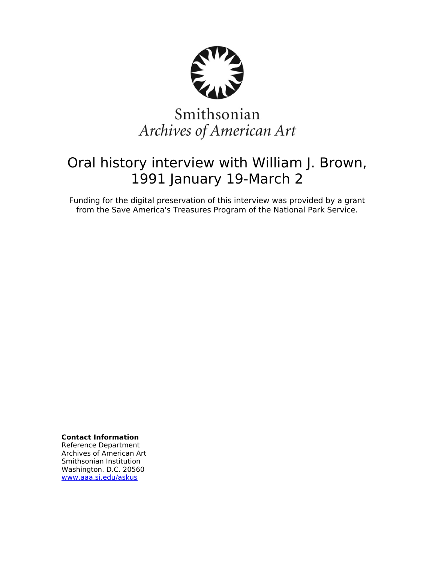

# Smithsonian Archives of American Art

## Oral history interview with William J. Brown, 1991 January 19-March 2

Funding for the digital preservation of this interview was provided by a grant from the Save America's Treasures Program of the National Park Service.

**Contact Information**

Reference Department Archives of American Art Smithsonian Institution Washington. D.C. 20560 [www.aaa.si.edu/askus](http://www.aaa.si.edu/askus)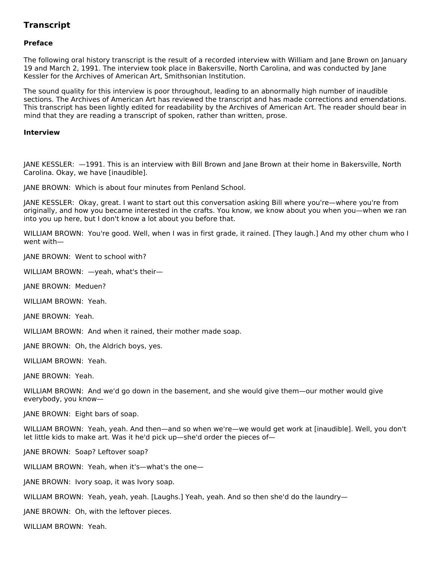### **Transcript**

#### **Preface**

The following oral history transcript is the result of a recorded interview with William and Jane Brown on January 19 and March 2, 1991. The interview took place in Bakersville, North Carolina, and was conducted by Jane Kessler for the Archives of American Art, Smithsonian Institution.

The sound quality for this interview is poor throughout, leading to an abnormally high number of inaudible sections. The Archives of American Art has reviewed the transcript and has made corrections and emendations. This transcript has been lightly edited for readability by the Archives of American Art. The reader should bear in mind that they are reading a transcript of spoken, rather than written, prose.

#### **Interview**

JANE KESSLER: —1991. This is an interview with Bill Brown and Jane Brown at their home in Bakersville, North Carolina. Okay, we have [inaudible].

JANE BROWN: Which is about four minutes from Penland School.

JANE KESSLER: Okay, great. I want to start out this conversation asking Bill where you're—where you're from originally, and how you became interested in the crafts. You know, we know about you when you—when we ran into you up here, but I don't know a lot about you before that.

WILLIAM BROWN: You're good. Well, when I was in first grade, it rained. [They laugh.] And my other chum who I went with—

JANE BROWN: Went to school with?

WILLIAM BROWN: —yeah, what's their—

JANE BROWN: Meduen?

WILLIAM BROWN: Yeah.

JANE BROWN: Yeah.

WILLIAM BROWN: And when it rained, their mother made soap.

JANE BROWN: Oh, the Aldrich boys, yes.

WILLIAM BROWN: Yeah.

JANE BROWN: Yeah.

WILLIAM BROWN: And we'd go down in the basement, and she would give them—our mother would give everybody, you know—

JANE BROWN: Eight bars of soap.

WILLIAM BROWN: Yeah, yeah. And then—and so when we're—we would get work at [inaudible]. Well, you don't let little kids to make art. Was it he'd pick up—she'd order the pieces of—

JANE BROWN: Soap? Leftover soap?

WILLIAM BROWN: Yeah, when it's—what's the one—

JANE BROWN: Ivory soap, it was Ivory soap.

WILLIAM BROWN: Yeah, yeah, yeah. [Laughs.] Yeah, yeah. And so then she'd do the laundry—

JANE BROWN: Oh, with the leftover pieces.

WILLIAM BROWN: Yeah.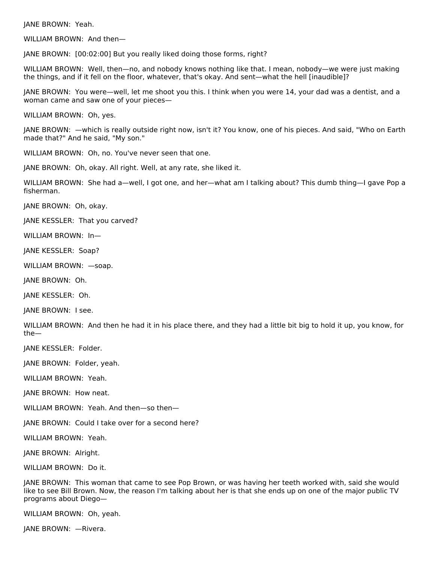JANE BROWN: Yeah.

WILLIAM BROWN: And then—

JANE BROWN: [00:02:00] But you really liked doing those forms, right?

WILLIAM BROWN: Well, then—no, and nobody knows nothing like that. I mean, nobody—we were just making the things, and if it fell on the floor, whatever, that's okay. And sent—what the hell [inaudible]?

JANE BROWN: You were—well, let me shoot you this. I think when you were 14, your dad was a dentist, and a woman came and saw one of your pieces—

WILLIAM BROWN: Oh, yes.

JANE BROWN: —which is really outside right now, isn't it? You know, one of his pieces. And said, "Who on Earth made that?" And he said, "My son."

WILLIAM BROWN: Oh, no. You've never seen that one.

JANE BROWN: Oh, okay. All right. Well, at any rate, she liked it.

WILLIAM BROWN: She had a—well, I got one, and her—what am I talking about? This dumb thing—I gave Pop a fisherman.

JANE BROWN: Oh, okay.

JANE KESSLER: That you carved?

WILLIAM BROWN: In—

JANE KESSLER: Soap?

WILLIAM BROWN: —soap.

JANE BROWN: Oh.

JANE KESSLER: Oh.

JANE BROWN: I see.

WILLIAM BROWN: And then he had it in his place there, and they had a little bit big to hold it up, you know, for the—

JANE KESSLER: Folder.

JANE BROWN: Folder, yeah.

WILLIAM BROWN: Yeah.

JANE BROWN: How neat.

WILLIAM BROWN: Yeah. And then—so then—

JANE BROWN: Could I take over for a second here?

WILLIAM BROWN: Yeah.

JANE BROWN: Alright.

WILLIAM BROWN: Do it.

JANE BROWN: This woman that came to see Pop Brown, or was having her teeth worked with, said she would like to see Bill Brown. Now, the reason I'm talking about her is that she ends up on one of the major public TV programs about Diego—

WILLIAM BROWN: Oh, yeah.

JANE BROWN: —Rivera.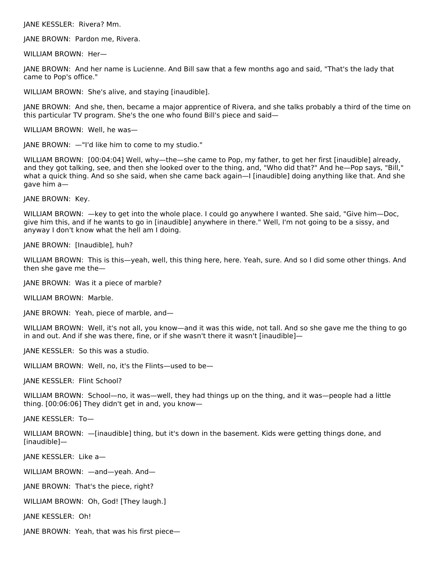JANE KESSLER: Rivera? Mm.

JANE BROWN: Pardon me, Rivera.

WILLIAM BROWN: Her—

JANE BROWN: And her name is Lucienne. And Bill saw that a few months ago and said, "That's the lady that came to Pop's office."

WILLIAM BROWN: She's alive, and staying [inaudible].

JANE BROWN: And she, then, became a major apprentice of Rivera, and she talks probably a third of the time on this particular TV program. She's the one who found Bill's piece and said—

WILLIAM BROWN: Well, he was—

JANE BROWN: —"I'd like him to come to my studio."

WILLIAM BROWN: [00:04:04] Well, why—the—she came to Pop, my father, to get her first [inaudible] already, and they got talking, see, and then she looked over to the thing, and, "Who did that?" And he—Pop says, "Bill," what a quick thing. And so she said, when she came back again—I [inaudible] doing anything like that. And she gave him a—

JANE BROWN: Key.

WILLIAM BROWN: —key to get into the whole place. I could go anywhere I wanted. She said, "Give him—Doc, give him this, and if he wants to go in [inaudible] anywhere in there." Well, I'm not going to be a sissy, and anyway I don't know what the hell am I doing.

JANE BROWN: [Inaudible], huh?

WILLIAM BROWN: This is this—yeah, well, this thing here, here. Yeah, sure. And so I did some other things. And then she gave me the—

JANE BROWN: Was it a piece of marble?

WILLIAM BROWN: Marble.

JANE BROWN: Yeah, piece of marble, and—

WILLIAM BROWN: Well, it's not all, you know—and it was this wide, not tall. And so she gave me the thing to go in and out. And if she was there, fine, or if she wasn't there it wasn't [inaudible]—

JANE KESSLER: So this was a studio.

WILLIAM BROWN: Well, no, it's the Flints—used to be—

JANE KESSLER: Flint School?

WILLIAM BROWN: School—no, it was—well, they had things up on the thing, and it was—people had a little thing. [00:06:06] They didn't get in and, you know—

JANE KESSLER: To—

WILLIAM BROWN: —[inaudible] thing, but it's down in the basement. Kids were getting things done, and [inaudible]—

JANE KESSLER: Like a—

WILLIAM BROWN: —and—yeah. And—

JANE BROWN: That's the piece, right?

WILLIAM BROWN: Oh, God! [They laugh.]

JANE KESSLER: Oh!

JANE BROWN: Yeah, that was his first piece—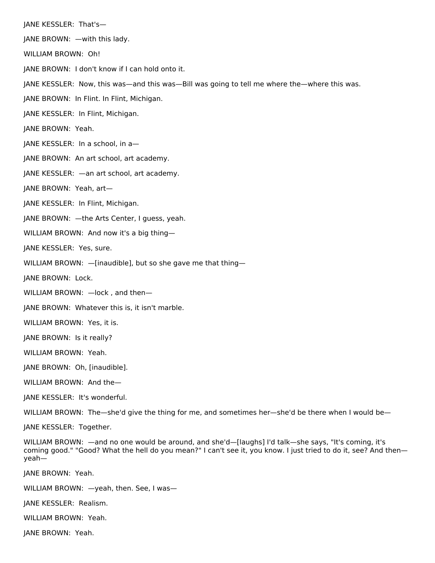JANE KESSLER: That's—

JANE BROWN: —with this lady.

WILLIAM BROWN: Oh!

JANE BROWN: I don't know if I can hold onto it.

JANE KESSLER: Now, this was—and this was—Bill was going to tell me where the—where this was.

JANE BROWN: In Flint. In Flint, Michigan.

JANE KESSLER: In Flint, Michigan.

JANE BROWN: Yeah.

JANE KESSLER: In a school, in a—

JANE BROWN: An art school, art academy.

JANE KESSLER: —an art school, art academy.

JANE BROWN: Yeah, art—

JANE KESSLER: In Flint, Michigan.

JANE BROWN: —the Arts Center, I guess, yeah.

WILLIAM BROWN: And now it's a big thing—

JANE KESSLER: Yes, sure.

WILLIAM BROWN: - [inaudible], but so she gave me that thing-

JANE BROWN: Lock.

WILLIAM BROWN: —lock , and then—

JANE BROWN: Whatever this is, it isn't marble.

WILLIAM BROWN: Yes, it is.

JANE BROWN: Is it really?

WILLIAM BROWN: Yeah.

JANE BROWN: Oh, [inaudible].

WILLIAM BROWN: And the—

JANE KESSLER: It's wonderful.

WILLIAM BROWN: The—she'd give the thing for me, and sometimes her—she'd be there when I would be—

JANE KESSLER: Together.

WILLIAM BROWN: —and no one would be around, and she'd—[laughs] I'd talk—she says, "It's coming, it's coming good." "Good? What the hell do you mean?" I can't see it, you know. I just tried to do it, see? And then yeah—

JANE BROWN: Yeah.

WILLIAM BROWN: —yeah, then. See, I was—

JANE KESSLER: Realism.

WILLIAM BROWN: Yeah.

JANE BROWN: Yeah.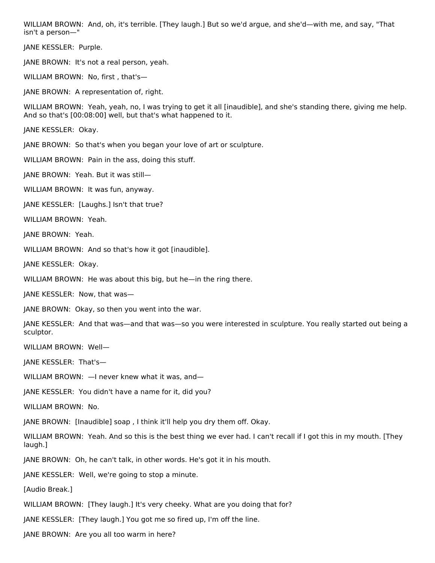WILLIAM BROWN: And, oh, it's terrible. [They laugh.] But so we'd argue, and she'd—with me, and say, "That isn't a person—"

JANE KESSLER: Purple.

JANE BROWN: It's not a real person, yeah.

WILLIAM BROWN: No, first , that's—

JANE BROWN: A representation of, right.

WILLIAM BROWN: Yeah, yeah, no, I was trying to get it all [inaudible], and she's standing there, giving me help. And so that's [00:08:00] well, but that's what happened to it.

JANE KESSLER: Okay.

JANE BROWN: So that's when you began your love of art or sculpture.

WILLIAM BROWN: Pain in the ass, doing this stuff.

JANE BROWN: Yeah. But it was still—

WILLIAM BROWN: It was fun, anyway.

JANE KESSLER: [Laughs.] Isn't that true?

WILLIAM BROWN: Yeah.

JANE BROWN: Yeah.

WILLIAM BROWN: And so that's how it got [inaudible].

JANE KESSLER: Okay.

WILLIAM BROWN: He was about this big, but he—in the ring there.

JANE KESSLER: Now, that was—

JANE BROWN: Okay, so then you went into the war.

JANE KESSLER: And that was—and that was—so you were interested in sculpture. You really started out being a sculptor.

WILLIAM BROWN: Well—

JANE KESSLER: That's—

WILLIAM BROWN: —I never knew what it was, and—

JANE KESSLER: You didn't have a name for it, did you?

WILLIAM BROWN: No.

JANE BROWN: [Inaudible] soap , I think it'll help you dry them off. Okay.

WILLIAM BROWN: Yeah. And so this is the best thing we ever had. I can't recall if I got this in my mouth. [They laugh.]

JANE BROWN: Oh, he can't talk, in other words. He's got it in his mouth.

JANE KESSLER: Well, we're going to stop a minute.

[Audio Break.]

WILLIAM BROWN: [They laugh.] It's very cheeky. What are you doing that for?

JANE KESSLER: [They laugh.] You got me so fired up, I'm off the line.

JANE BROWN: Are you all too warm in here?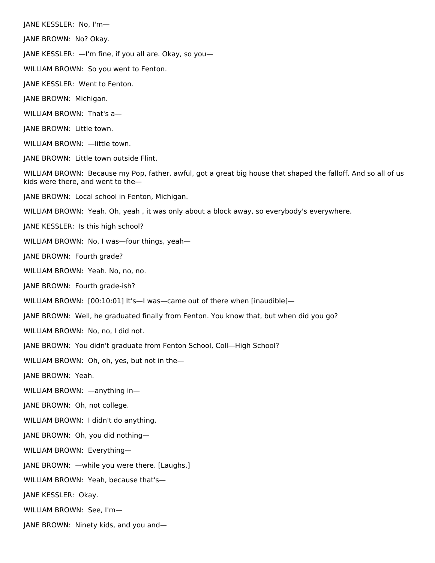JANE KESSLER: No, I'm— JANE BROWN: No? Okay. JANE KESSLER: —I'm fine, if you all are. Okay, so you— WILLIAM BROWN: So you went to Fenton. JANE KESSLER: Went to Fenton. JANE BROWN: Michigan. WILLIAM BROWN: That's a— JANE BROWN: Little town. WILLIAM BROWN: - little town. JANE BROWN: Little town outside Flint. WILLIAM BROWN: Because my Pop, father, awful, got a great big house that shaped the falloff. And so all of us kids were there, and went to the— JANE BROWN: Local school in Fenton, Michigan. WILLIAM BROWN: Yeah. Oh, yeah , it was only about a block away, so everybody's everywhere. JANE KESSLER: Is this high school? WILLIAM BROWN: No, I was—four things, yeah— JANE BROWN: Fourth grade? WILLIAM BROWN: Yeah. No, no, no. JANE BROWN: Fourth grade-ish? WILLIAM BROWN: [00:10:01] It's-I was-came out of there when [inaudible]-JANE BROWN: Well, he graduated finally from Fenton. You know that, but when did you go? WILLIAM BROWN: No, no, I did not. JANE BROWN: You didn't graduate from Fenton School, Coll—High School? WILLIAM BROWN: Oh, oh, yes, but not in the— JANE BROWN: Yeah. WILLIAM BROWN: —anything in— JANE BROWN: Oh, not college. WILLIAM BROWN: I didn't do anything. JANE BROWN: Oh, you did nothing— WILLIAM BROWN: Everything— JANE BROWN: —while you were there. [Laughs.] WILLIAM BROWN: Yeah, because that's— JANE KESSLER: Okay. WILLIAM BROWN: See, I'm— JANE BROWN: Ninety kids, and you and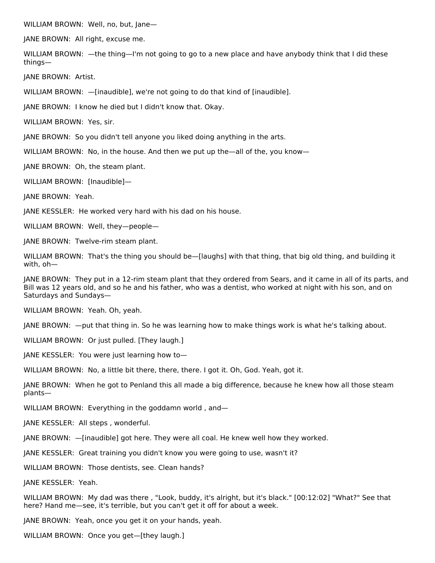WILLIAM BROWN: Well, no, but, Jane—

JANE BROWN: All right, excuse me.

WILLIAM BROWN: —the thing—I'm not going to go to a new place and have anybody think that I did these things—

JANE BROWN: Artist.

WILLIAM BROWN: —[inaudible], we're not going to do that kind of [inaudible].

JANE BROWN: I know he died but I didn't know that. Okay.

WILLIAM BROWN: Yes, sir.

JANE BROWN: So you didn't tell anyone you liked doing anything in the arts.

WILLIAM BROWN: No, in the house. And then we put up the—all of the, you know—

JANE BROWN: Oh, the steam plant.

WILLIAM BROWN: [Inaudible]—

JANE BROWN: Yeah.

JANE KESSLER: He worked very hard with his dad on his house.

WILLIAM BROWN: Well, they—people—

JANE BROWN: Twelve-rim steam plant.

WILLIAM BROWN: That's the thing you should be—[laughs] with that thing, that big old thing, and building it with, oh—

JANE BROWN: They put in a 12-rim steam plant that they ordered from Sears, and it came in all of its parts, and Bill was 12 years old, and so he and his father, who was a dentist, who worked at night with his son, and on Saturdays and Sundays—

WILLIAM BROWN: Yeah. Oh, yeah.

JANE BROWN: —put that thing in. So he was learning how to make things work is what he's talking about.

WILLIAM BROWN: Or just pulled. [They laugh.]

JANE KESSLER: You were just learning how to—

WILLIAM BROWN: No, a little bit there, there, there. I got it. Oh, God. Yeah, got it.

JANE BROWN: When he got to Penland this all made a big difference, because he knew how all those steam plants—

WILLIAM BROWN: Everything in the goddamn world, and—

JANE KESSLER: All steps , wonderful.

JANE BROWN: —[inaudible] got here. They were all coal. He knew well how they worked.

JANE KESSLER: Great training you didn't know you were going to use, wasn't it?

WILLIAM BROWN: Those dentists, see. Clean hands?

JANE KESSLER: Yeah.

WILLIAM BROWN: My dad was there , "Look, buddy, it's alright, but it's black." [00:12:02] "What?" See that here? Hand me—see, it's terrible, but you can't get it off for about a week.

JANE BROWN: Yeah, once you get it on your hands, yeah.

WILLIAM BROWN: Once you get—[they laugh.]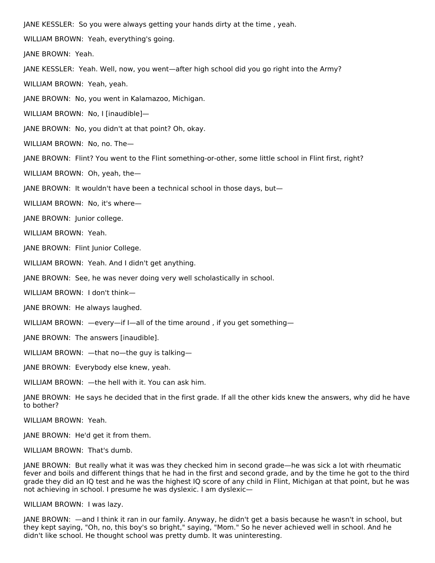JANE KESSLER: So you were always getting your hands dirty at the time , yeah.

WILLIAM BROWN: Yeah, everything's going.

JANE BROWN: Yeah.

JANE KESSLER: Yeah. Well, now, you went—after high school did you go right into the Army?

WILLIAM BROWN: Yeah, yeah.

JANE BROWN: No, you went in Kalamazoo, Michigan.

WILLIAM BROWN: No, I [inaudible]—

JANE BROWN: No, you didn't at that point? Oh, okay.

WILLIAM BROWN: No, no. The—

JANE BROWN: Flint? You went to the Flint something-or-other, some little school in Flint first, right?

WILLIAM BROWN: Oh, yeah, the—

JANE BROWN: It wouldn't have been a technical school in those days, but—

WILLIAM BROWN: No, it's where—

JANE BROWN: Junior college.

WILLIAM BROWN: Yeah.

JANE BROWN: Flint Junior College.

WILLIAM BROWN: Yeah. And I didn't get anything.

JANE BROWN: See, he was never doing very well scholastically in school.

WILLIAM BROWN: I don't think—

JANE BROWN: He always laughed.

WILLIAM BROWN: —every—if I—all of the time around, if you get something—

JANE BROWN: The answers [inaudible].

WILLIAM BROWN: —that no—the guy is talking—

JANE BROWN: Everybody else knew, yeah.

WILLIAM BROWN: —the hell with it. You can ask him.

JANE BROWN: He says he decided that in the first grade. If all the other kids knew the answers, why did he have to bother?

WILLIAM BROWN: Yeah.

JANE BROWN: He'd get it from them.

WILLIAM BROWN: That's dumb.

JANE BROWN: But really what it was was they checked him in second grade—he was sick a lot with rheumatic fever and boils and different things that he had in the first and second grade, and by the time he got to the third grade they did an IQ test and he was the highest IQ score of any child in Flint, Michigan at that point, but he was not achieving in school. I presume he was dyslexic. I am dyslexic—

WILLIAM BROWN: I was lazy.

JANE BROWN: —and I think it ran in our family. Anyway, he didn't get a basis because he wasn't in school, but they kept saying, "Oh, no, this boy's so bright," saying, "Mom." So he never achieved well in school. And he didn't like school. He thought school was pretty dumb. It was uninteresting.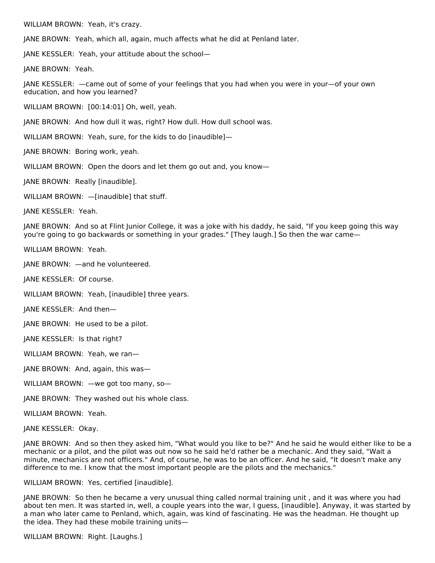WILLIAM BROWN: Yeah, it's crazy.

JANE BROWN: Yeah, which all, again, much affects what he did at Penland later.

JANE KESSLER: Yeah, your attitude about the school—

JANE BROWN: Yeah.

JANE KESSLER: —came out of some of your feelings that you had when you were in your—of your own education, and how you learned?

WILLIAM BROWN: [00:14:01] Oh, well, yeah.

JANE BROWN: And how dull it was, right? How dull. How dull school was.

WILLIAM BROWN: Yeah, sure, for the kids to do [inaudible]—

JANE BROWN: Boring work, yeah.

WILLIAM BROWN: Open the doors and let them go out and, you know—

JANE BROWN: Really [inaudible].

WILLIAM BROWN: —[inaudible] that stuff.

JANE KESSLER: Yeah.

JANE BROWN: And so at Flint Junior College, it was a joke with his daddy, he said, "If you keep going this way you're going to go backwards or something in your grades." [They laugh.] So then the war came—

WILLIAM BROWN: Yeah.

JANE BROWN: —and he volunteered.

JANE KESSLER: Of course.

WILLIAM BROWN: Yeah, [inaudible] three years.

JANE KESSLER: And then—

JANE BROWN: He used to be a pilot.

JANE KESSLER: Is that right?

WILLIAM BROWN: Yeah, we ran—

JANE BROWN: And, again, this was—

WILLIAM BROWN: —we got too many, so-

JANE BROWN: They washed out his whole class.

WILLIAM BROWN: Yeah.

JANE KESSLER: Okay.

JANE BROWN: And so then they asked him, "What would you like to be?" And he said he would either like to be a mechanic or a pilot, and the pilot was out now so he said he'd rather be a mechanic. And they said, "Wait a minute, mechanics are not officers." And, of course, he was to be an officer. And he said, "It doesn't make any difference to me. I know that the most important people are the pilots and the mechanics."

WILLIAM BROWN: Yes, certified [inaudible].

JANE BROWN: So then he became a very unusual thing called normal training unit , and it was where you had about ten men. It was started in, well, a couple years into the war, I guess, [inaudible]. Anyway, it was started by a man who later came to Penland, which, again, was kind of fascinating. He was the headman. He thought up the idea. They had these mobile training units—

WILLIAM BROWN: Right. [Laughs.]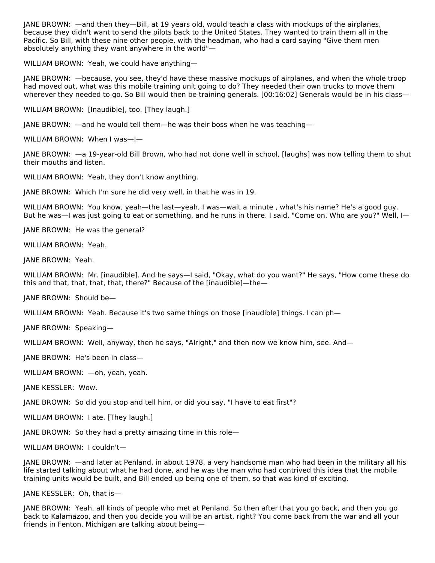JANE BROWN: —and then they—Bill, at 19 years old, would teach a class with mockups of the airplanes, because they didn't want to send the pilots back to the United States. They wanted to train them all in the Pacific. So Bill, with these nine other people, with the headman, who had a card saying "Give them men absolutely anything they want anywhere in the world"—

WILLIAM BROWN: Yeah, we could have anything—

JANE BROWN: —because, you see, they'd have these massive mockups of airplanes, and when the whole troop had moved out, what was this mobile training unit going to do? They needed their own trucks to move them wherever they needed to go. So Bill would then be training generals. [00:16:02] Generals would be in his class—

WILLIAM BROWN: [Inaudible], too. [They laugh.]

JANE BROWN: —and he would tell them—he was their boss when he was teaching—

WILLIAM BROWN: When I was—I—

JANE BROWN: —a 19-year-old Bill Brown, who had not done well in school, [laughs] was now telling them to shut their mouths and listen.

WILLIAM BROWN: Yeah, they don't know anything.

JANE BROWN: Which I'm sure he did very well, in that he was in 19.

WILLIAM BROWN: You know, yeah—the last—yeah, I was—wait a minute , what's his name? He's a good guy. But he was—I was just going to eat or something, and he runs in there. I said, "Come on. Who are you?" Well, I—

JANE BROWN: He was the general?

WILLIAM BROWN: Yeah.

JANE BROWN: Yeah.

WILLIAM BROWN: Mr. [inaudible]. And he says—I said, "Okay, what do you want?" He says, "How come these do this and that, that, that, that, there?" Because of the [inaudible]—the—

JANE BROWN: Should be—

WILLIAM BROWN: Yeah. Because it's two same things on those [inaudible] things. I can ph—

JANE BROWN: Speaking—

WILLIAM BROWN: Well, anyway, then he says, "Alright," and then now we know him, see. And—

JANE BROWN: He's been in class—

WILLIAM BROWN: —oh, yeah, yeah.

JANE KESSLER: Wow.

JANE BROWN: So did you stop and tell him, or did you say, "I have to eat first"?

WILLIAM BROWN: I ate. [They laugh.]

JANE BROWN: So they had a pretty amazing time in this role—

WILLIAM BROWN: I couldn't—

JANE BROWN: —and later at Penland, in about 1978, a very handsome man who had been in the military all his life started talking about what he had done, and he was the man who had contrived this idea that the mobile training units would be built, and Bill ended up being one of them, so that was kind of exciting.

JANE KESSLER: Oh, that is—

JANE BROWN: Yeah, all kinds of people who met at Penland. So then after that you go back, and then you go back to Kalamazoo, and then you decide you will be an artist, right? You come back from the war and all your friends in Fenton, Michigan are talking about being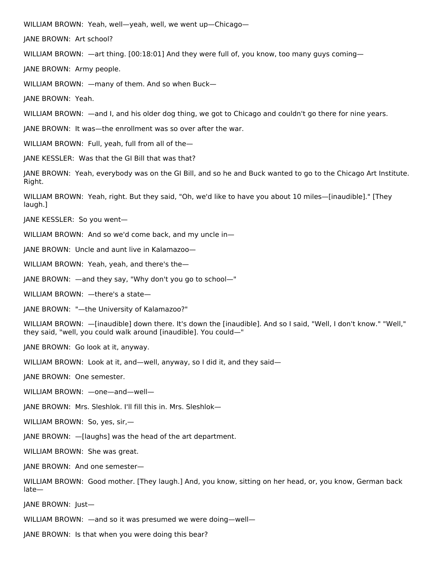WILLIAM BROWN: Yeah, well—yeah, well, we went up—Chicago—

JANE BROWN: Art school?

WILLIAM BROWN: —art thing. [00:18:01] And they were full of, you know, too many guys coming—

JANE BROWN: Army people.

WILLIAM BROWN: —many of them. And so when Buck—

JANE BROWN: Yeah.

WILLIAM BROWN: —and I, and his older dog thing, we got to Chicago and couldn't go there for nine years.

JANE BROWN: It was—the enrollment was so over after the war.

WILLIAM BROWN: Full, yeah, full from all of the—

JANE KESSLER: Was that the GI Bill that was that?

JANE BROWN: Yeah, everybody was on the GI Bill, and so he and Buck wanted to go to the Chicago Art Institute. Right.

WILLIAM BROWN: Yeah, right. But they said, "Oh, we'd like to have you about 10 miles—[inaudible]." [They laugh.]

JANE KESSLER: So you went—

WILLIAM BROWN: And so we'd come back, and my uncle in—

JANE BROWN: Uncle and aunt live in Kalamazoo—

WILLIAM BROWN: Yeah, yeah, and there's the—

JANE BROWN: —and they say, "Why don't you go to school—"

WILLIAM BROWN: —there's a state—

JANE BROWN: "—the University of Kalamazoo?"

WILLIAM BROWN: —[inaudible] down there. It's down the [inaudible]. And so I said, "Well, I don't know." "Well," they said, "well, you could walk around [inaudible]. You could—"

JANE BROWN: Go look at it, anyway.

WILLIAM BROWN: Look at it, and—well, anyway, so I did it, and they said—

JANE BROWN: One semester.

WILLIAM BROWN: —one—and—well—

JANE BROWN: Mrs. Sleshlok. I'll fill this in. Mrs. Sleshlok—

WILLIAM BROWN: So, yes, sir,—

JANE BROWN: —[laughs] was the head of the art department.

WILLIAM BROWN: She was great.

JANE BROWN: And one semester—

WILLIAM BROWN: Good mother. [They laugh.] And, you know, sitting on her head, or, you know, German back late—

JANE BROWN: Just—

WILLIAM BROWN: —and so it was presumed we were doing—well—

JANE BROWN: Is that when you were doing this bear?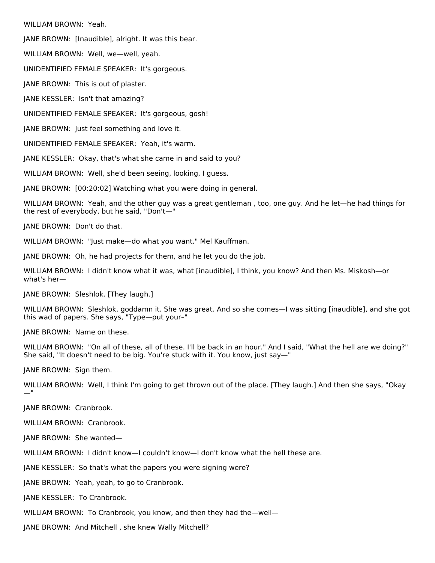WILLIAM BROWN: Yeah.

JANE BROWN: [Inaudible], alright. It was this bear.

WILLIAM BROWN: Well, we—well, yeah.

UNIDENTIFIED FEMALE SPEAKER: It's gorgeous.

JANE BROWN: This is out of plaster.

JANE KESSLER: Isn't that amazing?

UNIDENTIFIED FEMALE SPEAKER: It's gorgeous, gosh!

JANE BROWN: Just feel something and love it.

UNIDENTIFIED FEMALE SPEAKER: Yeah, it's warm.

JANE KESSLER: Okay, that's what she came in and said to you?

WILLIAM BROWN: Well, she'd been seeing, looking, I guess.

JANE BROWN: [00:20:02] Watching what you were doing in general.

WILLIAM BROWN: Yeah, and the other guy was a great gentleman , too, one guy. And he let—he had things for the rest of everybody, but he said, "Don't—"

JANE BROWN: Don't do that.

WILLIAM BROWN: "Just make—do what you want." Mel Kauffman.

JANE BROWN: Oh, he had projects for them, and he let you do the job.

WILLIAM BROWN: I didn't know what it was, what [inaudible], I think, you know? And then Ms. Miskosh—or what's her—

JANE BROWN: Sleshlok. [They laugh.]

WILLIAM BROWN: Sleshlok, goddamn it. She was great. And so she comes—I was sitting [inaudible], and she got this wad of papers. She says, "Type—put your–"

JANE BROWN: Name on these.

WILLIAM BROWN: "On all of these, all of these. I'll be back in an hour." And I said, "What the hell are we doing?" She said, "It doesn't need to be big. You're stuck with it. You know, just say—"

JANE BROWN: Sign them.

WILLIAM BROWN: Well, I think I'm going to get thrown out of the place. [They laugh.] And then she says, "Okay —"

JANE BROWN: Cranbrook.

WILLIAM BROWN: Cranbrook.

JANE BROWN: She wanted—

WILLIAM BROWN: I didn't know—I couldn't know—I don't know what the hell these are.

JANE KESSLER: So that's what the papers you were signing were?

JANE BROWN: Yeah, yeah, to go to Cranbrook.

JANE KESSLER: To Cranbrook.

WILLIAM BROWN: To Cranbrook, you know, and then they had the-well-

JANE BROWN: And Mitchell , she knew Wally Mitchell?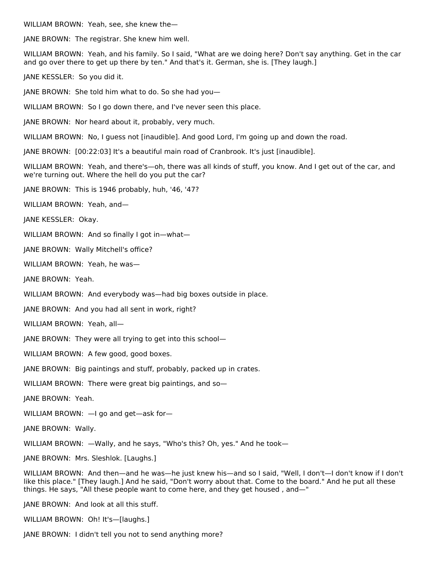WILLIAM BROWN: Yeah, see, she knew the—

JANE BROWN: The registrar. She knew him well.

WILLIAM BROWN: Yeah, and his family. So I said, "What are we doing here? Don't say anything. Get in the car and go over there to get up there by ten." And that's it. German, she is. [They laugh.]

JANE KESSLER: So you did it.

JANE BROWN: She told him what to do. So she had you—

WILLIAM BROWN: So I go down there, and I've never seen this place.

JANE BROWN: Nor heard about it, probably, very much.

WILLIAM BROWN: No, I guess not [inaudible]. And good Lord, I'm going up and down the road.

JANE BROWN: [00:22:03] It's a beautiful main road of Cranbrook. It's just [inaudible].

WILLIAM BROWN: Yeah, and there's—oh, there was all kinds of stuff, you know. And I get out of the car, and we're turning out. Where the hell do you put the car?

JANE BROWN: This is 1946 probably, huh, '46, '47?

WILLIAM BROWN: Yeah, and—

JANE KESSLER: Okay.

WILLIAM BROWN: And so finally I got in-what-

JANE BROWN: Wally Mitchell's office?

WILLIAM BROWN: Yeah, he was—

JANE BROWN: Yeah.

WILLIAM BROWN: And everybody was—had big boxes outside in place.

JANE BROWN: And you had all sent in work, right?

WILLIAM BROWN: Yeah, all—

JANE BROWN: They were all trying to get into this school—

WILLIAM BROWN: A few good, good boxes.

JANE BROWN: Big paintings and stuff, probably, packed up in crates.

WILLIAM BROWN: There were great big paintings, and so—

JANE BROWN: Yeah.

WILLIAM BROWN: —I go and get—ask for—

JANE BROWN: Wally.

WILLIAM BROWN: —Wally, and he says, "Who's this? Oh, yes." And he took—

JANE BROWN: Mrs. Sleshlok. [Laughs.]

WILLIAM BROWN: And then—and he was—he just knew his—and so I said, "Well, I don't—I don't know if I don't like this place." [They laugh.] And he said, "Don't worry about that. Come to the board." And he put all these things. He says, "All these people want to come here, and they get housed , and—"

JANE BROWN: And look at all this stuff.

WILLIAM BROWN: Oh! It's—[laughs.]

JANE BROWN: I didn't tell you not to send anything more?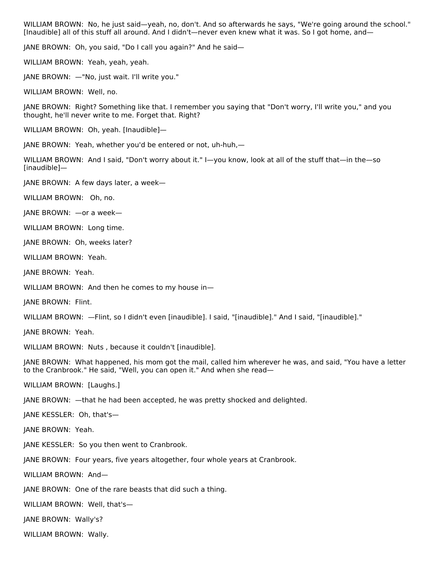WILLIAM BROWN: No, he just said—yeah, no, don't. And so afterwards he says, "We're going around the school." [Inaudible] all of this stuff all around. And I didn't—never even knew what it was. So I got home, and—

JANE BROWN: Oh, you said, "Do I call you again?" And he said—

WILLIAM BROWN: Yeah, yeah, yeah.

JANE BROWN: —"No, just wait. I'll write you."

WILLIAM BROWN: Well, no.

JANE BROWN: Right? Something like that. I remember you saying that "Don't worry, I'll write you," and you thought, he'll never write to me. Forget that. Right?

WILLIAM BROWN: Oh, yeah. [Inaudible]—

JANE BROWN: Yeah, whether you'd be entered or not, uh-huh,—

WILLIAM BROWN: And I said, "Don't worry about it." I—you know, look at all of the stuff that—in the—so [inaudible]—

JANE BROWN: A few days later, a week—

WILLIAM BROWN: Oh, no.

JANE BROWN: —or a week—

WILLIAM BROWN: Long time.

JANE BROWN: Oh, weeks later?

WILLIAM BROWN: Yeah.

JANE BROWN: Yeah.

WILLIAM BROWN: And then he comes to my house in—

JANE BROWN: Flint.

WILLIAM BROWN: —Flint, so I didn't even [inaudible]. I said, "[inaudible]." And I said, "[inaudible]."

JANE BROWN: Yeah.

WILLIAM BROWN: Nuts , because it couldn't [inaudible].

JANE BROWN: What happened, his mom got the mail, called him wherever he was, and said, "You have a letter to the Cranbrook." He said, "Well, you can open it." And when she read—

WILLIAM BROWN: [Laughs.]

JANE BROWN: —that he had been accepted, he was pretty shocked and delighted.

JANE KESSLER: Oh, that's—

JANE BROWN: Yeah.

JANE KESSLER: So you then went to Cranbrook.

JANE BROWN: Four years, five years altogether, four whole years at Cranbrook.

WILLIAM BROWN: And—

JANE BROWN: One of the rare beasts that did such a thing.

WILLIAM BROWN: Well, that's—

JANE BROWN: Wally's?

WILLIAM BROWN: Wally.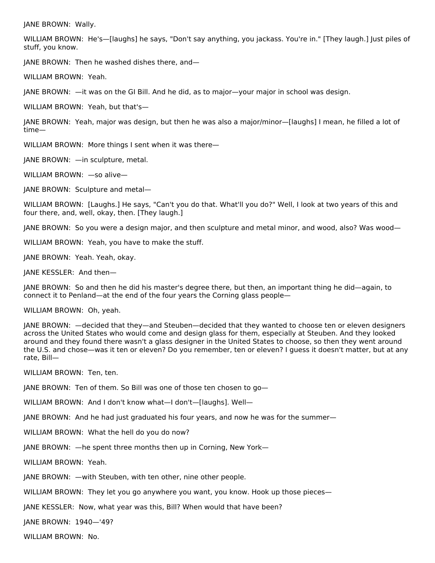JANE BROWN: Wally.

WILLIAM BROWN: He's—[laughs] he says, "Don't say anything, you jackass. You're in." [They laugh.] Just piles of stuff, you know.

JANE BROWN: Then he washed dishes there, and—

WILLIAM BROWN: Yeah.

JANE BROWN: —it was on the GI Bill. And he did, as to major—your major in school was design.

WILLIAM BROWN: Yeah, but that's—

JANE BROWN: Yeah, major was design, but then he was also a major/minor—[laughs] I mean, he filled a lot of time—

WILLIAM BROWN: More things I sent when it was there—

JANE BROWN: —in sculpture, metal.

WILLIAM BROWN: —so alive—

JANE BROWN: Sculpture and metal—

WILLIAM BROWN: [Laughs.] He says, "Can't you do that. What'll you do?" Well, I look at two years of this and four there, and, well, okay, then. [They laugh.]

JANE BROWN: So you were a design major, and then sculpture and metal minor, and wood, also? Was wood—

WILLIAM BROWN: Yeah, you have to make the stuff.

JANE BROWN: Yeah. Yeah, okay.

JANE KESSLER: And then—

JANE BROWN: So and then he did his master's degree there, but then, an important thing he did—again, to connect it to Penland—at the end of the four years the Corning glass people—

WILLIAM BROWN: Oh, yeah.

JANE BROWN: —decided that they—and Steuben—decided that they wanted to choose ten or eleven designers across the United States who would come and design glass for them, especially at Steuben. And they looked around and they found there wasn't a glass designer in the United States to choose, so then they went around the U.S. and chose—was it ten or eleven? Do you remember, ten or eleven? I guess it doesn't matter, but at any rate, Bill—

WILLIAM BROWN: Ten, ten.

JANE BROWN: Ten of them. So Bill was one of those ten chosen to go—

WILLIAM BROWN: And I don't know what—I don't—[laughs]. Well—

JANE BROWN: And he had just graduated his four years, and now he was for the summer—

WILLIAM BROWN: What the hell do you do now?

JANE BROWN: —he spent three months then up in Corning, New York—

WILLIAM BROWN: Yeah.

JANE BROWN: —with Steuben, with ten other, nine other people.

WILLIAM BROWN: They let you go anywhere you want, you know. Hook up those pieces—

JANE KESSLER: Now, what year was this, Bill? When would that have been?

JANE BROWN: 1940—'49?

WILLIAM BROWN: No.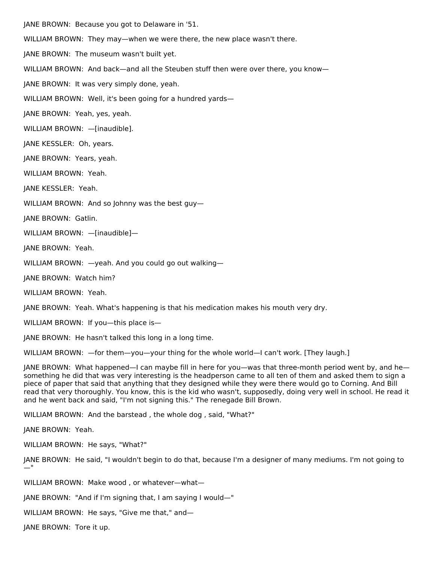JANE BROWN: Because you got to Delaware in '51.

WILLIAM BROWN: They may—when we were there, the new place wasn't there.

JANE BROWN: The museum wasn't built yet.

WILLIAM BROWN: And back—and all the Steuben stuff then were over there, you know—

JANE BROWN: It was very simply done, yeah.

WILLIAM BROWN: Well, it's been going for a hundred yards—

JANE BROWN: Yeah, yes, yeah.

WILLIAM BROWN: —[inaudible].

JANE KESSLER: Oh, years.

JANE BROWN: Years, yeah.

WILLIAM BROWN: Yeah.

JANE KESSLER: Yeah.

WILLIAM BROWN: And so Johnny was the best guy—

JANE BROWN: Gatlin.

WILLIAM BROWN: —[inaudible]—

JANE BROWN: Yeah.

WILLIAM BROWN: —yeah. And you could go out walking—

JANE BROWN: Watch him?

WILLIAM BROWN: Yeah.

JANE BROWN: Yeah. What's happening is that his medication makes his mouth very dry.

WILLIAM BROWN: If you—this place is—

JANE BROWN: He hasn't talked this long in a long time.

WILLIAM BROWN: —for them—you—your thing for the whole world—I can't work. [They laugh.]

JANE BROWN: What happened—I can maybe fill in here for you—was that three-month period went by, and he something he did that was very interesting is the headperson came to all ten of them and asked them to sign a piece of paper that said that anything that they designed while they were there would go to Corning. And Bill read that very thoroughly. You know, this is the kid who wasn't, supposedly, doing very well in school. He read it and he went back and said, "I'm not signing this." The renegade Bill Brown.

WILLIAM BROWN: And the barstead , the whole dog , said, "What?"

JANE BROWN: Yeah.

WILLIAM BROWN: He says, "What?"

JANE BROWN: He said, "I wouldn't begin to do that, because I'm a designer of many mediums. I'm not going to  $^{\circ}$ 

WILLIAM BROWN: Make wood , or whatever—what—

JANE BROWN: "And if I'm signing that, I am saying I would—"

WILLIAM BROWN: He says, "Give me that," and—

JANE BROWN: Tore it up.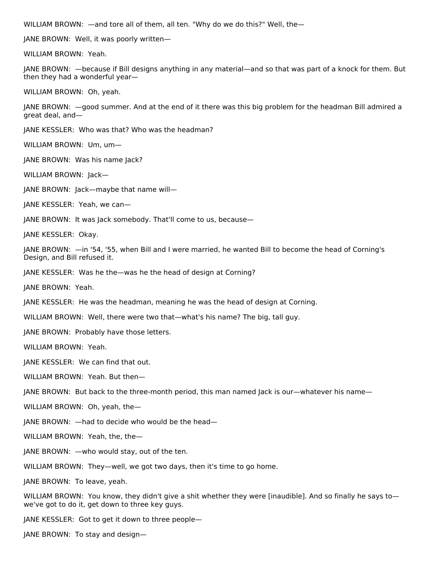WILLIAM BROWN: —and tore all of them, all ten. "Why do we do this?" Well, the—

JANE BROWN: Well, it was poorly written—

WILLIAM BROWN: Yeah.

JANE BROWN: —because if Bill designs anything in any material—and so that was part of a knock for them. But then they had a wonderful year—

WILLIAM BROWN: Oh, yeah.

JANE BROWN: —good summer. And at the end of it there was this big problem for the headman Bill admired a great deal, and—

JANE KESSLER: Who was that? Who was the headman?

WILLIAM BROWN: Um, um—

JANE BROWN: Was his name Jack?

WILLIAM BROWN: Jack—

JANE BROWN: Jack—maybe that name will—

JANE KESSLER: Yeah, we can—

JANE BROWN: It was Jack somebody. That'll come to us, because—

JANE KESSLER: Okay.

JANE BROWN: —in '54, '55, when Bill and I were married, he wanted Bill to become the head of Corning's Design, and Bill refused it.

JANE KESSLER: Was he the—was he the head of design at Corning?

JANE BROWN: Yeah.

JANE KESSLER: He was the headman, meaning he was the head of design at Corning.

WILLIAM BROWN: Well, there were two that—what's his name? The big, tall guy.

JANE BROWN: Probably have those letters.

WILLIAM BROWN: Yeah.

JANE KESSLER: We can find that out.

WILLIAM BROWN: Yeah. But then—

JANE BROWN: But back to the three-month period, this man named Jack is our—whatever his name—

WILLIAM BROWN: Oh, yeah, the—

JANE BROWN: —had to decide who would be the head—

WILLIAM BROWN: Yeah, the, the—

JANE BROWN: —who would stay, out of the ten.

WILLIAM BROWN: They—well, we got two days, then it's time to go home.

JANE BROWN: To leave, yeah.

WILLIAM BROWN: You know, they didn't give a shit whether they were [inaudible]. And so finally he says towe've got to do it, get down to three key guys.

JANE KESSLER: Got to get it down to three people—

JANE BROWN: To stay and design—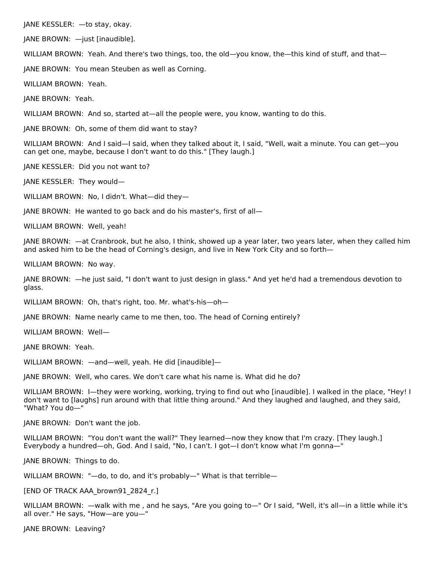JANE KESSLER: —to stay, okay.

JANE BROWN: —just [inaudible].

WILLIAM BROWN: Yeah. And there's two things, too, the old—you know, the—this kind of stuff, and that—

JANE BROWN: You mean Steuben as well as Corning.

WILLIAM BROWN: Yeah.

JANE BROWN: Yeah.

WILLIAM BROWN: And so, started at—all the people were, you know, wanting to do this.

JANE BROWN: Oh, some of them did want to stay?

WILLIAM BROWN: And I said—I said, when they talked about it, I said, "Well, wait a minute. You can get—you can get one, maybe, because I don't want to do this." [They laugh.]

JANE KESSLER: Did you not want to?

JANE KESSLER: They would—

WILLIAM BROWN: No, I didn't. What—did they—

JANE BROWN: He wanted to go back and do his master's, first of all—

WILLIAM BROWN: Well, yeah!

JANE BROWN: —at Cranbrook, but he also, I think, showed up a year later, two years later, when they called him and asked him to be the head of Corning's design, and live in New York City and so forth—

WILLIAM BROWN: No way.

JANE BROWN: —he just said, "I don't want to just design in glass." And yet he'd had a tremendous devotion to glass.

WILLIAM BROWN: Oh, that's right, too. Mr. what's-his—oh—

JANE BROWN: Name nearly came to me then, too. The head of Corning entirely?

WILLIAM BROWN: Well—

JANE BROWN: Yeah.

WILLIAM BROWN: —and—well, yeah. He did [inaudible]—

JANE BROWN: Well, who cares. We don't care what his name is. What did he do?

WILLIAM BROWN: I—they were working, working, trying to find out who [inaudible]. I walked in the place, "Hey! I don't want to [laughs] run around with that little thing around." And they laughed and laughed, and they said, "What? You do—"

JANE BROWN: Don't want the job.

WILLIAM BROWN: "You don't want the wall?" They learned—now they know that I'm crazy. [They laugh.] Everybody a hundred—oh, God. And I said, "No, I can't. I got—I don't know what I'm gonna—"

JANE BROWN: Things to do.

WILLIAM BROWN: "—do, to do, and it's probably—" What is that terrible—

[END OF TRACK AAA\_brown91\_2824\_r.]

WILLIAM BROWN: —walk with me , and he says, "Are you going to—" Or I said, "Well, it's all—in a little while it's all over." He says, "How—are you—"

JANE BROWN: Leaving?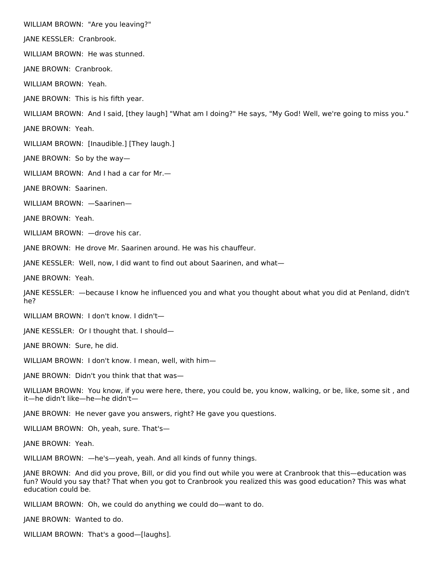WILLIAM BROWN: "Are you leaving?"

JANE KESSLER: Cranbrook.

WILLIAM BROWN: He was stunned.

JANE BROWN: Cranbrook.

WILLIAM BROWN: Yeah.

JANE BROWN: This is his fifth year.

WILLIAM BROWN: And I said, [they laugh] "What am I doing?" He says, "My God! Well, we're going to miss you."

JANE BROWN: Yeah.

WILLIAM BROWN: [Inaudible.] [They laugh.]

JANE BROWN: So by the way—

WILLIAM BROWN: And I had a car for Mr.—

JANE BROWN: Saarinen.

WILLIAM BROWN: —Saarinen—

JANE BROWN: Yeah.

WILLIAM BROWN: —drove his car.

JANE BROWN: He drove Mr. Saarinen around. He was his chauffeur.

JANE KESSLER: Well, now, I did want to find out about Saarinen, and what—

JANE BROWN: Yeah.

JANE KESSLER: —because I know he influenced you and what you thought about what you did at Penland, didn't he?

WILLIAM BROWN: I don't know. I didn't—

JANE KESSLER: Or I thought that. I should—

JANE BROWN: Sure, he did.

WILLIAM BROWN: I don't know. I mean, well, with him—

JANE BROWN: Didn't you think that that was—

WILLIAM BROWN: You know, if you were here, there, you could be, you know, walking, or be, like, some sit , and it—he didn't like—he—he didn't—

JANE BROWN: He never gave you answers, right? He gave you questions.

WILLIAM BROWN: Oh, yeah, sure. That's—

JANE BROWN: Yeah.

WILLIAM BROWN: —he's—yeah, yeah. And all kinds of funny things.

JANE BROWN: And did you prove, Bill, or did you find out while you were at Cranbrook that this—education was fun? Would you say that? That when you got to Cranbrook you realized this was good education? This was what education could be.

WILLIAM BROWN: Oh, we could do anything we could do—want to do.

JANE BROWN: Wanted to do.

WILLIAM BROWN: That's a good—[laughs].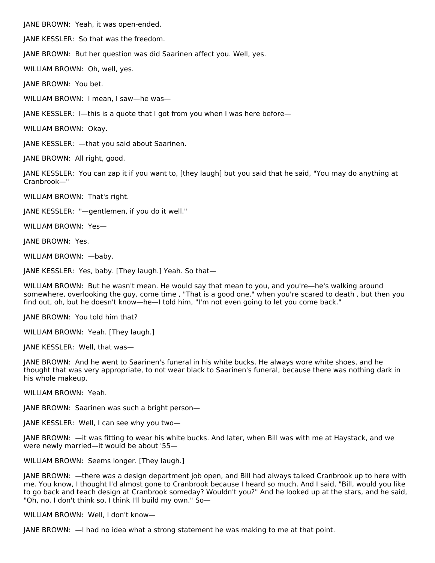JANE BROWN: Yeah, it was open-ended.

JANE KESSLER: So that was the freedom.

JANE BROWN: But her question was did Saarinen affect you. Well, yes.

WILLIAM BROWN: Oh, well, yes.

JANE BROWN: You bet.

WILLIAM BROWN: I mean, I saw—he was—

JANE KESSLER: I—this is a quote that I got from you when I was here before—

WILLIAM BROWN: Okay.

JANE KESSLER: —that you said about Saarinen.

JANE BROWN: All right, good.

JANE KESSLER: You can zap it if you want to, [they laugh] but you said that he said, "You may do anything at Cranbrook—"

WILLIAM BROWN: That's right.

JANE KESSLER: "—gentlemen, if you do it well."

WILLIAM BROWN: Yes—

JANE BROWN: Yes.

WILLIAM BROWN: —baby.

JANE KESSLER: Yes, baby. [They laugh.] Yeah. So that—

WILLIAM BROWN: But he wasn't mean. He would say that mean to you, and you're—he's walking around somewhere, overlooking the guy, come time , "That is a good one," when you're scared to death , but then you find out, oh, but he doesn't know—he—I told him, "I'm not even going to let you come back."

JANE BROWN: You told him that?

WILLIAM BROWN: Yeah. [They laugh.]

JANE KESSLER: Well, that was—

JANE BROWN: And he went to Saarinen's funeral in his white bucks. He always wore white shoes, and he thought that was very appropriate, to not wear black to Saarinen's funeral, because there was nothing dark in his whole makeup.

WILLIAM BROWN: Yeah.

JANE BROWN: Saarinen was such a bright person—

JANE KESSLER: Well, I can see why you two—

JANE BROWN: —it was fitting to wear his white bucks. And later, when Bill was with me at Haystack, and we were newly married—it would be about '55—

WILLIAM BROWN: Seems longer. [They laugh.]

JANE BROWN: —there was a design department job open, and Bill had always talked Cranbrook up to here with me. You know, I thought I'd almost gone to Cranbrook because I heard so much. And I said, "Bill, would you like to go back and teach design at Cranbrook someday? Wouldn't you?" And he looked up at the stars, and he said, "Oh, no. I don't think so. I think I'll build my own." So—

WILLIAM BROWN: Well, I don't know—

JANE BROWN: —I had no idea what a strong statement he was making to me at that point.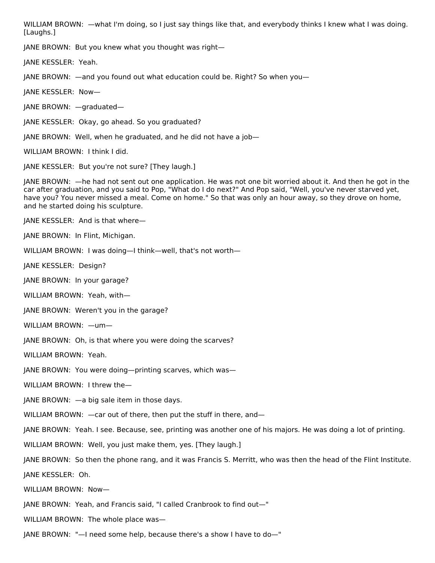WILLIAM BROWN: —what I'm doing, so I just say things like that, and everybody thinks I knew what I was doing. [Laughs.]

JANE BROWN: But you knew what you thought was right—

JANE KESSLER: Yeah.

JANE BROWN: —and you found out what education could be. Right? So when you—

JANE KESSLER: Now—

JANE BROWN: —graduated—

JANE KESSLER: Okay, go ahead. So you graduated?

JANE BROWN: Well, when he graduated, and he did not have a job—

WILLIAM BROWN: I think I did.

JANE KESSLER: But you're not sure? [They laugh.]

JANE BROWN: —he had not sent out one application. He was not one bit worried about it. And then he got in the car after graduation, and you said to Pop, "What do I do next?" And Pop said, "Well, you've never starved yet, have you? You never missed a meal. Come on home." So that was only an hour away, so they drove on home, and he started doing his sculpture.

JANE KESSLER: And is that where—

JANE BROWN: In Flint, Michigan.

WILLIAM BROWN: I was doing—I think—well, that's not worth—

JANE KESSLER: Design?

JANE BROWN: In your garage?

WILLIAM BROWN: Yeah, with—

JANE BROWN: Weren't you in the garage?

WILLIAM BROWN: —um—

JANE BROWN: Oh, is that where you were doing the scarves?

WILLIAM BROWN: Yeah.

JANE BROWN: You were doing—printing scarves, which was—

WILLIAM BROWN: I threw the—

JANE BROWN: —a big sale item in those days.

WILLIAM BROWN:  $-$ car out of there, then put the stuff in there, and-

JANE BROWN: Yeah. I see. Because, see, printing was another one of his majors. He was doing a lot of printing.

WILLIAM BROWN: Well, you just make them, yes. [They laugh.]

JANE BROWN: So then the phone rang, and it was Francis S. Merritt, who was then the head of the Flint Institute. JANE KESSLER: Oh.

WILLIAM BROWN: Now—

JANE BROWN: Yeah, and Francis said, "I called Cranbrook to find out—"

WILLIAM BROWN: The whole place was—

JANE BROWN: "—I need some help, because there's a show I have to do—"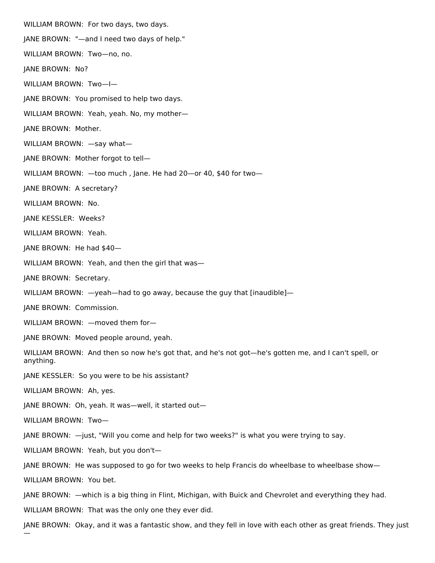WILLIAM BROWN: For two days, two days. JANE BROWN: "—and I need two days of help." WILLIAM BROWN: Two—no, no. JANE BROWN: No? WILLIAM BROWN: Two—I— JANE BROWN: You promised to help two days. WILLIAM BROWN: Yeah, yeah. No, my mother— JANE BROWN: Mother. WILLIAM BROWN: - say what-JANE BROWN: Mother forgot to tell— WILLIAM BROWN: —too much , Jane. He had 20—or 40, \$40 for two— JANE BROWN: A secretary? WILLIAM BROWN: No. JANE KESSLER: Weeks? WILLIAM BROWN: Yeah. JANE BROWN: He had \$40— WILLIAM BROWN: Yeah, and then the girl that was— JANE BROWN: Secretary. WILLIAM BROWN: —yeah—had to go away, because the guy that [inaudible]— JANE BROWN: Commission. WILLIAM BROWN: —moved them for— JANE BROWN: Moved people around, yeah. WILLIAM BROWN: And then so now he's got that, and he's not got—he's gotten me, and I can't spell, or anything. JANE KESSLER: So you were to be his assistant? WILLIAM BROWN: Ah, yes. JANE BROWN: Oh, yeah. It was—well, it started out— WILLIAM BROWN: Two— JANE BROWN: —just, "Will you come and help for two weeks?" is what you were trying to say. WILLIAM BROWN: Yeah, but you don't— JANE BROWN: He was supposed to go for two weeks to help Francis do wheelbase to wheelbase show— WILLIAM BROWN: You bet. JANE BROWN: —which is a big thing in Flint, Michigan, with Buick and Chevrolet and everything they had. WILLIAM BROWN: That was the only one they ever did. JANE BROWN: Okay, and it was a fantastic show, and they fell in love with each other as great friends. They just

—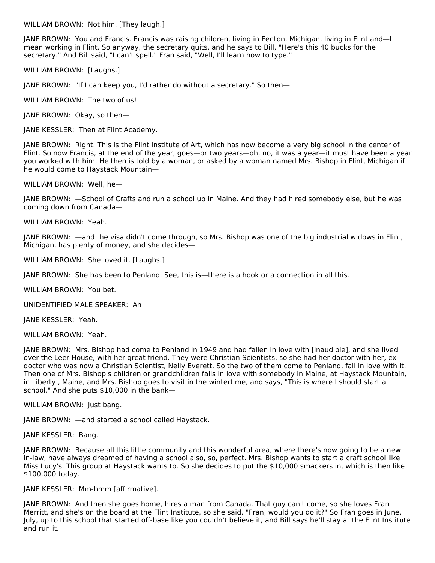WILLIAM BROWN: Not him. [They laugh.]

JANE BROWN: You and Francis. Francis was raising children, living in Fenton, Michigan, living in Flint and—I mean working in Flint. So anyway, the secretary quits, and he says to Bill, "Here's this 40 bucks for the secretary." And Bill said, "I can't spell." Fran said, "Well, I'll learn how to type."

WILLIAM BROWN: [Laughs.]

JANE BROWN: "If I can keep you, I'd rather do without a secretary." So then—

WILLIAM BROWN: The two of us!

JANE BROWN: Okay, so then—

JANE KESSLER: Then at Flint Academy.

JANE BROWN: Right. This is the Flint Institute of Art, which has now become a very big school in the center of Flint. So now Francis, at the end of the year, goes—or two years—oh, no, it was a year—it must have been a year you worked with him. He then is told by a woman, or asked by a woman named Mrs. Bishop in Flint, Michigan if he would come to Haystack Mountain—

WILLIAM BROWN: Well, he—

JANE BROWN: —School of Crafts and run a school up in Maine. And they had hired somebody else, but he was coming down from Canada—

WILLIAM BROWN: Yeah.

JANE BROWN: —and the visa didn't come through, so Mrs. Bishop was one of the big industrial widows in Flint, Michigan, has plenty of money, and she decides—

WILLIAM BROWN: She loved it. [Laughs.]

JANE BROWN: She has been to Penland. See, this is—there is a hook or a connection in all this.

WILLIAM BROWN: You bet.

UNIDENTIFIED MALE SPEAKER: Ah!

JANE KESSLER: Yeah.

WILLIAM BROWN: Yeah.

JANE BROWN: Mrs. Bishop had come to Penland in 1949 and had fallen in love with [inaudible], and she lived over the Leer House, with her great friend. They were Christian Scientists, so she had her doctor with her, exdoctor who was now a Christian Scientist, Nelly Everett. So the two of them come to Penland, fall in love with it. Then one of Mrs. Bishop's children or grandchildren falls in love with somebody in Maine, at Haystack Mountain, in Liberty , Maine, and Mrs. Bishop goes to visit in the wintertime, and says, "This is where I should start a school." And she puts \$10,000 in the bank—

WILLIAM BROWN: Just bang.

JANE BROWN: —and started a school called Haystack.

JANE KESSLER: Bang.

JANE BROWN: Because all this little community and this wonderful area, where there's now going to be a new in-law, have always dreamed of having a school also, so, perfect. Mrs. Bishop wants to start a craft school like Miss Lucy's. This group at Haystack wants to. So she decides to put the \$10,000 smackers in, which is then like \$100,000 today.

JANE KESSLER: Mm-hmm [affirmative].

JANE BROWN: And then she goes home, hires a man from Canada. That guy can't come, so she loves Fran Merritt, and she's on the board at the Flint Institute, so she said, "Fran, would you do it?" So Fran goes in June, July, up to this school that started off-base like you couldn't believe it, and Bill says he'll stay at the Flint Institute and run it.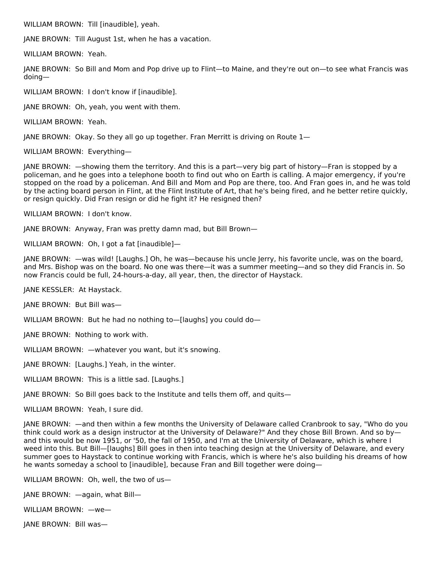WILLIAM BROWN: Till [inaudible], yeah.

JANE BROWN: Till August 1st, when he has a vacation.

WILLIAM BROWN: Yeah.

JANE BROWN: So Bill and Mom and Pop drive up to Flint—to Maine, and they're out on—to see what Francis was doing—

WILLIAM BROWN: I don't know if [inaudible].

JANE BROWN: Oh, yeah, you went with them.

WILLIAM BROWN: Yeah.

JANE BROWN: Okay. So they all go up together. Fran Merritt is driving on Route 1—

WILLIAM BROWN: Everything—

JANE BROWN: —showing them the territory. And this is a part—very big part of history—Fran is stopped by a policeman, and he goes into a telephone booth to find out who on Earth is calling. A major emergency, if you're stopped on the road by a policeman. And Bill and Mom and Pop are there, too. And Fran goes in, and he was told by the acting board person in Flint, at the Flint Institute of Art, that he's being fired, and he better retire quickly, or resign quickly. Did Fran resign or did he fight it? He resigned then?

WILLIAM BROWN: I don't know.

JANE BROWN: Anyway, Fran was pretty damn mad, but Bill Brown—

WILLIAM BROWN: Oh, I got a fat [inaudible]—

JANE BROWN: —was wild! [Laughs.] Oh, he was—because his uncle Jerry, his favorite uncle, was on the board, and Mrs. Bishop was on the board. No one was there—it was a summer meeting—and so they did Francis in. So now Francis could be full, 24-hours-a-day, all year, then, the director of Haystack.

JANE KESSLER: At Haystack.

JANE BROWN: But Bill was—

WILLIAM BROWN: But he had no nothing to—[laughs] you could do—

JANE BROWN: Nothing to work with.

WILLIAM BROWN: —whatever you want, but it's snowing.

JANE BROWN: [Laughs.] Yeah, in the winter.

WILLIAM BROWN: This is a little sad. [Laughs.]

JANE BROWN: So Bill goes back to the Institute and tells them off, and quits—

WILLIAM BROWN: Yeah, I sure did.

JANE BROWN: —and then within a few months the University of Delaware called Cranbrook to say, "Who do you think could work as a design instructor at the University of Delaware?" And they chose Bill Brown. And so by and this would be now 1951, or '50, the fall of 1950, and I'm at the University of Delaware, which is where I weed into this. But Bill—[laughs] Bill goes in then into teaching design at the University of Delaware, and every summer goes to Haystack to continue working with Francis, which is where he's also building his dreams of how he wants someday a school to [inaudible], because Fran and Bill together were doing—

WILLIAM BROWN: Oh, well, the two of us—

JANE BROWN: —again, what Bill—

WILLIAM BROWN: —we—

JANE BROWN: Bill was—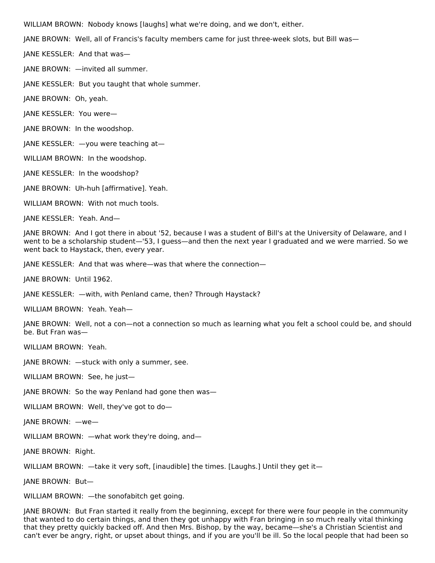WILLIAM BROWN: Nobody knows [laughs] what we're doing, and we don't, either.

JANE BROWN: Well, all of Francis's faculty members came for just three-week slots, but Bill was—

JANE KESSLER: And that was—

JANE BROWN: —invited all summer.

JANE KESSLER: But you taught that whole summer.

JANE BROWN: Oh, yeah.

JANE KESSLER: You were—

JANE BROWN: In the woodshop.

JANE KESSLER: —you were teaching at—

WILLIAM BROWN: In the woodshop.

JANE KESSLER: In the woodshop?

JANE BROWN: Uh-huh [affirmative]. Yeah.

WILLIAM BROWN: With not much tools.

JANE KESSLER: Yeah. And—

JANE BROWN: And I got there in about '52, because I was a student of Bill's at the University of Delaware, and I went to be a scholarship student—'53, I guess—and then the next year I graduated and we were married. So we went back to Haystack, then, every year.

JANE KESSLER: And that was where—was that where the connection—

JANE BROWN: Until 1962.

JANE KESSLER: —with, with Penland came, then? Through Haystack?

WILLIAM BROWN: Yeah. Yeah-

JANE BROWN: Well, not a con—not a connection so much as learning what you felt a school could be, and should be. But Fran was—

WILLIAM BROWN: Yeah.

JANE BROWN: —stuck with only a summer, see.

WILLIAM BROWN: See, he just—

JANE BROWN: So the way Penland had gone then was—

WILLIAM BROWN: Well, they've got to do—

JANE BROWN: —we—

WILLIAM BROWN: —what work they're doing, and—

JANE BROWN: Right.

WILLIAM BROWN: —take it very soft, [inaudible] the times. [Laughs.] Until they get it—

JANE BROWN: But—

WILLIAM BROWN: —the sonofabitch get going.

JANE BROWN: But Fran started it really from the beginning, except for there were four people in the community that wanted to do certain things, and then they got unhappy with Fran bringing in so much really vital thinking that they pretty quickly backed off. And then Mrs. Bishop, by the way, became—she's a Christian Scientist and can't ever be angry, right, or upset about things, and if you are you'll be ill. So the local people that had been so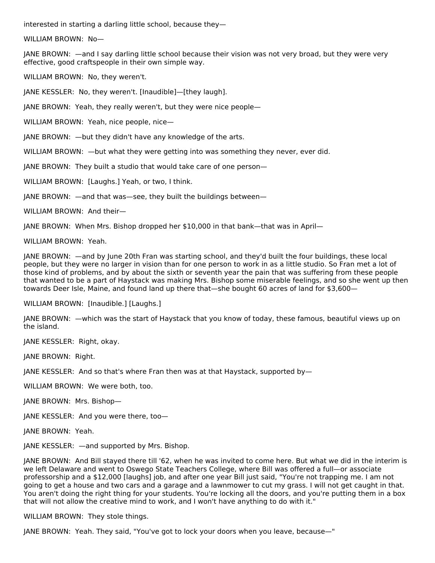interested in starting a darling little school, because they—

WILLIAM BROWN: No—

JANE BROWN: —and I say darling little school because their vision was not very broad, but they were very effective, good craftspeople in their own simple way.

WILLIAM BROWN: No, they weren't.

JANE KESSLER: No, they weren't. [Inaudible]—[they laugh].

JANE BROWN: Yeah, they really weren't, but they were nice people—

WILLIAM BROWN: Yeah, nice people, nice—

JANE BROWN: —but they didn't have any knowledge of the arts.

WILLIAM BROWN: —but what they were getting into was something they never, ever did.

JANE BROWN: They built a studio that would take care of one person—

WILLIAM BROWN: [Laughs.] Yeah, or two, I think.

JANE BROWN: —and that was—see, they built the buildings between—

WILLIAM BROWN: And their—

JANE BROWN: When Mrs. Bishop dropped her \$10,000 in that bank—that was in April—

WILLIAM BROWN: Yeah.

JANE BROWN: —and by June 20th Fran was starting school, and they'd built the four buildings, these local people, but they were no larger in vision than for one person to work in as a little studio. So Fran met a lot of those kind of problems, and by about the sixth or seventh year the pain that was suffering from these people that wanted to be a part of Haystack was making Mrs. Bishop some miserable feelings, and so she went up then towards Deer Isle, Maine, and found land up there that—she bought 60 acres of land for \$3,600—

WILLIAM BROWN: [Inaudible.] [Laughs.]

JANE BROWN: —which was the start of Haystack that you know of today, these famous, beautiful views up on the island.

JANE KESSLER: Right, okay.

JANE BROWN: Right.

JANE KESSLER: And so that's where Fran then was at that Haystack, supported by—

WILLIAM BROWN: We were both, too.

JANE BROWN: Mrs. Bishop—

JANE KESSLER: And you were there, too—

JANE BROWN: Yeah.

JANE KESSLER: —and supported by Mrs. Bishop.

JANE BROWN: And Bill stayed there till '62, when he was invited to come here. But what we did in the interim is we left Delaware and went to Oswego State Teachers College, where Bill was offered a full—or associate professorship and a \$12,000 [laughs] job, and after one year Bill just said, "You're not trapping me. I am not going to get a house and two cars and a garage and a lawnmower to cut my grass. I will not get caught in that. You aren't doing the right thing for your students. You're locking all the doors, and you're putting them in a box that will not allow the creative mind to work, and I won't have anything to do with it."

WILLIAM BROWN: They stole things.

JANE BROWN: Yeah. They said, "You've got to lock your doors when you leave, because—"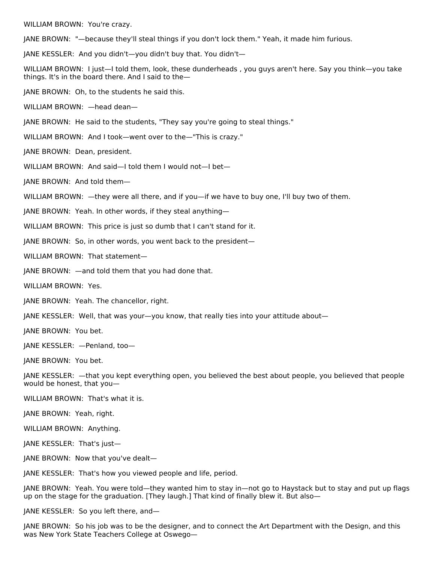WILLIAM BROWN: You're crazy.

JANE BROWN: "—because they'll steal things if you don't lock them." Yeah, it made him furious.

JANE KESSLER: And you didn't—you didn't buy that. You didn't—

WILLIAM BROWN: I just—I told them, look, these dunderheads , you guys aren't here. Say you think—you take things. It's in the board there. And I said to the—

JANE BROWN: Oh, to the students he said this.

WILLIAM BROWN: —head dean—

JANE BROWN: He said to the students, "They say you're going to steal things."

WILLIAM BROWN: And I took—went over to the—"This is crazy."

JANE BROWN: Dean, president.

WILLIAM BROWN: And said—I told them I would not—I bet—

JANE BROWN: And told them—

WILLIAM BROWN: —they were all there, and if you—if we have to buy one, I'll buy two of them.

JANE BROWN: Yeah. In other words, if they steal anything—

WILLIAM BROWN: This price is just so dumb that I can't stand for it.

JANE BROWN: So, in other words, you went back to the president—

WILLIAM BROWN: That statement—

JANE BROWN: —and told them that you had done that.

WILLIAM BROWN: Yes.

JANE BROWN: Yeah. The chancellor, right.

JANE KESSLER: Well, that was your—you know, that really ties into your attitude about—

JANE BROWN: You bet.

JANE KESSLER: —Penland, too—

JANE BROWN: You bet.

JANE KESSLER: —that you kept everything open, you believed the best about people, you believed that people would be honest, that you—

WILLIAM BROWN: That's what it is.

JANE BROWN: Yeah, right.

WILLIAM BROWN: Anything.

JANE KESSLER: That's just—

JANE BROWN: Now that you've dealt—

JANE KESSLER: That's how you viewed people and life, period.

JANE BROWN: Yeah. You were told—they wanted him to stay in—not go to Haystack but to stay and put up flags up on the stage for the graduation. [They laugh.] That kind of finally blew it. But also—

JANE KESSLER: So you left there, and—

JANE BROWN: So his job was to be the designer, and to connect the Art Department with the Design, and this was New York State Teachers College at Oswego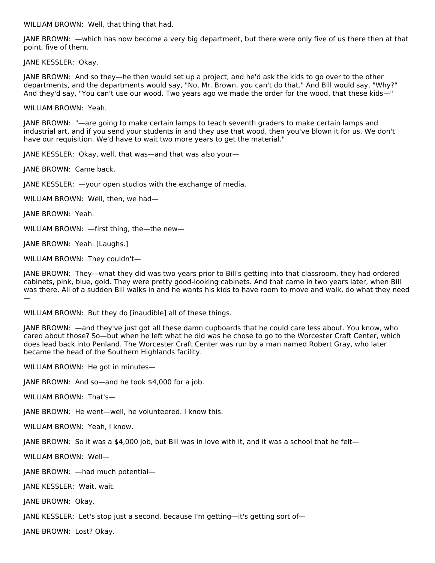WILLIAM BROWN: Well, that thing that had.

JANE BROWN: —which has now become a very big department, but there were only five of us there then at that point, five of them.

JANE KESSLER: Okay.

JANE BROWN: And so they—he then would set up a project, and he'd ask the kids to go over to the other departments, and the departments would say, "No, Mr. Brown, you can't do that." And Bill would say, "Why?" And they'd say, "You can't use our wood. Two years ago we made the order for the wood, that these kids—"

WILLIAM BROWN: Yeah.

JANE BROWN: "—are going to make certain lamps to teach seventh graders to make certain lamps and industrial art, and if you send your students in and they use that wood, then you've blown it for us. We don't have our requisition. We'd have to wait two more years to get the material."

JANE KESSLER: Okay, well, that was—and that was also your—

JANE BROWN: Came back.

JANE KESSLER: —your open studios with the exchange of media.

WILLIAM BROWN: Well, then, we had—

JANE BROWN: Yeah.

WILLIAM BROWN: —first thing, the—the new—

JANE BROWN: Yeah. [Laughs.]

WILLIAM BROWN: They couldn't—

JANE BROWN: They—what they did was two years prior to Bill's getting into that classroom, they had ordered cabinets, pink, blue, gold. They were pretty good-looking cabinets. And that came in two years later, when Bill was there. All of a sudden Bill walks in and he wants his kids to have room to move and walk, do what they need —

WILLIAM BROWN: But they do [inaudible] all of these things.

JANE BROWN: —and they've just got all these damn cupboards that he could care less about. You know, who cared about those? So—but when he left what he did was he chose to go to the Worcester Craft Center, which does lead back into Penland. The Worcester Craft Center was run by a man named Robert Gray, who later became the head of the Southern Highlands facility.

WILLIAM BROWN: He got in minutes—

JANE BROWN: And so—and he took \$4,000 for a job.

WILLIAM BROWN: That's—

JANE BROWN: He went—well, he volunteered. I know this.

WILLIAM BROWN: Yeah, I know.

JANE BROWN: So it was a \$4,000 job, but Bill was in love with it, and it was a school that he felt—

WILLIAM BROWN: Well—

JANE BROWN: —had much potential—

JANE KESSLER: Wait, wait.

JANE BROWN: Okay.

JANE KESSLER: Let's stop just a second, because I'm getting—it's getting sort of—

JANE BROWN: Lost? Okay.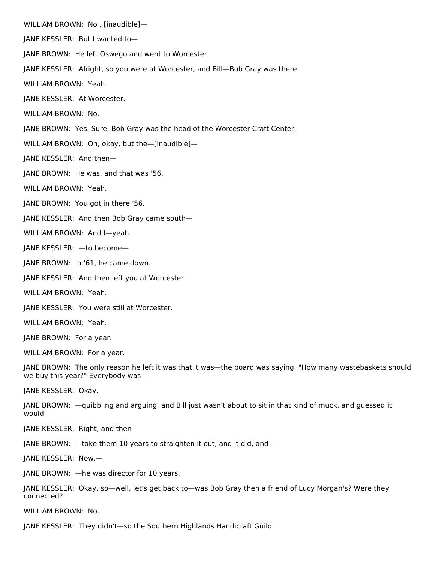WILLIAM BROWN: No , [inaudible]—

JANE KESSLER: But I wanted to—

JANE BROWN: He left Oswego and went to Worcester.

JANE KESSLER: Alright, so you were at Worcester, and Bill—Bob Gray was there.

WILLIAM BROWN: Yeah.

JANE KESSLER: At Worcester.

WILLIAM BROWN: No.

JANE BROWN: Yes. Sure. Bob Gray was the head of the Worcester Craft Center.

WILLIAM BROWN: Oh, okay, but the—[inaudible]—

JANE KESSLER: And then—

JANE BROWN: He was, and that was '56.

WILLIAM BROWN: Yeah.

JANE BROWN: You got in there '56.

JANE KESSLER: And then Bob Gray came south—

WILLIAM BROWN: And I—yeah.

JANE KESSLER: —to become—

JANE BROWN: In '61, he came down.

JANE KESSLER: And then left you at Worcester.

WILLIAM BROWN: Yeah.

JANE KESSLER: You were still at Worcester.

WILLIAM BROWN: Yeah.

JANE BROWN: For a year.

WILLIAM BROWN: For a year.

JANE BROWN: The only reason he left it was that it was—the board was saying, "How many wastebaskets should we buy this year?" Everybody was—

JANE KESSLER: Okay.

JANE BROWN: —quibbling and arguing, and Bill just wasn't about to sit in that kind of muck, and guessed it would—

JANE KESSLER: Right, and then—

JANE BROWN: —take them 10 years to straighten it out, and it did, and—

JANE KESSLER: Now,—

JANE BROWN: —he was director for 10 years.

JANE KESSLER: Okay, so—well, let's get back to—was Bob Gray then a friend of Lucy Morgan's? Were they connected?

WILLIAM BROWN: No.

JANE KESSLER: They didn't—so the Southern Highlands Handicraft Guild.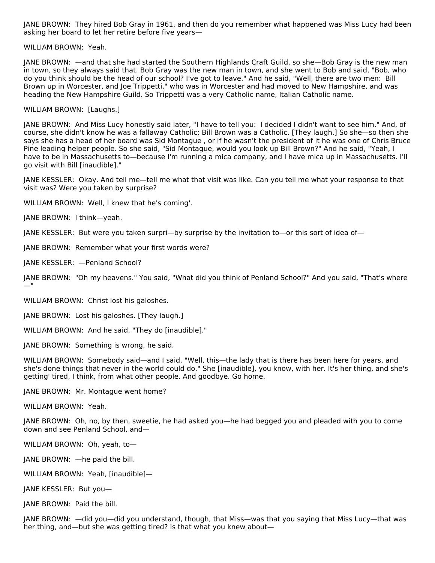JANE BROWN: They hired Bob Gray in 1961, and then do you remember what happened was Miss Lucy had been asking her board to let her retire before five years—

WILLIAM BROWN: Yeah.

JANE BROWN: —and that she had started the Southern Highlands Craft Guild, so she—Bob Gray is the new man in town, so they always said that. Bob Gray was the new man in town, and she went to Bob and said, "Bob, who do you think should be the head of our school? I've got to leave." And he said, "Well, there are two men: Bill Brown up in Worcester, and Joe Trippetti," who was in Worcester and had moved to New Hampshire, and was heading the New Hampshire Guild. So Trippetti was a very Catholic name, Italian Catholic name.

#### WILLIAM BROWN: [Laughs.]

JANE BROWN: And Miss Lucy honestly said later, "I have to tell you: I decided I didn't want to see him." And, of course, she didn't know he was a fallaway Catholic; Bill Brown was a Catholic. [They laugh.] So she—so then she says she has a head of her board was Sid Montague , or if he wasn't the president of it he was one of Chris Bruce Pine leading helper people. So she said, "Sid Montague, would you look up Bill Brown?" And he said, "Yeah, I have to be in Massachusetts to—because I'm running a mica company, and I have mica up in Massachusetts. I'll go visit with Bill [inaudible]."

JANE KESSLER: Okay. And tell me—tell me what that visit was like. Can you tell me what your response to that visit was? Were you taken by surprise?

WILLIAM BROWN: Well, I knew that he's coming'.

JANE BROWN: I think—yeah.

JANE KESSLER: But were you taken surpri—by surprise by the invitation to—or this sort of idea of—

JANE BROWN: Remember what your first words were?

JANE KESSLER: —Penland School?

JANE BROWN: "Oh my heavens." You said, "What did you think of Penland School?" And you said, "That's where —"

WILLIAM BROWN: Christ lost his galoshes.

JANE BROWN: Lost his galoshes. [They laugh.]

WILLIAM BROWN: And he said, "They do [inaudible]."

JANE BROWN: Something is wrong, he said.

WILLIAM BROWN: Somebody said—and I said, "Well, this—the lady that is there has been here for years, and she's done things that never in the world could do." She [inaudible], you know, with her. It's her thing, and she's getting' tired, I think, from what other people. And goodbye. Go home.

JANE BROWN: Mr. Montague went home?

WILLIAM BROWN: Yeah.

JANE BROWN: Oh, no, by then, sweetie, he had asked you—he had begged you and pleaded with you to come down and see Penland School, and—

WILLIAM BROWN: Oh, yeah, to—

JANE BROWN: —he paid the bill.

WILLIAM BROWN: Yeah, [inaudible]—

JANE KESSLER: But you—

JANE BROWN: Paid the bill.

JANE BROWN: —did you—did you understand, though, that Miss—was that you saying that Miss Lucy—that was her thing, and—but she was getting tired? Is that what you knew about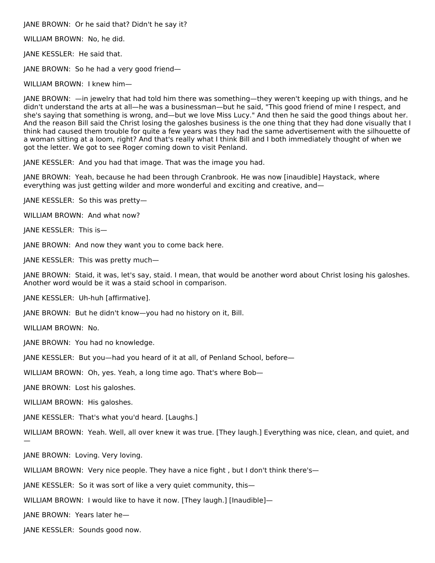JANE BROWN: Or he said that? Didn't he say it?

WILLIAM BROWN: No, he did.

JANE KESSLER: He said that.

JANE BROWN: So he had a very good friend—

WILLIAM BROWN: I knew him—

JANE BROWN: —in jewelry that had told him there was something—they weren't keeping up with things, and he didn't understand the arts at all—he was a businessman—but he said, "This good friend of mine I respect, and she's saying that something is wrong, and—but we love Miss Lucy." And then he said the good things about her. And the reason Bill said the Christ losing the galoshes business is the one thing that they had done visually that I think had caused them trouble for quite a few years was they had the same advertisement with the silhouette of a woman sitting at a loom, right? And that's really what I think Bill and I both immediately thought of when we got the letter. We got to see Roger coming down to visit Penland.

JANE KESSLER: And you had that image. That was the image you had.

JANE BROWN: Yeah, because he had been through Cranbrook. He was now [inaudible] Haystack, where everything was just getting wilder and more wonderful and exciting and creative, and—

JANE KESSLER: So this was pretty—

WILLIAM BROWN: And what now?

JANE KESSLER: This is—

JANE BROWN: And now they want you to come back here.

JANE KESSLER: This was pretty much—

JANE BROWN: Staid, it was, let's say, staid. I mean, that would be another word about Christ losing his galoshes. Another word would be it was a staid school in comparison.

JANE KESSLER: Uh-huh [affirmative].

JANE BROWN: But he didn't know—you had no history on it, Bill.

WILLIAM BROWN: No.

—

JANE BROWN: You had no knowledge.

JANE KESSLER: But you—had you heard of it at all, of Penland School, before—

WILLIAM BROWN: Oh, yes. Yeah, a long time ago. That's where Bob—

JANE BROWN: Lost his galoshes.

WILLIAM BROWN: His galoshes.

JANE KESSLER: That's what you'd heard. [Laughs.]

WILLIAM BROWN: Yeah. Well, all over knew it was true. [They laugh.] Everything was nice, clean, and quiet, and

JANE BROWN: Loving. Very loving.

WILLIAM BROWN: Very nice people. They have a nice fight, but I don't think there's—

JANE KESSLER: So it was sort of like a very quiet community, this—

WILLIAM BROWN: I would like to have it now. [They laugh.] [Inaudible]-

JANE BROWN: Years later he—

JANE KESSLER: Sounds good now.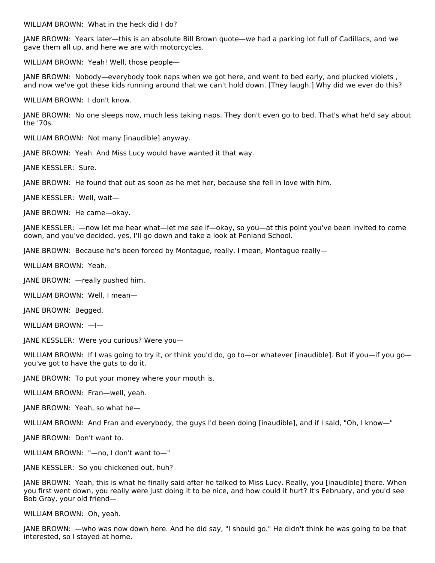WILLIAM BROWN: What in the heck did I do?

JANE BROWN: Years later—this is an absolute Bill Brown quote—we had a parking lot full of Cadillacs, and we gave them all up, and here we are with motorcycles.

WILLIAM BROWN: Yeah! Well, those people—

JANE BROWN: Nobody—everybody took naps when we got here, and went to bed early, and plucked violets , and now we've got these kids running around that we can't hold down. [They laugh.] Why did we ever do this?

WILLIAM BROWN: I don't know.

JANE BROWN: No one sleeps now, much less taking naps. They don't even go to bed. That's what he'd say about the '70s.

WILLIAM BROWN: Not many [inaudible] anyway.

JANE BROWN: Yeah. And Miss Lucy would have wanted it that way.

JANE KESSLER: Sure.

JANE BROWN: He found that out as soon as he met her, because she fell in love with him.

JANE KESSLER: Well, wait—

JANE BROWN: He came—okay.

JANE KESSLER: —now let me hear what—let me see if—okay, so you—at this point you've been invited to come down, and you've decided, yes, I'll go down and take a look at Penland School.

JANE BROWN: Because he's been forced by Montague, really. I mean, Montague really—

WILLIAM BROWN: Yeah.

JANE BROWN: —really pushed him.

WILLIAM BROWN: Well, I mean—

JANE BROWN: Begged.

WILLIAM BROWN: —I—

JANE KESSLER: Were you curious? Were you—

WILLIAM BROWN: If I was going to try it, or think you'd do, go to—or whatever [inaudible]. But if you—if you go you've got to have the guts to do it.

JANE BROWN: To put your money where your mouth is.

WILLIAM BROWN: Fran—well, yeah.

JANE BROWN: Yeah, so what he—

WILLIAM BROWN: And Fran and everybody, the guys I'd been doing [inaudible], and if I said, "Oh, I know—"

JANE BROWN: Don't want to.

WILLIAM BROWN: "—no, I don't want to—"

JANE KESSLER: So you chickened out, huh?

JANE BROWN: Yeah, this is what he finally said after he talked to Miss Lucy. Really, you [inaudible] there. When you first went down, you really were just doing it to be nice, and how could it hurt? It's February, and you'd see Bob Gray, your old friend—

WILLIAM BROWN: Oh, yeah.

JANE BROWN: —who was now down here. And he did say, "I should go." He didn't think he was going to be that interested, so I stayed at home.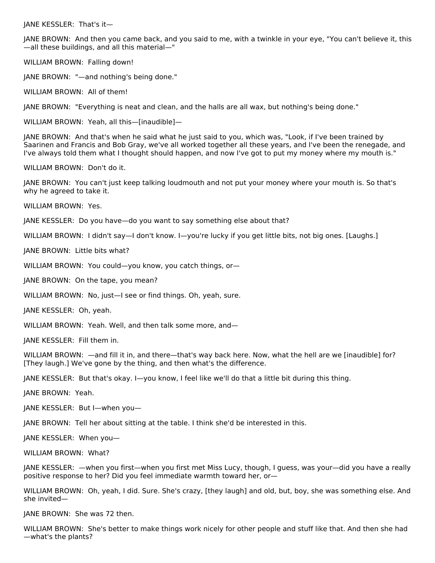JANE KESSLER: That's it—

JANE BROWN: And then you came back, and you said to me, with a twinkle in your eye, "You can't believe it, this —all these buildings, and all this material—"

WILLIAM BROWN: Falling down!

JANE BROWN: "—and nothing's being done."

WILLIAM BROWN: All of them!

JANE BROWN: "Everything is neat and clean, and the halls are all wax, but nothing's being done."

WILLIAM BROWN: Yeah, all this—[inaudible]—

JANE BROWN: And that's when he said what he just said to you, which was, "Look, if I've been trained by Saarinen and Francis and Bob Gray, we've all worked together all these years, and I've been the renegade, and I've always told them what I thought should happen, and now I've got to put my money where my mouth is."

WILLIAM BROWN: Don't do it.

JANE BROWN: You can't just keep talking loudmouth and not put your money where your mouth is. So that's why he agreed to take it.

WILLIAM BROWN: Yes.

JANE KESSLER: Do you have—do you want to say something else about that?

WILLIAM BROWN: I didn't say—I don't know. I—you're lucky if you get little bits, not big ones. [Laughs.]

JANE BROWN: Little bits what?

WILLIAM BROWN: You could—you know, you catch things, or—

JANE BROWN: On the tape, you mean?

WILLIAM BROWN: No, just—I see or find things. Oh, yeah, sure.

JANE KESSLER: Oh, yeah.

WILLIAM BROWN: Yeah. Well, and then talk some more, and—

JANE KESSLER: Fill them in.

WILLIAM BROWN: —and fill it in, and there—that's way back here. Now, what the hell are we [inaudible] for? [They laugh.] We've gone by the thing, and then what's the difference.

JANE KESSLER: But that's okay. I—you know, I feel like we'll do that a little bit during this thing.

JANE BROWN: Yeah.

JANE KESSLER: But I—when you—

JANE BROWN: Tell her about sitting at the table. I think she'd be interested in this.

JANE KESSLER: When you—

WILLIAM BROWN: What?

JANE KESSLER: —when you first—when you first met Miss Lucy, though, I guess, was your—did you have a really positive response to her? Did you feel immediate warmth toward her, or—

WILLIAM BROWN: Oh, yeah, I did. Sure. She's crazy, [they laugh] and old, but, boy, she was something else. And she invited—

JANE BROWN: She was 72 then.

WILLIAM BROWN: She's better to make things work nicely for other people and stuff like that. And then she had —what's the plants?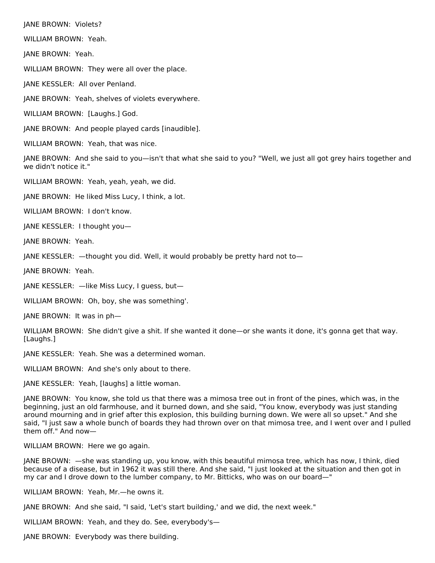JANE BROWN: Violets?

WILLIAM BROWN: Yeah.

JANE BROWN: Yeah.

WILLIAM BROWN: They were all over the place.

JANE KESSLER: All over Penland.

JANE BROWN: Yeah, shelves of violets everywhere.

WILLIAM BROWN: [Laughs.] God.

JANE BROWN: And people played cards [inaudible].

WILLIAM BROWN: Yeah, that was nice.

JANE BROWN: And she said to you—isn't that what she said to you? "Well, we just all got grey hairs together and we didn't notice it."

WILLIAM BROWN: Yeah, yeah, yeah, we did.

JANE BROWN: He liked Miss Lucy, I think, a lot.

WILLIAM BROWN: I don't know.

JANE KESSLER: I thought you—

JANE BROWN: Yeah.

JANE KESSLER: —thought you did. Well, it would probably be pretty hard not to—

JANE BROWN: Yeah.

JANE KESSLER: —like Miss Lucy, I guess, but—

WILLIAM BROWN: Oh, boy, she was something'.

JANE BROWN: It was in ph—

WILLIAM BROWN: She didn't give a shit. If she wanted it done—or she wants it done, it's gonna get that way. [Laughs.]

JANE KESSLER: Yeah. She was a determined woman.

WILLIAM BROWN: And she's only about to there.

JANE KESSLER: Yeah, [laughs] a little woman.

JANE BROWN: You know, she told us that there was a mimosa tree out in front of the pines, which was, in the beginning, just an old farmhouse, and it burned down, and she said, "You know, everybody was just standing around mourning and in grief after this explosion, this building burning down. We were all so upset." And she said, "I just saw a whole bunch of boards they had thrown over on that mimosa tree, and I went over and I pulled them off." And now—

WILLIAM BROWN: Here we go again.

JANE BROWN: —she was standing up, you know, with this beautiful mimosa tree, which has now, I think, died because of a disease, but in 1962 it was still there. And she said, "I just looked at the situation and then got in my car and I drove down to the lumber company, to Mr. Bitticks, who was on our board—"

WILLIAM BROWN: Yeah, Mr.—he owns it.

JANE BROWN: And she said, "I said, 'Let's start building,' and we did, the next week."

WILLIAM BROWN: Yeah, and they do. See, everybody's—

JANE BROWN: Everybody was there building.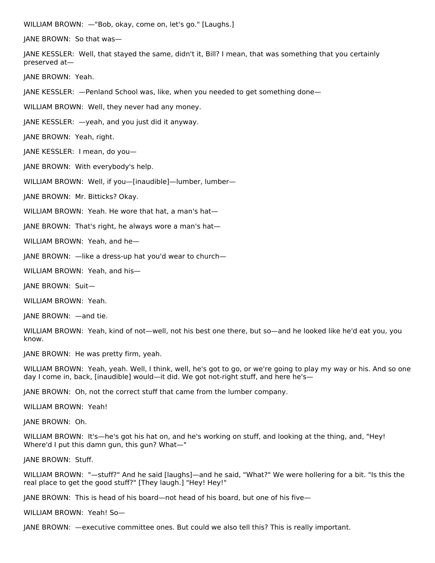WILLIAM BROWN: —"Bob, okay, come on, let's go." [Laughs.]

JANE BROWN: So that was—

JANE KESSLER: Well, that stayed the same, didn't it, Bill? I mean, that was something that you certainly preserved at—

JANE BROWN: Yeah.

JANE KESSLER: —Penland School was, like, when you needed to get something done—

WILLIAM BROWN: Well, they never had any money.

JANE KESSLER: —yeah, and you just did it anyway.

JANE BROWN: Yeah, right.

JANE KESSLER: I mean, do you—

JANE BROWN: With everybody's help.

WILLIAM BROWN: Well, if you-[inaudible]-lumber, lumber-

JANE BROWN: Mr. Bitticks? Okay.

WILLIAM BROWN: Yeah. He wore that hat, a man's hat-

JANE BROWN: That's right, he always wore a man's hat—

WILLIAM BROWN: Yeah, and he—

JANE BROWN: —like a dress-up hat you'd wear to church—

WILLIAM BROWN: Yeah, and his—

JANE BROWN: Suit—

WILLIAM BROWN: Yeah.

JANE BROWN: —and tie.

WILLIAM BROWN: Yeah, kind of not—well, not his best one there, but so—and he looked like he'd eat you, you know.

JANE BROWN: He was pretty firm, yeah.

WILLIAM BROWN: Yeah, yeah. Well, I think, well, he's got to go, or we're going to play my way or his. And so one day I come in, back, [inaudible] would—it did. We got not-right stuff, and here he's—

JANE BROWN: Oh, not the correct stuff that came from the lumber company.

WILLIAM BROWN: Yeah!

JANE BROWN: Oh.

WILLIAM BROWN: It's—he's got his hat on, and he's working on stuff, and looking at the thing, and, "Hey! Where'd I put this damn gun, this gun? What—"

JANE BROWN: Stuff.

WILLIAM BROWN: "—stuff?" And he said [laughs]—and he said, "What?" We were hollering for a bit. "Is this the real place to get the good stuff?" [They laugh.] "Hey! Hey!"

JANE BROWN: This is head of his board—not head of his board, but one of his five—

WILLIAM BROWN: Yeah! So—

JANE BROWN: —executive committee ones. But could we also tell this? This is really important.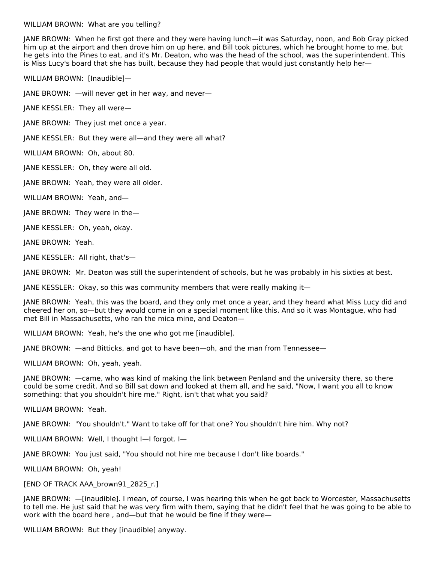### WILLIAM BROWN: What are you telling?

JANE BROWN: When he first got there and they were having lunch—it was Saturday, noon, and Bob Gray picked him up at the airport and then drove him on up here, and Bill took pictures, which he brought home to me, but he gets into the Pines to eat, and it's Mr. Deaton, who was the head of the school, was the superintendent. This is Miss Lucy's board that she has built, because they had people that would just constantly help her—

WILLIAM BROWN: [Inaudible]—

JANE BROWN: —will never get in her way, and never—

JANE KESSLER: They all were—

JANE BROWN: They just met once a year.

JANE KESSLER: But they were all—and they were all what?

WILLIAM BROWN: Oh, about 80.

JANE KESSLER: Oh, they were all old.

JANE BROWN: Yeah, they were all older.

WILLIAM BROWN: Yeah, and—

JANE BROWN: They were in the—

JANE KESSLER: Oh, yeah, okay.

JANE BROWN: Yeah.

JANE KESSLER: All right, that's—

JANE BROWN: Mr. Deaton was still the superintendent of schools, but he was probably in his sixties at best.

JANE KESSLER: Okay, so this was community members that were really making it—

JANE BROWN: Yeah, this was the board, and they only met once a year, and they heard what Miss Lucy did and cheered her on, so—but they would come in on a special moment like this. And so it was Montague, who had met Bill in Massachusetts, who ran the mica mine, and Deaton—

WILLIAM BROWN: Yeah, he's the one who got me [inaudible].

JANE BROWN: —and Bitticks, and got to have been—oh, and the man from Tennessee—

WILLIAM BROWN: Oh, yeah, yeah.

JANE BROWN: —came, who was kind of making the link between Penland and the university there, so there could be some credit. And so Bill sat down and looked at them all, and he said, "Now, I want you all to know something: that you shouldn't hire me." Right, isn't that what you said?

WILLIAM BROWN: Yeah.

JANE BROWN: "You shouldn't." Want to take off for that one? You shouldn't hire him. Why not?

WILLIAM BROWN: Well, I thought I—I forgot. I—

JANE BROWN: You just said, "You should not hire me because I don't like boards."

WILLIAM BROWN: Oh, yeah!

[END OF TRACK AAA\_brown91\_2825\_r.]

JANE BROWN: —[inaudible]. I mean, of course, I was hearing this when he got back to Worcester, Massachusetts to tell me. He just said that he was very firm with them, saying that he didn't feel that he was going to be able to work with the board here , and—but that he would be fine if they were—

WILLIAM BROWN: But they [inaudible] anyway.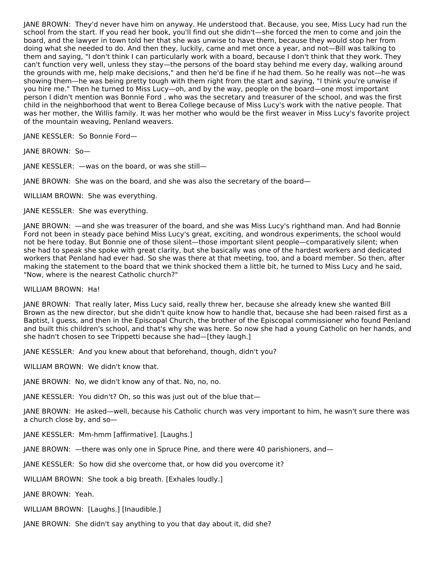JANE BROWN: They'd never have him on anyway. He understood that. Because, you see, Miss Lucy had run the school from the start. If you read her book, you'll find out she didn't—she forced the men to come and join the board, and the lawyer in town told her that she was unwise to have them, because they would stop her from doing what she needed to do. And then they, luckily, came and met once a year, and not—Bill was talking to them and saying, "I don't think I can particularly work with a board, because I don't think that they work. They can't function very well, unless they stay—the persons of the board stay behind me every day, walking around the grounds with me, help make decisions," and then he'd be fine if he had them. So he really was not—he was showing them—he was being pretty tough with them right from the start and saying, "I think you're unwise if you hire me." Then he turned to Miss Lucy—oh, and by the way, people on the board—one most important person I didn't mention was Bonnie Ford , who was the secretary and treasurer of the school, and was the first child in the neighborhood that went to Berea College because of Miss Lucy's work with the native people. That was her mother, the Willis family. It was her mother who would be the first weaver in Miss Lucy's favorite project of the mountain weaving, Penland weavers.

JANE KESSLER: So Bonnie Ford—

JANE BROWN: So—

JANE KESSLER: —was on the board, or was she still—

JANE BROWN: She was on the board, and she was also the secretary of the board—

WILLIAM BROWN: She was everything.

JANE KESSLER: She was everything.

JANE BROWN: —and she was treasurer of the board, and she was Miss Lucy's righthand man. And had Bonnie Ford not been in steady pace behind Miss Lucy's great, exciting, and wondrous experiments, the school would not be here today. But Bonnie one of those silent—those important silent people—comparatively silent; when she had to speak she spoke with great clarity, but she basically was one of the hardest workers and dedicated workers that Penland had ever had. So she was there at that meeting, too, and a board member. So then, after making the statement to the board that we think shocked them a little bit, he turned to Miss Lucy and he said, "Now, where is the nearest Catholic church?"

WILLIAM BROWN: Ha!

JANE BROWN: That really later, Miss Lucy said, really threw her, because she already knew she wanted Bill Brown as the new director, but she didn't quite know how to handle that, because she had been raised first as a Baptist, I guess, and then in the Episcopal Church, the brother of the Episcopal commissioner who found Penland and built this children's school, and that's why she was here. So now she had a young Catholic on her hands, and she hadn't chosen to see Trippetti because she had—[they laugh.]

JANE KESSLER: And you knew about that beforehand, though, didn't you?

WILLIAM BROWN: We didn't know that.

JANE BROWN: No, we didn't know any of that. No, no, no.

JANE KESSLER: You didn't? Oh, so this was just out of the blue that—

JANE BROWN: He asked—well, because his Catholic church was very important to him, he wasn't sure there was a church close by, and so—

JANE KESSLER: Mm-hmm [affirmative]. [Laughs.]

JANE BROWN: —there was only one in Spruce Pine, and there were 40 parishioners, and—

JANE KESSLER: So how did she overcome that, or how did you overcome it?

WILLIAM BROWN: She took a big breath. [Exhales loudly.]

JANE BROWN: Yeah.

WILLIAM BROWN: [Laughs.] [Inaudible.]

JANE BROWN: She didn't say anything to you that day about it, did she?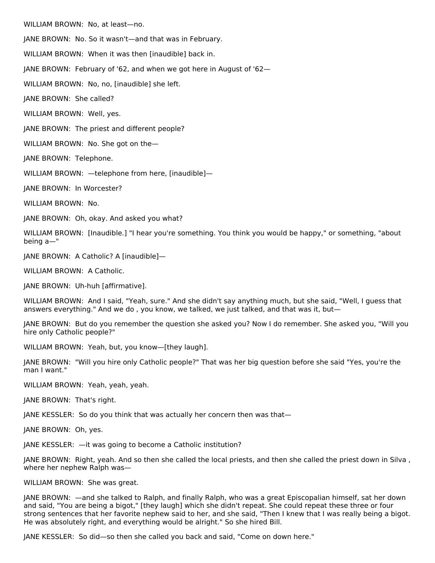WILLIAM BROWN: No, at least—no.

JANE BROWN: No. So it wasn't—and that was in February.

WILLIAM BROWN: When it was then [inaudible] back in.

JANE BROWN: February of '62, and when we got here in August of '62—

WILLIAM BROWN: No, no, [inaudible] she left.

JANE BROWN: She called?

WILLIAM BROWN: Well, yes.

JANE BROWN: The priest and different people?

WILLIAM BROWN: No. She got on the—

JANE BROWN: Telephone.

WILLIAM BROWN: —telephone from here, [inaudible]—

JANE BROWN: In Worcester?

WILLIAM BROWN: No.

JANE BROWN: Oh, okay. And asked you what?

WILLIAM BROWN: [Inaudible.] "I hear you're something. You think you would be happy," or something, "about being a—"

JANE BROWN: A Catholic? A [inaudible]—

WILLIAM BROWN: A Catholic.

JANE BROWN: Uh-huh [affirmative].

WILLIAM BROWN: And I said, "Yeah, sure." And she didn't say anything much, but she said, "Well, I guess that answers everything." And we do , you know, we talked, we just talked, and that was it, but—

JANE BROWN: But do you remember the question she asked you? Now I do remember. She asked you, "Will you hire only Catholic people?"

WILLIAM BROWN: Yeah, but, you know—[they laugh].

JANE BROWN: "Will you hire only Catholic people?" That was her big question before she said "Yes, you're the man I want."

WILLIAM BROWN: Yeah, yeah, yeah.

JANE BROWN: That's right.

JANE KESSLER: So do you think that was actually her concern then was that—

JANE BROWN: Oh, yes.

JANE KESSLER: —it was going to become a Catholic institution?

JANE BROWN: Right, yeah. And so then she called the local priests, and then she called the priest down in Silva , where her nephew Ralph was—

WILLIAM BROWN: She was great.

JANE BROWN: —and she talked to Ralph, and finally Ralph, who was a great Episcopalian himself, sat her down and said, "You are being a bigot," [they laugh] which she didn't repeat. She could repeat these three or four strong sentences that her favorite nephew said to her, and she said, "Then I knew that I was really being a bigot. He was absolutely right, and everything would be alright." So she hired Bill.

JANE KESSLER: So did—so then she called you back and said, "Come on down here."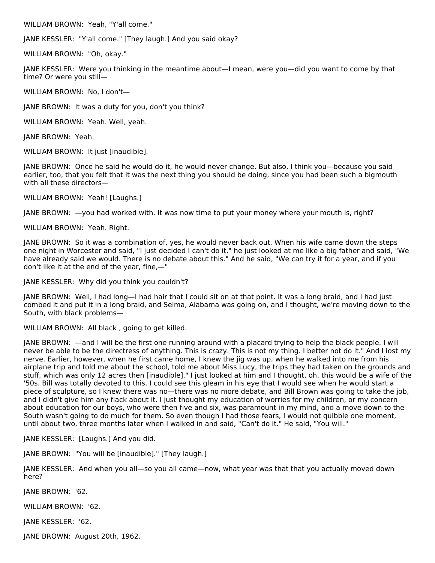WILLIAM BROWN: Yeah, "Y'all come."

JANE KESSLER: "Y'all come." [They laugh.] And you said okay?

WILLIAM BROWN: "Oh, okay."

JANE KESSLER: Were you thinking in the meantime about—I mean, were you—did you want to come by that time? Or were you still—

WILLIAM BROWN: No, I don't—

JANE BROWN: It was a duty for you, don't you think?

WILLIAM BROWN: Yeah. Well, yeah.

JANE BROWN: Yeah.

WILLIAM BROWN: It just [inaudible].

JANE BROWN: Once he said he would do it, he would never change. But also, I think you—because you said earlier, too, that you felt that it was the next thing you should be doing, since you had been such a bigmouth with all these directors—

WILLIAM BROWN: Yeah! [Laughs.]

JANE BROWN: —you had worked with. It was now time to put your money where your mouth is, right?

WILLIAM BROWN: Yeah. Right.

JANE BROWN: So it was a combination of, yes, he would never back out. When his wife came down the steps one night in Worcester and said, "I just decided I can't do it," he just looked at me like a big father and said, "We have already said we would. There is no debate about this." And he said, "We can try it for a year, and if you don't like it at the end of the year, fine,—"

JANE KESSLER: Why did you think you couldn't?

JANE BROWN: Well, I had long—I had hair that I could sit on at that point. It was a long braid, and I had just combed it and put it in a long braid, and Selma, Alabama was going on, and I thought, we're moving down to the South, with black problems—

WILLIAM BROWN: All black , going to get killed.

JANE BROWN: —and I will be the first one running around with a placard trying to help the black people. I will never be able to be the directress of anything. This is crazy. This is not my thing. I better not do it." And I lost my nerve. Earlier, however, when he first came home, I knew the jig was up, when he walked into me from his airplane trip and told me about the school, told me about Miss Lucy, the trips they had taken on the grounds and stuff, which was only 12 acres then [inaudible]." I just looked at him and I thought, oh, this would be a wife of the '50s. Bill was totally devoted to this. I could see this gleam in his eye that I would see when he would start a piece of sculpture, so I knew there was no—there was no more debate, and Bill Brown was going to take the job, and I didn't give him any flack about it. I just thought my education of worries for my children, or my concern about education for our boys, who were then five and six, was paramount in my mind, and a move down to the South wasn't going to do much for them. So even though I had those fears, I would not quibble one moment, until about two, three months later when I walked in and said, "Can't do it." He said, "You will."

JANE KESSLER: [Laughs.] And you did.

JANE BROWN: "You will be [inaudible]." [They laugh.]

JANE KESSLER: And when you all—so you all came—now, what year was that that you actually moved down here?

JANE BROWN: '62.

WILLIAM BROWN: '62.

JANE KESSLER: '62.

JANE BROWN: August 20th, 1962.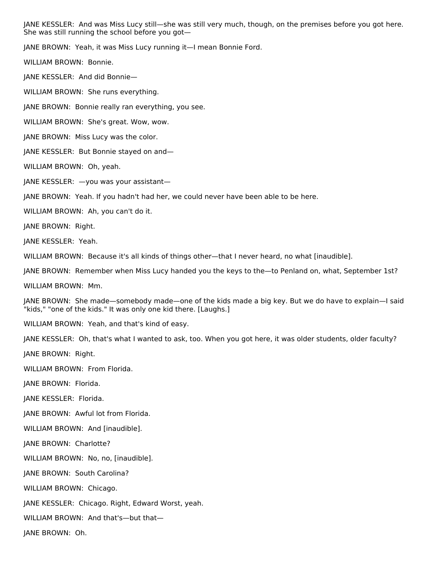JANE KESSLER: And was Miss Lucy still—she was still very much, though, on the premises before you got here. She was still running the school before you got—

JANE BROWN: Yeah, it was Miss Lucy running it—I mean Bonnie Ford.

WILLIAM BROWN: Bonnie.

JANE KESSLER: And did Bonnie—

WILLIAM BROWN: She runs everything.

JANE BROWN: Bonnie really ran everything, you see.

WILLIAM BROWN: She's great. Wow, wow.

JANE BROWN: Miss Lucy was the color.

JANE KESSLER: But Bonnie stayed on and—

WILLIAM BROWN: Oh, yeah.

JANE KESSLER: —you was your assistant—

JANE BROWN: Yeah. If you hadn't had her, we could never have been able to be here.

WILLIAM BROWN: Ah, you can't do it.

JANE BROWN: Right.

JANE KESSLER: Yeah.

WILLIAM BROWN: Because it's all kinds of things other—that I never heard, no what [inaudible].

JANE BROWN: Remember when Miss Lucy handed you the keys to the—to Penland on, what, September 1st?

WILLIAM BROWN: Mm.

JANE BROWN: She made—somebody made—one of the kids made a big key. But we do have to explain—I said "kids," "one of the kids." It was only one kid there. [Laughs.]

WILLIAM BROWN: Yeah, and that's kind of easy.

JANE KESSLER: Oh, that's what I wanted to ask, too. When you got here, it was older students, older faculty?

JANE BROWN: Right.

WILLIAM BROWN: From Florida.

JANE BROWN: Florida.

JANE KESSLER: Florida.

JANE BROWN: Awful lot from Florida.

WILLIAM BROWN: And [inaudible].

JANE BROWN: Charlotte?

WILLIAM BROWN: No, no, [inaudible].

JANE BROWN: South Carolina?

WILLIAM BROWN: Chicago.

JANE KESSLER: Chicago. Right, Edward Worst, yeah.

WILLIAM BROWN: And that's—but that—

JANE BROWN: Oh.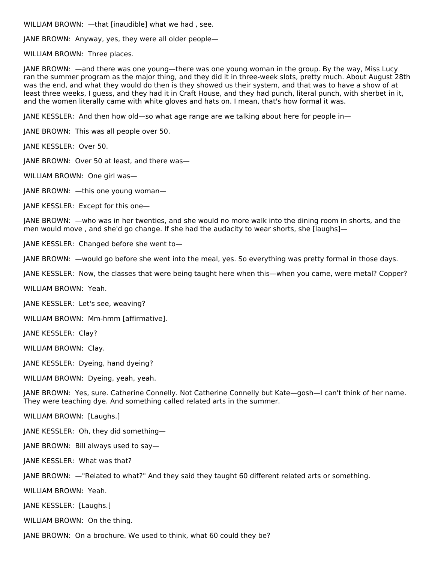WILLIAM BROWN: —that [inaudible] what we had , see.

JANE BROWN: Anyway, yes, they were all older people—

WILLIAM BROWN: Three places.

JANE BROWN: —and there was one young—there was one young woman in the group. By the way, Miss Lucy ran the summer program as the major thing, and they did it in three-week slots, pretty much. About August 28th was the end, and what they would do then is they showed us their system, and that was to have a show of at least three weeks, I guess, and they had it in Craft House, and they had punch, literal punch, with sherbet in it, and the women literally came with white gloves and hats on. I mean, that's how formal it was.

JANE KESSLER: And then how old—so what age range are we talking about here for people in—

JANE BROWN: This was all people over 50.

JANE KESSLER: Over 50.

JANE BROWN: Over 50 at least, and there was—

WILLIAM BROWN: One girl was—

JANE BROWN: —this one young woman—

JANE KESSLER: Except for this one—

JANE BROWN: —who was in her twenties, and she would no more walk into the dining room in shorts, and the men would move , and she'd go change. If she had the audacity to wear shorts, she [laughs]—

JANE KESSLER: Changed before she went to—

JANE BROWN: —would go before she went into the meal, yes. So everything was pretty formal in those days.

JANE KESSLER: Now, the classes that were being taught here when this—when you came, were metal? Copper?

WILLIAM BROWN: Yeah.

JANE KESSLER: Let's see, weaving?

WILLIAM BROWN: Mm-hmm [affirmative].

JANE KESSLER: Clay?

WILLIAM BROWN: Clay.

JANE KESSLER: Dyeing, hand dyeing?

WILLIAM BROWN: Dyeing, yeah, yeah.

JANE BROWN: Yes, sure. Catherine Connelly. Not Catherine Connelly but Kate—gosh—I can't think of her name. They were teaching dye. And something called related arts in the summer.

WILLIAM BROWN: [Laughs.]

JANE KESSLER: Oh, they did something—

JANE BROWN: Bill always used to say—

JANE KESSLER: What was that?

JANE BROWN: —"Related to what?" And they said they taught 60 different related arts or something.

WILLIAM BROWN: Yeah.

JANE KESSLER: [Laughs.]

WILLIAM BROWN: On the thing.

JANE BROWN: On a brochure. We used to think, what 60 could they be?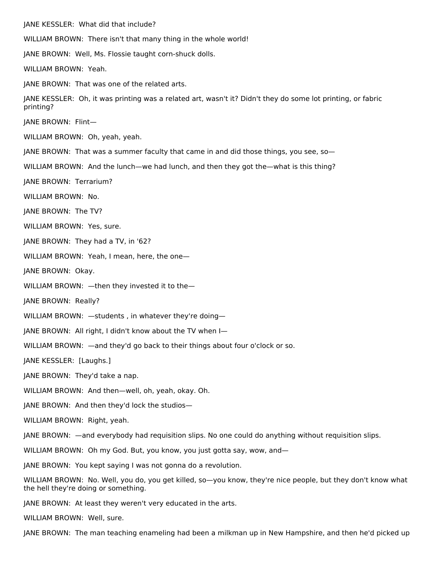JANE KESSLER: What did that include?

WILLIAM BROWN: There isn't that many thing in the whole world!

JANE BROWN: Well, Ms. Flossie taught corn-shuck dolls.

WILLIAM BROWN: Yeah.

JANE BROWN: That was one of the related arts.

JANE KESSLER: Oh, it was printing was a related art, wasn't it? Didn't they do some lot printing, or fabric printing?

JANE BROWN: Flint—

WILLIAM BROWN: Oh, yeah, yeah.

JANE BROWN: That was a summer faculty that came in and did those things, you see, so—

WILLIAM BROWN: And the lunch—we had lunch, and then they got the—what is this thing?

JANE BROWN: Terrarium?

WILLIAM BROWN: No.

JANE BROWN: The TV?

WILLIAM BROWN: Yes, sure.

JANE BROWN: They had a TV, in '62?

WILLIAM BROWN: Yeah, I mean, here, the one—

JANE BROWN: Okay.

WILLIAM BROWN: —then they invested it to the—

JANE BROWN: Really?

WILLIAM BROWN: —students , in whatever they're doing—

JANE BROWN: All right, I didn't know about the TV when I—

WILLIAM BROWN: —and they'd go back to their things about four o'clock or so.

JANE KESSLER: [Laughs.]

JANE BROWN: They'd take a nap.

WILLIAM BROWN: And then—well, oh, yeah, okay. Oh.

JANE BROWN: And then they'd lock the studios—

WILLIAM BROWN: Right, yeah.

JANE BROWN: —and everybody had requisition slips. No one could do anything without requisition slips.

WILLIAM BROWN: Oh my God. But, you know, you just gotta say, wow, and—

JANE BROWN: You kept saying I was not gonna do a revolution.

WILLIAM BROWN: No. Well, you do, you get killed, so—you know, they're nice people, but they don't know what the hell they're doing or something.

JANE BROWN: At least they weren't very educated in the arts.

WILLIAM BROWN: Well, sure.

JANE BROWN: The man teaching enameling had been a milkman up in New Hampshire, and then he'd picked up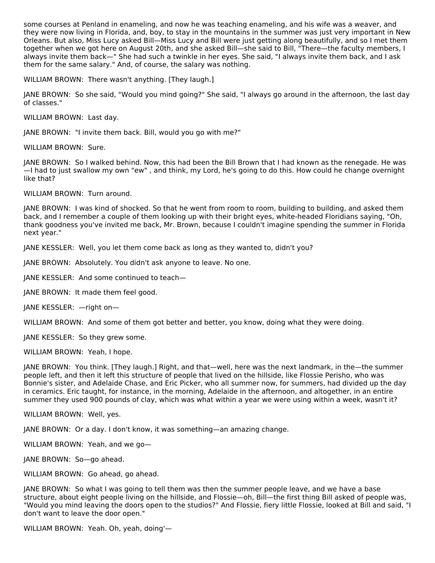some courses at Penland in enameling, and now he was teaching enameling, and his wife was a weaver, and they were now living in Florida, and, boy, to stay in the mountains in the summer was just very important in New Orleans. But also, Miss Lucy asked Bill—Miss Lucy and Bill were just getting along beautifully, and so I met them together when we got here on August 20th, and she asked Bill—she said to Bill, "There—the faculty members, I always invite them back—" She had such a twinkle in her eyes. She said, "I always invite them back, and I ask them for the same salary." And, of course, the salary was nothing.

WILLIAM BROWN: There wasn't anything. [They laugh.]

JANE BROWN: So she said, "Would you mind going?" She said, "I always go around in the afternoon, the last day of classes."

WILLIAM BROWN: Last day.

JANE BROWN: "I invite them back. Bill, would you go with me?"

WILLIAM BROWN: Sure.

JANE BROWN: So I walked behind. Now, this had been the Bill Brown that I had known as the renegade. He was —I had to just swallow my own "ew" , and think, my Lord, he's going to do this. How could he change overnight like that?

WILLIAM BROWN: Turn around.

JANE BROWN: I was kind of shocked. So that he went from room to room, building to building, and asked them back, and I remember a couple of them looking up with their bright eyes, white-headed Floridians saying, "Oh, thank goodness you've invited me back, Mr. Brown, because I couldn't imagine spending the summer in Florida next year."

JANE KESSLER: Well, you let them come back as long as they wanted to, didn't you?

JANE BROWN: Absolutely. You didn't ask anyone to leave. No one.

JANE KESSLER: And some continued to teach—

JANE BROWN: It made them feel good.

JANE KESSLER: —right on—

WILLIAM BROWN: And some of them got better and better, you know, doing what they were doing.

JANE KESSLER: So they grew some.

WILLIAM BROWN: Yeah, I hope.

JANE BROWN: You think. [They laugh.] Right, and that—well, here was the next landmark, in the—the summer people left, and then it left this structure of people that lived on the hillside, like Flossie Perisho, who was Bonnie's sister, and Adelaide Chase, and Eric Picker, who all summer now, for summers, had divided up the day in ceramics. Eric taught, for instance, in the morning, Adelaide in the afternoon, and altogether, in an entire summer they used 900 pounds of clay, which was what within a year we were using within a week, wasn't it?

WILLIAM BROWN: Well, yes.

JANE BROWN: Or a day. I don't know, it was something—an amazing change.

WILLIAM BROWN: Yeah, and we go—

JANE BROWN: So—go ahead.

WILLIAM BROWN: Go ahead, go ahead.

JANE BROWN: So what I was going to tell them was then the summer people leave, and we have a base structure, about eight people living on the hillside, and Flossie—oh, Bill—the first thing Bill asked of people was, "Would you mind leaving the doors open to the studios?" And Flossie, fiery little Flossie, looked at Bill and said, "I don't want to leave the door open."

WILLIAM BROWN: Yeah. Oh, yeah, doing'—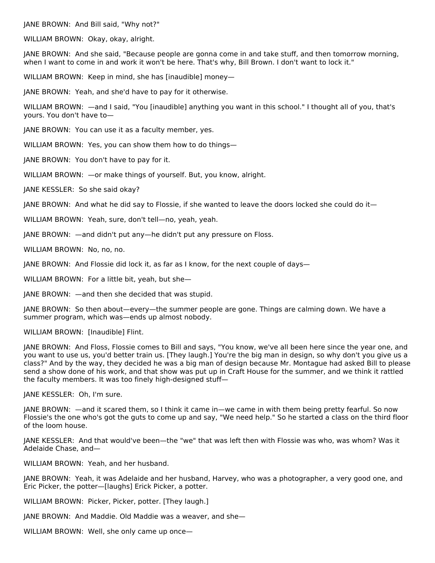JANE BROWN: And Bill said, "Why not?"

WILLIAM BROWN: Okay, okay, alright.

JANE BROWN: And she said, "Because people are gonna come in and take stuff, and then tomorrow morning, when I want to come in and work it won't be here. That's why, Bill Brown. I don't want to lock it."

WILLIAM BROWN: Keep in mind, she has [inaudible] money—

JANE BROWN: Yeah, and she'd have to pay for it otherwise.

WILLIAM BROWN: —and I said, "You [inaudible] anything you want in this school." I thought all of you, that's yours. You don't have to—

JANE BROWN: You can use it as a faculty member, yes.

WILLIAM BROWN: Yes, you can show them how to do things—

JANE BROWN: You don't have to pay for it.

WILLIAM BROWN: —or make things of yourself. But, you know, alright.

JANE KESSLER: So she said okay?

JANE BROWN: And what he did say to Flossie, if she wanted to leave the doors locked she could do it—

WILLIAM BROWN: Yeah, sure, don't tell—no, yeah, yeah.

JANE BROWN: —and didn't put any—he didn't put any pressure on Floss.

WILLIAM BROWN: No, no, no.

JANE BROWN: And Flossie did lock it, as far as I know, for the next couple of days—

WILLIAM BROWN: For a little bit, yeah, but she—

JANE BROWN: —and then she decided that was stupid.

JANE BROWN: So then about—every—the summer people are gone. Things are calming down. We have a summer program, which was—ends up almost nobody.

WILLIAM BROWN: [Inaudible] Flint.

JANE BROWN: And Floss, Flossie comes to Bill and says, "You know, we've all been here since the year one, and you want to use us, you'd better train us. [They laugh.] You're the big man in design, so why don't you give us a class?" And by the way, they decided he was a big man of design because Mr. Montague had asked Bill to please send a show done of his work, and that show was put up in Craft House for the summer, and we think it rattled the faculty members. It was too finely high-designed stuff—

JANE KESSLER: Oh, I'm sure.

JANE BROWN: —and it scared them, so I think it came in—we came in with them being pretty fearful. So now Flossie's the one who's got the guts to come up and say, "We need help." So he started a class on the third floor of the loom house.

JANE KESSLER: And that would've been—the "we" that was left then with Flossie was who, was whom? Was it Adelaide Chase, and—

WILLIAM BROWN: Yeah, and her husband.

JANE BROWN: Yeah, it was Adelaide and her husband, Harvey, who was a photographer, a very good one, and Eric Picker, the potter—[laughs] Erick Picker, a potter.

WILLIAM BROWN: Picker, Picker, potter. [They laugh.]

JANE BROWN: And Maddie. Old Maddie was a weaver, and she—

WILLIAM BROWN: Well, she only came up once—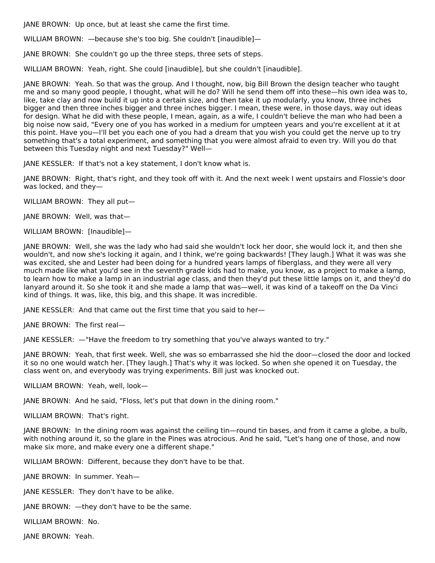JANE BROWN: Up once, but at least she came the first time.

WILLIAM BROWN: —because she's too big. She couldn't [inaudible]—

JANE BROWN: She couldn't go up the three steps, three sets of steps.

WILLIAM BROWN: Yeah, right. She could [inaudible], but she couldn't [inaudible].

JANE BROWN: Yeah. So that was the group. And I thought, now, big Bill Brown the design teacher who taught me and so many good people, I thought, what will he do? Will he send them off into these—his own idea was to, like, take clay and now build it up into a certain size, and then take it up modularly, you know, three inches bigger and then three inches bigger and three inches bigger. I mean, these were, in those days, way out ideas for design. What he did with these people, I mean, again, as a wife, I couldn't believe the man who had been a big noise now said, "Every one of you has worked in a medium for umpteen years and you're excellent at it at this point. Have you—I'll bet you each one of you had a dream that you wish you could get the nerve up to try something that's a total experiment, and something that you were almost afraid to even try. Will you do that between this Tuesday night and next Tuesday?" Well—

JANE KESSLER: If that's not a key statement, I don't know what is.

JANE BROWN: Right, that's right, and they took off with it. And the next week I went upstairs and Flossie's door was locked, and they—

WILLIAM BROWN: They all put—

JANE BROWN: Well, was that—

WILLIAM BROWN: [Inaudible]—

JANE BROWN: Well, she was the lady who had said she wouldn't lock her door, she would lock it, and then she wouldn't, and now she's locking it again, and I think, we're going backwards! [They laugh.] What it was was she was excited, she and Lester had been doing for a hundred years lamps of fiberglass, and they were all very much made like what you'd see in the seventh grade kids had to make, you know, as a project to make a lamp, to learn how to make a lamp in an industrial age class, and then they'd put these little lamps on it, and they'd do lanyard around it. So she took it and she made a lamp that was—well, it was kind of a takeoff on the Da Vinci kind of things. It was, like, this big, and this shape. It was incredible.

JANE KESSLER: And that came out the first time that you said to her—

JANE BROWN: The first real—

JANE KESSLER: —"Have the freedom to try something that you've always wanted to try."

JANE BROWN: Yeah, that first week. Well, she was so embarrassed she hid the door—closed the door and locked it so no one would watch her. [They laugh.] That's why it was locked. So when she opened it on Tuesday, the class went on, and everybody was trying experiments. Bill just was knocked out.

WILLIAM BROWN: Yeah, well, look—

JANE BROWN: And he said, "Floss, let's put that down in the dining room."

WILLIAM BROWN: That's right.

JANE BROWN: In the dining room was against the ceiling tin—round tin bases, and from it came a globe, a bulb, with nothing around it, so the glare in the Pines was atrocious. And he said, "Let's hang one of those, and now make six more, and make every one a different shape."

WILLIAM BROWN: Different, because they don't have to be that.

JANE BROWN: In summer. Yeah—

JANE KESSLER: They don't have to be alike.

JANE BROWN: —they don't have to be the same.

WILLIAM BROWN: No.

JANE BROWN: Yeah.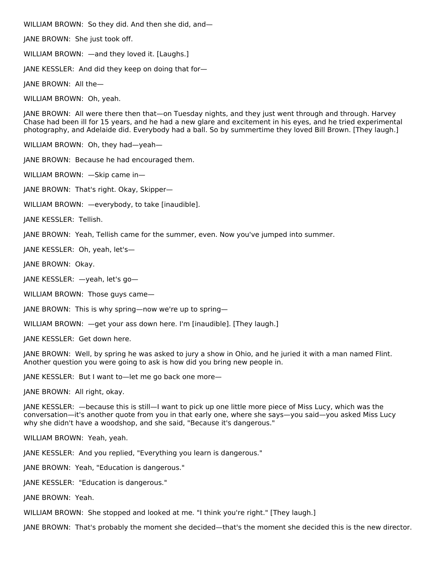WILLIAM BROWN: So they did. And then she did, and—

JANE BROWN: She just took off.

WILLIAM BROWN: —and they loved it. [Laughs.]

JANE KESSLER: And did they keep on doing that for—

JANE BROWN: All the—

WILLIAM BROWN: Oh, yeah.

JANE BROWN: All were there then that—on Tuesday nights, and they just went through and through. Harvey Chase had been ill for 15 years, and he had a new glare and excitement in his eyes, and he tried experimental photography, and Adelaide did. Everybody had a ball. So by summertime they loved Bill Brown. [They laugh.]

WILLIAM BROWN: Oh, they had—yeah—

JANE BROWN: Because he had encouraged them.

WILLIAM BROWN: —Skip came in—

JANE BROWN: That's right. Okay, Skipper—

WILLIAM BROWN: - everybody, to take [inaudible].

JANE KESSLER: Tellish.

JANE BROWN: Yeah, Tellish came for the summer, even. Now you've jumped into summer.

JANE KESSLER: Oh, yeah, let's—

JANE BROWN: Okay.

JANE KESSLER: —yeah, let's go—

WILLIAM BROWN: Those guys came—

JANE BROWN: This is why spring—now we're up to spring—

WILLIAM BROWN: —get your ass down here. I'm [inaudible]. [They laugh.]

JANE KESSLER: Get down here.

JANE BROWN: Well, by spring he was asked to jury a show in Ohio, and he juried it with a man named Flint. Another question you were going to ask is how did you bring new people in.

JANE KESSLER: But I want to—let me go back one more—

JANE BROWN: All right, okay.

JANE KESSLER: —because this is still—I want to pick up one little more piece of Miss Lucy, which was the conversation—it's another quote from you in that early one, where she says—you said—you asked Miss Lucy why she didn't have a woodshop, and she said, "Because it's dangerous."

WILLIAM BROWN: Yeah, yeah.

JANE KESSLER: And you replied, "Everything you learn is dangerous."

JANE BROWN: Yeah, "Education is dangerous."

JANE KESSLER: "Education is dangerous."

JANE BROWN: Yeah.

WILLIAM BROWN: She stopped and looked at me. "I think you're right." [They laugh.]

JANE BROWN: That's probably the moment she decided—that's the moment she decided this is the new director.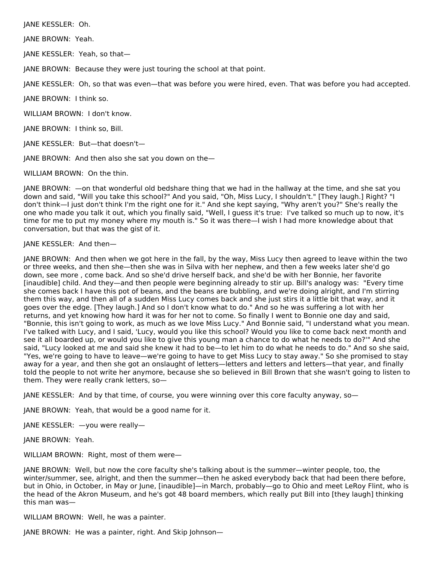JANE KESSLER: Oh.

JANE BROWN: Yeah.

JANE KESSLER: Yeah, so that—

JANE BROWN: Because they were just touring the school at that point.

JANE KESSLER: Oh, so that was even—that was before you were hired, even. That was before you had accepted.

JANE BROWN: I think so.

WILLIAM BROWN: I don't know.

JANE BROWN: I think so, Bill.

JANE KESSLER: But—that doesn't—

JANE BROWN: And then also she sat you down on the—

WILLIAM BROWN: On the thin.

JANE BROWN: —on that wonderful old bedshare thing that we had in the hallway at the time, and she sat you down and said, "Will you take this school?" And you said, "Oh, Miss Lucy, I shouldn't." [They laugh.] Right? "I don't think—I just don't think I'm the right one for it." And she kept saying, "Why aren't you?" She's really the one who made you talk it out, which you finally said, "Well, I guess it's true: I've talked so much up to now, it's time for me to put my money where my mouth is." So it was there—I wish I had more knowledge about that conversation, but that was the gist of it.

# JANE KESSLER: And then—

JANE BROWN: And then when we got here in the fall, by the way, Miss Lucy then agreed to leave within the two or three weeks, and then she—then she was in Silva with her nephew, and then a few weeks later she'd go down, see more , come back. And so she'd drive herself back, and she'd be with her Bonnie, her favorite [inaudible] child. And they—and then people were beginning already to stir up. Bill's analogy was: "Every time she comes back I have this pot of beans, and the beans are bubbling, and we're doing alright, and I'm stirring them this way, and then all of a sudden Miss Lucy comes back and she just stirs it a little bit that way, and it goes over the edge. [They laugh.] And so I don't know what to do." And so he was suffering a lot with her returns, and yet knowing how hard it was for her not to come. So finally I went to Bonnie one day and said, "Bonnie, this isn't going to work, as much as we love Miss Lucy." And Bonnie said, "I understand what you mean. I've talked with Lucy, and I said, 'Lucy, would you like this school? Would you like to come back next month and see it all boarded up, or would you like to give this young man a chance to do what he needs to do?'" And she said, "Lucy looked at me and said she knew it had to be—to let him to do what he needs to do." And so she said, "Yes, we're going to have to leave—we're going to have to get Miss Lucy to stay away." So she promised to stay away for a year, and then she got an onslaught of letters—letters and letters and letters—that year, and finally told the people to not write her anymore, because she so believed in Bill Brown that she wasn't going to listen to them. They were really crank letters, so—

JANE KESSLER: And by that time, of course, you were winning over this core faculty anyway, so—

JANE BROWN: Yeah, that would be a good name for it.

JANE KESSLER: —you were really—

JANE BROWN: Yeah.

WILLIAM BROWN: Right, most of them were—

JANE BROWN: Well, but now the core faculty she's talking about is the summer—winter people, too, the winter/summer, see, alright, and then the summer—then he asked everybody back that had been there before, but in Ohio, in October, in May or June, [inaudible]—in March, probably—go to Ohio and meet LeRoy Flint, who is the head of the Akron Museum, and he's got 48 board members, which really put Bill into [they laugh] thinking this man was—

WILLIAM BROWN: Well, he was a painter.

JANE BROWN: He was a painter, right. And Skip Johnson—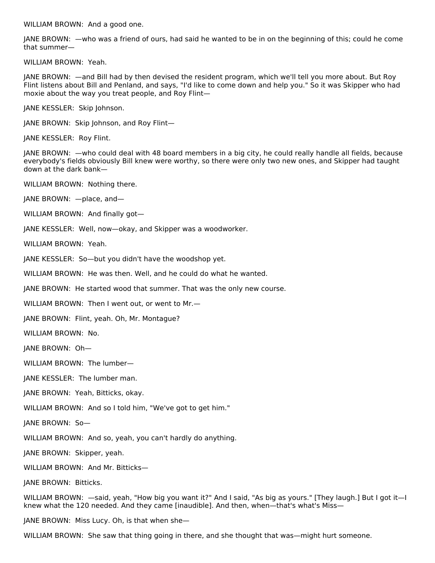WILLIAM BROWN: And a good one.

JANE BROWN: —who was a friend of ours, had said he wanted to be in on the beginning of this; could he come that summer—

WILLIAM BROWN: Yeah.

JANE BROWN: —and Bill had by then devised the resident program, which we'll tell you more about. But Roy Flint listens about Bill and Penland, and says, "I'd like to come down and help you." So it was Skipper who had moxie about the way you treat people, and Roy Flint—

JANE KESSLER: Skip Johnson.

JANE BROWN: Skip Johnson, and Roy Flint—

JANE KESSLER: Roy Flint.

JANE BROWN: —who could deal with 48 board members in a big city, he could really handle all fields, because everybody's fields obviously Bill knew were worthy, so there were only two new ones, and Skipper had taught down at the dark bank—

WILLIAM BROWN: Nothing there.

JANE BROWN: —place, and—

WILLIAM BROWN: And finally got—

JANE KESSLER: Well, now—okay, and Skipper was a woodworker.

WILLIAM BROWN: Yeah.

JANE KESSLER: So—but you didn't have the woodshop yet.

WILLIAM BROWN: He was then. Well, and he could do what he wanted.

JANE BROWN: He started wood that summer. That was the only new course.

WILLIAM BROWN: Then I went out, or went to Mr.—

JANE BROWN: Flint, yeah. Oh, Mr. Montague?

WILLIAM BROWN: No.

JANE BROWN: Oh—

WILLIAM BROWN: The lumber—

JANE KESSLER: The lumber man.

JANE BROWN: Yeah, Bitticks, okay.

WILLIAM BROWN: And so I told him, "We've got to get him."

JANE BROWN: So—

WILLIAM BROWN: And so, yeah, you can't hardly do anything.

JANE BROWN: Skipper, yeah.

WILLIAM BROWN: And Mr. Bitticks—

JANE BROWN: Bitticks.

WILLIAM BROWN: —said, yeah, "How big you want it?" And I said, "As big as yours." [They laugh.] But I got it—I knew what the 120 needed. And they came [inaudible]. And then, when—that's what's Miss—

JANE BROWN: Miss Lucy. Oh, is that when she—

WILLIAM BROWN: She saw that thing going in there, and she thought that was—might hurt someone.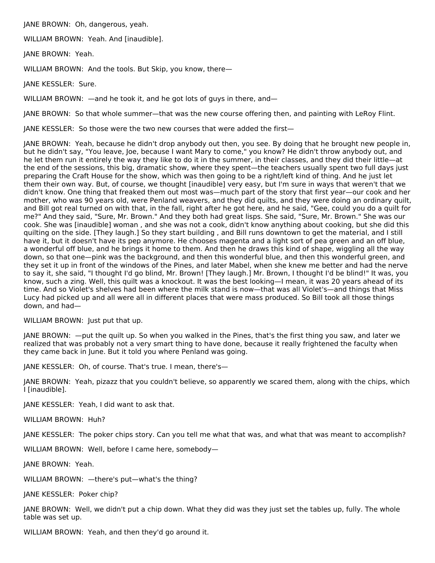JANE BROWN: Oh, dangerous, yeah.

WILLIAM BROWN: Yeah. And [inaudible].

JANE BROWN: Yeah.

WILLIAM BROWN: And the tools. But Skip, you know, there—

JANE KESSLER: Sure.

WILLIAM BROWN: —and he took it, and he got lots of guys in there, and—

JANE BROWN: So that whole summer—that was the new course offering then, and painting with LeRoy Flint.

JANE KESSLER: So those were the two new courses that were added the first—

JANE BROWN: Yeah, because he didn't drop anybody out then, you see. By doing that he brought new people in, but he didn't say, "You leave, Joe, because I want Mary to come," you know? He didn't throw anybody out, and he let them run it entirely the way they like to do it in the summer, in their classes, and they did their little—at the end of the sessions, this big, dramatic show, where they spent—the teachers usually spent two full days just preparing the Craft House for the show, which was then going to be a right/left kind of thing. And he just let them their own way. But, of course, we thought [inaudible] very easy, but I'm sure in ways that weren't that we didn't know. One thing that freaked them out most was—much part of the story that first year—our cook and her mother, who was 90 years old, were Penland weavers, and they did quilts, and they were doing an ordinary quilt, and Bill got real turned on with that, in the fall, right after he got here, and he said, "Gee, could you do a quilt for me?" And they said, "Sure, Mr. Brown." And they both had great lisps. She said, "Sure, Mr. Brown." She was our cook. She was [inaudible] woman , and she was not a cook, didn't know anything about cooking, but she did this quilting on the side. [They laugh.] So they start building , and Bill runs downtown to get the material, and I still have it, but it doesn't have its pep anymore. He chooses magenta and a light sort of pea green and an off blue, a wonderful off blue, and he brings it home to them. And then he draws this kind of shape, wiggling all the way down, so that one—pink was the background, and then this wonderful blue, and then this wonderful green, and they set it up in front of the windows of the Pines, and later Mabel, when she knew me better and had the nerve to say it, she said, "I thought I'd go blind, Mr. Brown! [They laugh.] Mr. Brown, I thought I'd be blind!" It was, you know, such a zing. Well, this quilt was a knockout. It was the best looking—I mean, it was 20 years ahead of its time. And so Violet's shelves had been where the milk stand is now—that was all Violet's—and things that Miss Lucy had picked up and all were all in different places that were mass produced. So Bill took all those things down, and had—

### WILLIAM BROWN: Just put that up.

JANE BROWN: —put the quilt up. So when you walked in the Pines, that's the first thing you saw, and later we realized that was probably not a very smart thing to have done, because it really frightened the faculty when they came back in June. But it told you where Penland was going.

JANE KESSLER: Oh, of course. That's true. I mean, there's—

JANE BROWN: Yeah, pizazz that you couldn't believe, so apparently we scared them, along with the chips, which I [inaudible].

JANE KESSLER: Yeah, I did want to ask that.

WILLIAM BROWN: Huh?

JANE KESSLER: The poker chips story. Can you tell me what that was, and what that was meant to accomplish?

WILLIAM BROWN: Well, before I came here, somebody—

JANE BROWN: Yeah.

WILLIAM BROWN: —there's put—what's the thing?

JANE KESSLER: Poker chip?

JANE BROWN: Well, we didn't put a chip down. What they did was they just set the tables up, fully. The whole table was set up.

WILLIAM BROWN: Yeah, and then they'd go around it.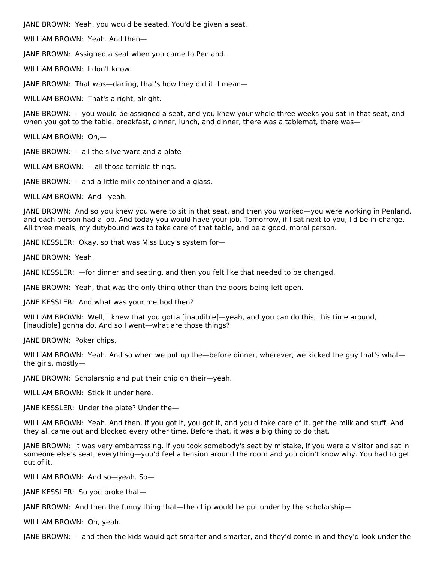JANE BROWN: Yeah, you would be seated. You'd be given a seat.

WILLIAM BROWN: Yeah. And then—

JANE BROWN: Assigned a seat when you came to Penland.

WILLIAM BROWN: I don't know.

JANE BROWN: That was—darling, that's how they did it. I mean—

WILLIAM BROWN: That's alright, alright.

JANE BROWN: —you would be assigned a seat, and you knew your whole three weeks you sat in that seat, and when you got to the table, breakfast, dinner, lunch, and dinner, there was a tablemat, there was—

WILLIAM BROWN: Oh,—

JANE BROWN: —all the silverware and a plate—

WILLIAM BROWN: —all those terrible things.

JANE BROWN: —and a little milk container and a glass.

WILLIAM BROWN: And—yeah.

JANE BROWN: And so you knew you were to sit in that seat, and then you worked—you were working in Penland, and each person had a job. And today you would have your job. Tomorrow, if I sat next to you, I'd be in charge. All three meals, my dutybound was to take care of that table, and be a good, moral person.

JANE KESSLER: Okay, so that was Miss Lucy's system for—

JANE BROWN: Yeah.

JANE KESSLER: —for dinner and seating, and then you felt like that needed to be changed.

JANE BROWN: Yeah, that was the only thing other than the doors being left open.

JANE KESSLER: And what was your method then?

WILLIAM BROWN: Well, I knew that you gotta [inaudible]—yeah, and you can do this, this time around, [inaudible] gonna do. And so I went—what are those things?

JANE BROWN: Poker chips.

WILLIAM BROWN: Yeah. And so when we put up the-before dinner, wherever, we kicked the guy that's whatthe girls, mostly—

JANE BROWN: Scholarship and put their chip on their—yeah.

WILLIAM BROWN: Stick it under here.

JANE KESSLER: Under the plate? Under the—

WILLIAM BROWN: Yeah. And then, if you got it, you got it, and you'd take care of it, get the milk and stuff. And they all came out and blocked every other time. Before that, it was a big thing to do that.

JANE BROWN: It was very embarrassing. If you took somebody's seat by mistake, if you were a visitor and sat in someone else's seat, everything—you'd feel a tension around the room and you didn't know why. You had to get out of it.

WILLIAM BROWN: And so—yeah. So—

JANE KESSLER: So you broke that—

JANE BROWN: And then the funny thing that—the chip would be put under by the scholarship—

WILLIAM BROWN: Oh, yeah.

JANE BROWN: —and then the kids would get smarter and smarter, and they'd come in and they'd look under the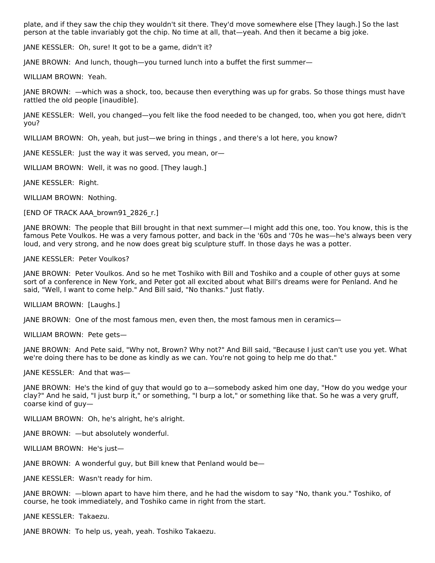plate, and if they saw the chip they wouldn't sit there. They'd move somewhere else [They laugh.] So the last person at the table invariably got the chip. No time at all, that—yeah. And then it became a big joke.

JANE KESSLER: Oh, sure! It got to be a game, didn't it?

JANE BROWN: And lunch, though—you turned lunch into a buffet the first summer—

WILLIAM BROWN: Yeah.

JANE BROWN: —which was a shock, too, because then everything was up for grabs. So those things must have rattled the old people [inaudible].

JANE KESSLER: Well, you changed—you felt like the food needed to be changed, too, when you got here, didn't you?

WILLIAM BROWN: Oh, yeah, but just—we bring in things , and there's a lot here, you know?

JANE KESSLER: Just the way it was served, you mean, or—

WILLIAM BROWN: Well, it was no good. [They laugh.]

JANE KESSLER: Right.

WILLIAM BROWN: Nothing.

[END OF TRACK AAA\_brown91\_2826\_r.]

JANE BROWN: The people that Bill brought in that next summer—I might add this one, too. You know, this is the famous Pete Voulkos. He was a very famous potter, and back in the '60s and '70s he was—he's always been very loud, and very strong, and he now does great big sculpture stuff. In those days he was a potter.

JANE KESSLER: Peter Voulkos?

JANE BROWN: Peter Voulkos. And so he met Toshiko with Bill and Toshiko and a couple of other guys at some sort of a conference in New York, and Peter got all excited about what Bill's dreams were for Penland. And he said, "Well, I want to come help." And Bill said, "No thanks." Just flatly.

WILLIAM BROWN: [Laughs.]

JANE BROWN: One of the most famous men, even then, the most famous men in ceramics—

WILLIAM BROWN: Pete gets—

JANE BROWN: And Pete said, "Why not, Brown? Why not?" And Bill said, "Because I just can't use you yet. What we're doing there has to be done as kindly as we can. You're not going to help me do that."

JANE KESSLER: And that was—

JANE BROWN: He's the kind of guy that would go to a—somebody asked him one day, "How do you wedge your clay?" And he said, "I just burp it," or something, "I burp a lot," or something like that. So he was a very gruff, coarse kind of guy—

WILLIAM BROWN: Oh, he's alright, he's alright.

JANE BROWN: —but absolutely wonderful.

WILLIAM BROWN: He's just—

JANE BROWN: A wonderful guy, but Bill knew that Penland would be—

JANE KESSLER: Wasn't ready for him.

JANE BROWN: —blown apart to have him there, and he had the wisdom to say "No, thank you." Toshiko, of course, he took immediately, and Toshiko came in right from the start.

JANE KESSLER: Takaezu.

JANE BROWN: To help us, yeah, yeah. Toshiko Takaezu.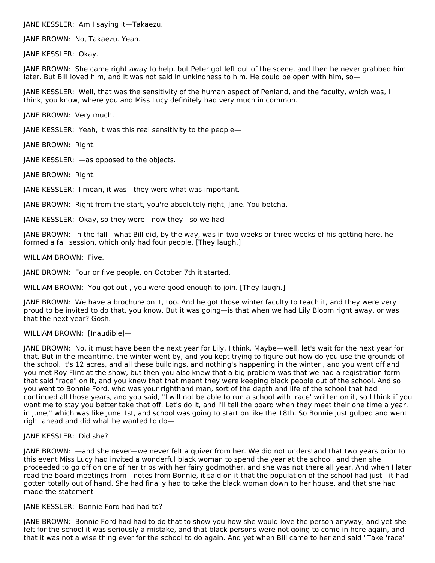JANE KESSLER: Am I saying it—Takaezu.

JANE BROWN: No, Takaezu. Yeah.

JANE KESSLER: Okay.

JANE BROWN: She came right away to help, but Peter got left out of the scene, and then he never grabbed him later. But Bill loved him, and it was not said in unkindness to him. He could be open with him, so—

JANE KESSLER: Well, that was the sensitivity of the human aspect of Penland, and the faculty, which was, I think, you know, where you and Miss Lucy definitely had very much in common.

JANE BROWN: Very much.

JANE KESSLER: Yeah, it was this real sensitivity to the people—

JANE BROWN: Right.

JANE KESSLER: —as opposed to the objects.

JANE BROWN: Right.

JANE KESSLER: I mean, it was—they were what was important.

JANE BROWN: Right from the start, you're absolutely right, Jane. You betcha.

JANE KESSLER: Okay, so they were—now they—so we had—

JANE BROWN: In the fall—what Bill did, by the way, was in two weeks or three weeks of his getting here, he formed a fall session, which only had four people. [They laugh.]

WILLIAM BROWN: Five.

JANE BROWN: Four or five people, on October 7th it started.

WILLIAM BROWN: You got out , you were good enough to join. [They laugh.]

JANE BROWN: We have a brochure on it, too. And he got those winter faculty to teach it, and they were very proud to be invited to do that, you know. But it was going—is that when we had Lily Bloom right away, or was that the next year? Gosh.

WILLIAM BROWN: [Inaudible]-

JANE BROWN: No, it must have been the next year for Lily, I think. Maybe—well, let's wait for the next year for that. But in the meantime, the winter went by, and you kept trying to figure out how do you use the grounds of the school. It's 12 acres, and all these buildings, and nothing's happening in the winter , and you went off and you met Roy Flint at the show, but then you also knew that a big problem was that we had a registration form that said "race" on it, and you knew that that meant they were keeping black people out of the school. And so you went to Bonnie Ford, who was your righthand man, sort of the depth and life of the school that had continued all those years, and you said, "I will not be able to run a school with 'race' written on it, so I think if you want me to stay you better take that off. Let's do it, and I'll tell the board when they meet their one time a year, in June," which was like June 1st, and school was going to start on like the 18th. So Bonnie just gulped and went right ahead and did what he wanted to do—

# JANE KESSLER: Did she?

JANE BROWN: —and she never—we never felt a quiver from her. We did not understand that two years prior to this event Miss Lucy had invited a wonderful black woman to spend the year at the school, and then she proceeded to go off on one of her trips with her fairy godmother, and she was not there all year. And when I later read the board meetings from—notes from Bonnie, it said on it that the population of the school had just—it had gotten totally out of hand. She had finally had to take the black woman down to her house, and that she had made the statement—

# JANE KESSLER: Bonnie Ford had had to?

JANE BROWN: Bonnie Ford had had to do that to show you how she would love the person anyway, and yet she felt for the school it was seriously a mistake, and that black persons were not going to come in here again, and that it was not a wise thing ever for the school to do again. And yet when Bill came to her and said "Take 'race'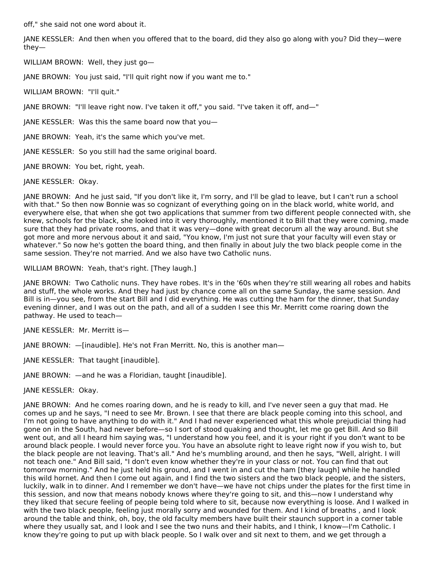off," she said not one word about it.

JANE KESSLER: And then when you offered that to the board, did they also go along with you? Did they—were they—

WILLIAM BROWN: Well, they just go—

JANE BROWN: You just said, "I'll quit right now if you want me to."

WILLIAM BROWN: "I'll quit."

JANE BROWN: "I'll leave right now. I've taken it off," you said. "I've taken it off, and—"

JANE KESSLER: Was this the same board now that you—

JANE BROWN: Yeah, it's the same which you've met.

JANE KESSLER: So you still had the same original board.

JANE BROWN: You bet, right, yeah.

JANE KESSLER: Okay.

JANE BROWN: And he just said, "If you don't like it, I'm sorry, and I'll be glad to leave, but I can't run a school with that." So then now Bonnie was so cognizant of everything going on in the black world, white world, and everywhere else, that when she got two applications that summer from two different people connected with, she knew, schools for the black, she looked into it very thoroughly, mentioned it to Bill that they were coming, made sure that they had private rooms, and that it was very—done with great decorum all the way around. But she got more and more nervous about it and said, "You know, I'm just not sure that your faculty will even stay or whatever." So now he's gotten the board thing, and then finally in about July the two black people come in the same session. They're not married. And we also have two Catholic nuns.

WILLIAM BROWN: Yeah, that's right. [They laugh.]

JANE BROWN: Two Catholic nuns. They have robes. It's in the '60s when they're still wearing all robes and habits and stuff, the whole works. And they had just by chance come all on the same Sunday, the same session. And Bill is in—you see, from the start Bill and I did everything. He was cutting the ham for the dinner, that Sunday evening dinner, and I was out on the path, and all of a sudden I see this Mr. Merritt come roaring down the pathway. He used to teach—

JANE KESSLER: Mr. Merritt is—

JANE BROWN: —[inaudible]. He's not Fran Merritt. No, this is another man—

JANE KESSLER: That taught [inaudible].

JANE BROWN: —and he was a Floridian, taught [inaudible].

JANE KESSLER: Okay.

JANE BROWN: And he comes roaring down, and he is ready to kill, and I've never seen a guy that mad. He comes up and he says, "I need to see Mr. Brown. I see that there are black people coming into this school, and I'm not going to have anything to do with it." And I had never experienced what this whole prejudicial thing had gone on in the South, had never before—so I sort of stood quaking and thought, let me go get Bill. And so Bill went out, and all I heard him saying was, "I understand how you feel, and it is your right if you don't want to be around black people. I would never force you. You have an absolute right to leave right now if you wish to, but the black people are not leaving. That's all." And he's mumbling around, and then he says, "Well, alright. I will not teach one." And Bill said, "I don't even know whether they're in your class or not. You can find that out tomorrow morning." And he just held his ground, and I went in and cut the ham [they laugh] while he handled this wild hornet. And then I come out again, and I find the two sisters and the two black people, and the sisters, luckily, walk in to dinner. And I remember we don't have—we have not chips under the plates for the first time in this session, and now that means nobody knows where they're going to sit, and this—now I understand why they liked that secure feeling of people being told where to sit, because now everything is loose. And I walked in with the two black people, feeling just morally sorry and wounded for them. And I kind of breaths , and I look around the table and think, oh, boy, the old faculty members have built their staunch support in a corner table where they usually sat, and I look and I see the two nuns and their habits, and I think, I know—I'm Catholic. I know they're going to put up with black people. So I walk over and sit next to them, and we get through a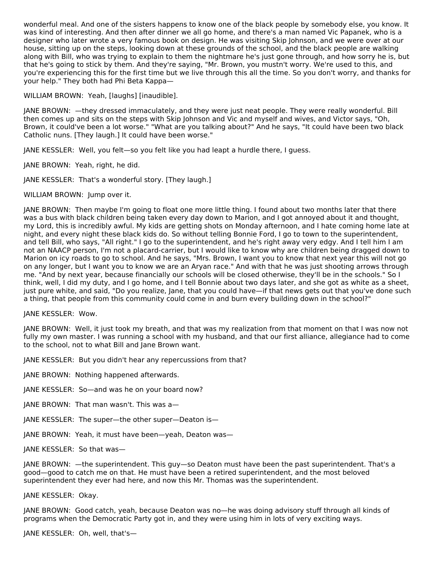wonderful meal. And one of the sisters happens to know one of the black people by somebody else, you know. It was kind of interesting. And then after dinner we all go home, and there's a man named Vic Papanek, who is a designer who later wrote a very famous book on design. He was visiting Skip Johnson, and we were over at our house, sitting up on the steps, looking down at these grounds of the school, and the black people are walking along with Bill, who was trying to explain to them the nightmare he's just gone through, and how sorry he is, but that he's going to stick by them. And they're saying, "Mr. Brown, you mustn't worry. We're used to this, and you're experiencing this for the first time but we live through this all the time. So you don't worry, and thanks for your help." They both had Phi Beta Kappa—

WILLIAM BROWN: Yeah, [laughs] [inaudible].

JANE BROWN: —they dressed immaculately, and they were just neat people. They were really wonderful. Bill then comes up and sits on the steps with Skip Johnson and Vic and myself and wives, and Victor says, "Oh, Brown, it could've been a lot worse." "What are you talking about?" And he says, "It could have been two black Catholic nuns. [They laugh.] It could have been worse."

JANE KESSLER: Well, you felt—so you felt like you had leapt a hurdle there, I guess.

JANE BROWN: Yeah, right, he did.

JANE KESSLER: That's a wonderful story. [They laugh.]

WILLIAM BROWN: Jump over it.

JANE BROWN: Then maybe I'm going to float one more little thing. I found about two months later that there was a bus with black children being taken every day down to Marion, and I got annoyed about it and thought, my Lord, this is incredibly awful. My kids are getting shots on Monday afternoon, and I hate coming home late at night, and every night these black kids do. So without telling Bonnie Ford, I go to town to the superintendent, and tell Bill, who says, "All right." I go to the superintendent, and he's right away very edgy. And I tell him I am not an NAACP person, I'm not a placard-carrier, but I would like to know why are children being dragged down to Marion on icy roads to go to school. And he says, "Mrs. Brown, I want you to know that next year this will not go on any longer, but I want you to know we are an Aryan race." And with that he was just shooting arrows through me. "And by next year, because financially our schools will be closed otherwise, they'll be in the schools." So I think, well, I did my duty, and I go home, and I tell Bonnie about two days later, and she got as white as a sheet, just pure white, and said, "Do you realize, Jane, that you could have—if that news gets out that you've done such a thing, that people from this community could come in and burn every building down in the school?"

JANE KESSLER: Wow.

JANE BROWN: Well, it just took my breath, and that was my realization from that moment on that I was now not fully my own master. I was running a school with my husband, and that our first alliance, allegiance had to come to the school, not to what Bill and Jane Brown want.

JANE KESSLER: But you didn't hear any repercussions from that?

JANE BROWN: Nothing happened afterwards.

JANE KESSLER: So—and was he on your board now?

JANE BROWN: That man wasn't. This was a—

JANE KESSLER: The super—the other super—Deaton is—

JANE BROWN: Yeah, it must have been—yeah, Deaton was—

JANE KESSLER: So that was—

JANE BROWN: —the superintendent. This guy—so Deaton must have been the past superintendent. That's a good—good to catch me on that. He must have been a retired superintendent, and the most beloved superintendent they ever had here, and now this Mr. Thomas was the superintendent.

JANE KESSLER: Okay.

JANE BROWN: Good catch, yeah, because Deaton was no—he was doing advisory stuff through all kinds of programs when the Democratic Party got in, and they were using him in lots of very exciting ways.

JANE KESSLER: Oh, well, that's—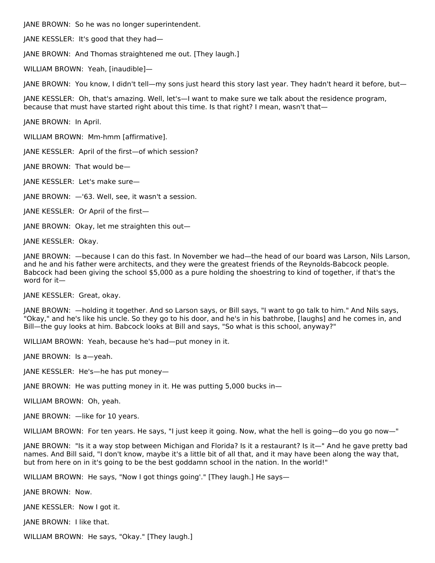JANE BROWN: So he was no longer superintendent.

JANE KESSLER: It's good that they had—

JANE BROWN: And Thomas straightened me out. [They laugh.]

WILLIAM BROWN: Yeah, [inaudible]—

JANE BROWN: You know, I didn't tell—my sons just heard this story last year. They hadn't heard it before, but—

JANE KESSLER: Oh, that's amazing. Well, let's—I want to make sure we talk about the residence program, because that must have started right about this time. Is that right? I mean, wasn't that—

JANE BROWN: In April.

WILLIAM BROWN: Mm-hmm [affirmative].

JANE KESSLER: April of the first—of which session?

JANE BROWN: That would be—

JANE KESSLER: Let's make sure—

JANE BROWN: —'63. Well, see, it wasn't a session.

JANE KESSLER: Or April of the first—

JANE BROWN: Okay, let me straighten this out—

JANE KESSLER: Okay.

JANE BROWN: —because I can do this fast. In November we had—the head of our board was Larson, Nils Larson, and he and his father were architects, and they were the greatest friends of the Reynolds-Babcock people. Babcock had been giving the school \$5,000 as a pure holding the shoestring to kind of together, if that's the word for it—

JANE KESSLER: Great, okay.

JANE BROWN: —holding it together. And so Larson says, or Bill says, "I want to go talk to him." And Nils says, "Okay," and he's like his uncle. So they go to his door, and he's in his bathrobe, [laughs] and he comes in, and Bill—the guy looks at him. Babcock looks at Bill and says, "So what is this school, anyway?"

WILLIAM BROWN: Yeah, because he's had—put money in it.

JANE BROWN: Is a—yeah.

JANE KESSLER: He's—he has put money—

JANE BROWN: He was putting money in it. He was putting 5,000 bucks in—

WILLIAM BROWN: Oh, yeah.

JANE BROWN: —like for 10 years.

WILLIAM BROWN: For ten years. He says, "I just keep it going. Now, what the hell is going—do you go now—"

JANE BROWN: "Is it a way stop between Michigan and Florida? Is it a restaurant? Is it—" And he gave pretty bad names. And Bill said, "I don't know, maybe it's a little bit of all that, and it may have been along the way that, but from here on in it's going to be the best goddamn school in the nation. In the world!"

WILLIAM BROWN: He says, "Now I got things going'." [They laugh.] He says—

JANE BROWN: Now.

JANE KESSLER: Now I got it.

JANE BROWN: I like that.

WILLIAM BROWN: He says, "Okay." [They laugh.]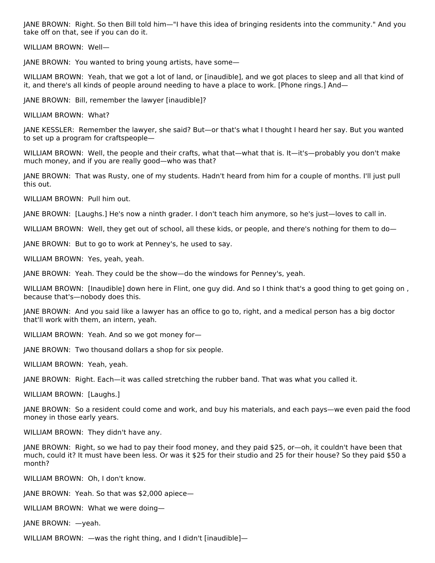JANE BROWN: Right. So then Bill told him—"I have this idea of bringing residents into the community." And you take off on that, see if you can do it.

WILLIAM BROWN: Well—

JANE BROWN: You wanted to bring young artists, have some—

WILLIAM BROWN: Yeah, that we got a lot of land, or [inaudible], and we got places to sleep and all that kind of it, and there's all kinds of people around needing to have a place to work. [Phone rings.] And—

JANE BROWN: Bill, remember the lawyer [inaudible]?

WILLIAM BROWN: What?

JANE KESSLER: Remember the lawyer, she said? But—or that's what I thought I heard her say. But you wanted to set up a program for craftspeople—

WILLIAM BROWN: Well, the people and their crafts, what that—what that is. It—it's—probably you don't make much money, and if you are really good—who was that?

JANE BROWN: That was Rusty, one of my students. Hadn't heard from him for a couple of months. I'll just pull this out.

WILLIAM BROWN: Pull him out.

JANE BROWN: [Laughs.] He's now a ninth grader. I don't teach him anymore, so he's just—loves to call in.

WILLIAM BROWN: Well, they get out of school, all these kids, or people, and there's nothing for them to do—

JANE BROWN: But to go to work at Penney's, he used to say.

WILLIAM BROWN: Yes, yeah, yeah.

JANE BROWN: Yeah. They could be the show—do the windows for Penney's, yeah.

WILLIAM BROWN: [Inaudible] down here in Flint, one guy did. And so I think that's a good thing to get going on , because that's—nobody does this.

JANE BROWN: And you said like a lawyer has an office to go to, right, and a medical person has a big doctor that'll work with them, an intern, yeah.

WILLIAM BROWN: Yeah. And so we got money for—

JANE BROWN: Two thousand dollars a shop for six people.

WILLIAM BROWN: Yeah, yeah.

JANE BROWN: Right. Each—it was called stretching the rubber band. That was what you called it.

WILLIAM BROWN: [Laughs.]

JANE BROWN: So a resident could come and work, and buy his materials, and each pays—we even paid the food money in those early years.

WILLIAM BROWN: They didn't have any.

JANE BROWN: Right, so we had to pay their food money, and they paid \$25, or—oh, it couldn't have been that much, could it? It must have been less. Or was it \$25 for their studio and 25 for their house? So they paid \$50 a month?

WILLIAM BROWN: Oh, I don't know.

JANE BROWN: Yeah. So that was \$2,000 apiece—

WILLIAM BROWN: What we were doing—

JANE BROWN: —yeah.

WILLIAM BROWN: —was the right thing, and I didn't [inaudible]—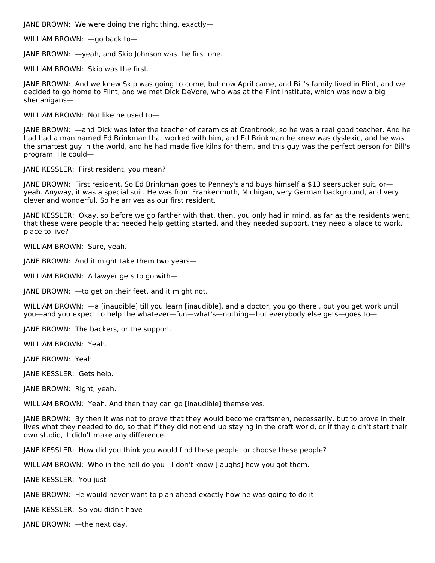JANE BROWN: We were doing the right thing, exactly—

WILLIAM BROWN: —go back to—

JANE BROWN: —yeah, and Skip Johnson was the first one.

WILLIAM BROWN: Skip was the first.

JANE BROWN: And we knew Skip was going to come, but now April came, and Bill's family lived in Flint, and we decided to go home to Flint, and we met Dick DeVore, who was at the Flint Institute, which was now a big shenanigans—

WILLIAM BROWN: Not like he used to—

JANE BROWN: —and Dick was later the teacher of ceramics at Cranbrook, so he was a real good teacher. And he had had a man named Ed Brinkman that worked with him, and Ed Brinkman he knew was dyslexic, and he was the smartest guy in the world, and he had made five kilns for them, and this guy was the perfect person for Bill's program. He could—

JANE KESSLER: First resident, you mean?

JANE BROWN: First resident. So Ed Brinkman goes to Penney's and buys himself a \$13 seersucker suit, or yeah. Anyway, it was a special suit. He was from Frankenmuth, Michigan, very German background, and very clever and wonderful. So he arrives as our first resident.

JANE KESSLER: Okay, so before we go farther with that, then, you only had in mind, as far as the residents went, that these were people that needed help getting started, and they needed support, they need a place to work, place to live?

WILLIAM BROWN: Sure, yeah.

JANE BROWN: And it might take them two years—

WILLIAM BROWN: A lawyer gets to go with—

JANE BROWN: —to get on their feet, and it might not.

WILLIAM BROWN: —a [inaudible] till you learn [inaudible], and a doctor, you go there , but you get work until you—and you expect to help the whatever—fun—what's—nothing—but everybody else gets—goes to—

JANE BROWN: The backers, or the support.

WILLIAM BROWN: Yeah.

JANE BROWN: Yeah.

JANE KESSLER: Gets help.

JANE BROWN: Right, yeah.

WILLIAM BROWN: Yeah. And then they can go [inaudible] themselves.

JANE BROWN: By then it was not to prove that they would become craftsmen, necessarily, but to prove in their lives what they needed to do, so that if they did not end up staying in the craft world, or if they didn't start their own studio, it didn't make any difference.

JANE KESSLER: How did you think you would find these people, or choose these people?

WILLIAM BROWN: Who in the hell do you—I don't know [laughs] how you got them.

JANE KESSLER: You just—

JANE BROWN: He would never want to plan ahead exactly how he was going to do it—

JANE KESSLER: So you didn't have—

JANE BROWN: —the next day.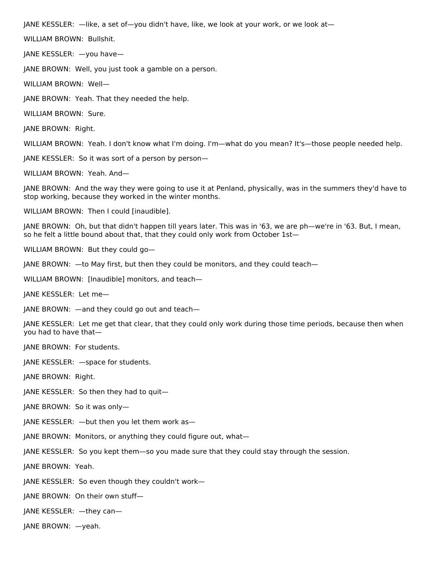JANE KESSLER: —like, a set of—you didn't have, like, we look at your work, or we look at—

WILLIAM BROWN: Bullshit.

JANE KESSLER: —you have—

JANE BROWN: Well, you just took a gamble on a person.

WILLIAM BROWN: Well—

JANE BROWN: Yeah. That they needed the help.

WILLIAM BROWN: Sure.

JANE BROWN: Right.

WILLIAM BROWN: Yeah. I don't know what I'm doing. I'm—what do you mean? It's—those people needed help.

JANE KESSLER: So it was sort of a person by person—

WILLIAM BROWN: Yeah. And—

JANE BROWN: And the way they were going to use it at Penland, physically, was in the summers they'd have to stop working, because they worked in the winter months.

WILLIAM BROWN: Then I could [inaudible].

JANE BROWN: Oh, but that didn't happen till years later. This was in '63, we are ph—we're in '63. But, I mean, so he felt a little bound about that, that they could only work from October 1st—

WILLIAM BROWN: But they could go—

JANE BROWN: —to May first, but then they could be monitors, and they could teach—

WILLIAM BROWN: [Inaudible] monitors, and teach—

JANE KESSLER: Let me—

JANE BROWN: —and they could go out and teach—

JANE KESSLER: Let me get that clear, that they could only work during those time periods, because then when you had to have that—

JANE BROWN: For students.

JANE KESSLER: —space for students.

JANE BROWN: Right.

JANE KESSLER: So then they had to quit—

JANE BROWN: So it was only—

JANE KESSLER: —but then you let them work as—

JANE BROWN: Monitors, or anything they could figure out, what—

JANE KESSLER: So you kept them—so you made sure that they could stay through the session.

JANE BROWN: Yeah.

JANE KESSLER: So even though they couldn't work—

JANE BROWN: On their own stuff—

JANE KESSLER: —they can—

JANE BROWN: —yeah.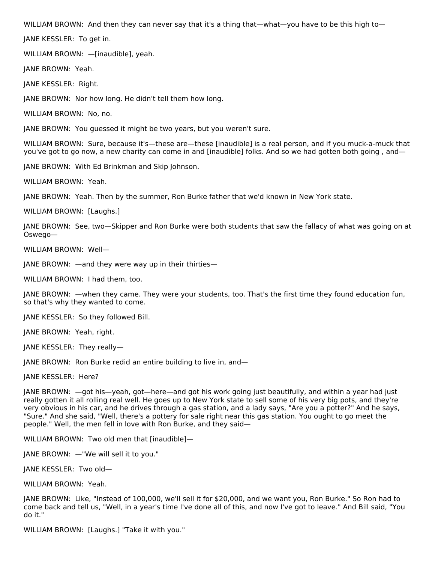WILLIAM BROWN: And then they can never say that it's a thing that—what—you have to be this high to—

JANE KESSLER: To get in.

WILLIAM BROWN: —[inaudible], yeah.

JANE BROWN: Yeah.

JANE KESSLER: Right.

JANE BROWN: Nor how long. He didn't tell them how long.

WILLIAM BROWN: No, no.

JANE BROWN: You guessed it might be two years, but you weren't sure.

WILLIAM BROWN: Sure, because it's—these are—these [inaudible] is a real person, and if you muck-a-muck that you've got to go now, a new charity can come in and [inaudible] folks. And so we had gotten both going , and—

JANE BROWN: With Ed Brinkman and Skip Johnson.

WILLIAM BROWN: Yeah.

JANE BROWN: Yeah. Then by the summer, Ron Burke father that we'd known in New York state.

WILLIAM BROWN: [Laughs.]

JANE BROWN: See, two—Skipper and Ron Burke were both students that saw the fallacy of what was going on at Oswego—

WILLIAM BROWN: Well—

JANE BROWN: —and they were way up in their thirties—

WILLIAM BROWN: I had them, too.

JANE BROWN: —when they came. They were your students, too. That's the first time they found education fun, so that's why they wanted to come.

JANE KESSLER: So they followed Bill.

JANE BROWN: Yeah, right.

JANE KESSLER: They really—

JANE BROWN: Ron Burke redid an entire building to live in, and—

JANE KESSLER: Here?

JANE BROWN: —got his—yeah, got—here—and got his work going just beautifully, and within a year had just really gotten it all rolling real well. He goes up to New York state to sell some of his very big pots, and they're very obvious in his car, and he drives through a gas station, and a lady says, "Are you a potter?" And he says, "Sure." And she said, "Well, there's a pottery for sale right near this gas station. You ought to go meet the people." Well, the men fell in love with Ron Burke, and they said—

WILLIAM BROWN: Two old men that [inaudible]—

JANE BROWN: —"We will sell it to you."

JANE KESSLER: Two old—

WILLIAM BROWN: Yeah.

JANE BROWN: Like, "Instead of 100,000, we'll sell it for \$20,000, and we want you, Ron Burke." So Ron had to come back and tell us, "Well, in a year's time I've done all of this, and now I've got to leave." And Bill said, "You do it."

WILLIAM BROWN: [Laughs.] "Take it with you."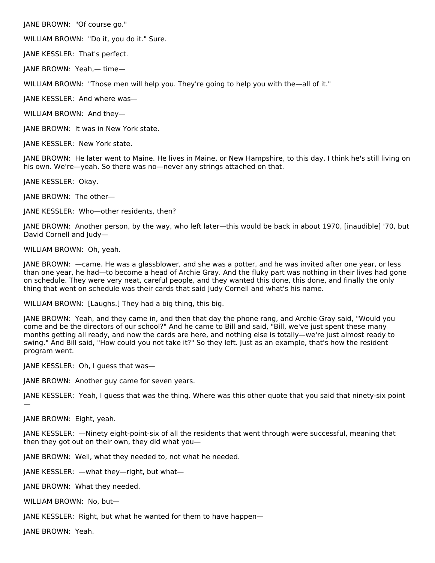JANE BROWN: "Of course go."

WILLIAM BROWN: "Do it, you do it." Sure.

JANE KESSLER: That's perfect.

JANE BROWN: Yeah,— time—

WILLIAM BROWN: "Those men will help you. They're going to help you with the—all of it."

JANE KESSLER: And where was—

WILLIAM BROWN: And they—

JANE BROWN: It was in New York state.

JANE KESSLER: New York state.

JANE BROWN: He later went to Maine. He lives in Maine, or New Hampshire, to this day. I think he's still living on his own. We're—yeah. So there was no—never any strings attached on that.

JANE KESSLER: Okay.

JANE BROWN: The other—

JANE KESSLER: Who—other residents, then?

JANE BROWN: Another person, by the way, who left later—this would be back in about 1970, [inaudible] '70, but David Cornell and Judy—

WILLIAM BROWN: Oh, yeah.

JANE BROWN: —came. He was a glassblower, and she was a potter, and he was invited after one year, or less than one year, he had—to become a head of Archie Gray. And the fluky part was nothing in their lives had gone on schedule. They were very neat, careful people, and they wanted this done, this done, and finally the only thing that went on schedule was their cards that said Judy Cornell and what's his name.

WILLIAM BROWN: [Laughs.] They had a big thing, this big.

JANE BROWN: Yeah, and they came in, and then that day the phone rang, and Archie Gray said, "Would you come and be the directors of our school?" And he came to Bill and said, "Bill, we've just spent these many months getting all ready, and now the cards are here, and nothing else is totally—we're just almost ready to swing." And Bill said, "How could you not take it?" So they left. Just as an example, that's how the resident program went.

JANE KESSLER: Oh, I guess that was—

JANE BROWN: Another guy came for seven years.

JANE KESSLER: Yeah, I guess that was the thing. Where was this other quote that you said that ninety-six point

JANE BROWN: Eight, yeah.

—

JANE KESSLER: —Ninety eight-point-six of all the residents that went through were successful, meaning that then they got out on their own, they did what you—

JANE BROWN: Well, what they needed to, not what he needed.

JANE KESSLER: —what they—right, but what—

JANE BROWN: What they needed.

WILLIAM BROWN: No, but—

JANE KESSLER: Right, but what he wanted for them to have happen—

JANE BROWN: Yeah.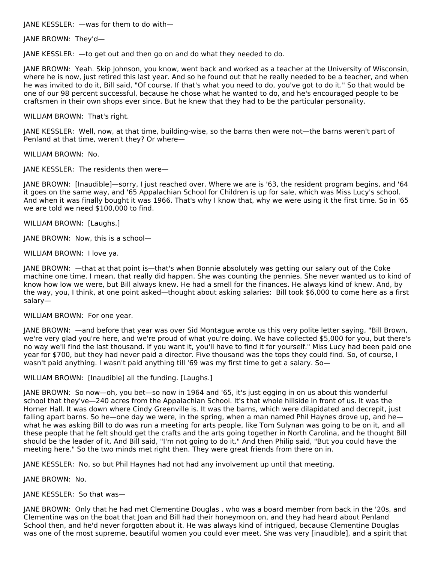JANE KESSLER: —was for them to do with—

JANE BROWN: They'd—

JANE KESSLER: —to get out and then go on and do what they needed to do.

JANE BROWN: Yeah. Skip Johnson, you know, went back and worked as a teacher at the University of Wisconsin, where he is now, just retired this last year. And so he found out that he really needed to be a teacher, and when he was invited to do it, Bill said, "Of course. If that's what you need to do, you've got to do it." So that would be one of our 98 percent successful, because he chose what he wanted to do, and he's encouraged people to be craftsmen in their own shops ever since. But he knew that they had to be the particular personality.

WILLIAM BROWN: That's right.

JANE KESSLER: Well, now, at that time, building-wise, so the barns then were not—the barns weren't part of Penland at that time, weren't they? Or where—

WILLIAM BROWN: No.

JANE KESSLER: The residents then were—

JANE BROWN: [Inaudible]—sorry, I just reached over. Where we are is '63, the resident program begins, and '64 it goes on the same way, and '65 Appalachian School for Children is up for sale, which was Miss Lucy's school. And when it was finally bought it was 1966. That's why I know that, why we were using it the first time. So in '65 we are told we need \$100,000 to find.

WILLIAM BROWN: [Laughs.]

JANE BROWN: Now, this is a school—

WILLIAM BROWN: I love ya.

JANE BROWN: —that at that point is—that's when Bonnie absolutely was getting our salary out of the Coke machine one time. I mean, that really did happen. She was counting the pennies. She never wanted us to kind of know how low we were, but Bill always knew. He had a smell for the finances. He always kind of knew. And, by the way, you, I think, at one point asked—thought about asking salaries: Bill took \$6,000 to come here as a first salary—

### WILLIAM BROWN: For one year.

JANE BROWN: —and before that year was over Sid Montague wrote us this very polite letter saying, "Bill Brown, we're very glad you're here, and we're proud of what you're doing. We have collected \$5,000 for you, but there's no way we'll find the last thousand. If you want it, you'll have to find it for yourself." Miss Lucy had been paid one year for \$700, but they had never paid a director. Five thousand was the tops they could find. So, of course, I wasn't paid anything. I wasn't paid anything till '69 was my first time to get a salary. So-

WILLIAM BROWN: [Inaudible] all the funding. [Laughs.]

JANE BROWN: So now—oh, you bet—so now in 1964 and '65, it's just egging in on us about this wonderful school that they've—240 acres from the Appalachian School. It's that whole hillside in front of us. It was the Horner Hall. It was down where Cindy Greenville is. It was the barns, which were dilapidated and decrepit, just falling apart barns. So he—one day we were, in the spring, when a man named Phil Haynes drove up, and he what he was asking Bill to do was run a meeting for arts people, like Tom Sulynan was going to be on it, and all these people that he felt should get the crafts and the arts going together in North Carolina, and he thought Bill should be the leader of it. And Bill said, "I'm not going to do it." And then Philip said, "But you could have the meeting here." So the two minds met right then. They were great friends from there on in.

JANE KESSLER: No, so but Phil Haynes had not had any involvement up until that meeting.

JANE BROWN: No.

# JANE KESSLER: So that was—

JANE BROWN: Only that he had met Clementine Douglas , who was a board member from back in the '20s, and Clementine was on the boat that Joan and Bill had their honeymoon on, and they had heard about Penland School then, and he'd never forgotten about it. He was always kind of intrigued, because Clementine Douglas was one of the most supreme, beautiful women you could ever meet. She was very [inaudible], and a spirit that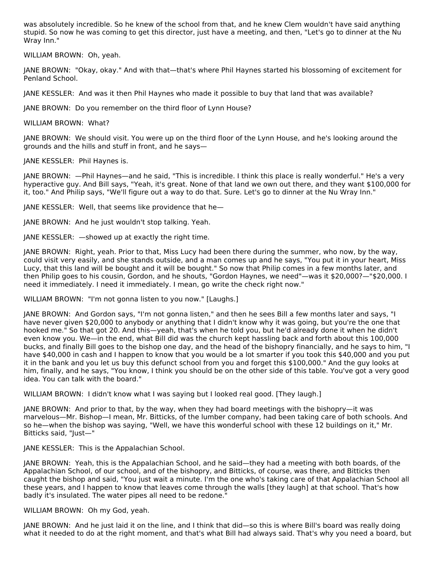was absolutely incredible. So he knew of the school from that, and he knew Clem wouldn't have said anything stupid. So now he was coming to get this director, just have a meeting, and then, "Let's go to dinner at the Nu Wray Inn."

WILLIAM BROWN: Oh, yeah.

JANE BROWN: "Okay, okay." And with that—that's where Phil Haynes started his blossoming of excitement for Penland School.

JANE KESSLER: And was it then Phil Haynes who made it possible to buy that land that was available?

JANE BROWN: Do you remember on the third floor of Lynn House?

WILLIAM BROWN: What?

JANE BROWN: We should visit. You were up on the third floor of the Lynn House, and he's looking around the grounds and the hills and stuff in front, and he says—

JANE KESSLER: Phil Haynes is.

JANE BROWN: —Phil Haynes—and he said, "This is incredible. I think this place is really wonderful." He's a very hyperactive guy. And Bill says, "Yeah, it's great. None of that land we own out there, and they want \$100,000 for it, too." And Philip says, "We'll figure out a way to do that. Sure. Let's go to dinner at the Nu Wray Inn."

JANE KESSLER: Well, that seems like providence that he—

JANE BROWN: And he just wouldn't stop talking. Yeah.

JANE KESSLER: —showed up at exactly the right time.

JANE BROWN: Right, yeah. Prior to that, Miss Lucy had been there during the summer, who now, by the way, could visit very easily, and she stands outside, and a man comes up and he says, "You put it in your heart, Miss Lucy, that this land will be bought and it will be bought." So now that Philip comes in a few months later, and then Philip goes to his cousin, Gordon, and he shouts, "Gordon Haynes, we need"—was it \$20,000?—"\$20,000. I need it immediately. I need it immediately. I mean, go write the check right now."

WILLIAM BROWN: "I'm not gonna listen to you now." [Laughs.]

JANE BROWN: And Gordon says, "I'm not gonna listen," and then he sees Bill a few months later and says, "I have never given \$20,000 to anybody or anything that I didn't know why it was going, but you're the one that hooked me." So that got 20. And this—yeah, that's when he told you, but he'd already done it when he didn't even know you. We—in the end, what Bill did was the church kept hassling back and forth about this 100,000 bucks, and finally Bill goes to the bishop one day, and the head of the bishopry financially, and he says to him, "I have \$40,000 in cash and I happen to know that you would be a lot smarter if you took this \$40,000 and you put it in the bank and you let us buy this defunct school from you and forget this \$100,000." And the guy looks at him, finally, and he says, "You know, I think you should be on the other side of this table. You've got a very good idea. You can talk with the board."

WILLIAM BROWN: I didn't know what I was saying but I looked real good. [They laugh.]

JANE BROWN: And prior to that, by the way, when they had board meetings with the bishopry—it was marvelous—Mr. Bishop—I mean, Mr. Bitticks, of the lumber company, had been taking care of both schools. And so he—when the bishop was saying, "Well, we have this wonderful school with these 12 buildings on it," Mr. Bitticks said, "Just—"

JANE KESSLER: This is the Appalachian School.

JANE BROWN: Yeah, this is the Appalachian School, and he said—they had a meeting with both boards, of the Appalachian School, of our school, and of the bishopry, and Bitticks, of course, was there, and Bitticks then caught the bishop and said, "You just wait a minute. I'm the one who's taking care of that Appalachian School all these years, and I happen to know that leaves come through the walls [they laugh] at that school. That's how badly it's insulated. The water pipes all need to be redone."

WILLIAM BROWN: Oh my God, yeah.

JANE BROWN: And he just laid it on the line, and I think that did—so this is where Bill's board was really doing what it needed to do at the right moment, and that's what Bill had always said. That's why you need a board, but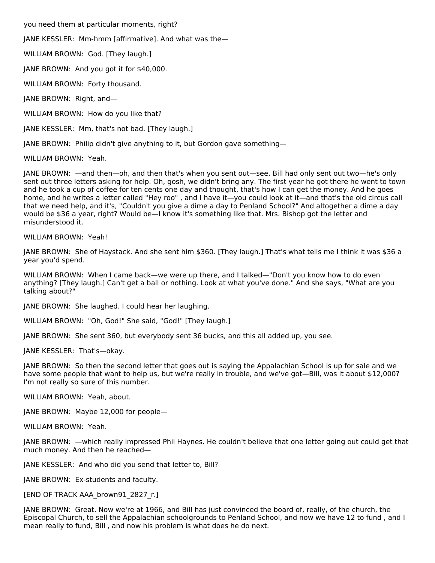you need them at particular moments, right?

JANE KESSLER: Mm-hmm [affirmative]. And what was the—

WILLIAM BROWN: God. [They laugh.]

JANE BROWN: And you got it for \$40,000.

WILLIAM BROWN: Forty thousand.

JANE BROWN: Right, and—

WILLIAM BROWN: How do you like that?

JANE KESSLER: Mm, that's not bad. [They laugh.]

JANE BROWN: Philip didn't give anything to it, but Gordon gave something—

WILLIAM BROWN: Yeah.

JANE BROWN: —and then—oh, and then that's when you sent out—see, Bill had only sent out two—he's only sent out three letters asking for help. Oh, gosh, we didn't bring any. The first year he got there he went to town and he took a cup of coffee for ten cents one day and thought, that's how I can get the money. And he goes home, and he writes a letter called "Hey roo", and I have it—you could look at it—and that's the old circus call that we need help, and it's, "Couldn't you give a dime a day to Penland School?" And altogether a dime a day would be \$36 a year, right? Would be—I know it's something like that. Mrs. Bishop got the letter and misunderstood it.

WILLIAM BROWN: Yeah!

JANE BROWN: She of Haystack. And she sent him \$360. [They laugh.] That's what tells me I think it was \$36 a year you'd spend.

WILLIAM BROWN: When I came back—we were up there, and I talked—"Don't you know how to do even anything? [They laugh.] Can't get a ball or nothing. Look at what you've done." And she says, "What are you talking about?"

JANE BROWN: She laughed. I could hear her laughing.

WILLIAM BROWN: "Oh, God!" She said, "God!" [They laugh.]

JANE BROWN: She sent 360, but everybody sent 36 bucks, and this all added up, you see.

JANE KESSLER: That's—okay.

JANE BROWN: So then the second letter that goes out is saying the Appalachian School is up for sale and we have some people that want to help us, but we're really in trouble, and we've got—Bill, was it about \$12,000? I'm not really so sure of this number.

WILLIAM BROWN: Yeah, about.

JANE BROWN: Maybe 12,000 for people—

WILLIAM BROWN: Yeah.

JANE BROWN: —which really impressed Phil Haynes. He couldn't believe that one letter going out could get that much money. And then he reached—

JANE KESSLER: And who did you send that letter to, Bill?

JANE BROWN: Ex-students and faculty.

[END OF TRACK AAA\_brown91\_2827\_r.]

JANE BROWN: Great. Now we're at 1966, and Bill has just convinced the board of, really, of the church, the Episcopal Church, to sell the Appalachian schoolgrounds to Penland School, and now we have 12 to fund , and I mean really to fund, Bill , and now his problem is what does he do next.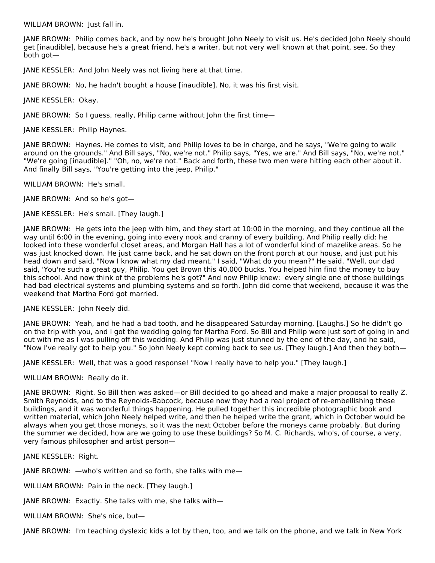WILLIAM BROWN: Just fall in.

JANE BROWN: Philip comes back, and by now he's brought John Neely to visit us. He's decided John Neely should get [inaudible], because he's a great friend, he's a writer, but not very well known at that point, see. So they both got—

JANE KESSLER: And John Neely was not living here at that time.

JANE BROWN: No, he hadn't bought a house [inaudible]. No, it was his first visit.

JANE KESSLER: Okay.

JANE BROWN: So I guess, really, Philip came without John the first time—

JANE KESSLER: Philip Haynes.

JANE BROWN: Haynes. He comes to visit, and Philip loves to be in charge, and he says, "We're going to walk around on the grounds." And Bill says, "No, we're not." Philip says, "Yes, we are." And Bill says, "No, we're not." "We're going [inaudible]." "Oh, no, we're not." Back and forth, these two men were hitting each other about it. And finally Bill says, "You're getting into the jeep, Philip."

WILLIAM BROWN: He's small.

JANE BROWN: And so he's got—

JANE KESSLER: He's small. [They laugh.]

JANE BROWN: He gets into the jeep with him, and they start at 10:00 in the morning, and they continue all the way until 6:00 in the evening, going into every nook and cranny of every building. And Philip really did: he looked into these wonderful closet areas, and Morgan Hall has a lot of wonderful kind of mazelike areas. So he was just knocked down. He just came back, and he sat down on the front porch at our house, and just put his head down and said, "Now I know what my dad meant." I said, "What do you mean?" He said, "Well, our dad said, 'You're such a great guy, Philip. You get Brown this 40,000 bucks. You helped him find the money to buy this school. And now think of the problems he's got?" And now Philip knew: every single one of those buildings had bad electrical systems and plumbing systems and so forth. John did come that weekend, because it was the weekend that Martha Ford got married.

JANE KESSLER: John Neely did.

JANE BROWN: Yeah, and he had a bad tooth, and he disappeared Saturday morning. [Laughs.] So he didn't go on the trip with you, and I got the wedding going for Martha Ford. So Bill and Philip were just sort of going in and out with me as I was pulling off this wedding. And Philip was just stunned by the end of the day, and he said, "Now I've really got to help you." So John Neely kept coming back to see us. [They laugh.] And then they both—

JANE KESSLER: Well, that was a good response! "Now I really have to help you." [They laugh.]

WILLIAM BROWN: Really do it.

JANE BROWN: Right. So Bill then was asked—or Bill decided to go ahead and make a major proposal to really Z. Smith Reynolds, and to the Reynolds-Babcock, because now they had a real project of re-embellishing these buildings, and it was wonderful things happening. He pulled together this incredible photographic book and written material, which John Neely helped write, and then he helped write the grant, which in October would be always when you get those moneys, so it was the next October before the moneys came probably. But during the summer we decided, how are we going to use these buildings? So M. C. Richards, who's, of course, a very, very famous philosopher and artist person—

JANE KESSLER: Right.

JANE BROWN: —who's written and so forth, she talks with me—

WILLIAM BROWN: Pain in the neck. [They laugh.]

JANE BROWN: Exactly. She talks with me, she talks with—

WILLIAM BROWN: She's nice, but—

JANE BROWN: I'm teaching dyslexic kids a lot by then, too, and we talk on the phone, and we talk in New York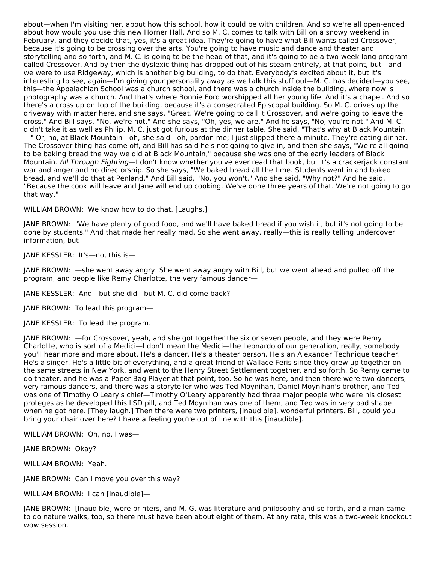about—when I'm visiting her, about how this school, how it could be with children. And so we're all open-ended about how would you use this new Horner Hall. And so M. C. comes to talk with Bill on a snowy weekend in February, and they decide that, yes, it's a great idea. They're going to have what Bill wants called Crossover, because it's going to be crossing over the arts. You're going to have music and dance and theater and storytelling and so forth, and M. C. is going to be the head of that, and it's going to be a two-week-long program called Crossover. And by then the dyslexic thing has dropped out of his steam entirely, at that point, but—and we were to use Ridgeway, which is another big building, to do that. Everybody's excited about it, but it's interesting to see, again—I'm giving your personality away as we talk this stuff out—M. C. has decided—you see, this—the Appalachian School was a church school, and there was a church inside the building, where now is photography was a church. And that's where Bonnie Ford worshipped all her young life. And it's a chapel. And so there's a cross up on top of the building, because it's a consecrated Episcopal building. So M. C. drives up the driveway with matter here, and she says, "Great. We're going to call it Crossover, and we're going to leave the cross." And Bill says, "No, we're not." And she says, "Oh, yes, we are." And he says, "No, you're not." And M. C. didn't take it as well as Philip. M. C. just got furious at the dinner table. She said, "That's why at Black Mountain —" Or, no, at Black Mountain—oh, she said—oh, pardon me; I just slipped there a minute. They're eating dinner. The Crossover thing has come off, and Bill has said he's not going to give in, and then she says, "We're all going to be baking bread the way we did at Black Mountain," because she was one of the early leaders of Black Mountain. All Through Fighting—I don't know whether you've ever read that book, but it's a crackerjack constant war and anger and no directorship. So she says, "We baked bread all the time. Students went in and baked bread, and we'll do that at Penland." And Bill said, "No, you won't." And she said, "Why not?" And he said, "Because the cook will leave and Jane will end up cooking. We've done three years of that. We're not going to go that way."

WILLIAM BROWN: We know how to do that. [Laughs.]

JANE BROWN: "We have plenty of good food, and we'll have baked bread if you wish it, but it's not going to be done by students." And that made her really mad. So she went away, really—this is really telling undercover information, but—

JANE KESSLER: It's—no, this is—

JANE BROWN: —she went away angry. She went away angry with Bill, but we went ahead and pulled off the program, and people like Remy Charlotte, the very famous dancer—

JANE KESSLER: And—but she did—but M. C. did come back?

JANE BROWN: To lead this program—

JANE KESSLER: To lead the program.

JANE BROWN: —for Crossover, yeah, and she got together the six or seven people, and they were Remy Charlotte, who is sort of a Medici—I don't mean the Medici—the Leonardo of our generation, really, somebody you'll hear more and more about. He's a dancer. He's a theater person. He's an Alexander Technique teacher. He's a singer. He's a little bit of everything, and a great friend of Wallace Feris since they grew up together on the same streets in New York, and went to the Henry Street Settlement together, and so forth. So Remy came to do theater, and he was a Paper Bag Player at that point, too. So he was here, and then there were two dancers, very famous dancers, and there was a storyteller who was Ted Moynihan, Daniel Moynihan's brother, and Ted was one of Timothy O'Leary's chief—Timothy O'Leary apparently had three major people who were his closest proteges as he developed this LSD pill, and Ted Moynihan was one of them, and Ted was in very bad shape when he got here. [They laugh.] Then there were two printers, [inaudible], wonderful printers. Bill, could you bring your chair over here? I have a feeling you're out of line with this [inaudible].

WILLIAM BROWN: Oh, no, I was—

JANE BROWN: Okay?

WILLIAM BROWN: Yeah.

JANE BROWN: Can I move you over this way?

WILLIAM BROWN: I can [inaudible]—

JANE BROWN: [Inaudible] were printers, and M. G. was literature and philosophy and so forth, and a man came to do nature walks, too, so there must have been about eight of them. At any rate, this was a two-week knockout wow session.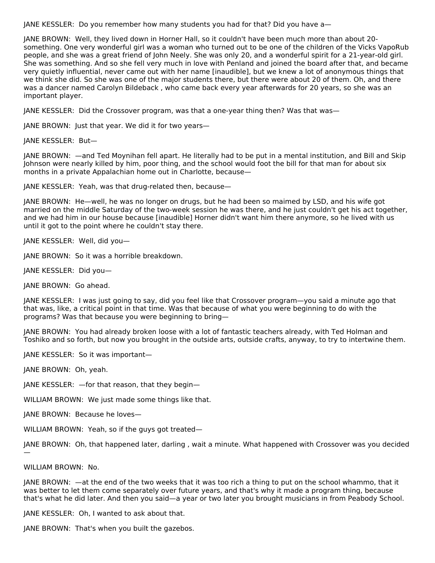JANE KESSLER: Do you remember how many students you had for that? Did you have a—

JANE BROWN: Well, they lived down in Horner Hall, so it couldn't have been much more than about 20 something. One very wonderful girl was a woman who turned out to be one of the children of the Vicks VapoRub people, and she was a great friend of John Neely. She was only 20, and a wonderful spirit for a 21-year-old girl. She was something. And so she fell very much in love with Penland and joined the board after that, and became very quietly influential, never came out with her name [inaudible], but we knew a lot of anonymous things that we think she did. So she was one of the major students there, but there were about 20 of them. Oh, and there was a dancer named Carolyn Bildeback , who came back every year afterwards for 20 years, so she was an important player.

JANE KESSLER: Did the Crossover program, was that a one-year thing then? Was that was—

JANE BROWN: Just that year. We did it for two years—

JANE KESSLER: But—

JANE BROWN: —and Ted Moynihan fell apart. He literally had to be put in a mental institution, and Bill and Skip Johnson were nearly killed by him, poor thing, and the school would foot the bill for that man for about six months in a private Appalachian home out in Charlotte, because—

JANE KESSLER: Yeah, was that drug-related then, because—

JANE BROWN: He—well, he was no longer on drugs, but he had been so maimed by LSD, and his wife got married on the middle Saturday of the two-week session he was there, and he just couldn't get his act together, and we had him in our house because [inaudible] Horner didn't want him there anymore, so he lived with us until it got to the point where he couldn't stay there.

JANE KESSLER: Well, did you—

JANE BROWN: So it was a horrible breakdown.

JANE KESSLER: Did you—

JANE BROWN: Go ahead.

JANE KESSLER: I was just going to say, did you feel like that Crossover program—you said a minute ago that that was, like, a critical point in that time. Was that because of what you were beginning to do with the programs? Was that because you were beginning to bring—

JANE BROWN: You had already broken loose with a lot of fantastic teachers already, with Ted Holman and Toshiko and so forth, but now you brought in the outside arts, outside crafts, anyway, to try to intertwine them.

JANE KESSLER: So it was important—

JANE BROWN: Oh, yeah.

JANE KESSLER: —for that reason, that they begin—

WILLIAM BROWN: We just made some things like that.

JANE BROWN: Because he loves—

WILLIAM BROWN: Yeah, so if the guys got treated—

JANE BROWN: Oh, that happened later, darling , wait a minute. What happened with Crossover was you decided —

### WILLIAM BROWN: No.

JANE BROWN: —at the end of the two weeks that it was too rich a thing to put on the school whammo, that it was better to let them come separately over future years, and that's why it made a program thing, because that's what he did later. And then you said—a year or two later you brought musicians in from Peabody School.

JANE KESSLER: Oh, I wanted to ask about that.

JANE BROWN: That's when you built the gazebos.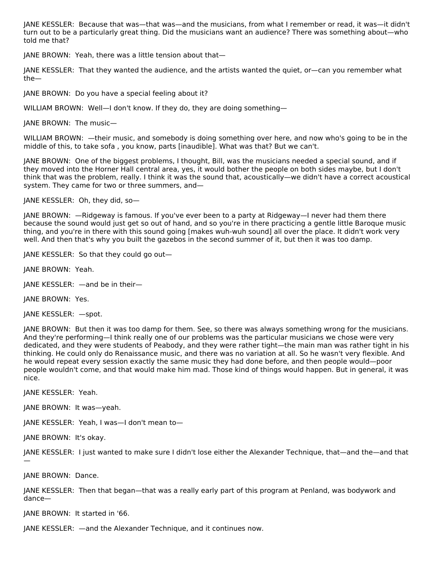JANE KESSLER: Because that was—that was—and the musicians, from what I remember or read, it was—it didn't turn out to be a particularly great thing. Did the musicians want an audience? There was something about—who told me that?

JANE BROWN: Yeah, there was a little tension about that—

JANE KESSLER: That they wanted the audience, and the artists wanted the quiet, or—can you remember what the—

JANE BROWN: Do you have a special feeling about it?

WILLIAM BROWN: Well—I don't know. If they do, they are doing something—

JANE BROWN: The music—

WILLIAM BROWN: —their music, and somebody is doing something over here, and now who's going to be in the middle of this, to take sofa , you know, parts [inaudible]. What was that? But we can't.

JANE BROWN: One of the biggest problems, I thought, Bill, was the musicians needed a special sound, and if they moved into the Horner Hall central area, yes, it would bother the people on both sides maybe, but I don't think that was the problem, really. I think it was the sound that, acoustically—we didn't have a correct acoustical system. They came for two or three summers, and—

JANE KESSLER: Oh, they did, so—

JANE BROWN: —Ridgeway is famous. If you've ever been to a party at Ridgeway—I never had them there because the sound would just get so out of hand, and so you're in there practicing a gentle little Baroque music thing, and you're in there with this sound going [makes wuh-wuh sound] all over the place. It didn't work very well. And then that's why you built the gazebos in the second summer of it, but then it was too damp.

JANE KESSLER: So that they could go out—

JANE BROWN: Yeah.

JANE KESSLER: —and be in their—

JANE BROWN: Yes.

JANE KESSLER: —spot.

JANE BROWN: But then it was too damp for them. See, so there was always something wrong for the musicians. And they're performing—I think really one of our problems was the particular musicians we chose were very dedicated, and they were students of Peabody, and they were rather tight—the main man was rather tight in his thinking. He could only do Renaissance music, and there was no variation at all. So he wasn't very flexible. And he would repeat every session exactly the same music they had done before, and then people would—poor people wouldn't come, and that would make him mad. Those kind of things would happen. But in general, it was nice.

JANE KESSLER: Yeah.

JANE BROWN: It was—yeah.

JANE KESSLER: Yeah, I was—I don't mean to—

JANE BROWN: It's okay.

JANE KESSLER: I just wanted to make sure I didn't lose either the Alexander Technique, that—and the—and that —

JANE BROWN: Dance.

JANE KESSLER: Then that began—that was a really early part of this program at Penland, was bodywork and dance—

JANE BROWN: It started in '66.

JANE KESSLER: —and the Alexander Technique, and it continues now.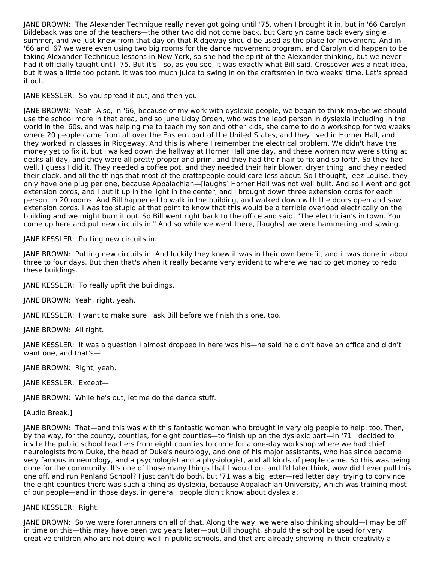JANE BROWN: The Alexander Technique really never got going until '75, when I brought it in, but in '66 Carolyn Bildeback was one of the teachers—the other two did not come back, but Carolyn came back every single summer, and we just knew from that day on that Ridgeway should be used as the place for movement. And in '66 and '67 we were even using two big rooms for the dance movement program, and Carolyn did happen to be taking Alexander Technique lessons in New York, so she had the spirit of the Alexander thinking, but we never had it officially taught until '75. But it's—so, as you see, it was exactly what Bill said. Crossover was a neat idea, but it was a little too potent. It was too much juice to swing in on the craftsmen in two weeks' time. Let's spread it out.

JANE KESSLER: So you spread it out, and then you—

JANE BROWN: Yeah. Also, in '66, because of my work with dyslexic people, we began to think maybe we should use the school more in that area, and so June Liday Orden, who was the lead person in dyslexia including in the world in the '60s, and was helping me to teach my son and other kids, she came to do a workshop for two weeks where 20 people came from all over the Eastern part of the United States, and they lived in Horner Hall, and they worked in classes in Ridgeway. And this is where I remember the electrical problem. We didn't have the money yet to fix it, but I walked down the hallway at Horner Hall one day, and these women now were sitting at desks all day, and they were all pretty proper and prim, and they had their hair to fix and so forth. So they had well, I guess I did it. They needed a coffee pot, and they needed their hair blower, dryer thing, and they needed their clock, and all the things that most of the craftspeople could care less about. So I thought, jeez Louise, they only have one plug per one, because Appalachian—[laughs] Horner Hall was not well built. And so I went and got extension cords, and I put it up in the light in the center, and I brought down three extension cords for each person, in 20 rooms. And Bill happened to walk in the building, and walked down with the doors open and saw extension cords. I was too stupid at that point to know that this would be a terrible overload electrically on the building and we might burn it out. So Bill went right back to the office and said, "The electrician's in town. You come up here and put new circuits in." And so while we went there, [laughs] we were hammering and sawing.

JANE KESSLER: Putting new circuits in.

JANE BROWN: Putting new circuits in. And luckily they knew it was in their own benefit, and it was done in about three to four days. But then that's when it really became very evident to where we had to get money to redo these buildings.

JANE KESSLER: To really upfit the buildings.

JANE BROWN: Yeah, right, yeah.

JANE KESSLER: I want to make sure I ask Bill before we finish this one, too.

JANE BROWN: All right.

JANE KESSLER: It was a question I almost dropped in here was his—he said he didn't have an office and didn't want one, and that's—

JANE BROWN: Right, yeah.

JANE KESSLER: Except—

JANE BROWN: While he's out, let me do the dance stuff.

[Audio Break.]

JANE BROWN: That—and this was with this fantastic woman who brought in very big people to help, too. Then, by the way, for the county, counties, for eight counties—to finish up on the dyslexic part—in '71 I decided to invite the public school teachers from eight counties to come for a one-day workshop where we had chief neurologists from Duke, the head of Duke's neurology, and one of his major assistants, who has since become very famous in neurology, and a psychologist and a physiologist, and all kinds of people came. So this was being done for the community. It's one of those many things that I would do, and I'd later think, wow did I ever pull this one off, and run Penland School? I just can't do both, but '71 was a big letter—red letter day, trying to convince the eight counties there was such a thing as dyslexia, because Appalachian University, which was training most of our people—and in those days, in general, people didn't know about dyslexia.

### JANE KESSLER: Right.

JANE BROWN: So we were forerunners on all of that. Along the way, we were also thinking should—I may be off in time on this—this may have been two years later—but Bill thought, should the school be used for very creative children who are not doing well in public schools, and that are already showing in their creativity a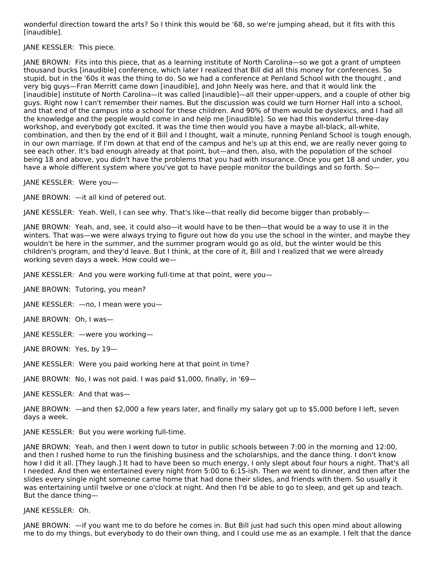wonderful direction toward the arts? So I think this would be '68, so we're jumping ahead, but it fits with this [inaudible].

JANE KESSLER: This piece.

JANE BROWN: Fits into this piece, that as a learning institute of North Carolina—so we got a grant of umpteen thousand bucks [inaudible] conference, which later I realized that Bill did all this money for conferences. So stupid, but in the '60s it was the thing to do. So we had a conference at Penland School with the thought , and very big guys—Fran Merritt came down [inaudible], and John Neely was here, and that it would link the [inaudible] institute of North Carolina—it was called [inaudible]—all their upper-uppers, and a couple of other big guys. Right now I can't remember their names. But the discussion was could we turn Horner Hall into a school, and that end of the campus into a school for these children. And 90% of them would be dyslexics, and I had all the knowledge and the people would come in and help me [inaudible]. So we had this wonderful three-day workshop, and everybody got excited. It was the time then would you have a maybe all-black, all-white, combination, and then by the end of it Bill and I thought, wait a minute, running Penland School is tough enough, in our own marriage. If I'm down at that end of the campus and he's up at this end, we are really never going to see each other. It's bad enough already at that point, but—and then, also, with the population of the school being 18 and above, you didn't have the problems that you had with insurance. Once you get 18 and under, you have a whole different system where you've got to have people monitor the buildings and so forth. So-

JANE KESSLER: Were you—

JANE BROWN: —it all kind of petered out.

JANE KESSLER: Yeah. Well, I can see why. That's like—that really did become bigger than probably—

JANE BROWN: Yeah, and, see, it could also—it would have to be then—that would be a way to use it in the winters. That was—we were always trying to figure out how do you use the school in the winter, and maybe they wouldn't be here in the summer, and the summer program would go as old, but the winter would be this children's program, and they'd leave. But I think, at the core of it, Bill and I realized that we were already working seven days a week. How could we—

JANE KESSLER: And you were working full-time at that point, were you—

JANE BROWN: Tutoring, you mean?

JANE KESSLER: —no, I mean were you—

JANE BROWN: Oh, I was—

JANE KESSLER: —were you working—

JANE BROWN: Yes, by 19—

JANE KESSLER: Were you paid working here at that point in time?

JANE BROWN: No, I was not paid. I was paid \$1,000, finally, in '69—

JANE KESSLER: And that was—

JANE BROWN: —and then \$2,000 a few years later, and finally my salary got up to \$5,000 before I left, seven days a week.

JANE KESSLER: But you were working full-time.

JANE BROWN: Yeah, and then I went down to tutor in public schools between 7:00 in the morning and 12:00, and then I rushed home to run the finishing business and the scholarships, and the dance thing. I don't know how I did it all. [They laugh.] It had to have been so much energy, I only slept about four hours a night. That's all I needed. And then we entertained every night from 5:00 to 6:15-ish. Then we went to dinner, and then after the slides every single night someone came home that had done their slides, and friends with them. So usually it was entertaining until twelve or one o'clock at night. And then I'd be able to go to sleep, and get up and teach. But the dance thing—

### JANE KESSLER: Oh.

JANE BROWN: —if you want me to do before he comes in. But Bill just had such this open mind about allowing me to do my things, but everybody to do their own thing, and I could use me as an example. I felt that the dance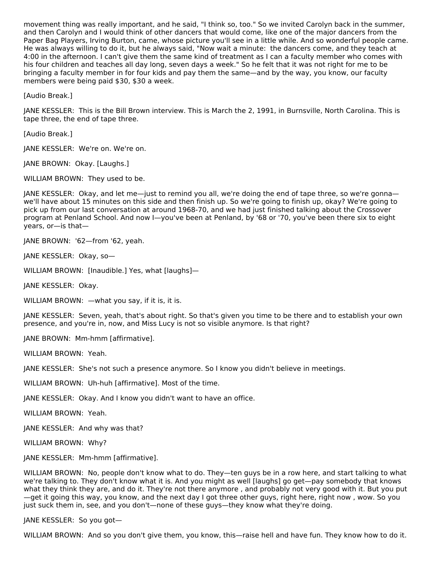movement thing was really important, and he said, "I think so, too." So we invited Carolyn back in the summer, and then Carolyn and I would think of other dancers that would come, like one of the major dancers from the Paper Bag Players, Irving Burton, came, whose picture you'll see in a little while. And so wonderful people came. He was always willing to do it, but he always said, "Now wait a minute: the dancers come, and they teach at 4:00 in the afternoon. I can't give them the same kind of treatment as I can a faculty member who comes with his four children and teaches all day long, seven days a week." So he felt that it was not right for me to be bringing a faculty member in for four kids and pay them the same—and by the way, you know, our faculty members were being paid \$30, \$30 a week.

[Audio Break.]

JANE KESSLER: This is the Bill Brown interview. This is March the 2, 1991, in Burnsville, North Carolina. This is tape three, the end of tape three.

[Audio Break.]

JANE KESSLER: We're on. We're on.

JANE BROWN: Okay. [Laughs.]

WILLIAM BROWN: They used to be.

JANE KESSLER: Okay, and let me—just to remind you all, we're doing the end of tape three, so we're gonna we'll have about 15 minutes on this side and then finish up. So we're going to finish up, okay? We're going to pick up from our last conversation at around 1968-70, and we had just finished talking about the Crossover program at Penland School. And now I—you've been at Penland, by '68 or '70, you've been there six to eight years, or—is that—

JANE BROWN: '62—from '62, yeah.

JANE KESSLER: Okay, so—

WILLIAM BROWN: [Inaudible.] Yes, what [laughs]—

JANE KESSLER: Okay.

WILLIAM BROWN: —what you say, if it is, it is.

JANE KESSLER: Seven, yeah, that's about right. So that's given you time to be there and to establish your own presence, and you're in, now, and Miss Lucy is not so visible anymore. Is that right?

JANE BROWN: Mm-hmm [affirmative].

WILLIAM BROWN: Yeah.

JANE KESSLER: She's not such a presence anymore. So I know you didn't believe in meetings.

WILLIAM BROWN: Uh-huh [affirmative]. Most of the time.

JANE KESSLER: Okay. And I know you didn't want to have an office.

WILLIAM BROWN: Yeah.

JANE KESSLER: And why was that?

WILLIAM BROWN: Why?

JANE KESSLER: Mm-hmm [affirmative].

WILLIAM BROWN: No, people don't know what to do. They—ten guys be in a row here, and start talking to what we're talking to. They don't know what it is. And you might as well [laughs] go get—pay somebody that knows what they think they are, and do it. They're not there anymore , and probably not very good with it. But you put —get it going this way, you know, and the next day I got three other guys, right here, right now , wow. So you just suck them in, see, and you don't—none of these guys—they know what they're doing.

JANE KESSLER: So you got—

WILLIAM BROWN: And so you don't give them, you know, this—raise hell and have fun. They know how to do it.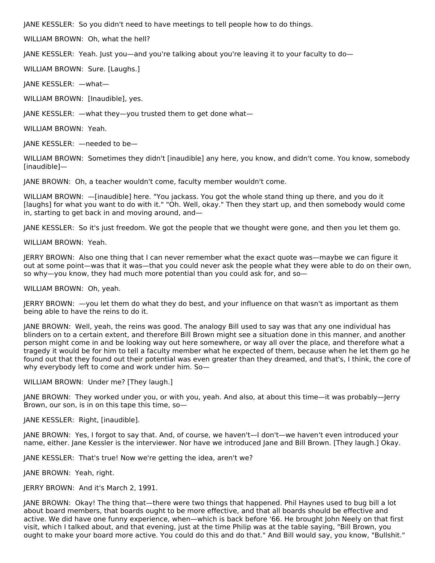JANE KESSLER: So you didn't need to have meetings to tell people how to do things.

WILLIAM BROWN: Oh, what the hell?

JANE KESSLER: Yeah. Just you—and you're talking about you're leaving it to your faculty to do—

WILLIAM BROWN: Sure. [Laughs.]

JANE KESSLER: —what—

WILLIAM BROWN: [Inaudible], yes.

JANE KESSLER: —what they—you trusted them to get done what—

WILLIAM BROWN: Yeah.

JANE KESSLER: —needed to be—

WILLIAM BROWN: Sometimes they didn't [inaudible] any here, you know, and didn't come. You know, somebody [inaudible]—

JANE BROWN: Oh, a teacher wouldn't come, faculty member wouldn't come.

WILLIAM BROWN: —[inaudible] here. "You jackass. You got the whole stand thing up there, and you do it [laughs] for what you want to do with it." "Oh. Well, okay." Then they start up, and then somebody would come in, starting to get back in and moving around, and—

JANE KESSLER: So it's just freedom. We got the people that we thought were gone, and then you let them go.

WILLIAM BROWN: Yeah.

JERRY BROWN: Also one thing that I can never remember what the exact quote was—maybe we can figure it out at some point—was that it was—that you could never ask the people what they were able to do on their own, so why—you know, they had much more potential than you could ask for, and so—

WILLIAM BROWN: Oh, yeah.

JERRY BROWN: —you let them do what they do best, and your influence on that wasn't as important as them being able to have the reins to do it.

JANE BROWN: Well, yeah, the reins was good. The analogy Bill used to say was that any one individual has blinders on to a certain extent, and therefore Bill Brown might see a situation done in this manner, and another person might come in and be looking way out here somewhere, or way all over the place, and therefore what a tragedy it would be for him to tell a faculty member what he expected of them, because when he let them go he found out that they found out their potential was even greater than they dreamed, and that's, I think, the core of why everybody left to come and work under him. So—

WILLIAM BROWN: Under me? [They laugh.]

JANE BROWN: They worked under you, or with you, yeah. And also, at about this time—it was probably—Jerry Brown, our son, is in on this tape this time, so—

JANE KESSLER: Right, [inaudible].

JANE BROWN: Yes, I forgot to say that. And, of course, we haven't—I don't—we haven't even introduced your name, either. Jane Kessler is the interviewer. Nor have we introduced Jane and Bill Brown. [They laugh.] Okay.

JANE KESSLER: That's true! Now we're getting the idea, aren't we?

JANE BROWN: Yeah, right.

JERRY BROWN: And it's March 2, 1991.

JANE BROWN: Okay! The thing that—there were two things that happened. Phil Haynes used to bug bill a lot about board members, that boards ought to be more effective, and that all boards should be effective and active. We did have one funny experience, when—which is back before '66. He brought John Neely on that first visit, which I talked about, and that evening, just at the time Philip was at the table saying, "Bill Brown, you ought to make your board more active. You could do this and do that." And Bill would say, you know, "Bullshit."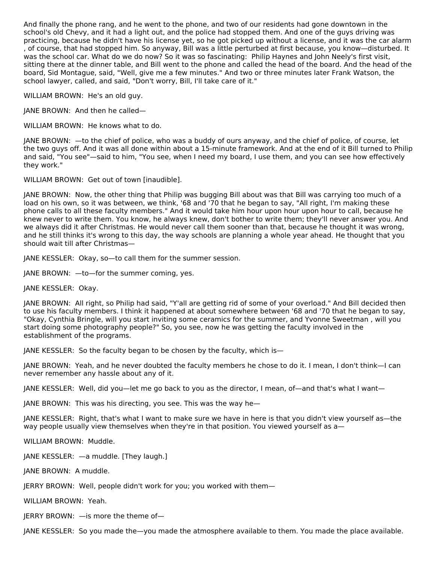And finally the phone rang, and he went to the phone, and two of our residents had gone downtown in the school's old Chevy, and it had a light out, and the police had stopped them. And one of the guys driving was practicing, because he didn't have his license yet, so he got picked up without a license, and it was the car alarm , of course, that had stopped him. So anyway, Bill was a little perturbed at first because, you know—disturbed. It was the school car. What do we do now? So it was so fascinating: Philip Haynes and John Neely's first visit, sitting there at the dinner table, and Bill went to the phone and called the head of the board. And the head of the board, Sid Montague, said, "Well, give me a few minutes." And two or three minutes later Frank Watson, the school lawyer, called, and said, "Don't worry, Bill, I'll take care of it."

WILLIAM BROWN: He's an old guy.

JANE BROWN: And then he called—

WILLIAM BROWN: He knows what to do.

JANE BROWN: —to the chief of police, who was a buddy of ours anyway, and the chief of police, of course, let the two guys off. And it was all done within about a 15-minute framework. And at the end of it Bill turned to Philip and said, "You see"—said to him, "You see, when I need my board, I use them, and you can see how effectively they work."

WILLIAM BROWN: Get out of town [inaudible].

JANE BROWN: Now, the other thing that Philip was bugging Bill about was that Bill was carrying too much of a load on his own, so it was between, we think, '68 and '70 that he began to say, "All right, I'm making these phone calls to all these faculty members." And it would take him hour upon hour upon hour to call, because he knew never to write them. You know, he always knew, don't bother to write them; they'll never answer you. And we always did it after Christmas. He would never call them sooner than that, because he thought it was wrong, and he still thinks it's wrong to this day, the way schools are planning a whole year ahead. He thought that you should wait till after Christmas—

JANE KESSLER: Okay, so—to call them for the summer session.

JANE BROWN: —to—for the summer coming, yes.

JANE KESSLER: Okay.

JANE BROWN: All right, so Philip had said, "Y'all are getting rid of some of your overload." And Bill decided then to use his faculty members. I think it happened at about somewhere between '68 and '70 that he began to say, "Okay, Cynthia Bringle, will you start inviting some ceramics for the summer, and Yvonne Sweetman , will you start doing some photography people?" So, you see, now he was getting the faculty involved in the establishment of the programs.

JANE KESSLER: So the faculty began to be chosen by the faculty, which is—

JANE BROWN: Yeah, and he never doubted the faculty members he chose to do it. I mean, I don't think—I can never remember any hassle about any of it.

JANE KESSLER: Well, did you—let me go back to you as the director, I mean, of—and that's what I want—

JANE BROWN: This was his directing, you see. This was the way he—

JANE KESSLER: Right, that's what I want to make sure we have in here is that you didn't view yourself as—the way people usually view themselves when they're in that position. You viewed yourself as a-

WILLIAM BROWN: Muddle.

JANE KESSLER: —a muddle. [They laugh.]

JANE BROWN: A muddle.

JERRY BROWN: Well, people didn't work for you; you worked with them—

WILLIAM BROWN: Yeah.

JERRY BROWN: —is more the theme of—

JANE KESSLER: So you made the—you made the atmosphere available to them. You made the place available.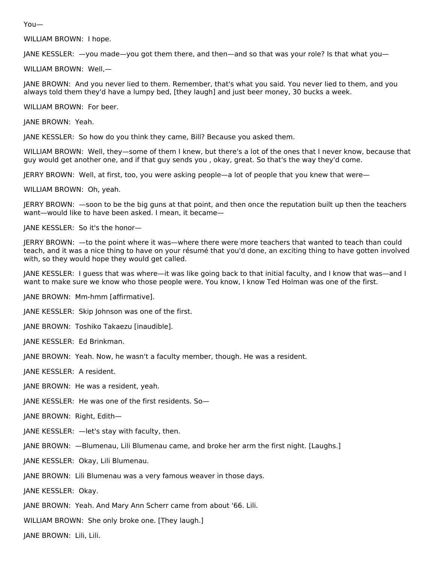You—

WILLIAM BROWN: I hope.

JANE KESSLER: —you made—you got them there, and then—and so that was your role? Is that what you—

WILLIAM BROWN: Well,—

JANE BROWN: And you never lied to them. Remember, that's what you said. You never lied to them, and you always told them they'd have a lumpy bed, [they laugh] and just beer money, 30 bucks a week.

WILLIAM BROWN: For beer.

JANE BROWN: Yeah.

JANE KESSLER: So how do you think they came, Bill? Because you asked them.

WILLIAM BROWN: Well, they—some of them I knew, but there's a lot of the ones that I never know, because that guy would get another one, and if that guy sends you , okay, great. So that's the way they'd come.

JERRY BROWN: Well, at first, too, you were asking people—a lot of people that you knew that were—

WILLIAM BROWN: Oh, yeah.

JERRY BROWN: —soon to be the big guns at that point, and then once the reputation built up then the teachers want—would like to have been asked. I mean, it became—

JANE KESSLER: So it's the honor—

JERRY BROWN: —to the point where it was—where there were more teachers that wanted to teach than could teach, and it was a nice thing to have on your résumé that you'd done, an exciting thing to have gotten involved with, so they would hope they would get called.

JANE KESSLER: I guess that was where—it was like going back to that initial faculty, and I know that was—and I want to make sure we know who those people were. You know, I know Ted Holman was one of the first.

JANE BROWN: Mm-hmm [affirmative].

JANE KESSLER: Skip Johnson was one of the first.

JANE BROWN: Toshiko Takaezu [inaudible].

JANE KESSLER: Ed Brinkman.

JANE BROWN: Yeah. Now, he wasn't a faculty member, though. He was a resident.

JANE KESSLER: A resident.

JANE BROWN: He was a resident, yeah.

JANE KESSLER: He was one of the first residents. So—

JANE BROWN: Right, Edith—

JANE KESSLER: —let's stay with faculty, then.

JANE BROWN: —Blumenau, Lili Blumenau came, and broke her arm the first night. [Laughs.]

JANE KESSLER: Okay, Lili Blumenau.

JANE BROWN: Lili Blumenau was a very famous weaver in those days.

JANE KESSLER: Okay.

JANE BROWN: Yeah. And Mary Ann Scherr came from about '66. Lili.

WILLIAM BROWN: She only broke one. [They laugh.]

JANE BROWN: Lili, Lili.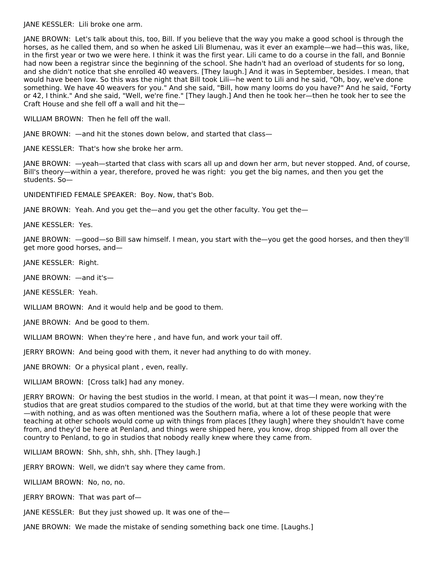JANE KESSLER: Lili broke one arm.

JANE BROWN: Let's talk about this, too, Bill. If you believe that the way you make a good school is through the horses, as he called them, and so when he asked Lili Blumenau, was it ever an example—we had—this was, like, in the first year or two we were here. I think it was the first year. Lili came to do a course in the fall, and Bonnie had now been a registrar since the beginning of the school. She hadn't had an overload of students for so long, and she didn't notice that she enrolled 40 weavers. [They laugh.] And it was in September, besides. I mean, that would have been low. So this was the night that Bill took Lili—he went to Lili and he said, "Oh, boy, we've done something. We have 40 weavers for you." And she said, "Bill, how many looms do you have?" And he said, "Forty or 42, I think." And she said, "Well, we're fine." [They laugh.] And then he took her—then he took her to see the Craft House and she fell off a wall and hit the—

WILLIAM BROWN: Then he fell off the wall.

JANE BROWN: —and hit the stones down below, and started that class—

JANE KESSLER: That's how she broke her arm.

JANE BROWN: —yeah—started that class with scars all up and down her arm, but never stopped. And, of course, Bill's theory—within a year, therefore, proved he was right: you get the big names, and then you get the students. So—

UNIDENTIFIED FEMALE SPEAKER: Boy. Now, that's Bob.

JANE BROWN: Yeah. And you get the—and you get the other faculty. You get the—

JANE KESSLER: Yes.

JANE BROWN: —good—so Bill saw himself. I mean, you start with the—you get the good horses, and then they'll get more good horses, and—

JANE KESSLER: Right.

JANE BROWN: —and it's—

JANE KESSLER: Yeah.

WILLIAM BROWN: And it would help and be good to them.

JANE BROWN: And be good to them.

WILLIAM BROWN: When they're here , and have fun, and work your tail off.

JERRY BROWN: And being good with them, it never had anything to do with money.

JANE BROWN: Or a physical plant , even, really.

WILLIAM BROWN: [Cross talk] had any money.

JERRY BROWN: Or having the best studios in the world. I mean, at that point it was—I mean, now they're studios that are great studios compared to the studios of the world, but at that time they were working with the —with nothing, and as was often mentioned was the Southern mafia, where a lot of these people that were teaching at other schools would come up with things from places [they laugh] where they shouldn't have come from, and they'd be here at Penland, and things were shipped here, you know, drop shipped from all over the country to Penland, to go in studios that nobody really knew where they came from.

WILLIAM BROWN: Shh, shh, shh, shh. [They laugh.]

JERRY BROWN: Well, we didn't say where they came from.

WILLIAM BROWN: No, no, no.

JERRY BROWN: That was part of—

JANE KESSLER: But they just showed up. It was one of the—

JANE BROWN: We made the mistake of sending something back one time. [Laughs.]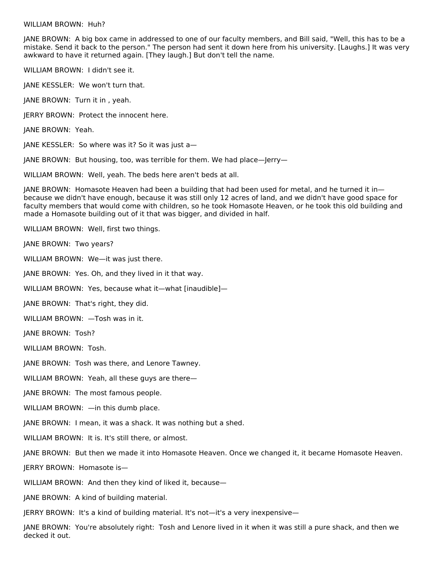#### WILLIAM BROWN: Huh?

JANE BROWN: A big box came in addressed to one of our faculty members, and Bill said, "Well, this has to be a mistake. Send it back to the person." The person had sent it down here from his university. [Laughs.] It was very awkward to have it returned again. [They laugh.] But don't tell the name.

WILLIAM BROWN: I didn't see it.

JANE KESSLER: We won't turn that.

JANE BROWN: Turn it in , yeah.

JERRY BROWN: Protect the innocent here.

JANE BROWN: Yeah.

JANE KESSLER: So where was it? So it was just a—

JANE BROWN: But housing, too, was terrible for them. We had place—Jerry—

WILLIAM BROWN: Well, yeah. The beds here aren't beds at all.

JANE BROWN: Homasote Heaven had been a building that had been used for metal, and he turned it in because we didn't have enough, because it was still only 12 acres of land, and we didn't have good space for faculty members that would come with children, so he took Homasote Heaven, or he took this old building and made a Homasote building out of it that was bigger, and divided in half.

WILLIAM BROWN: Well, first two things.

JANE BROWN: Two years?

WILLIAM BROWN: We—it was just there.

JANE BROWN: Yes. Oh, and they lived in it that way.

WILLIAM BROWN: Yes, because what it—what [inaudible]—

JANE BROWN: That's right, they did.

WILLIAM BROWN: —Tosh was in it.

JANE BROWN: Tosh?

WILLIAM BROWN: Tosh.

JANE BROWN: Tosh was there, and Lenore Tawney.

WILLIAM BROWN: Yeah, all these guys are there—

JANE BROWN: The most famous people.

WILLIAM BROWN: —in this dumb place.

JANE BROWN: I mean, it was a shack. It was nothing but a shed.

WILLIAM BROWN: It is. It's still there, or almost.

JANE BROWN: But then we made it into Homasote Heaven. Once we changed it, it became Homasote Heaven.

JERRY BROWN: Homasote is—

WILLIAM BROWN: And then they kind of liked it, because—

JANE BROWN: A kind of building material.

JERRY BROWN: It's a kind of building material. It's not—it's a very inexpensive—

JANE BROWN: You're absolutely right: Tosh and Lenore lived in it when it was still a pure shack, and then we decked it out.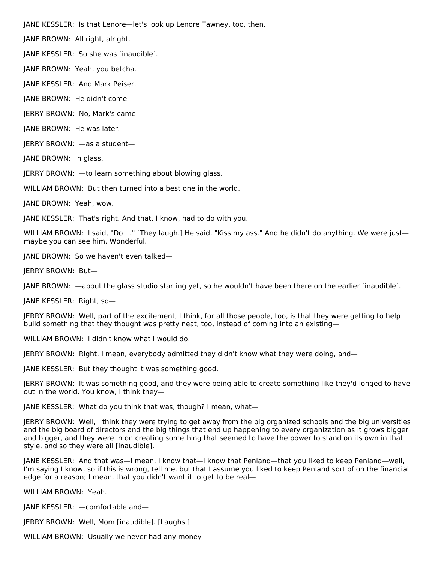JANE KESSLER: Is that Lenore—let's look up Lenore Tawney, too, then.

JANE BROWN: All right, alright.

JANE KESSLER: So she was [inaudible].

JANE BROWN: Yeah, you betcha.

JANE KESSLER: And Mark Peiser.

JANE BROWN: He didn't come—

JERRY BROWN: No, Mark's came—

JANE BROWN: He was later.

JERRY BROWN: —as a student—

JANE BROWN: In glass.

JERRY BROWN: —to learn something about blowing glass.

WILLIAM BROWN: But then turned into a best one in the world.

JANE BROWN: Yeah, wow.

JANE KESSLER: That's right. And that, I know, had to do with you.

WILLIAM BROWN: I said, "Do it." [They laugh.] He said, "Kiss my ass." And he didn't do anything. We were just maybe you can see him. Wonderful.

JANE BROWN: So we haven't even talked—

JERRY BROWN: But—

JANE BROWN: —about the glass studio starting yet, so he wouldn't have been there on the earlier [inaudible].

JANE KESSLER: Right, so—

JERRY BROWN: Well, part of the excitement, I think, for all those people, too, is that they were getting to help build something that they thought was pretty neat, too, instead of coming into an existing—

WILLIAM BROWN: I didn't know what I would do.

JERRY BROWN: Right. I mean, everybody admitted they didn't know what they were doing, and—

JANE KESSLER: But they thought it was something good.

JERRY BROWN: It was something good, and they were being able to create something like they'd longed to have out in the world. You know, I think they—

JANE KESSLER: What do you think that was, though? I mean, what—

JERRY BROWN: Well, I think they were trying to get away from the big organized schools and the big universities and the big board of directors and the big things that end up happening to every organization as it grows bigger and bigger, and they were in on creating something that seemed to have the power to stand on its own in that style, and so they were all [inaudible].

JANE KESSLER: And that was—I mean, I know that—I know that Penland—that you liked to keep Penland—well, I'm saying I know, so if this is wrong, tell me, but that I assume you liked to keep Penland sort of on the financial edge for a reason; I mean, that you didn't want it to get to be real—

WILLIAM BROWN: Yeah.

JANE KESSLER: —comfortable and—

JERRY BROWN: Well, Mom [inaudible]. [Laughs.]

WILLIAM BROWN: Usually we never had any money—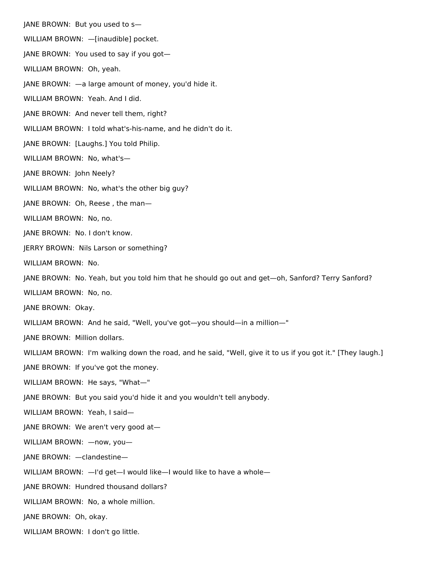JANE BROWN: But you used to s— WILLIAM BROWN: —[inaudible] pocket. JANE BROWN: You used to say if you got— WILLIAM BROWN: Oh, yeah. JANE BROWN: —a large amount of money, you'd hide it. WILLIAM BROWN: Yeah. And I did. JANE BROWN: And never tell them, right? WILLIAM BROWN: I told what's-his-name, and he didn't do it. JANE BROWN: [Laughs.] You told Philip. WILLIAM BROWN: No, what's— JANE BROWN: John Neely? WILLIAM BROWN: No, what's the other big guy? JANE BROWN: Oh, Reese , the man— WILLIAM BROWN: No, no. JANE BROWN: No. I don't know. JERRY BROWN: Nils Larson or something? WILLIAM BROWN: No. JANE BROWN: No. Yeah, but you told him that he should go out and get—oh, Sanford? Terry Sanford? WILLIAM BROWN: No, no. JANE BROWN: Okay. WILLIAM BROWN: And he said, "Well, you've got—you should—in a million—" JANE BROWN: Million dollars. WILLIAM BROWN: I'm walking down the road, and he said, "Well, give it to us if you got it." [They laugh.] JANE BROWN: If you've got the money. WILLIAM BROWN: He says, "What—" JANE BROWN: But you said you'd hide it and you wouldn't tell anybody. WILLIAM BROWN: Yeah, I said— JANE BROWN: We aren't very good at— WILLIAM BROWN: —now, you— JANE BROWN: —clandestine— WILLIAM BROWN: - I'd get-I would like-I would like to have a whole-JANE BROWN: Hundred thousand dollars? WILLIAM BROWN: No, a whole million. JANE BROWN: Oh, okay.

WILLIAM BROWN: I don't go little.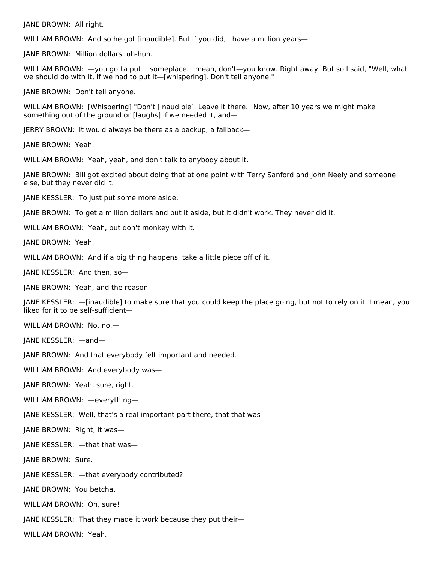JANE BROWN: All right.

WILLIAM BROWN: And so he got [inaudible]. But if you did, I have a million years—

JANE BROWN: Million dollars, uh-huh.

WILLIAM BROWN: —you gotta put it someplace. I mean, don't—you know. Right away. But so I said, "Well, what we should do with it, if we had to put it—[whispering]. Don't tell anyone."

JANE BROWN: Don't tell anyone.

WILLIAM BROWN: [Whispering] "Don't [inaudible]. Leave it there." Now, after 10 years we might make something out of the ground or [laughs] if we needed it, and—

JERRY BROWN: It would always be there as a backup, a fallback—

JANE BROWN: Yeah.

WILLIAM BROWN: Yeah, yeah, and don't talk to anybody about it.

JANE BROWN: Bill got excited about doing that at one point with Terry Sanford and John Neely and someone else, but they never did it.

JANE KESSLER: To just put some more aside.

JANE BROWN: To get a million dollars and put it aside, but it didn't work. They never did it.

WILLIAM BROWN: Yeah, but don't monkey with it.

JANE BROWN: Yeah.

WILLIAM BROWN: And if a big thing happens, take a little piece off of it.

JANE KESSLER: And then, so—

JANE BROWN: Yeah, and the reason—

JANE KESSLER: —[inaudible] to make sure that you could keep the place going, but not to rely on it. I mean, you liked for it to be self-sufficient—

WILLIAM BROWN: No, no,—

JANE KESSLER: —and—

JANE BROWN: And that everybody felt important and needed.

WILLIAM BROWN: And everybody was—

JANE BROWN: Yeah, sure, right.

WILLIAM BROWN: —everything—

JANE KESSLER: Well, that's a real important part there, that that was—

JANE BROWN: Right, it was—

JANE KESSLER: —that that was—

JANE BROWN: Sure.

JANE KESSLER: —that everybody contributed?

JANE BROWN: You betcha.

WILLIAM BROWN: Oh, sure!

JANE KESSLER: That they made it work because they put their—

WILLIAM BROWN: Yeah.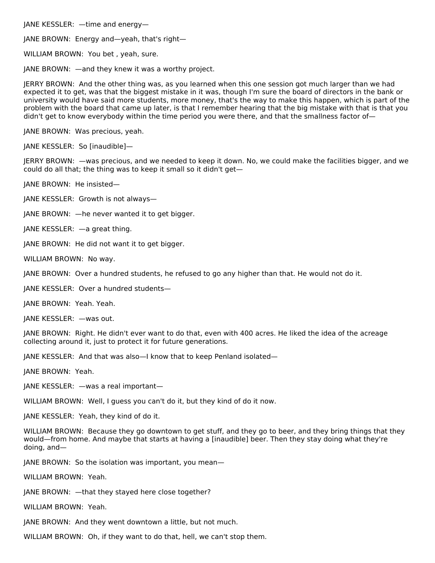JANE KESSLER: —time and energy—

JANE BROWN: Energy and—yeah, that's right—

WILLIAM BROWN: You bet , yeah, sure.

JANE BROWN: —and they knew it was a worthy project.

JERRY BROWN: And the other thing was, as you learned when this one session got much larger than we had expected it to get, was that the biggest mistake in it was, though I'm sure the board of directors in the bank or university would have said more students, more money, that's the way to make this happen, which is part of the problem with the board that came up later, is that I remember hearing that the big mistake with that is that you didn't get to know everybody within the time period you were there, and that the smallness factor of-

JANE BROWN: Was precious, yeah.

JANE KESSLER: So [inaudible]—

JERRY BROWN: —was precious, and we needed to keep it down. No, we could make the facilities bigger, and we could do all that; the thing was to keep it small so it didn't get—

JANE BROWN: He insisted—

JANE KESSLER: Growth is not always—

JANE BROWN: —he never wanted it to get bigger.

JANE KESSLER: —a great thing.

JANE BROWN: He did not want it to get bigger.

WILLIAM BROWN: No way.

JANE BROWN: Over a hundred students, he refused to go any higher than that. He would not do it.

JANE KESSLER: Over a hundred students—

JANE BROWN: Yeah. Yeah.

JANE KESSLER: —was out.

JANE BROWN: Right. He didn't ever want to do that, even with 400 acres. He liked the idea of the acreage collecting around it, just to protect it for future generations.

JANE KESSLER: And that was also—I know that to keep Penland isolated—

JANE BROWN: Yeah.

JANE KESSLER: —was a real important—

WILLIAM BROWN: Well, I guess you can't do it, but they kind of do it now.

JANE KESSLER: Yeah, they kind of do it.

WILLIAM BROWN: Because they go downtown to get stuff, and they go to beer, and they bring things that they would—from home. And maybe that starts at having a [inaudible] beer. Then they stay doing what they're doing, and—

JANE BROWN: So the isolation was important, you mean—

WILLIAM BROWN: Yeah.

JANE BROWN: —that they stayed here close together?

WILLIAM BROWN: Yeah.

JANE BROWN: And they went downtown a little, but not much.

WILLIAM BROWN: Oh, if they want to do that, hell, we can't stop them.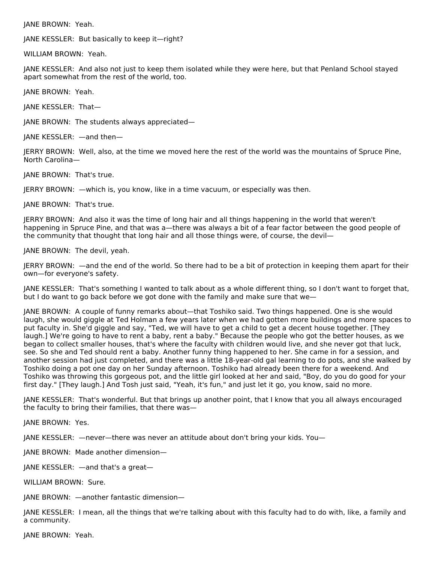JANE BROWN: Yeah.

JANE KESSLER: But basically to keep it—right?

WILLIAM BROWN: Yeah.

JANE KESSLER: And also not just to keep them isolated while they were here, but that Penland School stayed apart somewhat from the rest of the world, too.

JANE BROWN: Yeah.

JANE KESSLER: That—

JANE BROWN: The students always appreciated—

JANE KESSLER: —and then—

JERRY BROWN: Well, also, at the time we moved here the rest of the world was the mountains of Spruce Pine, North Carolina—

JANE BROWN: That's true.

JERRY BROWN: —which is, you know, like in a time vacuum, or especially was then.

JANE BROWN: That's true.

JERRY BROWN: And also it was the time of long hair and all things happening in the world that weren't happening in Spruce Pine, and that was a—there was always a bit of a fear factor between the good people of the community that thought that long hair and all those things were, of course, the devil—

JANE BROWN: The devil, yeah.

JERRY BROWN: —and the end of the world. So there had to be a bit of protection in keeping them apart for their own—for everyone's safety.

JANE KESSLER: That's something I wanted to talk about as a whole different thing, so I don't want to forget that, but I do want to go back before we got done with the family and make sure that we—

JANE BROWN: A couple of funny remarks about—that Toshiko said. Two things happened. One is she would laugh, she would giggle at Ted Holman a few years later when we had gotten more buildings and more spaces to put faculty in. She'd giggle and say, "Ted, we will have to get a child to get a decent house together. [They laugh.] We're going to have to rent a baby, rent a baby." Because the people who got the better houses, as we began to collect smaller houses, that's where the faculty with children would live, and she never got that luck, see. So she and Ted should rent a baby. Another funny thing happened to her. She came in for a session, and another session had just completed, and there was a little 18-year-old gal learning to do pots, and she walked by Toshiko doing a pot one day on her Sunday afternoon. Toshiko had already been there for a weekend. And Toshiko was throwing this gorgeous pot, and the little girl looked at her and said, "Boy, do you do good for your first day." [They laugh.] And Tosh just said, "Yeah, it's fun," and just let it go, you know, said no more.

JANE KESSLER: That's wonderful. But that brings up another point, that I know that you all always encouraged the faculty to bring their families, that there was—

JANE BROWN: Yes.

JANE KESSLER: —never—there was never an attitude about don't bring your kids. You—

JANE BROWN: Made another dimension—

JANE KESSLER: —and that's a great—

WILLIAM BROWN: Sure.

JANE BROWN: —another fantastic dimension—

JANE KESSLER: I mean, all the things that we're talking about with this faculty had to do with, like, a family and a community.

JANE BROWN: Yeah.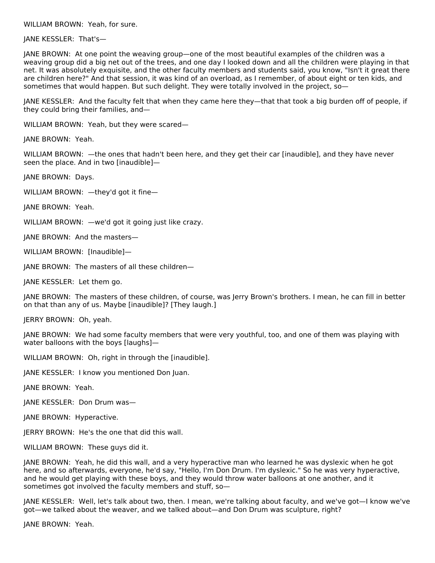WILLIAM BROWN: Yeah, for sure.

JANE KESSLER: That's—

JANE BROWN: At one point the weaving group—one of the most beautiful examples of the children was a weaving group did a big net out of the trees, and one day I looked down and all the children were playing in that net. It was absolutely exquisite, and the other faculty members and students said, you know, "Isn't it great there are children here?" And that session, it was kind of an overload, as I remember, of about eight or ten kids, and sometimes that would happen. But such delight. They were totally involved in the project, so-

JANE KESSLER: And the faculty felt that when they came here they—that that took a big burden off of people, if they could bring their families, and—

WILLIAM BROWN: Yeah, but they were scared—

JANE BROWN: Yeah.

WILLIAM BROWN: —the ones that hadn't been here, and they get their car [inaudible], and they have never seen the place. And in two [inaudible]—

JANE BROWN: Days.

WILLIAM BROWN: —they'd got it fine—

JANE BROWN: Yeah.

WILLIAM BROWN: —we'd got it going just like crazy.

JANE BROWN: And the masters—

WILLIAM BROWN: [Inaudible]—

JANE BROWN: The masters of all these children—

JANE KESSLER: Let them go.

JANE BROWN: The masters of these children, of course, was Jerry Brown's brothers. I mean, he can fill in better on that than any of us. Maybe [inaudible]? [They laugh.]

JERRY BROWN: Oh, yeah.

JANE BROWN: We had some faculty members that were very youthful, too, and one of them was playing with water balloons with the boys [laughs]—

WILLIAM BROWN: Oh, right in through the [inaudible].

JANE KESSLER: I know you mentioned Don Juan.

JANE BROWN: Yeah.

JANE KESSLER: Don Drum was—

JANE BROWN: Hyperactive.

JERRY BROWN: He's the one that did this wall.

WILLIAM BROWN: These guys did it.

JANE BROWN: Yeah, he did this wall, and a very hyperactive man who learned he was dyslexic when he got here, and so afterwards, everyone, he'd say, "Hello, I'm Don Drum. I'm dyslexic." So he was very hyperactive, and he would get playing with these boys, and they would throw water balloons at one another, and it sometimes got involved the faculty members and stuff, so—

JANE KESSLER: Well, let's talk about two, then. I mean, we're talking about faculty, and we've got—I know we've got—we talked about the weaver, and we talked about—and Don Drum was sculpture, right?

JANE BROWN: Yeah.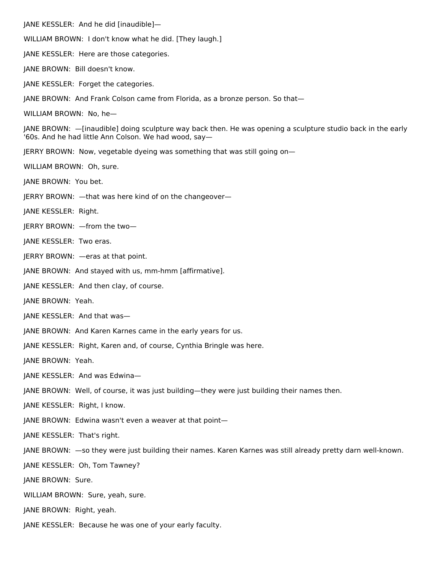JANE KESSLER: And he did [inaudible]— WILLIAM BROWN: I don't know what he did. [They laugh.] JANE KESSLER: Here are those categories. JANE BROWN: Bill doesn't know. JANE KESSLER: Forget the categories. JANE BROWN: And Frank Colson came from Florida, as a bronze person. So that— WILLIAM BROWN: No, he— JANE BROWN: —[inaudible] doing sculpture way back then. He was opening a sculpture studio back in the early '60s. And he had little Ann Colson. We had wood, say— JERRY BROWN: Now, vegetable dyeing was something that was still going on— WILLIAM BROWN: Oh, sure. JANE BROWN: You bet. JERRY BROWN: —that was here kind of on the changeover— JANE KESSLER: Right. JERRY BROWN: —from the two— JANE KESSLER: Two eras. JERRY BROWN: —eras at that point. JANE BROWN: And stayed with us, mm-hmm [affirmative]. JANE KESSLER: And then clay, of course. JANE BROWN: Yeah. JANE KESSLER: And that was— JANE BROWN: And Karen Karnes came in the early years for us. JANE KESSLER: Right, Karen and, of course, Cynthia Bringle was here. JANE BROWN: Yeah. JANE KESSLER: And was Edwina— JANE BROWN: Well, of course, it was just building—they were just building their names then. JANE KESSLER: Right, I know. JANE BROWN: Edwina wasn't even a weaver at that point— JANE KESSLER: That's right. JANE BROWN: —so they were just building their names. Karen Karnes was still already pretty darn well-known. JANE KESSLER: Oh, Tom Tawney? JANE BROWN: Sure. WILLIAM BROWN: Sure, yeah, sure. JANE BROWN: Right, yeah. JANE KESSLER: Because he was one of your early faculty.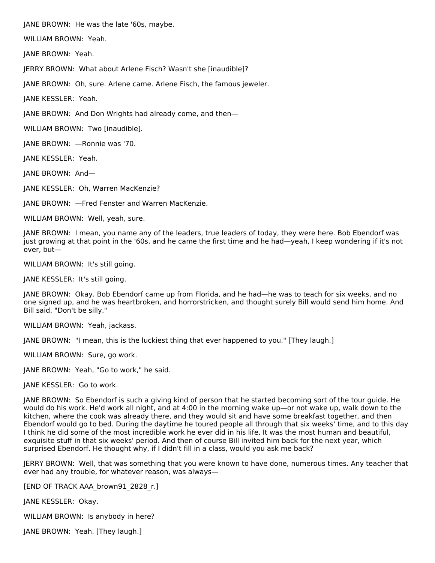JANE BROWN: He was the late '60s, maybe.

WILLIAM BROWN: Yeah.

JANE BROWN: Yeah.

JERRY BROWN: What about Arlene Fisch? Wasn't she [inaudible]?

JANE BROWN: Oh, sure. Arlene came. Arlene Fisch, the famous jeweler.

JANE KESSLER: Yeah.

JANE BROWN: And Don Wrights had already come, and then—

WILLIAM BROWN: Two [inaudible].

JANE BROWN: —Ronnie was '70.

JANE KESSLER: Yeah.

JANE BROWN: And—

JANE KESSLER: Oh, Warren MacKenzie?

JANE BROWN: —Fred Fenster and Warren MacKenzie.

WILLIAM BROWN: Well, yeah, sure.

JANE BROWN: I mean, you name any of the leaders, true leaders of today, they were here. Bob Ebendorf was just growing at that point in the '60s, and he came the first time and he had—yeah, I keep wondering if it's not over, but—

WILLIAM BROWN: It's still going.

JANE KESSLER: It's still going.

JANE BROWN: Okay. Bob Ebendorf came up from Florida, and he had—he was to teach for six weeks, and no one signed up, and he was heartbroken, and horrorstricken, and thought surely Bill would send him home. And Bill said, "Don't be silly."

WILLIAM BROWN: Yeah, jackass.

JANE BROWN: "I mean, this is the luckiest thing that ever happened to you." [They laugh.]

WILLIAM BROWN: Sure, go work.

JANE BROWN: Yeah, "Go to work," he said.

JANE KESSLER: Go to work.

JANE BROWN: So Ebendorf is such a giving kind of person that he started becoming sort of the tour guide. He would do his work. He'd work all night, and at 4:00 in the morning wake up—or not wake up, walk down to the kitchen, where the cook was already there, and they would sit and have some breakfast together, and then Ebendorf would go to bed. During the daytime he toured people all through that six weeks' time, and to this day I think he did some of the most incredible work he ever did in his life. It was the most human and beautiful, exquisite stuff in that six weeks' period. And then of course Bill invited him back for the next year, which surprised Ebendorf. He thought why, if I didn't fill in a class, would you ask me back?

JERRY BROWN: Well, that was something that you were known to have done, numerous times. Any teacher that ever had any trouble, for whatever reason, was always—

[END OF TRACK AAA\_brown91\_2828\_r.]

JANE KESSLER: Okay.

WILLIAM BROWN: Is anybody in here?

JANE BROWN: Yeah. [They laugh.]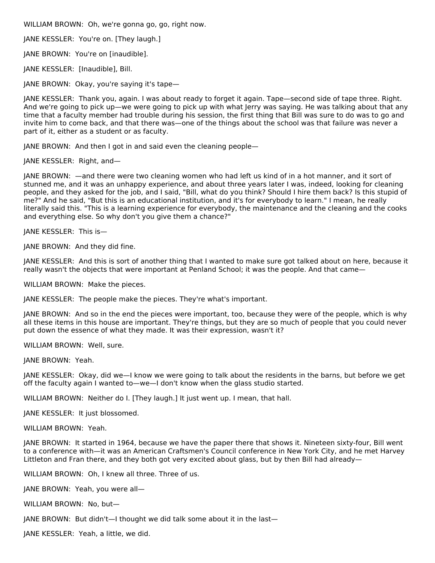WILLIAM BROWN: Oh, we're gonna go, go, right now.

JANE KESSLER: You're on. [They laugh.]

JANE BROWN: You're on [inaudible].

JANE KESSLER: [Inaudible], Bill.

JANE BROWN: Okay, you're saying it's tape—

JANE KESSLER: Thank you, again. I was about ready to forget it again. Tape—second side of tape three. Right. And we're going to pick up—we were going to pick up with what Jerry was saying. He was talking about that any time that a faculty member had trouble during his session, the first thing that Bill was sure to do was to go and invite him to come back, and that there was—one of the things about the school was that failure was never a part of it, either as a student or as faculty.

JANE BROWN: And then I got in and said even the cleaning people—

JANE KESSLER: Right, and—

JANE BROWN: —and there were two cleaning women who had left us kind of in a hot manner, and it sort of stunned me, and it was an unhappy experience, and about three years later I was, indeed, looking for cleaning people, and they asked for the job, and I said, "Bill, what do you think? Should I hire them back? Is this stupid of me?" And he said, "But this is an educational institution, and it's for everybody to learn." I mean, he really literally said this. "This is a learning experience for everybody, the maintenance and the cleaning and the cooks and everything else. So why don't you give them a chance?"

JANE KESSLER: This is—

JANE BROWN: And they did fine.

JANE KESSLER: And this is sort of another thing that I wanted to make sure got talked about on here, because it really wasn't the objects that were important at Penland School; it was the people. And that came—

WILLIAM BROWN: Make the pieces.

JANE KESSLER: The people make the pieces. They're what's important.

JANE BROWN: And so in the end the pieces were important, too, because they were of the people, which is why all these items in this house are important. They're things, but they are so much of people that you could never put down the essence of what they made. It was their expression, wasn't it?

WILLIAM BROWN: Well, sure.

JANE BROWN: Yeah.

JANE KESSLER: Okay, did we—I know we were going to talk about the residents in the barns, but before we get off the faculty again I wanted to—we—I don't know when the glass studio started.

WILLIAM BROWN: Neither do I. [They laugh.] It just went up. I mean, that hall.

JANE KESSLER: It just blossomed.

WILLIAM BROWN: Yeah.

JANE BROWN: It started in 1964, because we have the paper there that shows it. Nineteen sixty-four, Bill went to a conference with—it was an American Craftsmen's Council conference in New York City, and he met Harvey Littleton and Fran there, and they both got very excited about glass, but by then Bill had already—

WILLIAM BROWN: Oh, I knew all three. Three of us.

JANE BROWN: Yeah, you were all—

WILLIAM BROWN: No, but—

JANE BROWN: But didn't—I thought we did talk some about it in the last—

JANE KESSLER: Yeah, a little, we did.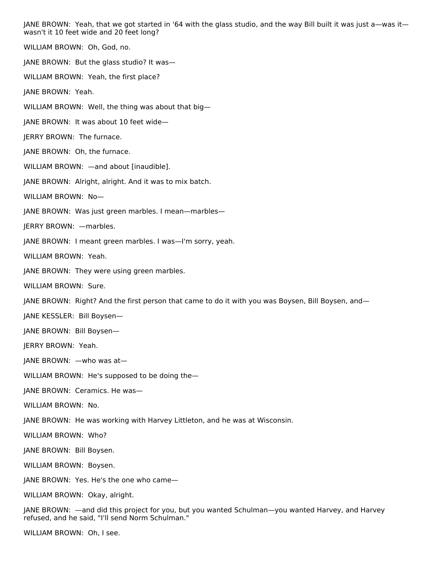JANE BROWN: Yeah, that we got started in '64 with the glass studio, and the way Bill built it was just a—was it wasn't it 10 feet wide and 20 feet long?

WILLIAM BROWN: Oh, God, no. JANE BROWN: But the glass studio? It was— WILLIAM BROWN: Yeah, the first place? JANE BROWN: Yeah. WILLIAM BROWN: Well, the thing was about that big— JANE BROWN: It was about 10 feet wide— JERRY BROWN: The furnace. JANE BROWN: Oh, the furnace. WILLIAM BROWN: —and about [inaudible]. JANE BROWN: Alright, alright. And it was to mix batch. WILLIAM BROWN: No— JANE BROWN: Was just green marbles. I mean—marbles— JERRY BROWN: —marbles. JANE BROWN: I meant green marbles. I was—I'm sorry, yeah. WILLIAM BROWN: Yeah. JANE BROWN: They were using green marbles. WILLIAM BROWN: Sure. JANE BROWN: Right? And the first person that came to do it with you was Boysen, Bill Boysen, and-JANE KESSLER: Bill Boysen— JANE BROWN: Bill Boysen— JERRY BROWN: Yeah. JANE BROWN: —who was at— WILLIAM BROWN: He's supposed to be doing the— JANE BROWN: Ceramics. He was— WILLIAM BROWN: No. JANE BROWN: He was working with Harvey Littleton, and he was at Wisconsin.

WILLIAM BROWN: Who?

JANE BROWN: Bill Boysen.

WILLIAM BROWN: Boysen.

JANE BROWN: Yes. He's the one who came—

WILLIAM BROWN: Okay, alright.

JANE BROWN: —and did this project for you, but you wanted Schulman—you wanted Harvey, and Harvey refused, and he said, "I'll send Norm Schulman."

WILLIAM BROWN: Oh, I see.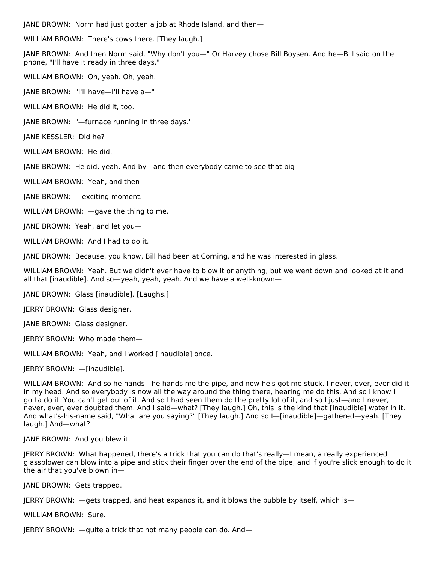JANE BROWN: Norm had just gotten a job at Rhode Island, and then—

WILLIAM BROWN: There's cows there. [They laugh.]

JANE BROWN: And then Norm said, "Why don't you—" Or Harvey chose Bill Boysen. And he—Bill said on the phone, "I'll have it ready in three days."

WILLIAM BROWN: Oh, yeah. Oh, yeah.

JANE BROWN: "I'll have—I'll have a—"

WILLIAM BROWN: He did it, too.

JANE BROWN: "—furnace running in three days."

JANE KESSLER: Did he?

WILLIAM BROWN: He did.

JANE BROWN: He did, yeah. And by—and then everybody came to see that big—

WILLIAM BROWN: Yeah, and then—

JANE BROWN: —exciting moment.

WILLIAM BROWN: —gave the thing to me.

JANE BROWN: Yeah, and let you—

WILLIAM BROWN: And I had to do it.

JANE BROWN: Because, you know, Bill had been at Corning, and he was interested in glass.

WILLIAM BROWN: Yeah. But we didn't ever have to blow it or anything, but we went down and looked at it and all that [inaudible]. And so—yeah, yeah, yeah. And we have a well-known—

JANE BROWN: Glass [inaudible]. [Laughs.]

JERRY BROWN: Glass designer.

JANE BROWN: Glass designer.

JERRY BROWN: Who made them—

WILLIAM BROWN: Yeah, and I worked [inaudible] once.

JERRY BROWN: —[inaudible].

WILLIAM BROWN: And so he hands—he hands me the pipe, and now he's got me stuck. I never, ever, ever did it in my head. And so everybody is now all the way around the thing there, hearing me do this. And so I know I gotta do it. You can't get out of it. And so I had seen them do the pretty lot of it, and so I just—and I never, never, ever, ever doubted them. And I said—what? [They laugh.] Oh, this is the kind that [inaudible] water in it. And what's-his-name said, "What are you saying?" [They laugh.] And so I—[inaudible]—gathered—yeah. [They laugh.] And—what?

JANE BROWN: And you blew it.

JERRY BROWN: What happened, there's a trick that you can do that's really—I mean, a really experienced glassblower can blow into a pipe and stick their finger over the end of the pipe, and if you're slick enough to do it the air that you've blown in—

JANE BROWN: Gets trapped.

JERRY BROWN: —gets trapped, and heat expands it, and it blows the bubble by itself, which is—

WILLIAM BROWN: Sure.

JERRY BROWN: —quite a trick that not many people can do. And—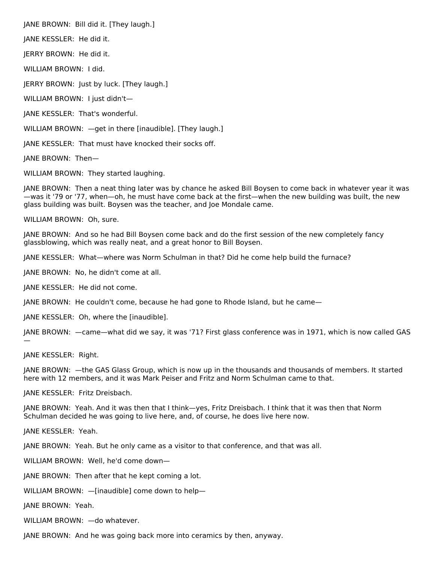JANE BROWN: Bill did it. [They laugh.]

JANE KESSLER: He did it.

JERRY BROWN: He did it.

WILLIAM BROWN: I did.

JERRY BROWN: Just by luck. [They laugh.]

WILLIAM BROWN: I just didn't—

JANE KESSLER: That's wonderful.

WILLIAM BROWN: —get in there [inaudible]. [They laugh.]

JANE KESSLER: That must have knocked their socks off.

JANE BROWN: Then—

WILLIAM BROWN: They started laughing.

JANE BROWN: Then a neat thing later was by chance he asked Bill Boysen to come back in whatever year it was —was it '79 or '77, when—oh, he must have come back at the first—when the new building was built, the new glass building was built. Boysen was the teacher, and Joe Mondale came.

WILLIAM BROWN: Oh, sure.

JANE BROWN: And so he had Bill Boysen come back and do the first session of the new completely fancy glassblowing, which was really neat, and a great honor to Bill Boysen.

JANE KESSLER: What—where was Norm Schulman in that? Did he come help build the furnace?

JANE BROWN: No, he didn't come at all.

JANE KESSLER: He did not come.

JANE BROWN: He couldn't come, because he had gone to Rhode Island, but he came—

JANE KESSLER: Oh, where the [inaudible].

JANE BROWN: —came—what did we say, it was '71? First glass conference was in 1971, which is now called GAS

JANE KESSLER: Right.

—

JANE BROWN: —the GAS Glass Group, which is now up in the thousands and thousands of members. It started here with 12 members, and it was Mark Peiser and Fritz and Norm Schulman came to that.

JANE KESSLER: Fritz Dreisbach.

JANE BROWN: Yeah. And it was then that I think—yes, Fritz Dreisbach. I think that it was then that Norm Schulman decided he was going to live here, and, of course, he does live here now.

JANE KESSLER: Yeah.

JANE BROWN: Yeah. But he only came as a visitor to that conference, and that was all.

WILLIAM BROWN: Well, he'd come down—

JANE BROWN: Then after that he kept coming a lot.

WILLIAM BROWN: —[inaudible] come down to help—

JANE BROWN: Yeah.

WILLIAM BROWN: —do whatever.

JANE BROWN: And he was going back more into ceramics by then, anyway.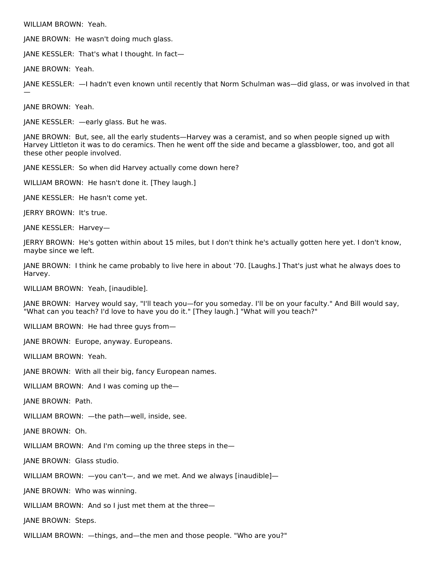WILLIAM BROWN: Yeah.

JANE BROWN: He wasn't doing much glass.

JANE KESSLER: That's what I thought. In fact—

JANE BROWN: Yeah.

JANE KESSLER: —I hadn't even known until recently that Norm Schulman was—did glass, or was involved in that

JANE BROWN: Yeah.

—

JANE KESSLER: —early glass. But he was.

JANE BROWN: But, see, all the early students—Harvey was a ceramist, and so when people signed up with Harvey Littleton it was to do ceramics. Then he went off the side and became a glassblower, too, and got all these other people involved.

JANE KESSLER: So when did Harvey actually come down here?

WILLIAM BROWN: He hasn't done it. [They laugh.]

JANE KESSLER: He hasn't come yet.

JERRY BROWN: It's true.

JANE KESSLER: Harvey—

JERRY BROWN: He's gotten within about 15 miles, but I don't think he's actually gotten here yet. I don't know, maybe since we left.

JANE BROWN: I think he came probably to live here in about '70. [Laughs.] That's just what he always does to Harvey.

WILLIAM BROWN: Yeah, [inaudible].

JANE BROWN: Harvey would say, "I'll teach you—for you someday. I'll be on your faculty." And Bill would say, "What can you teach? I'd love to have you do it." [They laugh.] "What will you teach?"

WILLIAM BROWN: He had three guys from—

JANE BROWN: Europe, anyway. Europeans.

WILLIAM BROWN: Yeah.

JANE BROWN: With all their big, fancy European names.

WILLIAM BROWN: And I was coming up the—

JANE BROWN: Path.

WILLIAM BROWN: —the path—well, inside, see.

JANE BROWN: Oh.

WILLIAM BROWN: And I'm coming up the three steps in the-

JANE BROWN: Glass studio.

WILLIAM BROWN: —you can't—, and we met. And we always [inaudible]—

JANE BROWN: Who was winning.

WILLIAM BROWN: And so I just met them at the three—

JANE BROWN: Steps.

WILLIAM BROWN: —things, and—the men and those people. "Who are you?"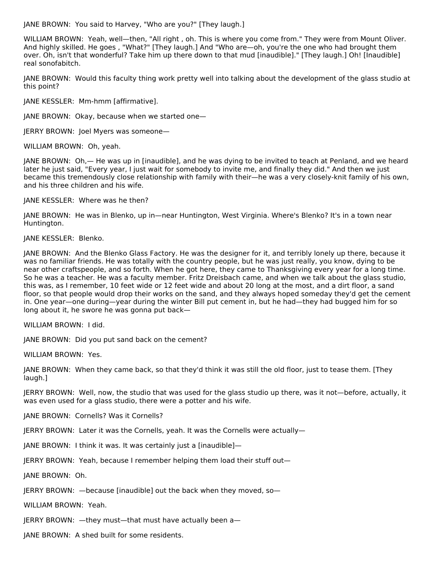JANE BROWN: You said to Harvey, "Who are you?" [They laugh.]

WILLIAM BROWN: Yeah, well—then, "All right , oh. This is where you come from." They were from Mount Oliver. And highly skilled. He goes , "What?" [They laugh.] And "Who are—oh, you're the one who had brought them over. Oh, isn't that wonderful? Take him up there down to that mud [inaudible]." [They laugh.] Oh! [Inaudible] real sonofabitch.

JANE BROWN: Would this faculty thing work pretty well into talking about the development of the glass studio at this point?

JANE KESSLER: Mm-hmm [affirmative].

JANE BROWN: Okay, because when we started one—

JERRY BROWN: Joel Myers was someone—

WILLIAM BROWN: Oh, yeah.

JANE BROWN: Oh,— He was up in [inaudible], and he was dying to be invited to teach at Penland, and we heard later he just said, "Every year, I just wait for somebody to invite me, and finally they did." And then we just became this tremendously close relationship with family with their—he was a very closely-knit family of his own, and his three children and his wife.

JANE KESSLER: Where was he then?

JANE BROWN: He was in Blenko, up in—near Huntington, West Virginia. Where's Blenko? It's in a town near Huntington.

JANE KESSLER: Blenko.

JANE BROWN: And the Blenko Glass Factory. He was the designer for it, and terribly lonely up there, because it was no familiar friends. He was totally with the country people, but he was just really, you know, dying to be near other craftspeople, and so forth. When he got here, they came to Thanksgiving every year for a long time. So he was a teacher. He was a faculty member. Fritz Dreisbach came, and when we talk about the glass studio, this was, as I remember, 10 feet wide or 12 feet wide and about 20 long at the most, and a dirt floor, a sand floor, so that people would drop their works on the sand, and they always hoped someday they'd get the cement in. One year—one during—year during the winter Bill put cement in, but he had—they had bugged him for so long about it, he swore he was gonna put back—

WILLIAM BROWN: I did.

JANE BROWN: Did you put sand back on the cement?

WILLIAM BROWN: Yes.

JANE BROWN: When they came back, so that they'd think it was still the old floor, just to tease them. [They laugh.]

JERRY BROWN: Well, now, the studio that was used for the glass studio up there, was it not—before, actually, it was even used for a glass studio, there were a potter and his wife.

JANE BROWN: Cornells? Was it Cornells?

JERRY BROWN: Later it was the Cornells, yeah. It was the Cornells were actually—

JANE BROWN: I think it was. It was certainly just a [inaudible]—

JERRY BROWN: Yeah, because I remember helping them load their stuff out—

JANE BROWN: Oh.

JERRY BROWN: —because [inaudible] out the back when they moved, so—

WILLIAM BROWN: Yeah.

JERRY BROWN: —they must—that must have actually been a—

JANE BROWN: A shed built for some residents.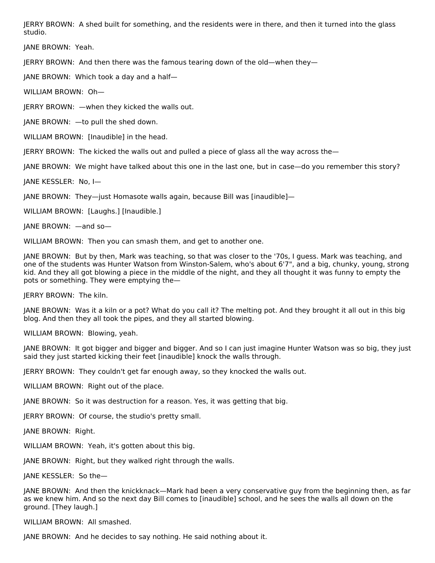JERRY BROWN: A shed built for something, and the residents were in there, and then it turned into the glass studio.

JANE BROWN: Yeah.

JERRY BROWN: And then there was the famous tearing down of the old—when they—

JANE BROWN: Which took a day and a half—

WILLIAM BROWN: Oh—

JERRY BROWN: —when they kicked the walls out.

JANE BROWN: —to pull the shed down.

WILLIAM BROWN: [Inaudible] in the head.

JERRY BROWN: The kicked the walls out and pulled a piece of glass all the way across the—

JANE BROWN: We might have talked about this one in the last one, but in case—do you remember this story?

JANE KESSLER: No, I—

JANE BROWN: They—just Homasote walls again, because Bill was [inaudible]—

WILLIAM BROWN: [Laughs.] [Inaudible.]

JANE BROWN: —and so—

WILLIAM BROWN: Then you can smash them, and get to another one.

JANE BROWN: But by then, Mark was teaching, so that was closer to the '70s, I guess. Mark was teaching, and one of the students was Hunter Watson from Winston-Salem, who's about 6'7", and a big, chunky, young, strong kid. And they all got blowing a piece in the middle of the night, and they all thought it was funny to empty the pots or something. They were emptying the—

JERRY BROWN: The kiln.

JANE BROWN: Was it a kiln or a pot? What do you call it? The melting pot. And they brought it all out in this big blog. And then they all took the pipes, and they all started blowing.

WILLIAM BROWN: Blowing, yeah.

JANE BROWN: It got bigger and bigger and bigger. And so I can just imagine Hunter Watson was so big, they just said they just started kicking their feet [inaudible] knock the walls through.

JERRY BROWN: They couldn't get far enough away, so they knocked the walls out.

WILLIAM BROWN: Right out of the place.

JANE BROWN: So it was destruction for a reason. Yes, it was getting that big.

JERRY BROWN: Of course, the studio's pretty small.

JANE BROWN: Right.

WILLIAM BROWN: Yeah, it's gotten about this big.

JANE BROWN: Right, but they walked right through the walls.

JANE KESSLER: So the—

JANE BROWN: And then the knickknack—Mark had been a very conservative guy from the beginning then, as far as we knew him. And so the next day Bill comes to [inaudible] school, and he sees the walls all down on the ground. [They laugh.]

WILLIAM BROWN: All smashed.

JANE BROWN: And he decides to say nothing. He said nothing about it.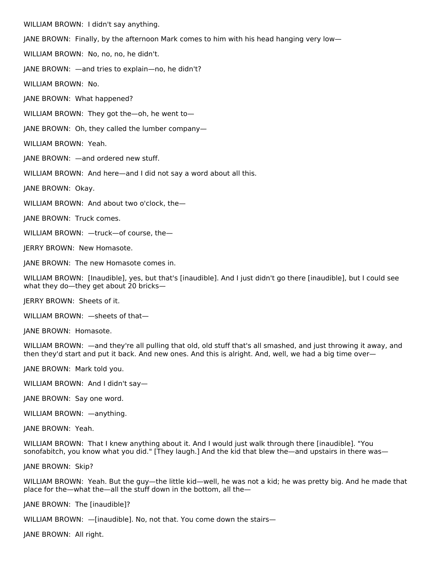WILLIAM BROWN: I didn't say anything.

JANE BROWN: Finally, by the afternoon Mark comes to him with his head hanging very low—

WILLIAM BROWN: No, no, no, he didn't.

JANE BROWN: —and tries to explain—no, he didn't?

WILLIAM BROWN: No.

JANE BROWN: What happened?

WILLIAM BROWN: They got the—oh, he went to—

JANE BROWN: Oh, they called the lumber company—

WILLIAM BROWN: Yeah.

JANE BROWN: —and ordered new stuff.

WILLIAM BROWN: And here—and I did not say a word about all this.

JANE BROWN: Okay.

WILLIAM BROWN: And about two o'clock, the—

JANE BROWN: Truck comes.

WILLIAM BROWN: —truck—of course, the—

JERRY BROWN: New Homasote.

JANE BROWN: The new Homasote comes in.

WILLIAM BROWN: [Inaudible], yes, but that's [inaudible]. And I just didn't go there [inaudible], but I could see what they do—they get about 20 bricks—

JERRY BROWN: Sheets of it.

WILLIAM BROWN: —sheets of that—

JANE BROWN: Homasote.

WILLIAM BROWN: —and they're all pulling that old, old stuff that's all smashed, and just throwing it away, and then they'd start and put it back. And new ones. And this is alright. And, well, we had a big time over—

JANE BROWN: Mark told you.

WILLIAM BROWN: And I didn't say—

JANE BROWN: Say one word.

WILLIAM BROWN: —anything.

JANE BROWN: Yeah.

WILLIAM BROWN: That I knew anything about it. And I would just walk through there [inaudible]. "You sonofabitch, you know what you did." [They laugh.] And the kid that blew the—and upstairs in there was—

JANE BROWN: Skip?

WILLIAM BROWN: Yeah. But the guy—the little kid—well, he was not a kid; he was pretty big. And he made that place for the—what the—all the stuff down in the bottom, all the—

JANE BROWN: The [inaudible]?

WILLIAM BROWN: —[inaudible]. No, not that. You come down the stairs—

JANE BROWN: All right.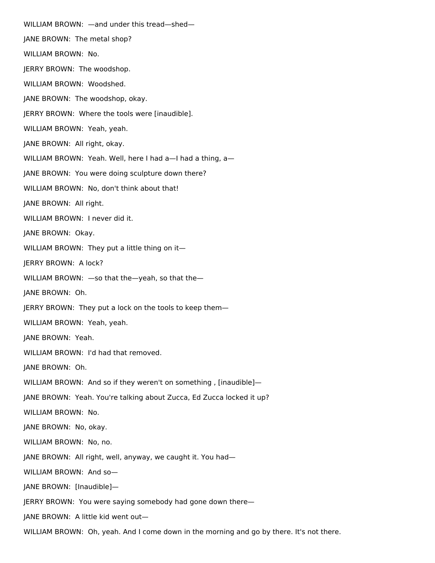WILLIAM BROWN: —and under this tread—shed— JANE BROWN: The metal shop? WILLIAM BROWN: No. JERRY BROWN: The woodshop. WILLIAM BROWN: Woodshed. JANE BROWN: The woodshop, okay. JERRY BROWN: Where the tools were [inaudible]. WILLIAM BROWN: Yeah, yeah. JANE BROWN: All right, okay. WILLIAM BROWN: Yeah. Well, here I had a-I had a thing, a-JANE BROWN: You were doing sculpture down there? WILLIAM BROWN: No, don't think about that! JANE BROWN: All right. WILLIAM BROWN: I never did it. JANE BROWN: Okay. WILLIAM BROWN: They put a little thing on it— JERRY BROWN: A lock? WILLIAM BROWN: —so that the—yeah, so that the— JANE BROWN: Oh. JERRY BROWN: They put a lock on the tools to keep them— WILLIAM BROWN: Yeah, yeah. JANE BROWN: Yeah. WILLIAM BROWN: I'd had that removed. JANE BROWN: Oh. WILLIAM BROWN: And so if they weren't on something , [inaudible]— JANE BROWN: Yeah. You're talking about Zucca, Ed Zucca locked it up? WILLIAM BROWN: No. JANE BROWN: No, okay. WILLIAM BROWN: No, no. JANE BROWN: All right, well, anyway, we caught it. You had— WILLIAM BROWN: And so— JANE BROWN: [Inaudible]— JERRY BROWN: You were saying somebody had gone down there— JANE BROWN: A little kid went out—

WILLIAM BROWN: Oh, yeah. And I come down in the morning and go by there. It's not there.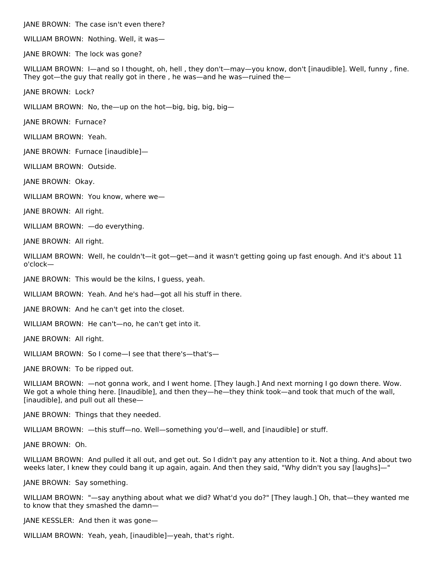JANE BROWN: The case isn't even there?

WILLIAM BROWN: Nothing. Well, it was—

JANE BROWN: The lock was gone?

WILLIAM BROWN: I—and so I thought, oh, hell , they don't—may—you know, don't [inaudible]. Well, funny , fine. They got—the guy that really got in there , he was—and he was—ruined the—

JANE BROWN: Lock?

WILLIAM BROWN: No, the—up on the hot—big, big, big, big—

JANE BROWN: Furnace?

WILLIAM BROWN: Yeah.

JANE BROWN: Furnace [inaudible]—

WILLIAM BROWN: Outside.

JANE BROWN: Okay.

WILLIAM BROWN: You know, where we—

JANE BROWN: All right.

WILLIAM BROWN: —do everything.

JANE BROWN: All right.

WILLIAM BROWN: Well, he couldn't—it got—get—and it wasn't getting going up fast enough. And it's about 11 o'clock—

JANE BROWN: This would be the kilns, I guess, yeah.

WILLIAM BROWN: Yeah. And he's had—got all his stuff in there.

JANE BROWN: And he can't get into the closet.

WILLIAM BROWN: He can't—no, he can't get into it.

JANE BROWN: All right.

WILLIAM BROWN: So I come—I see that there's—that's—

JANE BROWN: To be ripped out.

WILLIAM BROWN: —not gonna work, and I went home. [They laugh.] And next morning I go down there. Wow. We got a whole thing here. [Inaudible], and then they—he—they think took—and took that much of the wall, [inaudible], and pull out all these—

JANE BROWN: Things that they needed.

WILLIAM BROWN: —this stuff—no. Well—something you'd—well, and [inaudible] or stuff.

JANE BROWN: Oh.

WILLIAM BROWN: And pulled it all out, and get out. So I didn't pay any attention to it. Not a thing. And about two weeks later, I knew they could bang it up again, again. And then they said, "Why didn't you say [laughs]—"

JANE BROWN: Say something.

WILLIAM BROWN: "—say anything about what we did? What'd you do?" [They laugh.] Oh, that—they wanted me to know that they smashed the damn—

JANE KESSLER: And then it was gone—

WILLIAM BROWN: Yeah, yeah, [inaudible]—yeah, that's right.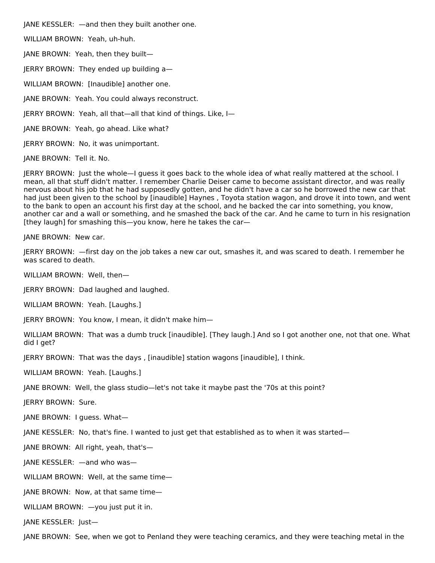JANE KESSLER: —and then they built another one.

WILLIAM BROWN: Yeah, uh-huh.

JANE BROWN: Yeah, then they built—

JERRY BROWN: They ended up building a—

WILLIAM BROWN: [Inaudible] another one.

JANE BROWN: Yeah. You could always reconstruct.

JERRY BROWN: Yeah, all that—all that kind of things. Like, I—

JANE BROWN: Yeah, go ahead. Like what?

JERRY BROWN: No, it was unimportant.

JANE BROWN: Tell it. No.

JERRY BROWN: Just the whole—I guess it goes back to the whole idea of what really mattered at the school. I mean, all that stuff didn't matter. I remember Charlie Deiser came to become assistant director, and was really nervous about his job that he had supposedly gotten, and he didn't have a car so he borrowed the new car that had just been given to the school by [inaudible] Haynes , Toyota station wagon, and drove it into town, and went to the bank to open an account his first day at the school, and he backed the car into something, you know, another car and a wall or something, and he smashed the back of the car. And he came to turn in his resignation [they laugh] for smashing this—you know, here he takes the car—

JANE BROWN: New car.

JERRY BROWN: —first day on the job takes a new car out, smashes it, and was scared to death. I remember he was scared to death.

WILLIAM BROWN: Well, then-

JERRY BROWN: Dad laughed and laughed.

WILLIAM BROWN: Yeah. [Laughs.]

JERRY BROWN: You know, I mean, it didn't make him—

WILLIAM BROWN: That was a dumb truck [inaudible]. [They laugh.] And so I got another one, not that one. What did I get?

JERRY BROWN: That was the days , [inaudible] station wagons [inaudible], I think.

WILLIAM BROWN: Yeah. [Laughs.]

JANE BROWN: Well, the glass studio—let's not take it maybe past the '70s at this point?

JERRY BROWN: Sure.

JANE BROWN: I guess. What—

JANE KESSLER: No, that's fine. I wanted to just get that established as to when it was started—

JANE BROWN: All right, yeah, that's—

JANE KESSLER: —and who was—

WILLIAM BROWN: Well, at the same time—

JANE BROWN: Now, at that same time—

WILLIAM BROWN: —you just put it in.

JANE KESSLER: Just—

JANE BROWN: See, when we got to Penland they were teaching ceramics, and they were teaching metal in the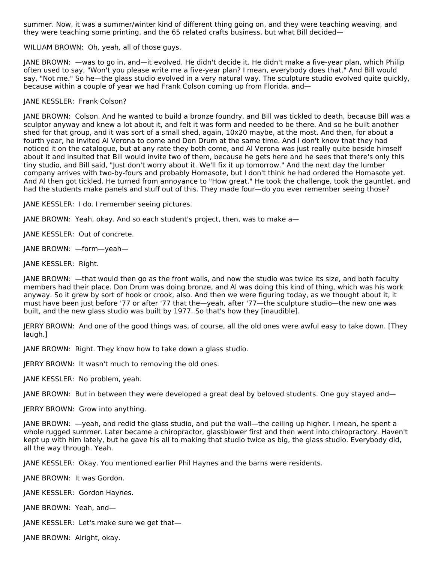summer. Now, it was a summer/winter kind of different thing going on, and they were teaching weaving, and they were teaching some printing, and the 65 related crafts business, but what Bill decided—

WILLIAM BROWN: Oh, yeah, all of those guys.

JANE BROWN: —was to go in, and—it evolved. He didn't decide it. He didn't make a five-year plan, which Philip often used to say, "Won't you please write me a five-year plan? I mean, everybody does that." And Bill would say, "Not me." So he—the glass studio evolved in a very natural way. The sculpture studio evolved quite quickly, because within a couple of year we had Frank Colson coming up from Florida, and—

## JANE KESSLER: Frank Colson?

JANE BROWN: Colson. And he wanted to build a bronze foundry, and Bill was tickled to death, because Bill was a sculptor anyway and knew a lot about it, and felt it was form and needed to be there. And so he built another shed for that group, and it was sort of a small shed, again, 10x20 maybe, at the most. And then, for about a fourth year, he invited Al Verona to come and Don Drum at the same time. And I don't know that they had noticed it on the catalogue, but at any rate they both come, and Al Verona was just really quite beside himself about it and insulted that Bill would invite two of them, because he gets here and he sees that there's only this tiny studio, and Bill said, "Just don't worry about it. We'll fix it up tomorrow." And the next day the lumber company arrives with two-by-fours and probably Homasote, but I don't think he had ordered the Homasote yet. And Al then got tickled. He turned from annoyance to "How great." He took the challenge, took the gauntlet, and had the students make panels and stuff out of this. They made four—do you ever remember seeing those?

JANE KESSLER: I do. I remember seeing pictures.

JANE BROWN: Yeah, okay. And so each student's project, then, was to make a—

JANE KESSLER: Out of concrete.

JANE BROWN: —form—yeah—

JANE KESSLER: Right.

JANE BROWN: —that would then go as the front walls, and now the studio was twice its size, and both faculty members had their place. Don Drum was doing bronze, and Al was doing this kind of thing, which was his work anyway. So it grew by sort of hook or crook, also. And then we were figuring today, as we thought about it, it must have been just before '77 or after '77 that the—yeah, after '77—the sculpture studio—the new one was built, and the new glass studio was built by 1977. So that's how they [inaudible].

JERRY BROWN: And one of the good things was, of course, all the old ones were awful easy to take down. [They laugh.]

JANE BROWN: Right. They know how to take down a glass studio.

JERRY BROWN: It wasn't much to removing the old ones.

JANE KESSLER: No problem, yeah.

JANE BROWN: But in between they were developed a great deal by beloved students. One guy stayed and—

JERRY BROWN: Grow into anything.

JANE BROWN: —yeah, and redid the glass studio, and put the wall—the ceiling up higher. I mean, he spent a whole rugged summer. Later became a chiropractor, glassblower first and then went into chiropractory. Haven't kept up with him lately, but he gave his all to making that studio twice as big, the glass studio. Everybody did, all the way through. Yeah.

JANE KESSLER: Okay. You mentioned earlier Phil Haynes and the barns were residents.

JANE BROWN: It was Gordon.

JANE KESSLER: Gordon Haynes.

JANE BROWN: Yeah, and—

JANE KESSLER: Let's make sure we get that—

JANE BROWN: Alright, okay.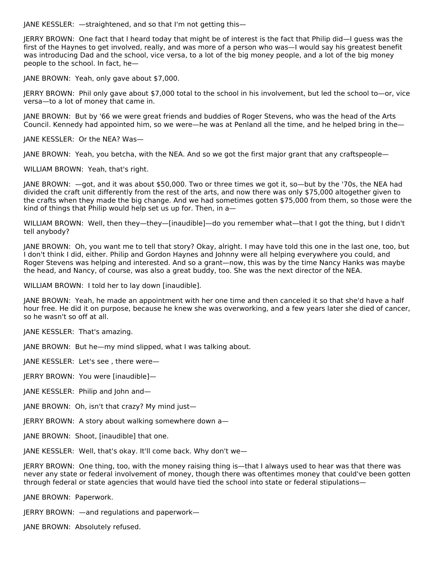JANE KESSLER: —straightened, and so that I'm not getting this—

JERRY BROWN: One fact that I heard today that might be of interest is the fact that Philip did—I guess was the first of the Haynes to get involved, really, and was more of a person who was—I would say his greatest benefit was introducing Dad and the school, vice versa, to a lot of the big money people, and a lot of the big money people to the school. In fact, he—

JANE BROWN: Yeah, only gave about \$7,000.

JERRY BROWN: Phil only gave about \$7,000 total to the school in his involvement, but led the school to—or, vice versa—to a lot of money that came in.

JANE BROWN: But by '66 we were great friends and buddies of Roger Stevens, who was the head of the Arts Council. Kennedy had appointed him, so we were—he was at Penland all the time, and he helped bring in the—

JANE KESSLER: Or the NEA? Was—

JANE BROWN: Yeah, you betcha, with the NEA. And so we got the first major grant that any craftspeople—

WILLIAM BROWN: Yeah, that's right.

JANE BROWN: —got, and it was about \$50,000. Two or three times we got it, so—but by the '70s, the NEA had divided the craft unit differently from the rest of the arts, and now there was only \$75,000 altogether given to the crafts when they made the big change. And we had sometimes gotten \$75,000 from them, so those were the kind of things that Philip would help set us up for. Then, in a—

WILLIAM BROWN: Well, then they—they—[inaudible]—do you remember what—that I got the thing, but I didn't tell anybody?

JANE BROWN: Oh, you want me to tell that story? Okay, alright. I may have told this one in the last one, too, but I don't think I did, either. Philip and Gordon Haynes and Johnny were all helping everywhere you could, and Roger Stevens was helping and interested. And so a grant—now, this was by the time Nancy Hanks was maybe the head, and Nancy, of course, was also a great buddy, too. She was the next director of the NEA.

WILLIAM BROWN: I told her to lay down [inaudible].

JANE BROWN: Yeah, he made an appointment with her one time and then canceled it so that she'd have a half hour free. He did it on purpose, because he knew she was overworking, and a few years later she died of cancer, so he wasn't so off at all.

JANE KESSLER: That's amazing.

JANE BROWN: But he—my mind slipped, what I was talking about.

JANE KESSLER: Let's see , there were—

JERRY BROWN: You were [inaudible]—

JANE KESSLER: Philip and John and—

JANE BROWN: Oh, isn't that crazy? My mind just—

JERRY BROWN: A story about walking somewhere down a—

JANE BROWN: Shoot, [inaudible] that one.

JANE KESSLER: Well, that's okay. It'll come back. Why don't we—

JERRY BROWN: One thing, too, with the money raising thing is—that I always used to hear was that there was never any state or federal involvement of money, though there was oftentimes money that could've been gotten through federal or state agencies that would have tied the school into state or federal stipulations—

JANE BROWN: Paperwork.

JERRY BROWN: —and regulations and paperwork—

JANE BROWN: Absolutely refused.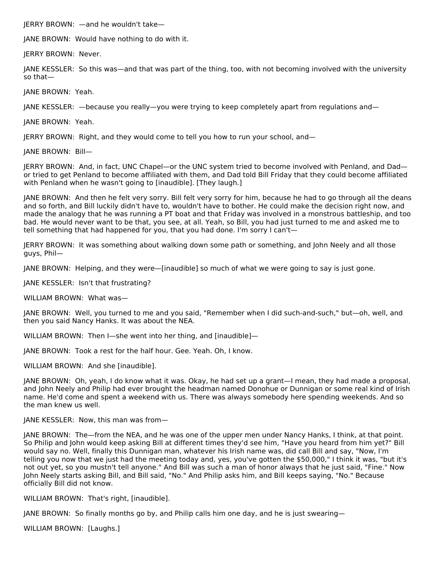JERRY BROWN: —and he wouldn't take—

JANE BROWN: Would have nothing to do with it.

JERRY BROWN: Never.

JANE KESSLER: So this was—and that was part of the thing, too, with not becoming involved with the university so that—

JANE BROWN: Yeah.

JANE KESSLER: —because you really—you were trying to keep completely apart from regulations and—

JANE BROWN: Yeah.

JERRY BROWN: Right, and they would come to tell you how to run your school, and—

JANE BROWN: Bill—

JERRY BROWN: And, in fact, UNC Chapel—or the UNC system tried to become involved with Penland, and Dad or tried to get Penland to become affiliated with them, and Dad told Bill Friday that they could become affiliated with Penland when he wasn't going to [inaudible]. [They laugh.]

JANE BROWN: And then he felt very sorry. Bill felt very sorry for him, because he had to go through all the deans and so forth, and Bill luckily didn't have to, wouldn't have to bother. He could make the decision right now, and made the analogy that he was running a PT boat and that Friday was involved in a monstrous battleship, and too bad. He would never want to be that, you see, at all. Yeah, so Bill, you had just turned to me and asked me to tell something that had happened for you, that you had done. I'm sorry I can't-

JERRY BROWN: It was something about walking down some path or something, and John Neely and all those guys, Phil—

JANE BROWN: Helping, and they were—[inaudible] so much of what we were going to say is just gone.

JANE KESSLER: Isn't that frustrating?

WILLIAM BROWN: What was—

JANE BROWN: Well, you turned to me and you said, "Remember when I did such-and-such," but—oh, well, and then you said Nancy Hanks. It was about the NEA.

WILLIAM BROWN: Then I-she went into her thing, and [inaudible]-

JANE BROWN: Took a rest for the half hour. Gee. Yeah. Oh, I know.

WILLIAM BROWN: And she [inaudible].

JANE BROWN: Oh, yeah, I do know what it was. Okay, he had set up a grant—I mean, they had made a proposal, and John Neely and Philip had ever brought the headman named Donohue or Dunnigan or some real kind of Irish name. He'd come and spent a weekend with us. There was always somebody here spending weekends. And so the man knew us well.

JANE KESSLER: Now, this man was from—

JANE BROWN: The—from the NEA, and he was one of the upper men under Nancy Hanks, I think, at that point. So Philip and John would keep asking Bill at different times they'd see him, "Have you heard from him yet?" Bill would say no. Well, finally this Dunnigan man, whatever his Irish name was, did call Bill and say, "Now, I'm telling you now that we just had the meeting today and, yes, you've gotten the \$50,000," I think it was, "but it's not out yet, so you mustn't tell anyone." And Bill was such a man of honor always that he just said, "Fine." Now John Neely starts asking Bill, and Bill said, "No." And Philip asks him, and Bill keeps saying, "No." Because officially Bill did not know.

WILLIAM BROWN: That's right, [inaudible].

JANE BROWN: So finally months go by, and Philip calls him one day, and he is just swearing—

WILLIAM BROWN: [Laughs.]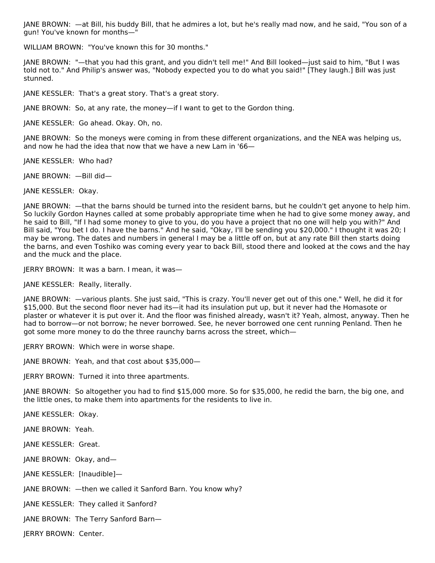JANE BROWN: —at Bill, his buddy Bill, that he admires a lot, but he's really mad now, and he said, "You son of a gun! You've known for months—"

WILLIAM BROWN: "You've known this for 30 months."

JANE BROWN: "—that you had this grant, and you didn't tell me!" And Bill looked—just said to him, "But I was told not to." And Philip's answer was, "Nobody expected you to do what you said!" [They laugh.] Bill was just stunned.

JANE KESSLER: That's a great story. That's a great story.

JANE BROWN: So, at any rate, the money—if I want to get to the Gordon thing.

JANE KESSLER: Go ahead. Okay. Oh, no.

JANE BROWN: So the moneys were coming in from these different organizations, and the NEA was helping us, and now he had the idea that now that we have a new Lam in '66—

JANE KESSLER: Who had?

JANE BROWN: —Bill did—

JANE KESSLER: Okay.

JANE BROWN: —that the barns should be turned into the resident barns, but he couldn't get anyone to help him. So luckily Gordon Haynes called at some probably appropriate time when he had to give some money away, and he said to Bill, "If I had some money to give to you, do you have a project that no one will help you with?" And Bill said, "You bet I do. I have the barns." And he said, "Okay, I'll be sending you \$20,000." I thought it was 20; I may be wrong. The dates and numbers in general I may be a little off on, but at any rate Bill then starts doing the barns, and even Toshiko was coming every year to back Bill, stood there and looked at the cows and the hay and the muck and the place.

JERRY BROWN: It was a barn. I mean, it was—

JANE KESSLER: Really, literally.

JANE BROWN: —various plants. She just said, "This is crazy. You'll never get out of this one." Well, he did it for \$15,000. But the second floor never had its—it had its insulation put up, but it never had the Homasote or plaster or whatever it is put over it. And the floor was finished already, wasn't it? Yeah, almost, anyway. Then he had to borrow—or not borrow; he never borrowed. See, he never borrowed one cent running Penland. Then he got some more money to do the three raunchy barns across the street, which—

JERRY BROWN: Which were in worse shape.

JANE BROWN: Yeah, and that cost about \$35,000—

JERRY BROWN: Turned it into three apartments.

JANE BROWN: So altogether you had to find \$15,000 more. So for \$35,000, he redid the barn, the big one, and the little ones, to make them into apartments for the residents to live in.

JANE KESSLER: Okay.

JANE BROWN: Yeah.

JANE KESSLER: Great.

JANE BROWN: Okay, and—

JANE KESSLER: [Inaudible]—

JANE BROWN: —then we called it Sanford Barn. You know why?

JANE KESSLER: They called it Sanford?

JANE BROWN: The Terry Sanford Barn—

JERRY BROWN: Center.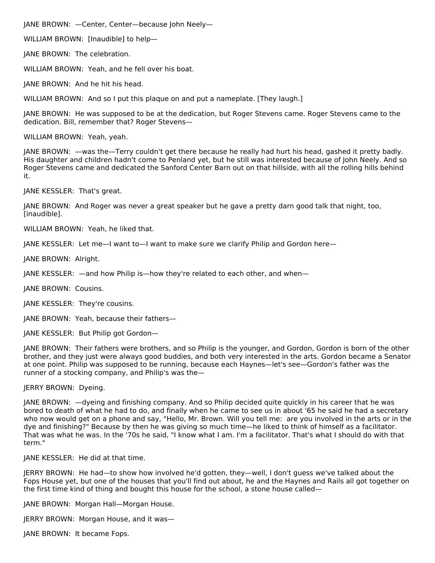JANE BROWN: —Center, Center—because John Neely—

WILLIAM BROWN: [Inaudible] to help—

JANE BROWN: The celebration.

WILLIAM BROWN: Yeah, and he fell over his boat.

JANE BROWN: And he hit his head.

WILLIAM BROWN: And so I put this plaque on and put a nameplate. [They laugh.]

JANE BROWN: He was supposed to be at the dedication, but Roger Stevens came. Roger Stevens came to the dedication. Bill, remember that? Roger Stevens—

WILLIAM BROWN: Yeah, yeah.

JANE BROWN: —was the—Terry couldn't get there because he really had hurt his head, gashed it pretty badly. His daughter and children hadn't come to Penland yet, but he still was interested because of John Neely. And so Roger Stevens came and dedicated the Sanford Center Barn out on that hillside, with all the rolling hills behind it.

JANE KESSLER: That's great.

JANE BROWN: And Roger was never a great speaker but he gave a pretty darn good talk that night, too, [inaudible].

WILLIAM BROWN: Yeah, he liked that.

JANE KESSLER: Let me—I want to—I want to make sure we clarify Philip and Gordon here—

JANE BROWN: Alright.

JANE KESSLER: —and how Philip is—how they're related to each other, and when—

JANE BROWN: Cousins.

JANE KESSLER: They're cousins.

JANE BROWN: Yeah, because their fathers—

JANE KESSLER: But Philip got Gordon—

JANE BROWN: Their fathers were brothers, and so Philip is the younger, and Gordon, Gordon is born of the other brother, and they just were always good buddies, and both very interested in the arts. Gordon became a Senator at one point. Philip was supposed to be running, because each Haynes—let's see—Gordon's father was the runner of a stocking company, and Philip's was the—

JERRY BROWN: Dyeing.

JANE BROWN: —dyeing and finishing company. And so Philip decided quite quickly in his career that he was bored to death of what he had to do, and finally when he came to see us in about '65 he said he had a secretary who now would get on a phone and say, "Hello, Mr. Brown. Will you tell me: are you involved in the arts or in the dye and finishing?" Because by then he was giving so much time—he liked to think of himself as a facilitator. That was what he was. In the '70s he said, "I know what I am. I'm a facilitator. That's what I should do with that term."

JANE KESSLER: He did at that time.

JERRY BROWN: He had—to show how involved he'd gotten, they—well, I don't guess we've talked about the Fops House yet, but one of the houses that you'll find out about, he and the Haynes and Rails all got together on the first time kind of thing and bought this house for the school, a stone house called—

JANE BROWN: Morgan Hall—Morgan House.

JERRY BROWN: Morgan House, and it was—

JANE BROWN: It became Fops.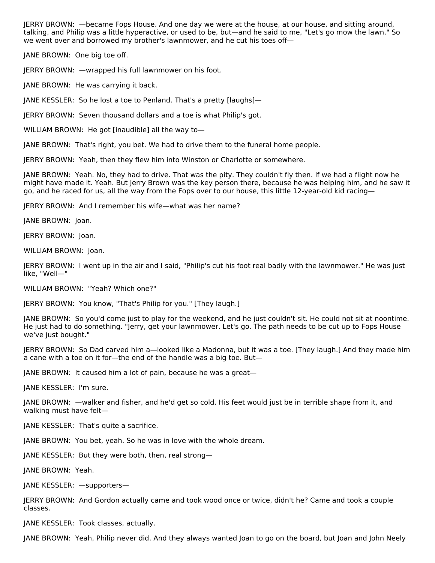JERRY BROWN: —became Fops House. And one day we were at the house, at our house, and sitting around, talking, and Philip was a little hyperactive, or used to be, but—and he said to me, "Let's go mow the lawn." So we went over and borrowed my brother's lawnmower, and he cut his toes off—

JANE BROWN: One big toe off.

JERRY BROWN: —wrapped his full lawnmower on his foot.

JANE BROWN: He was carrying it back.

JANE KESSLER: So he lost a toe to Penland. That's a pretty [laughs]—

JERRY BROWN: Seven thousand dollars and a toe is what Philip's got.

WILLIAM BROWN: He got [inaudible] all the way to-

JANE BROWN: That's right, you bet. We had to drive them to the funeral home people.

JERRY BROWN: Yeah, then they flew him into Winston or Charlotte or somewhere.

JANE BROWN: Yeah. No, they had to drive. That was the pity. They couldn't fly then. If we had a flight now he might have made it. Yeah. But Jerry Brown was the key person there, because he was helping him, and he saw it go, and he raced for us, all the way from the Fops over to our house, this little 12-year-old kid racing—

JERRY BROWN: And I remember his wife—what was her name?

JANE BROWN: Joan.

JERRY BROWN: Joan.

WILLIAM BROWN: Joan.

JERRY BROWN: I went up in the air and I said, "Philip's cut his foot real badly with the lawnmower." He was just like, "Well—"

WILLIAM BROWN: "Yeah? Which one?"

JERRY BROWN: You know, "That's Philip for you." [They laugh.]

JANE BROWN: So you'd come just to play for the weekend, and he just couldn't sit. He could not sit at noontime. He just had to do something. "Jerry, get your lawnmower. Let's go. The path needs to be cut up to Fops House we've just bought."

JERRY BROWN: So Dad carved him a—looked like a Madonna, but it was a toe. [They laugh.] And they made him a cane with a toe on it for—the end of the handle was a big toe. But—

JANE BROWN: It caused him a lot of pain, because he was a great—

JANE KESSLER: I'm sure.

JANE BROWN: —walker and fisher, and he'd get so cold. His feet would just be in terrible shape from it, and walking must have felt—

JANE KESSLER: That's quite a sacrifice.

JANE BROWN: You bet, yeah. So he was in love with the whole dream.

JANE KESSLER: But they were both, then, real strong—

JANE BROWN: Yeah.

JANE KESSLER: —supporters—

JERRY BROWN: And Gordon actually came and took wood once or twice, didn't he? Came and took a couple classes.

JANE KESSLER: Took classes, actually.

JANE BROWN: Yeah, Philip never did. And they always wanted Joan to go on the board, but Joan and John Neely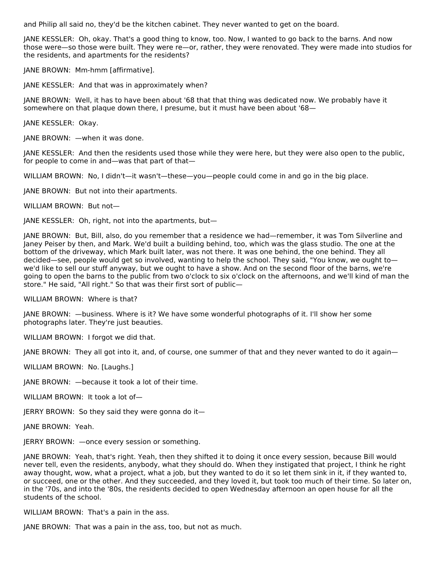and Philip all said no, they'd be the kitchen cabinet. They never wanted to get on the board.

JANE KESSLER: Oh, okay. That's a good thing to know, too. Now, I wanted to go back to the barns. And now those were—so those were built. They were re—or, rather, they were renovated. They were made into studios for the residents, and apartments for the residents?

JANE BROWN: Mm-hmm [affirmative].

JANE KESSLER: And that was in approximately when?

JANE BROWN: Well, it has to have been about '68 that that thing was dedicated now. We probably have it somewhere on that plaque down there, I presume, but it must have been about '68—

JANE KESSLER: Okay.

JANE BROWN: —when it was done.

JANE KESSLER: And then the residents used those while they were here, but they were also open to the public, for people to come in and—was that part of that—

WILLIAM BROWN: No, I didn't—it wasn't—these—you—people could come in and go in the big place.

JANE BROWN: But not into their apartments.

WILLIAM BROWN: But not—

JANE KESSLER: Oh, right, not into the apartments, but—

JANE BROWN: But, Bill, also, do you remember that a residence we had—remember, it was Tom Silverline and Janey Peiser by then, and Mark. We'd built a building behind, too, which was the glass studio. The one at the bottom of the driveway, which Mark built later, was not there. It was one behind, the one behind. They all decided—see, people would get so involved, wanting to help the school. They said, "You know, we ought to we'd like to sell our stuff anyway, but we ought to have a show. And on the second floor of the barns, we're going to open the barns to the public from two o'clock to six o'clock on the afternoons, and we'll kind of man the store." He said, "All right." So that was their first sort of public—

WILLIAM BROWN: Where is that?

JANE BROWN: —business. Where is it? We have some wonderful photographs of it. I'll show her some photographs later. They're just beauties.

WILLIAM BROWN: I forgot we did that.

JANE BROWN: They all got into it, and, of course, one summer of that and they never wanted to do it again—

WILLIAM BROWN: No. [Laughs.]

JANE BROWN: —because it took a lot of their time.

WILLIAM BROWN: It took a lot of—

JERRY BROWN: So they said they were gonna do it—

JANE BROWN: Yeah.

JERRY BROWN: —once every session or something.

JANE BROWN: Yeah, that's right. Yeah, then they shifted it to doing it once every session, because Bill would never tell, even the residents, anybody, what they should do. When they instigated that project, I think he right away thought, wow, what a project, what a job, but they wanted to do it so let them sink in it, if they wanted to, or succeed, one or the other. And they succeeded, and they loved it, but took too much of their time. So later on, in the '70s, and into the '80s, the residents decided to open Wednesday afternoon an open house for all the students of the school.

WILLIAM BROWN: That's a pain in the ass.

JANE BROWN: That was a pain in the ass, too, but not as much.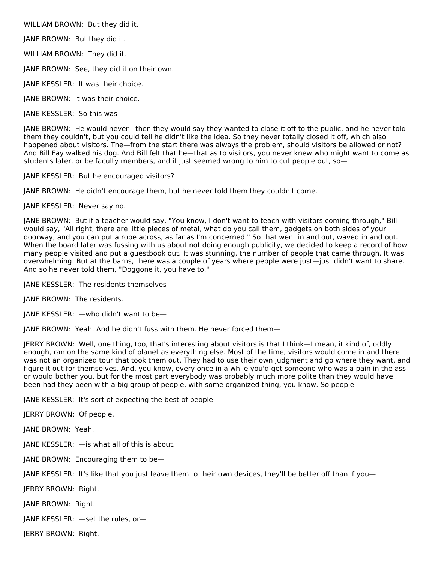WILLIAM BROWN: But they did it.

JANE BROWN: But they did it.

WILLIAM BROWN: They did it.

JANE BROWN: See, they did it on their own.

JANE KESSLER: It was their choice.

JANE BROWN: It was their choice.

JANE KESSLER: So this was—

JANE BROWN: He would never—then they would say they wanted to close it off to the public, and he never told them they couldn't, but you could tell he didn't like the idea. So they never totally closed it off, which also happened about visitors. The—from the start there was always the problem, should visitors be allowed or not? And Bill Fay walked his dog. And Bill felt that he—that as to visitors, you never knew who might want to come as students later, or be faculty members, and it just seemed wrong to him to cut people out, so—

JANE KESSLER: But he encouraged visitors?

JANE BROWN: He didn't encourage them, but he never told them they couldn't come.

JANE KESSLER: Never say no.

JANE BROWN: But if a teacher would say, "You know, I don't want to teach with visitors coming through," Bill would say, "All right, there are little pieces of metal, what do you call them, gadgets on both sides of your doorway, and you can put a rope across, as far as I'm concerned." So that went in and out, waved in and out. When the board later was fussing with us about not doing enough publicity, we decided to keep a record of how many people visited and put a guestbook out. It was stunning, the number of people that came through. It was overwhelming. But at the barns, there was a couple of years where people were just—just didn't want to share. And so he never told them, "Doggone it, you have to."

JANE KESSLER: The residents themselves—

JANE BROWN: The residents.

JANE KESSLER: —who didn't want to be—

JANE BROWN: Yeah. And he didn't fuss with them. He never forced them—

JERRY BROWN: Well, one thing, too, that's interesting about visitors is that I think—I mean, it kind of, oddly enough, ran on the same kind of planet as everything else. Most of the time, visitors would come in and there was not an organized tour that took them out. They had to use their own judgment and go where they want, and figure it out for themselves. And, you know, every once in a while you'd get someone who was a pain in the ass or would bother you, but for the most part everybody was probably much more polite than they would have been had they been with a big group of people, with some organized thing, you know. So people—

JANE KESSLER: It's sort of expecting the best of people—

JERRY BROWN: Of people.

JANE BROWN: Yeah.

JANE KESSLER: —is what all of this is about.

JANE BROWN: Encouraging them to be—

JANE KESSLER: It's like that you just leave them to their own devices, they'll be better off than if you—

JERRY BROWN: Right.

JANE BROWN: Right.

JANE KESSLER: —set the rules, or—

JERRY BROWN: Right.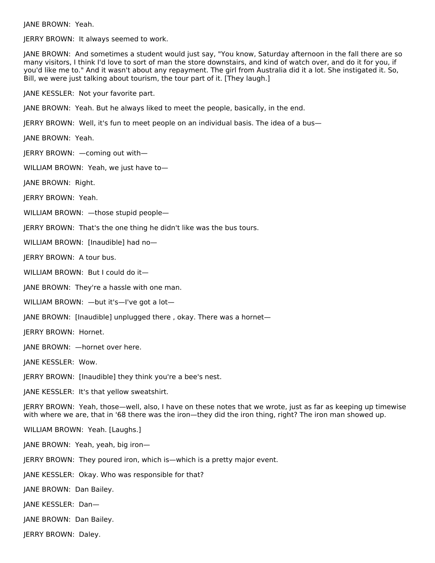JANE BROWN: Yeah.

JERRY BROWN: It always seemed to work.

JANE BROWN: And sometimes a student would just say, "You know, Saturday afternoon in the fall there are so many visitors, I think I'd love to sort of man the store downstairs, and kind of watch over, and do it for you, if you'd like me to." And it wasn't about any repayment. The girl from Australia did it a lot. She instigated it. So, Bill, we were just talking about tourism, the tour part of it. [They laugh.]

JANE KESSLER: Not your favorite part.

JANE BROWN: Yeah. But he always liked to meet the people, basically, in the end.

JERRY BROWN: Well, it's fun to meet people on an individual basis. The idea of a bus—

JANE BROWN: Yeah.

JERRY BROWN: —coming out with—

WILLIAM BROWN: Yeah, we just have to—

JANE BROWN: Right.

JERRY BROWN: Yeah.

WILLIAM BROWN: —those stupid people—

JERRY BROWN: That's the one thing he didn't like was the bus tours.

WILLIAM BROWN: [Inaudible] had no—

JERRY BROWN: A tour bus.

WILLIAM BROWN: But I could do it—

JANE BROWN: They're a hassle with one man.

WILLIAM BROWN: —but it's—I've got a lot—

JANE BROWN: [Inaudible] unplugged there , okay. There was a hornet—

JERRY BROWN: Hornet.

JANE BROWN: —hornet over here.

JANE KESSLER: Wow.

JERRY BROWN: [Inaudible] they think you're a bee's nest.

JANE KESSLER: It's that yellow sweatshirt.

JERRY BROWN: Yeah, those—well, also, I have on these notes that we wrote, just as far as keeping up timewise with where we are, that in '68 there was the iron—they did the iron thing, right? The iron man showed up.

WILLIAM BROWN: Yeah. [Laughs.]

JANE BROWN: Yeah, yeah, big iron—

JERRY BROWN: They poured iron, which is—which is a pretty major event.

JANE KESSLER: Okay. Who was responsible for that?

JANE BROWN: Dan Bailey.

JANE KESSLER: Dan—

JANE BROWN: Dan Bailey.

JERRY BROWN: Daley.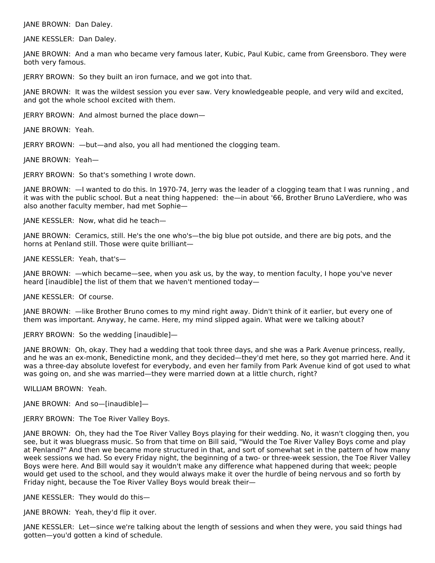JANE BROWN: Dan Daley.

JANE KESSLER: Dan Daley.

JANE BROWN: And a man who became very famous later, Kubic, Paul Kubic, came from Greensboro. They were both very famous.

JERRY BROWN: So they built an iron furnace, and we got into that.

JANE BROWN: It was the wildest session you ever saw. Very knowledgeable people, and very wild and excited, and got the whole school excited with them.

JERRY BROWN: And almost burned the place down—

JANE BROWN: Yeah.

JERRY BROWN: —but—and also, you all had mentioned the clogging team.

JANE BROWN: Yeah—

JERRY BROWN: So that's something I wrote down.

JANE BROWN: —I wanted to do this. In 1970-74, Jerry was the leader of a clogging team that I was running , and it was with the public school. But a neat thing happened: the—in about '66, Brother Bruno LaVerdiere, who was also another faculty member, had met Sophie—

JANE KESSLER: Now, what did he teach—

JANE BROWN: Ceramics, still. He's the one who's—the big blue pot outside, and there are big pots, and the horns at Penland still. Those were quite brilliant—

JANE KESSLER: Yeah, that's—

JANE BROWN: —which became—see, when you ask us, by the way, to mention faculty, I hope you've never heard [inaudible] the list of them that we haven't mentioned today—

JANE KESSLER: Of course.

JANE BROWN: —like Brother Bruno comes to my mind right away. Didn't think of it earlier, but every one of them was important. Anyway, he came. Here, my mind slipped again. What were we talking about?

JERRY BROWN: So the wedding [inaudible]—

JANE BROWN: Oh, okay. They had a wedding that took three days, and she was a Park Avenue princess, really, and he was an ex-monk, Benedictine monk, and they decided—they'd met here, so they got married here. And it was a three-day absolute lovefest for everybody, and even her family from Park Avenue kind of got used to what was going on, and she was married—they were married down at a little church, right?

WILLIAM BROWN: Yeah.

JANE BROWN: And so—[inaudible]—

JERRY BROWN: The Toe River Valley Boys.

JANE BROWN: Oh, they had the Toe River Valley Boys playing for their wedding. No, it wasn't clogging then, you see, but it was bluegrass music. So from that time on Bill said, "Would the Toe River Valley Boys come and play at Penland?" And then we became more structured in that, and sort of somewhat set in the pattern of how many week sessions we had. So every Friday night, the beginning of a two- or three-week session, the Toe River Valley Boys were here. And Bill would say it wouldn't make any difference what happened during that week; people would get used to the school, and they would always make it over the hurdle of being nervous and so forth by Friday night, because the Toe River Valley Boys would break their—

JANE KESSLER: They would do this—

JANE BROWN: Yeah, they'd flip it over.

JANE KESSLER: Let—since we're talking about the length of sessions and when they were, you said things had gotten—you'd gotten a kind of schedule.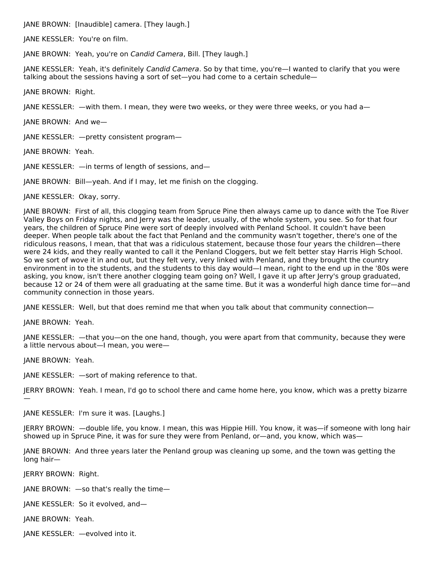JANE BROWN: [Inaudible] camera. [They laugh.]

JANE KESSLER: You're on film.

JANE BROWN: Yeah, you're on Candid Camera, Bill. [They laugh.]

JANE KESSLER: Yeah, it's definitely Candid Camera. So by that time, you're—I wanted to clarify that you were talking about the sessions having a sort of set—you had come to a certain schedule—

JANE BROWN: Right.

JANE KESSLER: —with them. I mean, they were two weeks, or they were three weeks, or you had a—

JANE BROWN: And we—

JANE KESSLER: —pretty consistent program—

JANE BROWN: Yeah.

JANE KESSLER: —in terms of length of sessions, and—

JANE BROWN: Bill—yeah. And if I may, let me finish on the clogging.

JANE KESSLER: Okay, sorry.

JANE BROWN: First of all, this clogging team from Spruce Pine then always came up to dance with the Toe River Valley Boys on Friday nights, and Jerry was the leader, usually, of the whole system, you see. So for that four years, the children of Spruce Pine were sort of deeply involved with Penland School. It couldn't have been deeper. When people talk about the fact that Penland and the community wasn't together, there's one of the ridiculous reasons, I mean, that that was a ridiculous statement, because those four years the children—there were 24 kids, and they really wanted to call it the Penland Cloggers, but we felt better stay Harris High School. So we sort of wove it in and out, but they felt very, very linked with Penland, and they brought the country environment in to the students, and the students to this day would—I mean, right to the end up in the '80s were asking, you know, isn't there another clogging team going on? Well, I gave it up after Jerry's group graduated, because 12 or 24 of them were all graduating at the same time. But it was a wonderful high dance time for—and community connection in those years.

JANE KESSLER: Well, but that does remind me that when you talk about that community connection—

JANE BROWN: Yeah.

JANE KESSLER: —that you—on the one hand, though, you were apart from that community, because they were a little nervous about—I mean, you were—

JANE BROWN: Yeah.

JANE KESSLER: —sort of making reference to that.

JERRY BROWN: Yeah. I mean, I'd go to school there and came home here, you know, which was a pretty bizarre

—

JANE KESSLER: I'm sure it was. [Laughs.]

JERRY BROWN: —double life, you know. I mean, this was Hippie Hill. You know, it was—if someone with long hair showed up in Spruce Pine, it was for sure they were from Penland, or—and, you know, which was—

JANE BROWN: And three years later the Penland group was cleaning up some, and the town was getting the long hair—

JERRY BROWN: Right.

JANE BROWN: —so that's really the time—

JANE KESSLER: So it evolved, and—

JANE BROWN: Yeah.

JANE KESSLER: —evolved into it.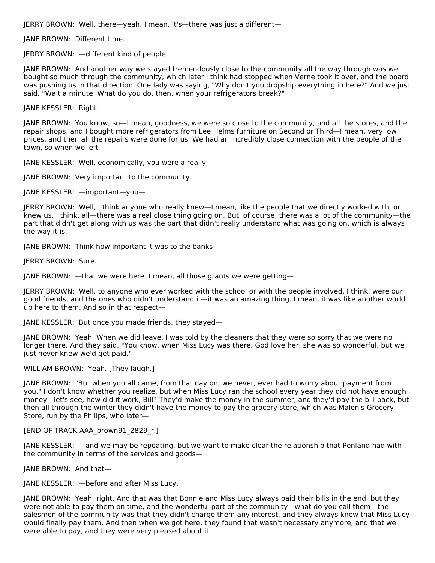JERRY BROWN: Well, there—yeah, I mean, it's—there was just a different—

JANE BROWN: Different time.

JERRY BROWN: —different kind of people.

JANE BROWN: And another way we stayed tremendously close to the community all the way through was we bought so much through the community, which later I think had stopped when Verne took it over, and the board was pushing us in that direction. One lady was saying, "Why don't you dropship everything in here?" And we just said, "Wait a minute. What do you do, then, when your refrigerators break?"

JANE KESSLER: Right.

JANE BROWN: You know, so—I mean, goodness, we were so close to the community, and all the stores, and the repair shops, and I bought more refrigerators from Lee Helms furniture on Second or Third—I mean, very low prices, and then all the repairs were done for us. We had an incredibly close connection with the people of the town, so when we left—

JANE KESSLER: Well, economically, you were a really—

JANE BROWN: Very important to the community.

JANE KESSLER: —important—you—

JERRY BROWN: Well, I think anyone who really knew—I mean, like the people that we directly worked with, or knew us, I think, all—there was a real close thing going on. But, of course, there was a lot of the community—the part that didn't get along with us was the part that didn't really understand what was going on, which is always the way it is.

JANE BROWN: Think how important it was to the banks—

JERRY BROWN: Sure.

JANE BROWN: —that we were here. I mean, all those grants we were getting—

JERRY BROWN: Well, to anyone who ever worked with the school or with the people involved, I think, were our good friends, and the ones who didn't understand it—it was an amazing thing. I mean, it was like another world up here to them. And so in that respect—

JANE KESSLER: But once you made friends, they stayed—

JANE BROWN: Yeah. When we did leave, I was told by the cleaners that they were so sorry that we were no longer there. And they said, "You know, when Miss Lucy was there, God love her, she was so wonderful, but we just never knew we'd get paid."

# WILLIAM BROWN: Yeah. [They laugh.]

JANE BROWN: "But when you all came, from that day on, we never, ever had to worry about payment from you." I don't know whether you realize, but when Miss Lucy ran the school every year they did not have enough money—let's see, how did it work, Bill? They'd make the money in the summer, and they'd pay the bill back, but then all through the winter they didn't have the money to pay the grocery store, which was Malen's Grocery Store, run by the Philips, who later—

## [END OF TRACK AAA\_brown91\_2829\_r.]

JANE KESSLER: —and we may be repeating, but we want to make clear the relationship that Penland had with the community in terms of the services and goods—

JANE BROWN: And that—

JANE KESSLER: —before and after Miss Lucy.

JANE BROWN: Yeah, right. And that was that Bonnie and Miss Lucy always paid their bills in the end, but they were not able to pay them on time, and the wonderful part of the community—what do you call them—the salesmen of the community was that they didn't charge them any interest, and they always knew that Miss Lucy would finally pay them. And then when we got here, they found that wasn't necessary anymore, and that we were able to pay, and they were very pleased about it.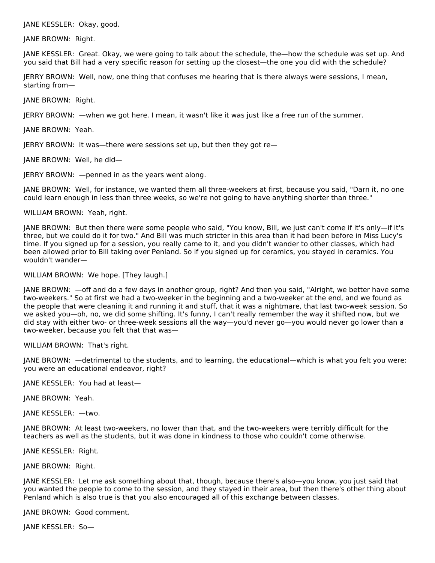### JANE KESSLER: Okay, good.

JANE BROWN: Right.

JANE KESSLER: Great. Okay, we were going to talk about the schedule, the—how the schedule was set up. And you said that Bill had a very specific reason for setting up the closest—the one you did with the schedule?

JERRY BROWN: Well, now, one thing that confuses me hearing that is there always were sessions, I mean, starting from—

JANE BROWN: Right.

JERRY BROWN: —when we got here. I mean, it wasn't like it was just like a free run of the summer.

JANE BROWN: Yeah.

JERRY BROWN: It was—there were sessions set up, but then they got re—

JANE BROWN: Well, he did—

JERRY BROWN: —penned in as the years went along.

JANE BROWN: Well, for instance, we wanted them all three-weekers at first, because you said, "Darn it, no one could learn enough in less than three weeks, so we're not going to have anything shorter than three."

#### WILLIAM BROWN: Yeah, right.

JANE BROWN: But then there were some people who said, "You know, Bill, we just can't come if it's only—if it's three, but we could do it for two." And Bill was much stricter in this area than it had been before in Miss Lucy's time. If you signed up for a session, you really came to it, and you didn't wander to other classes, which had been allowed prior to Bill taking over Penland. So if you signed up for ceramics, you stayed in ceramics. You wouldn't wander—

## WILLIAM BROWN: We hope. [They laugh.]

JANE BROWN: —off and do a few days in another group, right? And then you said, "Alright, we better have some two-weekers." So at first we had a two-weeker in the beginning and a two-weeker at the end, and we found as the people that were cleaning it and running it and stuff, that it was a nightmare, that last two-week session. So we asked you—oh, no, we did some shifting. It's funny, I can't really remember the way it shifted now, but we did stay with either two- or three-week sessions all the way—you'd never go—you would never go lower than a two-weeker, because you felt that that was—

WILLIAM BROWN: That's right.

JANE BROWN: —detrimental to the students, and to learning, the educational—which is what you felt you were: you were an educational endeavor, right?

JANE KESSLER: You had at least—

JANE BROWN: Yeah.

JANE KESSLER: —two.

JANE BROWN: At least two-weekers, no lower than that, and the two-weekers were terribly difficult for the teachers as well as the students, but it was done in kindness to those who couldn't come otherwise.

JANE KESSLER: Right.

JANE BROWN: Right.

JANE KESSLER: Let me ask something about that, though, because there's also—you know, you just said that you wanted the people to come to the session, and they stayed in their area, but then there's other thing about Penland which is also true is that you also encouraged all of this exchange between classes.

JANE BROWN: Good comment.

JANE KESSLER: So—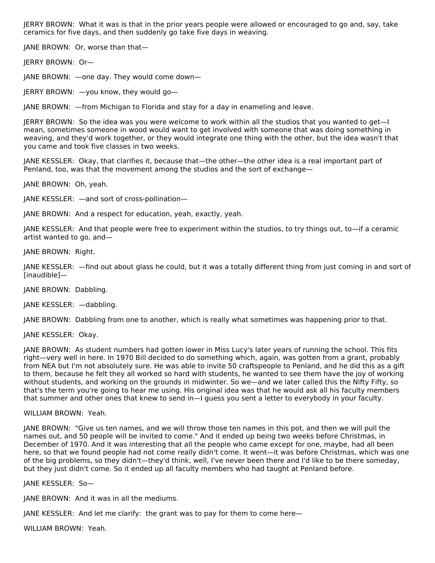JERRY BROWN: What it was is that in the prior years people were allowed or encouraged to go and, say, take ceramics for five days, and then suddenly go take five days in weaving.

JANE BROWN: Or, worse than that—

JERRY BROWN: Or—

JANE BROWN: —one day. They would come down—

JERRY BROWN: —you know, they would go—

JANE BROWN: —from Michigan to Florida and stay for a day in enameling and leave.

JERRY BROWN: So the idea was you were welcome to work within all the studios that you wanted to get—I mean, sometimes someone in wood would want to get involved with someone that was doing something in weaving, and they'd work together, or they would integrate one thing with the other, but the idea wasn't that you came and took five classes in two weeks.

JANE KESSLER: Okay, that clarifies it, because that—the other—the other idea is a real important part of Penland, too, was that the movement among the studios and the sort of exchange—

JANE BROWN: Oh, yeah.

JANE KESSLER: —and sort of cross-pollination—

JANE BROWN: And a respect for education, yeah, exactly, yeah.

JANE KESSLER: And that people were free to experiment within the studios, to try things out, to—if a ceramic artist wanted to go, and—

JANE BROWN: Right.

JANE KESSLER: —find out about glass he could, but it was a totally different thing from just coming in and sort of [inaudible]—

JANE BROWN: Dabbling.

JANE KESSLER: —dabbling.

JANE BROWN: Dabbling from one to another, which is really what sometimes was happening prior to that.

JANE KESSLER: Okay.

JANE BROWN: As student numbers had gotten lower in Miss Lucy's later years of running the school. This fits right—very well in here. In 1970 Bill decided to do something which, again, was gotten from a grant, probably from NEA but I'm not absolutely sure. He was able to invite 50 craftspeople to Penland, and he did this as a gift to them, because he felt they all worked so hard with students, he wanted to see them have the joy of working without students, and working on the grounds in midwinter. So we—and we later called this the Nifty Fifty, so that's the term you're going to hear me using. His original idea was that he would ask all his faculty members that summer and other ones that knew to send in—I guess you sent a letter to everybody in your faculty.

## WILLIAM BROWN: Yeah.

JANE BROWN: "Give us ten names, and we will throw those ten names in this pot, and then we will pull the names out, and 50 people will be invited to come." And it ended up being two weeks before Christmas, in December of 1970. And it was interesting that all the people who came except for one, maybe, had all been here, so that we found people had not come really didn't come. It went—it was before Christmas, which was one of the big problems, so they didn't—they'd think, well, I've never been there and I'd like to be there someday, but they just didn't come. So it ended up all faculty members who had taught at Penland before.

JANE KESSLER: So—

JANE BROWN: And it was in all the mediums.

JANE KESSLER: And let me clarify: the grant was to pay for them to come here—

WILLIAM BROWN: Yeah.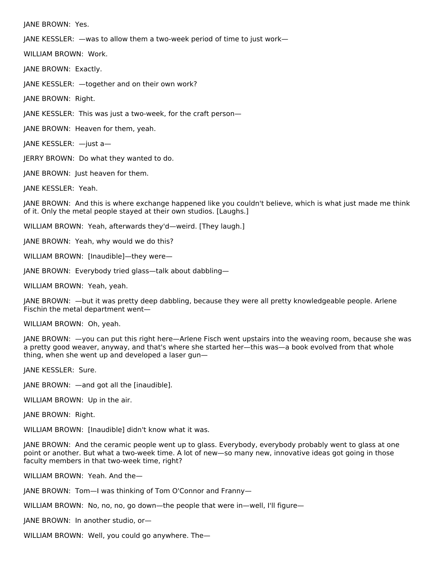JANE BROWN: Yes.

JANE KESSLER: —was to allow them a two-week period of time to just work—

WILLIAM BROWN: Work.

JANE BROWN: Exactly.

JANE KESSLER: —together and on their own work?

JANE BROWN: Right.

JANE KESSLER: This was just a two-week, for the craft person—

JANE BROWN: Heaven for them, yeah.

JANE KESSLER: —just a—

JERRY BROWN: Do what they wanted to do.

JANE BROWN: Just heaven for them.

JANE KESSLER: Yeah.

JANE BROWN: And this is where exchange happened like you couldn't believe, which is what just made me think of it. Only the metal people stayed at their own studios. [Laughs.]

WILLIAM BROWN: Yeah, afterwards they'd—weird. [They laugh.]

JANE BROWN: Yeah, why would we do this?

WILLIAM BROWN: [Inaudible]—they were—

JANE BROWN: Everybody tried glass—talk about dabbling—

WILLIAM BROWN: Yeah, yeah.

JANE BROWN: —but it was pretty deep dabbling, because they were all pretty knowledgeable people. Arlene Fischin the metal department went—

WILLIAM BROWN: Oh, yeah.

JANE BROWN: —you can put this right here—Arlene Fisch went upstairs into the weaving room, because she was a pretty good weaver, anyway, and that's where she started her—this was—a book evolved from that whole thing, when she went up and developed a laser gun—

JANE KESSLER: Sure.

JANE BROWN: —and got all the [inaudible].

WILLIAM BROWN: Up in the air.

JANE BROWN: Right.

WILLIAM BROWN: [Inaudible] didn't know what it was.

JANE BROWN: And the ceramic people went up to glass. Everybody, everybody probably went to glass at one point or another. But what a two-week time. A lot of new—so many new, innovative ideas got going in those faculty members in that two-week time, right?

WILLIAM BROWN: Yeah. And the—

JANE BROWN: Tom—I was thinking of Tom O'Connor and Franny—

WILLIAM BROWN: No, no, no, go down—the people that were in—well, I'll figure—

JANE BROWN: In another studio, or—

WILLIAM BROWN: Well, you could go anywhere. The—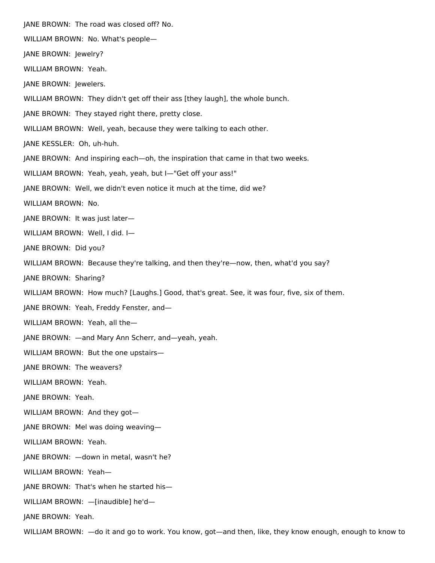JANE BROWN: The road was closed off? No. WILLIAM BROWN: No. What's people— JANE BROWN: Jewelry? WILLIAM BROWN: Yeah. JANE BROWN: Jewelers. WILLIAM BROWN: They didn't get off their ass [they laugh], the whole bunch. JANE BROWN: They stayed right there, pretty close. WILLIAM BROWN: Well, yeah, because they were talking to each other. JANE KESSLER: Oh, uh-huh. JANE BROWN: And inspiring each—oh, the inspiration that came in that two weeks. WILLIAM BROWN: Yeah, yeah, yeah, but I—"Get off your ass!" JANE BROWN: Well, we didn't even notice it much at the time, did we? WILLIAM BROWN: No. JANE BROWN: It was just later— WILLIAM BROWN: Well, I did. I— JANE BROWN: Did you? WILLIAM BROWN: Because they're talking, and then they're—now, then, what'd you say? JANE BROWN: Sharing? WILLIAM BROWN: How much? [Laughs.] Good, that's great. See, it was four, five, six of them. JANE BROWN: Yeah, Freddy Fenster, and— WILLIAM BROWN: Yeah, all the— JANE BROWN: —and Mary Ann Scherr, and—yeah, yeah. WILLIAM BROWN: But the one upstairs— JANE BROWN: The weavers? WILLIAM BROWN: Yeah. JANE BROWN: Yeah. WILLIAM BROWN: And they got— JANE BROWN: Mel was doing weaving— WILLIAM BROWN: Yeah. JANE BROWN: —down in metal, wasn't he? WILLIAM BROWN: Yeah— JANE BROWN: That's when he started his— WILLIAM BROWN: —[inaudible] he'd— JANE BROWN: Yeah.

WILLIAM BROWN: —do it and go to work. You know, got—and then, like, they know enough, enough to know to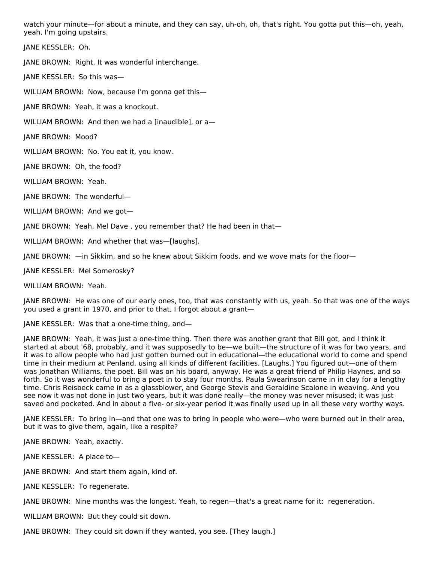watch your minute—for about a minute, and they can say, uh-oh, oh, that's right. You gotta put this—oh, yeah, yeah, I'm going upstairs.

JANE KESSLER: Oh.

JANE BROWN: Right. It was wonderful interchange.

JANE KESSLER: So this was—

WILLIAM BROWN: Now, because I'm gonna get this—

JANE BROWN: Yeah, it was a knockout.

WILLIAM BROWN: And then we had a [inaudible], or a—

JANE BROWN: Mood?

WILLIAM BROWN: No. You eat it, you know.

JANE BROWN: Oh, the food?

WILLIAM BROWN: Yeah.

JANE BROWN: The wonderful—

WILLIAM BROWN: And we got—

JANE BROWN: Yeah, Mel Dave , you remember that? He had been in that—

WILLIAM BROWN: And whether that was—[laughs].

JANE BROWN: —in Sikkim, and so he knew about Sikkim foods, and we wove mats for the floor—

JANE KESSLER: Mel Somerosky?

WILLIAM BROWN: Yeah.

JANE BROWN: He was one of our early ones, too, that was constantly with us, yeah. So that was one of the ways you used a grant in 1970, and prior to that, I forgot about a grant—

JANE KESSLER: Was that a one-time thing, and—

JANE BROWN: Yeah, it was just a one-time thing. Then there was another grant that Bill got, and I think it started at about '68, probably, and it was supposedly to be—we built—the structure of it was for two years, and it was to allow people who had just gotten burned out in educational—the educational world to come and spend time in their medium at Penland, using all kinds of different facilities. [Laughs.] You figured out—one of them was Jonathan Williams, the poet. Bill was on his board, anyway. He was a great friend of Philip Haynes, and so forth. So it was wonderful to bring a poet in to stay four months. Paula Swearinson came in in clay for a lengthy time. Chris Reisbeck came in as a glassblower, and George Stevis and Geraldine Scalone in weaving. And you see now it was not done in just two years, but it was done really—the money was never misused; it was just saved and pocketed. And in about a five- or six-year period it was finally used up in all these very worthy ways.

JANE KESSLER: To bring in—and that one was to bring in people who were—who were burned out in their area, but it was to give them, again, like a respite?

JANE BROWN: Yeah, exactly.

JANE KESSLER: A place to—

JANE BROWN: And start them again, kind of.

JANE KESSLER: To regenerate.

JANE BROWN: Nine months was the longest. Yeah, to regen—that's a great name for it: regeneration.

WILLIAM BROWN: But they could sit down.

JANE BROWN: They could sit down if they wanted, you see. [They laugh.]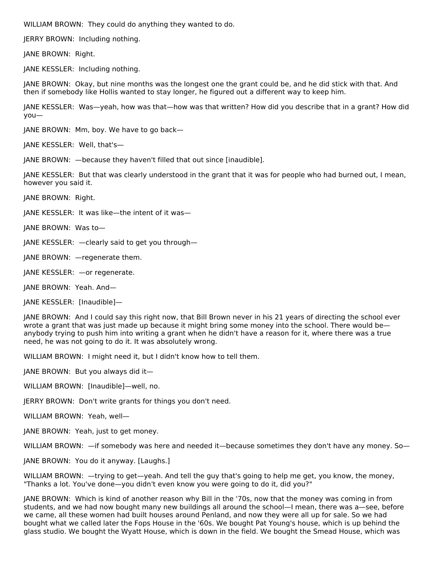WILLIAM BROWN: They could do anything they wanted to do.

JERRY BROWN: Including nothing.

JANE BROWN: Right.

JANE KESSLER: Including nothing.

JANE BROWN: Okay, but nine months was the longest one the grant could be, and he did stick with that. And then if somebody like Hollis wanted to stay longer, he figured out a different way to keep him.

JANE KESSLER: Was—yeah, how was that—how was that written? How did you describe that in a grant? How did you—

JANE BROWN: Mm, boy. We have to go back—

JANE KESSLER: Well, that's—

JANE BROWN: —because they haven't filled that out since [inaudible].

JANE KESSLER: But that was clearly understood in the grant that it was for people who had burned out, I mean, however you said it.

JANE BROWN: Right.

JANE KESSLER: It was like—the intent of it was—

JANE BROWN: Was to—

JANE KESSLER: —clearly said to get you through—

JANE BROWN: —regenerate them.

JANE KESSLER: —or regenerate.

JANE BROWN: Yeah. And—

JANE KESSLER: [Inaudible]—

JANE BROWN: And I could say this right now, that Bill Brown never in his 21 years of directing the school ever wrote a grant that was just made up because it might bring some money into the school. There would be anybody trying to push him into writing a grant when he didn't have a reason for it, where there was a true need, he was not going to do it. It was absolutely wrong.

WILLIAM BROWN: I might need it, but I didn't know how to tell them.

JANE BROWN: But you always did it—

WILLIAM BROWN: [Inaudible]—well, no.

JERRY BROWN: Don't write grants for things you don't need.

WILLIAM BROWN: Yeah, well—

JANE BROWN: Yeah, just to get money.

WILLIAM BROWN: —if somebody was here and needed it—because sometimes they don't have any money. So—

JANE BROWN: You do it anyway. [Laughs.]

WILLIAM BROWN: —trying to get—yeah. And tell the guy that's going to help me get, you know, the money, "Thanks a lot. You've done—you didn't even know you were going to do it, did you?"

JANE BROWN: Which is kind of another reason why Bill in the '70s, now that the money was coming in from students, and we had now bought many new buildings all around the school—I mean, there was a—see, before we came, all these women had built houses around Penland, and now they were all up for sale. So we had bought what we called later the Fops House in the '60s. We bought Pat Young's house, which is up behind the glass studio. We bought the Wyatt House, which is down in the field. We bought the Smead House, which was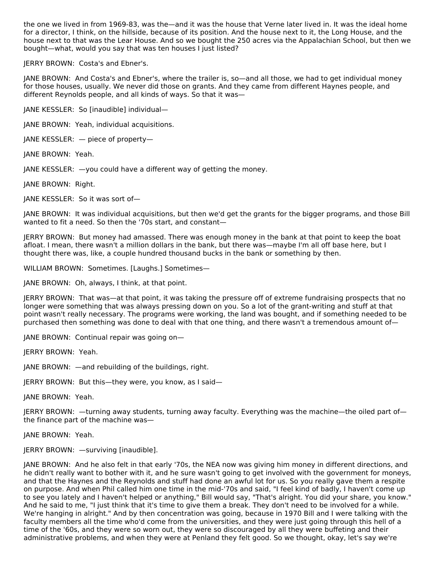the one we lived in from 1969-83, was the—and it was the house that Verne later lived in. It was the ideal home for a director, I think, on the hillside, because of its position. And the house next to it, the Long House, and the house next to that was the Lear House. And so we bought the 250 acres via the Appalachian School, but then we bought—what, would you say that was ten houses I just listed?

JERRY BROWN: Costa's and Ebner's.

JANE BROWN: And Costa's and Ebner's, where the trailer is, so—and all those, we had to get individual money for those houses, usually. We never did those on grants. And they came from different Haynes people, and different Reynolds people, and all kinds of ways. So that it was—

JANE KESSLER: So [inaudible] individual—

JANE BROWN: Yeah, individual acquisitions.

JANE KESSLER: — piece of property—

JANE BROWN: Yeah.

JANE KESSLER: —you could have a different way of getting the money.

JANE BROWN: Right.

JANE KESSLER: So it was sort of—

JANE BROWN: It was individual acquisitions, but then we'd get the grants for the bigger programs, and those Bill wanted to fit a need. So then the '70s start, and constant—

JERRY BROWN: But money had amassed. There was enough money in the bank at that point to keep the boat afloat. I mean, there wasn't a million dollars in the bank, but there was—maybe I'm all off base here, but I thought there was, like, a couple hundred thousand bucks in the bank or something by then.

WILLIAM BROWN: Sometimes. [Laughs.] Sometimes—

JANE BROWN: Oh, always, I think, at that point.

JERRY BROWN: That was—at that point, it was taking the pressure off of extreme fundraising prospects that no longer were something that was always pressing down on you. So a lot of the grant-writing and stuff at that point wasn't really necessary. The programs were working, the land was bought, and if something needed to be purchased then something was done to deal with that one thing, and there wasn't a tremendous amount of—

JANE BROWN: Continual repair was going on—

JERRY BROWN: Yeah.

JANE BROWN: —and rebuilding of the buildings, right.

JERRY BROWN: But this—they were, you know, as I said—

JANE BROWN: Yeah.

JERRY BROWN: —turning away students, turning away faculty. Everything was the machine—the oiled part of the finance part of the machine was—

JANE BROWN: Yeah.

JERRY BROWN: —surviving [inaudible].

JANE BROWN: And he also felt in that early '70s, the NEA now was giving him money in different directions, and he didn't really want to bother with it, and he sure wasn't going to get involved with the government for moneys, and that the Haynes and the Reynolds and stuff had done an awful lot for us. So you really gave them a respite on purpose. And when Phil called him one time in the mid-'70s and said, "I feel kind of badly, I haven't come up to see you lately and I haven't helped or anything," Bill would say, "That's alright. You did your share, you know." And he said to me, "I just think that it's time to give them a break. They don't need to be involved for a while. We're hanging in alright." And by then concentration was going, because in 1970 Bill and I were talking with the faculty members all the time who'd come from the universities, and they were just going through this hell of a time of the '60s, and they were so worn out, they were so discouraged by all they were buffeting and their administrative problems, and when they were at Penland they felt good. So we thought, okay, let's say we're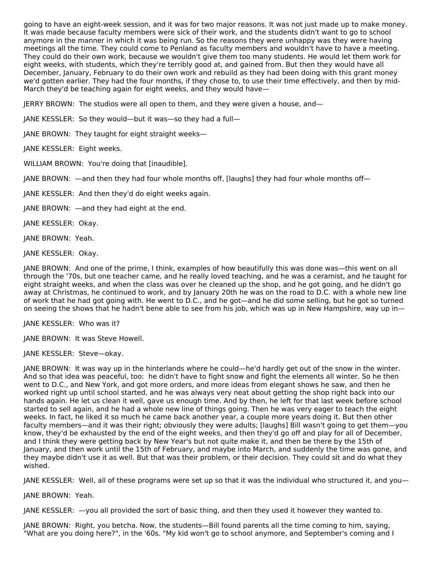going to have an eight-week session, and it was for two major reasons. It was not just made up to make money. It was made because faculty members were sick of their work, and the students didn't want to go to school anymore in the manner in which it was being run. So the reasons they were unhappy was they were having meetings all the time. They could come to Penland as faculty members and wouldn't have to have a meeting. They could do their own work, because we wouldn't give them too many students. He would let them work for eight weeks, with students, which they're terribly good at, and gained from. But then they would have all December, January, February to do their own work and rebuild as they had been doing with this grant money we'd gotten earlier. They had the four months, if they chose to, to use their time effectively, and then by mid-March they'd be teaching again for eight weeks, and they would have—

JERRY BROWN: The studios were all open to them, and they were given a house, and—

JANE KESSLER: So they would—but it was—so they had a full—

JANE BROWN: They taught for eight straight weeks—

JANE KESSLER: Eight weeks.

WILLIAM BROWN: You're doing that [inaudible].

JANE BROWN: —and then they had four whole months off, [laughs] they had four whole months off—

JANE KESSLER: And then they'd do eight weeks again.

JANE BROWN: —and they had eight at the end.

JANE KESSLER: Okay.

JANE BROWN: Yeah.

JANE KESSLER: Okay.

JANE BROWN: And one of the prime, I think, examples of how beautifully this was done was—this went on all through the '70s, but one teacher came, and he really loved teaching, and he was a ceramist, and he taught for eight straight weeks, and when the class was over he cleaned up the shop, and he got going, and he didn't go away at Christmas, he continued to work, and by January 20th he was on the road to D.C. with a whole new line of work that he had got going with. He went to D.C., and he got—and he did some selling, but he got so turned on seeing the shows that he hadn't bene able to see from his job, which was up in New Hampshire, way up in—

JANE KESSLER: Who was it?

JANE BROWN: It was Steve Howell.

JANE KESSLER: Steve—okay.

JANE BROWN: It was way up in the hinterlands where he could—he'd hardly get out of the snow in the winter. And so that idea was peaceful, too: he didn't have to fight snow and fight the elements all winter. So he then went to D.C., and New York, and got more orders, and more ideas from elegant shows he saw, and then he worked right up until school started, and he was always very neat about getting the shop right back into our hands again. He let us clean it well, gave us enough time. And by then, he left for that last week before school started to sell again, and he had a whole new line of things going. Then he was very eager to teach the eight weeks. In fact, he liked it so much he came back another year, a couple more years doing it. But then other faculty members—and it was their right; obviously they were adults; [laughs] Bill wasn't going to get them—you know, they'd be exhausted by the end of the eight weeks, and then they'd go off and play for all of December, and I think they were getting back by New Year's but not quite make it, and then be there by the 15th of January, and then work until the 15th of February, and maybe into March, and suddenly the time was gone, and they maybe didn't use it as well. But that was their problem, or their decision. They could sit and do what they wished.

JANE KESSLER: Well, all of these programs were set up so that it was the individual who structured it, and you—

JANE BROWN: Yeah.

JANE KESSLER: —you all provided the sort of basic thing, and then they used it however they wanted to.

JANE BROWN: Right, you betcha. Now, the students—Bill found parents all the time coming to him, saying, "What are you doing here?", in the '60s. "My kid won't go to school anymore, and September's coming and I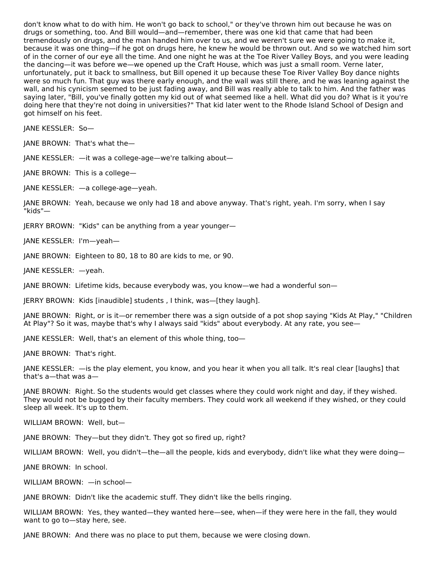don't know what to do with him. He won't go back to school," or they've thrown him out because he was on drugs or something, too. And Bill would—and—remember, there was one kid that came that had been tremendously on drugs, and the man handed him over to us, and we weren't sure we were going to make it, because it was one thing—if he got on drugs here, he knew he would be thrown out. And so we watched him sort of in the corner of our eye all the time. And one night he was at the Toe River Valley Boys, and you were leading the dancing—it was before we—we opened up the Craft House, which was just a small room. Verne later, unfortunately, put it back to smallness, but Bill opened it up because these Toe River Valley Boy dance nights were so much fun. That guy was there early enough, and the wall was still there, and he was leaning against the wall, and his cynicism seemed to be just fading away, and Bill was really able to talk to him. And the father was saying later, "Bill, you've finally gotten my kid out of what seemed like a hell. What did you do? What is it you're doing here that they're not doing in universities?" That kid later went to the Rhode Island School of Design and got himself on his feet.

JANE KESSLER: So—

JANE BROWN: That's what the—

JANE KESSLER: —it was a college-age—we're talking about—

JANE BROWN: This is a college—

JANE KESSLER: —a college-age—yeah.

JANE BROWN: Yeah, because we only had 18 and above anyway. That's right, yeah. I'm sorry, when I say "kids"—

JERRY BROWN: "Kids" can be anything from a year younger—

JANE KESSLER: I'm—yeah—

JANE BROWN: Eighteen to 80, 18 to 80 are kids to me, or 90.

JANE KESSLER: —yeah.

JANE BROWN: Lifetime kids, because everybody was, you know—we had a wonderful son—

JERRY BROWN: Kids [inaudible] students , I think, was—[they laugh].

JANE BROWN: Right, or is it—or remember there was a sign outside of a pot shop saying "Kids At Play," "Children At Play"? So it was, maybe that's why I always said "kids" about everybody. At any rate, you see—

JANE KESSLER: Well, that's an element of this whole thing, too—

JANE BROWN: That's right.

JANE KESSLER: —is the play element, you know, and you hear it when you all talk. It's real clear [laughs] that that's a—that was a—

JANE BROWN: Right. So the students would get classes where they could work night and day, if they wished. They would not be bugged by their faculty members. They could work all weekend if they wished, or they could sleep all week. It's up to them.

WILLIAM BROWN: Well, but—

JANE BROWN: They—but they didn't. They got so fired up, right?

WILLIAM BROWN: Well, you didn't—the—all the people, kids and everybody, didn't like what they were doing—

JANE BROWN: In school.

WILLIAM BROWN: —in school—

JANE BROWN: Didn't like the academic stuff. They didn't like the bells ringing.

WILLIAM BROWN: Yes, they wanted—they wanted here—see, when—if they were here in the fall, they would want to go to—stay here, see.

JANE BROWN: And there was no place to put them, because we were closing down.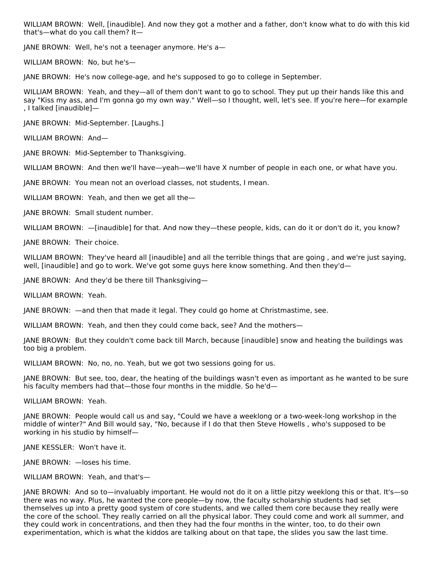WILLIAM BROWN: Well, [inaudible]. And now they got a mother and a father, don't know what to do with this kid that's—what do you call them? It—

JANE BROWN: Well, he's not a teenager anymore. He's a—

WILLIAM BROWN: No, but he's—

JANE BROWN: He's now college-age, and he's supposed to go to college in September.

WILLIAM BROWN: Yeah, and they—all of them don't want to go to school. They put up their hands like this and say "Kiss my ass, and I'm gonna go my own way." Well—so I thought, well, let's see. If you're here—for example , I talked [inaudible]—

JANE BROWN: Mid-September. [Laughs.]

WILLIAM BROWN: And—

JANE BROWN: Mid-September to Thanksgiving.

WILLIAM BROWN: And then we'll have—yeah—we'll have X number of people in each one, or what have you.

JANE BROWN: You mean not an overload classes, not students, I mean.

WILLIAM BROWN: Yeah, and then we get all the—

JANE BROWN: Small student number.

WILLIAM BROWN: - [inaudible] for that. And now they-these people, kids, can do it or don't do it, you know?

JANE BROWN: Their choice.

WILLIAM BROWN: They've heard all [inaudible] and all the terrible things that are going , and we're just saying, well, [inaudible] and go to work. We've got some guys here know something. And then they'd-

JANE BROWN: And they'd be there till Thanksgiving—

WILLIAM BROWN: Yeah.

JANE BROWN: —and then that made it legal. They could go home at Christmastime, see.

WILLIAM BROWN: Yeah, and then they could come back, see? And the mothers—

JANE BROWN: But they couldn't come back till March, because [inaudible] snow and heating the buildings was too big a problem.

WILLIAM BROWN: No, no, no. Yeah, but we got two sessions going for us.

JANE BROWN: But see, too, dear, the heating of the buildings wasn't even as important as he wanted to be sure his faculty members had that—those four months in the middle. So he'd—

WILLIAM BROWN: Yeah.

JANE BROWN: People would call us and say, "Could we have a weeklong or a two-week-long workshop in the middle of winter?" And Bill would say, "No, because if I do that then Steve Howells , who's supposed to be working in his studio by himself—

JANE KESSLER: Won't have it.

JANE BROWN: —loses his time.

WILLIAM BROWN: Yeah, and that's—

JANE BROWN: And so to—invaluably important. He would not do it on a little pitzy weeklong this or that. It's—so there was no way. Plus, he wanted the core people—by now, the faculty scholarship students had set themselves up into a pretty good system of core students, and we called them core because they really were the core of the school. They really carried on all the physical labor. They could come and work all summer, and they could work in concentrations, and then they had the four months in the winter, too, to do their own experimentation, which is what the kiddos are talking about on that tape, the slides you saw the last time.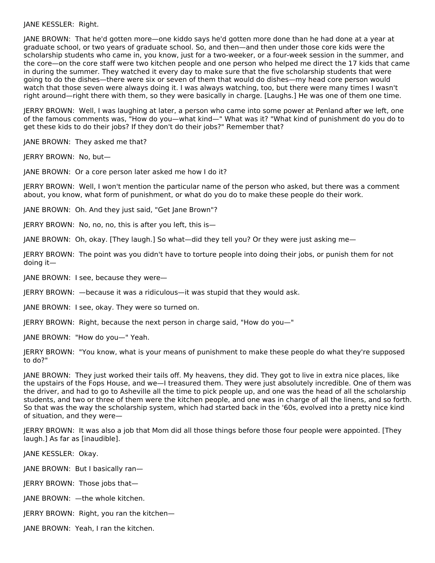JANE KESSLER: Right.

JANE BROWN: That he'd gotten more—one kiddo says he'd gotten more done than he had done at a year at graduate school, or two years of graduate school. So, and then—and then under those core kids were the scholarship students who came in, you know, just for a two-weeker, or a four-week session in the summer, and the core—on the core staff were two kitchen people and one person who helped me direct the 17 kids that came in during the summer. They watched it every day to make sure that the five scholarship students that were going to do the dishes—there were six or seven of them that would do dishes—my head core person would watch that those seven were always doing it. I was always watching, too, but there were many times I wasn't right around—right there with them, so they were basically in charge. [Laughs.] He was one of them one time.

JERRY BROWN: Well, I was laughing at later, a person who came into some power at Penland after we left, one of the famous comments was, "How do you—what kind—" What was it? "What kind of punishment do you do to get these kids to do their jobs? If they don't do their jobs?" Remember that?

JANE BROWN: They asked me that?

JERRY BROWN: No, but—

JANE BROWN: Or a core person later asked me how I do it?

JERRY BROWN: Well, I won't mention the particular name of the person who asked, but there was a comment about, you know, what form of punishment, or what do you do to make these people do their work.

JANE BROWN: Oh. And they just said, "Get Jane Brown"?

JERRY BROWN: No, no, no, this is after you left, this is—

JANE BROWN: Oh, okay. [They laugh.] So what—did they tell you? Or they were just asking me—

JERRY BROWN: The point was you didn't have to torture people into doing their jobs, or punish them for not doing it—

JANE BROWN: I see, because they were—

JERRY BROWN: —because it was a ridiculous—it was stupid that they would ask.

JANE BROWN: I see, okay. They were so turned on.

JERRY BROWN: Right, because the next person in charge said, "How do you—"

JANE BROWN: "How do you—" Yeah.

JERRY BROWN: "You know, what is your means of punishment to make these people do what they're supposed to do?"

JANE BROWN: They just worked their tails off. My heavens, they did. They got to live in extra nice places, like the upstairs of the Fops House, and we—I treasured them. They were just absolutely incredible. One of them was the driver, and had to go to Asheville all the time to pick people up, and one was the head of all the scholarship students, and two or three of them were the kitchen people, and one was in charge of all the linens, and so forth. So that was the way the scholarship system, which had started back in the '60s, evolved into a pretty nice kind of situation, and they were—

JERRY BROWN: It was also a job that Mom did all those things before those four people were appointed. [They laugh.] As far as [inaudible].

JANE KESSLER: Okay.

JANE BROWN: But I basically ran—

JERRY BROWN: Those jobs that—

JANE BROWN: —the whole kitchen.

JERRY BROWN: Right, you ran the kitchen—

JANE BROWN: Yeah, I ran the kitchen.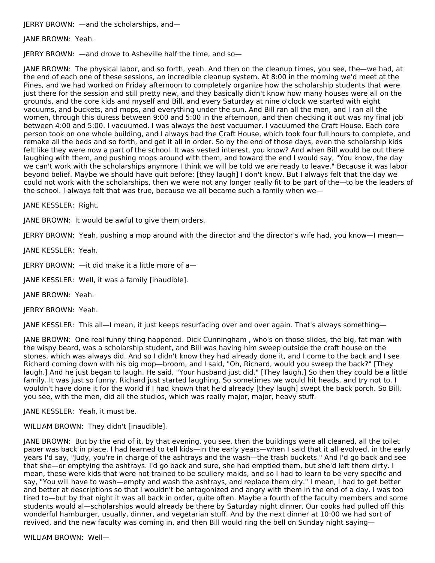JERRY BROWN: —and the scholarships, and—

JANE BROWN: Yeah.

JERRY BROWN: —and drove to Asheville half the time, and so—

JANE BROWN: The physical labor, and so forth, yeah. And then on the cleanup times, you see, the—we had, at the end of each one of these sessions, an incredible cleanup system. At 8:00 in the morning we'd meet at the Pines, and we had worked on Friday afternoon to completely organize how the scholarship students that were just there for the session and still pretty new, and they basically didn't know how many houses were all on the grounds, and the core kids and myself and Bill, and every Saturday at nine o'clock we started with eight vacuums, and buckets, and mops, and everything under the sun. And Bill ran all the men, and I ran all the women, through this duress between 9:00 and 5:00 in the afternoon, and then checking it out was my final job between 4:00 and 5:00. I vacuumed. I was always the best vacuumer. I vacuumed the Craft House. Each core person took on one whole building, and I always had the Craft House, which took four full hours to complete, and remake all the beds and so forth, and get it all in order. So by the end of those days, even the scholarship kids felt like they were now a part of the school. It was vested interest, you know? And when Bill would be out there laughing with them, and pushing mops around with them, and toward the end I would say, "You know, the day we can't work with the scholarships anymore I think we will be told we are ready to leave." Because it was labor beyond belief. Maybe we should have quit before; [they laugh] I don't know. But I always felt that the day we could not work with the scholarships, then we were not any longer really fit to be part of the—to be the leaders of the school. I always felt that was true, because we all became such a family when we—

JANE KESSLER: Right.

JANE BROWN: It would be awful to give them orders.

JERRY BROWN: Yeah, pushing a mop around with the director and the director's wife had, you know—I mean—

JANE KESSLER: Yeah.

JERRY BROWN: —it did make it a little more of a—

JANE KESSLER: Well, it was a family [inaudible].

JANE BROWN: Yeah.

JERRY BROWN: Yeah.

JANE KESSLER: This all—I mean, it just keeps resurfacing over and over again. That's always something—

JANE BROWN: One real funny thing happened. Dick Cunningham , who's on those slides, the big, fat man with the wispy beard, was a scholarship student, and Bill was having him sweep outside the craft house on the stones, which was always did. And so I didn't know they had already done it, and I come to the back and I see Richard coming down with his big mop—broom, and I said, "Oh, Richard, would you sweep the back?" [They laugh.] And he just began to laugh. He said, "Your husband just did." [They laugh.] So then they could be a little family. It was just so funny. Richard just started laughing. So sometimes we would hit heads, and try not to. I wouldn't have done it for the world if I had known that he'd already [they laugh] swept the back porch. So Bill, you see, with the men, did all the studios, which was really major, major, heavy stuff.

JANE KESSLER: Yeah, it must be.

WILLIAM BROWN: They didn't [inaudible].

JANE BROWN: But by the end of it, by that evening, you see, then the buildings were all cleaned, all the toilet paper was back in place. I had learned to tell kids—in the early years—when I said that it all evolved, in the early years I'd say, "Judy, you're in charge of the ashtrays and the wash—the trash buckets." And I'd go back and see that she—or emptying the ashtrays. I'd go back and sure, she had emptied them, but she'd left them dirty. I mean, these were kids that were not trained to be scullery maids, and so I had to learn to be very specific and say, "You will have to wash—empty and wash the ashtrays, and replace them dry." I mean, I had to get better and better at descriptions so that I wouldn't be antagonized and angry with them in the end of a day. I was too tired to—but by that night it was all back in order, quite often. Maybe a fourth of the faculty members and some students would al—scholarships would already be there by Saturday night dinner. Our cooks had pulled off this wonderful hamburger, usually, dinner, and vegetarian stuff. And by the next dinner at 10:00 we had sort of revived, and the new faculty was coming in, and then Bill would ring the bell on Sunday night saying—

WILLIAM BROWN: Well—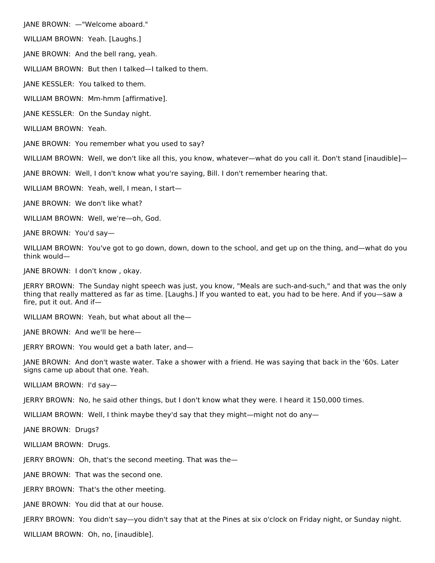JANE BROWN: —"Welcome aboard."

WILLIAM BROWN: Yeah. [Laughs.]

JANE BROWN: And the bell rang, yeah.

WILLIAM BROWN: But then I talked—I talked to them.

JANE KESSLER: You talked to them.

WILLIAM BROWN: Mm-hmm [affirmative].

JANE KESSLER: On the Sunday night.

WILLIAM BROWN: Yeah.

JANE BROWN: You remember what you used to say?

WILLIAM BROWN: Well, we don't like all this, you know, whatever—what do you call it. Don't stand [inaudible]—

JANE BROWN: Well, I don't know what you're saying, Bill. I don't remember hearing that.

WILLIAM BROWN: Yeah, well, I mean, I start—

JANE BROWN: We don't like what?

WILLIAM BROWN: Well, we're—oh, God.

JANE BROWN: You'd say—

WILLIAM BROWN: You've got to go down, down, down to the school, and get up on the thing, and—what do you think would—

JANE BROWN: I don't know , okay.

JERRY BROWN: The Sunday night speech was just, you know, "Meals are such-and-such," and that was the only thing that really mattered as far as time. [Laughs.] If you wanted to eat, you had to be here. And if you—saw a fire, put it out. And if—

WILLIAM BROWN: Yeah, but what about all the—

JANE BROWN: And we'll be here—

JERRY BROWN: You would get a bath later, and—

JANE BROWN: And don't waste water. Take a shower with a friend. He was saying that back in the '60s. Later signs came up about that one. Yeah.

WILLIAM BROWN: I'd say—

JERRY BROWN: No, he said other things, but I don't know what they were. I heard it 150,000 times.

WILLIAM BROWN: Well, I think maybe they'd say that they might—might not do any—

JANE BROWN: Drugs?

WILLIAM BROWN: Drugs.

JERRY BROWN: Oh, that's the second meeting. That was the—

JANE BROWN: That was the second one.

JERRY BROWN: That's the other meeting.

JANE BROWN: You did that at our house.

JERRY BROWN: You didn't say—you didn't say that at the Pines at six o'clock on Friday night, or Sunday night.

WILLIAM BROWN: Oh, no, [inaudible].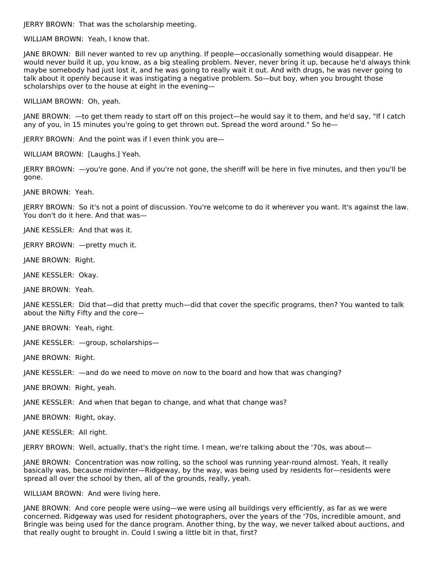JERRY BROWN: That was the scholarship meeting.

WILLIAM BROWN: Yeah, I know that.

JANE BROWN: Bill never wanted to rev up anything. If people—occasionally something would disappear. He would never build it up, you know, as a big stealing problem. Never, never bring it up, because he'd always think maybe somebody had just lost it, and he was going to really wait it out. And with drugs, he was never going to talk about it openly because it was instigating a negative problem. So—but boy, when you brought those scholarships over to the house at eight in the evening—

WILLIAM BROWN: Oh, yeah.

JANE BROWN: —to get them ready to start off on this project—he would say it to them, and he'd say, "If I catch any of you, in 15 minutes you're going to get thrown out. Spread the word around." So he—

JERRY BROWN: And the point was if I even think you are—

WILLIAM BROWN: [Laughs.] Yeah.

JERRY BROWN: —you're gone. And if you're not gone, the sheriff will be here in five minutes, and then you'll be gone.

JANE BROWN: Yeah.

JERRY BROWN: So it's not a point of discussion. You're welcome to do it wherever you want. It's against the law. You don't do it here. And that was—

JANE KESSLER: And that was it.

JERRY BROWN: —pretty much it.

JANE BROWN: Right.

JANE KESSLER: Okay.

JANE BROWN: Yeah.

JANE KESSLER: Did that—did that pretty much—did that cover the specific programs, then? You wanted to talk about the Nifty Fifty and the core—

JANE BROWN: Yeah, right.

JANE KESSLER: —group, scholarships—

JANE BROWN: Right.

JANE KESSLER: —and do we need to move on now to the board and how that was changing?

JANE BROWN: Right, yeah.

JANE KESSLER: And when that began to change, and what that change was?

JANE BROWN: Right, okay.

JANE KESSLER: All right.

JERRY BROWN: Well, actually, that's the right time. I mean, we're talking about the '70s, was about—

JANE BROWN: Concentration was now rolling, so the school was running year-round almost. Yeah, it really basically was, because midwinter—Ridgeway, by the way, was being used by residents for—residents were spread all over the school by then, all of the grounds, really, yeah.

WILLIAM BROWN: And were living here.

JANE BROWN: And core people were using—we were using all buildings very efficiently, as far as we were concerned. Ridgeway was used for resident photographers, over the years of the '70s, incredible amount, and Bringle was being used for the dance program. Another thing, by the way, we never talked about auctions, and that really ought to brought in. Could I swing a little bit in that, first?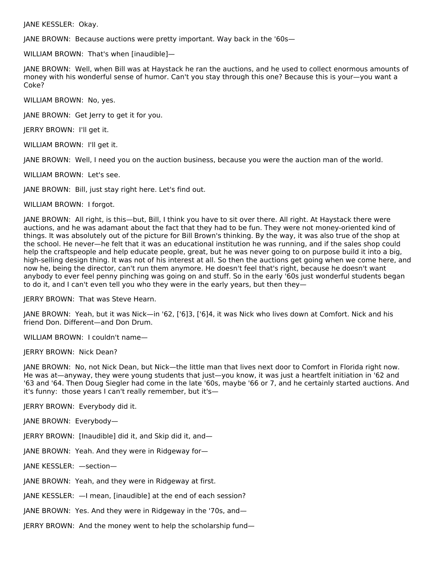JANE KESSLER: Okay.

JANE BROWN: Because auctions were pretty important. Way back in the '60s—

WILLIAM BROWN: That's when [inaudible]—

JANE BROWN: Well, when Bill was at Haystack he ran the auctions, and he used to collect enormous amounts of money with his wonderful sense of humor. Can't you stay through this one? Because this is your—you want a Coke?

WILLIAM BROWN: No, yes.

JANE BROWN: Get Jerry to get it for you.

JERRY BROWN: I'll get it.

WILLIAM BROWN: I'll get it.

JANE BROWN: Well, I need you on the auction business, because you were the auction man of the world.

WILLIAM BROWN: Let's see.

JANE BROWN: Bill, just stay right here. Let's find out.

WILLIAM BROWN: I forgot.

JANE BROWN: All right, is this—but, Bill, I think you have to sit over there. All right. At Haystack there were auctions, and he was adamant about the fact that they had to be fun. They were not money-oriented kind of things. It was absolutely out of the picture for Bill Brown's thinking. By the way, it was also true of the shop at the school. He never—he felt that it was an educational institution he was running, and if the sales shop could help the craftspeople and help educate people, great, but he was never going to on purpose build it into a big, high-selling design thing. It was not of his interest at all. So then the auctions get going when we come here, and now he, being the director, can't run them anymore. He doesn't feel that's right, because he doesn't want anybody to ever feel penny pinching was going on and stuff. So in the early '60s just wonderful students began to do it, and I can't even tell you who they were in the early years, but then they—

JERRY BROWN: That was Steve Hearn.

JANE BROWN: Yeah, but it was Nick—in '62, ['6]3, ['6]4, it was Nick who lives down at Comfort. Nick and his friend Don. Different—and Don Drum.

WILLIAM BROWN: I couldn't name—

JERRY BROWN: Nick Dean?

JANE BROWN: No, not Nick Dean, but Nick—the little man that lives next door to Comfort in Florida right now. He was at—anyway, they were young students that just—you know, it was just a heartfelt initiation in '62 and '63 and '64. Then Doug Siegler had come in the late '60s, maybe '66 or 7, and he certainly started auctions. And it's funny: those years I can't really remember, but it's—

JERRY BROWN: Everybody did it.

JANE BROWN: Everybody—

JERRY BROWN: [Inaudible] did it, and Skip did it, and—

JANE BROWN: Yeah. And they were in Ridgeway for—

JANE KESSLER: —section—

JANE BROWN: Yeah, and they were in Ridgeway at first.

JANE KESSLER: —I mean, [inaudible] at the end of each session?

JANE BROWN: Yes. And they were in Ridgeway in the '70s, and—

JERRY BROWN: And the money went to help the scholarship fund—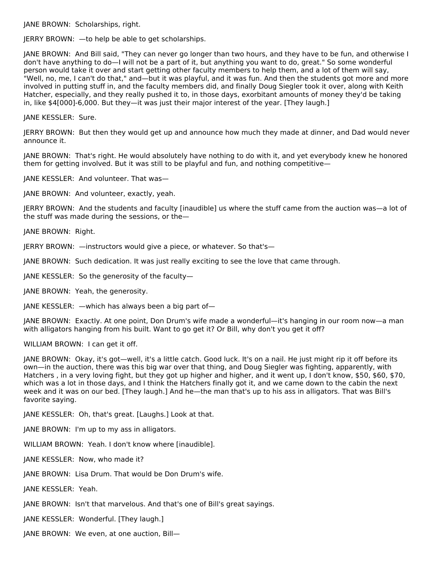JANE BROWN: Scholarships, right.

JERRY BROWN: —to help be able to get scholarships.

JANE BROWN: And Bill said, "They can never go longer than two hours, and they have to be fun, and otherwise I don't have anything to do—I will not be a part of it, but anything you want to do, great." So some wonderful person would take it over and start getting other faculty members to help them, and a lot of them will say, "Well, no, me, I can't do that," and—but it was playful, and it was fun. And then the students got more and more involved in putting stuff in, and the faculty members did, and finally Doug Siegler took it over, along with Keith Hatcher, especially, and they really pushed it to, in those days, exorbitant amounts of money they'd be taking in, like \$4[000]-6,000. But they—it was just their major interest of the year. [They laugh.]

JANE KESSLER: Sure.

JERRY BROWN: But then they would get up and announce how much they made at dinner, and Dad would never announce it.

JANE BROWN: That's right. He would absolutely have nothing to do with it, and yet everybody knew he honored them for getting involved. But it was still to be playful and fun, and nothing competitive—

JANE KESSLER: And volunteer. That was—

JANE BROWN: And volunteer, exactly, yeah.

JERRY BROWN: And the students and faculty [inaudible] us where the stuff came from the auction was—a lot of the stuff was made during the sessions, or the—

JANE BROWN: Right.

JERRY BROWN: —instructors would give a piece, or whatever. So that's—

JANE BROWN: Such dedication. It was just really exciting to see the love that came through.

JANE KESSLER: So the generosity of the faculty—

JANE BROWN: Yeah, the generosity.

JANE KESSLER: —which has always been a big part of—

JANE BROWN: Exactly. At one point, Don Drum's wife made a wonderful—it's hanging in our room now—a man with alligators hanging from his built. Want to go get it? Or Bill, why don't you get it off?

WILLIAM BROWN: I can get it off.

JANE BROWN: Okay, it's got—well, it's a little catch. Good luck. It's on a nail. He just might rip it off before its own—in the auction, there was this big war over that thing, and Doug Siegler was fighting, apparently, with Hatchers , in a very loving fight, but they got up higher and higher, and it went up, I don't know, \$50, \$60, \$70, which was a lot in those days, and I think the Hatchers finally got it, and we came down to the cabin the next week and it was on our bed. [They laugh.] And he—the man that's up to his ass in alligators. That was Bill's favorite saying.

JANE KESSLER: Oh, that's great. [Laughs.] Look at that.

JANE BROWN: I'm up to my ass in alligators.

WILLIAM BROWN: Yeah. I don't know where [inaudible].

JANE KESSLER: Now, who made it?

JANE BROWN: Lisa Drum. That would be Don Drum's wife.

JANE KESSLER: Yeah.

JANE BROWN: Isn't that marvelous. And that's one of Bill's great sayings.

JANE KESSLER: Wonderful. [They laugh.]

JANE BROWN: We even, at one auction, Bill—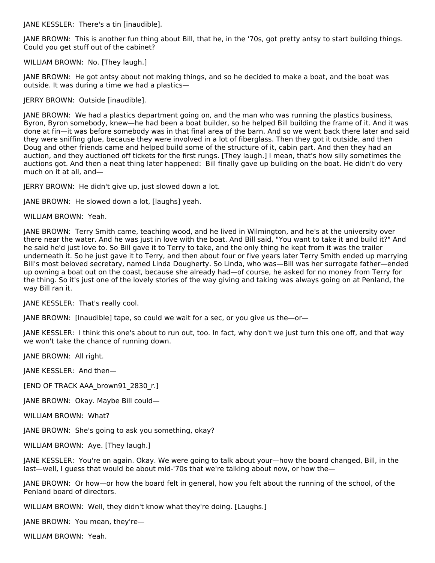JANE KESSLER: There's a tin [inaudible].

JANE BROWN: This is another fun thing about Bill, that he, in the '70s, got pretty antsy to start building things. Could you get stuff out of the cabinet?

WILLIAM BROWN: No. [They laugh.]

JANE BROWN: He got antsy about not making things, and so he decided to make a boat, and the boat was outside. It was during a time we had a plastics—

JERRY BROWN: Outside [inaudible].

JANE BROWN: We had a plastics department going on, and the man who was running the plastics business, Byron, Byron somebody, knew—he had been a boat builder, so he helped Bill building the frame of it. And it was done at fin—it was before somebody was in that final area of the barn. And so we went back there later and said they were sniffing glue, because they were involved in a lot of fiberglass. Then they got it outside, and then Doug and other friends came and helped build some of the structure of it, cabin part. And then they had an auction, and they auctioned off tickets for the first rungs. [They laugh.] I mean, that's how silly sometimes the auctions got. And then a neat thing later happened: Bill finally gave up building on the boat. He didn't do very much on it at all, and—

JERRY BROWN: He didn't give up, just slowed down a lot.

JANE BROWN: He slowed down a lot, [laughs] yeah.

WILLIAM BROWN: Yeah.

JANE BROWN: Terry Smith came, teaching wood, and he lived in Wilmington, and he's at the university over there near the water. And he was just in love with the boat. And Bill said, "You want to take it and build it?" And he said he'd just love to. So Bill gave it to Terry to take, and the only thing he kept from it was the trailer underneath it. So he just gave it to Terry, and then about four or five years later Terry Smith ended up marrying Bill's most beloved secretary, named Linda Dougherty. So Linda, who was—Bill was her surrogate father—ended up owning a boat out on the coast, because she already had—of course, he asked for no money from Terry for the thing. So it's just one of the lovely stories of the way giving and taking was always going on at Penland, the way Bill ran it.

JANE KESSLER: That's really cool.

JANE BROWN: [Inaudible] tape, so could we wait for a sec, or you give us the—or—

JANE KESSLER: I think this one's about to run out, too. In fact, why don't we just turn this one off, and that way we won't take the chance of running down.

JANE BROWN: All right.

JANE KESSLER: And then—

[END OF TRACK AAA\_brown91\_2830\_r.]

JANE BROWN: Okay. Maybe Bill could—

WILLIAM BROWN: What?

JANE BROWN: She's going to ask you something, okay?

WILLIAM BROWN: Aye. [They laugh.]

JANE KESSLER: You're on again. Okay. We were going to talk about your—how the board changed, Bill, in the last—well, I guess that would be about mid-'70s that we're talking about now, or how the—

JANE BROWN: Or how—or how the board felt in general, how you felt about the running of the school, of the Penland board of directors.

WILLIAM BROWN: Well, they didn't know what they're doing. [Laughs.]

JANE BROWN: You mean, they're—

WILLIAM BROWN: Yeah.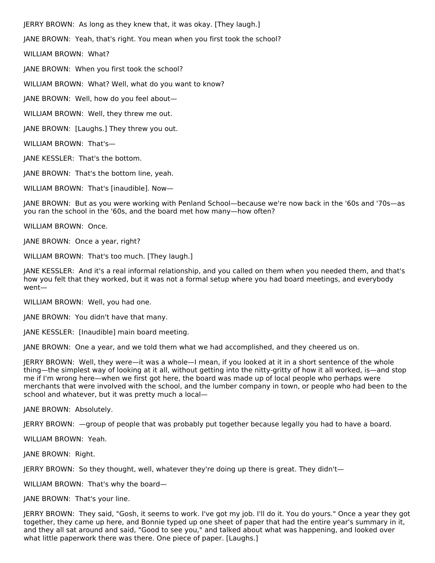JERRY BROWN: As long as they knew that, it was okay. [They laugh.] JANE BROWN: Yeah, that's right. You mean when you first took the school? WILLIAM BROWN: What? JANE BROWN: When you first took the school? WILLIAM BROWN: What? Well, what do you want to know? JANE BROWN: Well, how do you feel about— WILLIAM BROWN: Well, they threw me out.

JANE BROWN: [Laughs.] They threw you out.

WILLIAM BROWN: That's—

JANE KESSLER: That's the bottom.

JANE BROWN: That's the bottom line, yeah.

WILLIAM BROWN: That's [inaudible]. Now—

JANE BROWN: But as you were working with Penland School—because we're now back in the '60s and '70s—as you ran the school in the '60s, and the board met how many—how often?

WILLIAM BROWN: Once.

JANE BROWN: Once a year, right?

WILLIAM BROWN: That's too much. [They laugh.]

JANE KESSLER: And it's a real informal relationship, and you called on them when you needed them, and that's how you felt that they worked, but it was not a formal setup where you had board meetings, and everybody went—

WILLIAM BROWN: Well, you had one.

JANE BROWN: You didn't have that many.

JANE KESSLER: [Inaudible] main board meeting.

JANE BROWN: One a year, and we told them what we had accomplished, and they cheered us on.

JERRY BROWN: Well, they were—it was a whole—I mean, if you looked at it in a short sentence of the whole thing—the simplest way of looking at it all, without getting into the nitty-gritty of how it all worked, is—and stop me if I'm wrong here—when we first got here, the board was made up of local people who perhaps were merchants that were involved with the school, and the lumber company in town, or people who had been to the school and whatever, but it was pretty much a local—

JANE BROWN: Absolutely.

JERRY BROWN: —group of people that was probably put together because legally you had to have a board.

WILLIAM BROWN: Yeah.

JANE BROWN: Right.

JERRY BROWN: So they thought, well, whatever they're doing up there is great. They didn't—

WILLIAM BROWN: That's why the board—

JANE BROWN: That's your line.

JERRY BROWN: They said, "Gosh, it seems to work. I've got my job. I'll do it. You do yours." Once a year they got together, they came up here, and Bonnie typed up one sheet of paper that had the entire year's summary in it, and they all sat around and said, "Good to see you," and talked about what was happening, and looked over what little paperwork there was there. One piece of paper. [Laughs.]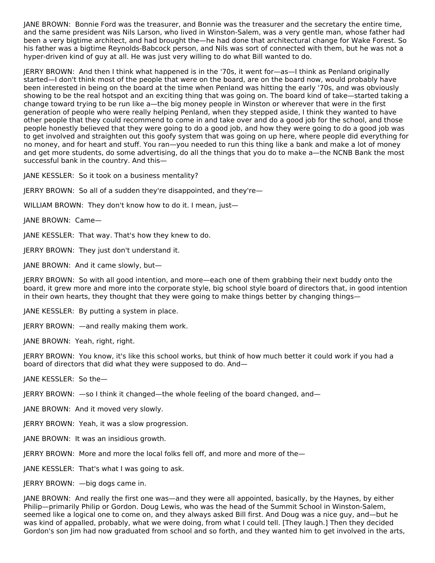JANE BROWN: Bonnie Ford was the treasurer, and Bonnie was the treasurer and the secretary the entire time, and the same president was Nils Larson, who lived in Winston-Salem, was a very gentle man, whose father had been a very bigtime architect, and had brought the—he had done that architectural change for Wake Forest. So his father was a bigtime Reynolds-Babcock person, and Nils was sort of connected with them, but he was not a hyper-driven kind of guy at all. He was just very willing to do what Bill wanted to do.

JERRY BROWN: And then I think what happened is in the '70s, it went for—as—I think as Penland originally started—I don't think most of the people that were on the board, are on the board now, would probably have been interested in being on the board at the time when Penland was hitting the early '70s, and was obviously showing to be the real hotspot and an exciting thing that was going on. The board kind of take—started taking a change toward trying to be run like a—the big money people in Winston or wherever that were in the first generation of people who were really helping Penland, when they stepped aside, I think they wanted to have other people that they could recommend to come in and take over and do a good job for the school, and those people honestly believed that they were going to do a good job, and how they were going to do a good job was to get involved and straighten out this goofy system that was going on up here, where people did everything for no money, and for heart and stuff. You ran—you needed to run this thing like a bank and make a lot of money and get more students, do some advertising, do all the things that you do to make a—the NCNB Bank the most successful bank in the country. And this—

JANE KESSLER: So it took on a business mentality?

JERRY BROWN: So all of a sudden they're disappointed, and they're—

WILLIAM BROWN: They don't know how to do it. I mean, just-

JANE BROWN: Came—

JANE KESSLER: That way. That's how they knew to do.

JERRY BROWN: They just don't understand it.

JANE BROWN: And it came slowly, but—

JERRY BROWN: So with all good intention, and more—each one of them grabbing their next buddy onto the board, it grew more and more into the corporate style, big school style board of directors that, in good intention in their own hearts, they thought that they were going to make things better by changing things—

JANE KESSLER: By putting a system in place.

JERRY BROWN: —and really making them work.

JANE BROWN: Yeah, right, right.

JERRY BROWN: You know, it's like this school works, but think of how much better it could work if you had a board of directors that did what they were supposed to do. And—

JANE KESSLER: So the—

JERRY BROWN: —so I think it changed—the whole feeling of the board changed, and—

JANE BROWN: And it moved very slowly.

JERRY BROWN: Yeah, it was a slow progression.

JANE BROWN: It was an insidious growth.

JERRY BROWN: More and more the local folks fell off, and more and more of the—

JANE KESSLER: That's what I was going to ask.

JERRY BROWN: —big dogs came in.

JANE BROWN: And really the first one was—and they were all appointed, basically, by the Haynes, by either Philip—primarily Philip or Gordon. Doug Lewis, who was the head of the Summit School in Winston-Salem, seemed like a logical one to come on, and they always asked Bill first. And Doug was a nice guy, and—but he was kind of appalled, probably, what we were doing, from what I could tell. [They laugh.] Then they decided Gordon's son Jim had now graduated from school and so forth, and they wanted him to get involved in the arts,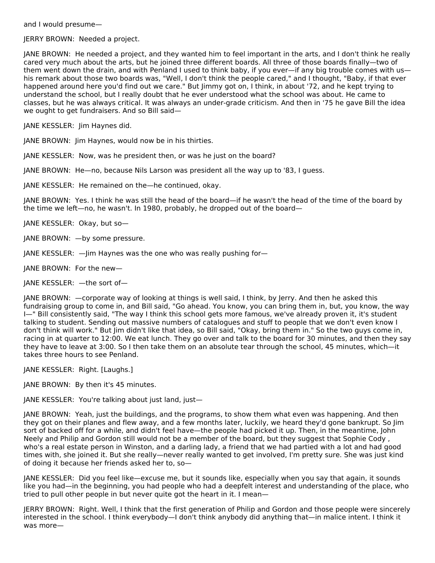and I would presume—

JERRY BROWN: Needed a project.

JANE BROWN: He needed a project, and they wanted him to feel important in the arts, and I don't think he really cared very much about the arts, but he joined three different boards. All three of those boards finally—two of them went down the drain, and with Penland I used to think baby, if you ever—if any big trouble comes with us his remark about those two boards was, "Well, I don't think the people cared," and I thought, "Baby, if that ever happened around here you'd find out we care." But Jimmy got on, I think, in about '72, and he kept trying to understand the school, but I really doubt that he ever understood what the school was about. He came to classes, but he was always critical. It was always an under-grade criticism. And then in '75 he gave Bill the idea we ought to get fundraisers. And so Bill said—

JANE KESSLER: Jim Haynes did.

JANE BROWN: Jim Haynes, would now be in his thirties.

JANE KESSLER: Now, was he president then, or was he just on the board?

JANE BROWN: He—no, because Nils Larson was president all the way up to '83, I guess.

JANE KESSLER: He remained on the—he continued, okay.

JANE BROWN: Yes. I think he was still the head of the board—if he wasn't the head of the time of the board by the time we left—no, he wasn't. In 1980, probably, he dropped out of the board—

JANE KESSLER: Okay, but so—

JANE BROWN: —by some pressure.

JANE KESSLER: —Jim Haynes was the one who was really pushing for—

JANE BROWN: For the new—

JANE KESSLER: —the sort of—

JANE BROWN: —corporate way of looking at things is well said, I think, by Jerry. And then he asked this fundraising group to come in, and Bill said, "Go ahead. You know, you can bring them in, but, you know, the way I—" Bill consistently said, "The way I think this school gets more famous, we've already proven it, it's student talking to student. Sending out massive numbers of catalogues and stuff to people that we don't even know I don't think will work." But Jim didn't like that idea, so Bill said, "Okay, bring them in." So the two guys come in, racing in at quarter to 12:00. We eat lunch. They go over and talk to the board for 30 minutes, and then they say they have to leave at 3:00. So I then take them on an absolute tear through the school, 45 minutes, which—it takes three hours to see Penland.

JANE KESSLER: Right. [Laughs.]

JANE BROWN: By then it's 45 minutes.

JANE KESSLER: You're talking about just land, just—

JANE BROWN: Yeah, just the buildings, and the programs, to show them what even was happening. And then they got on their planes and flew away, and a few months later, luckily, we heard they'd gone bankrupt. So Jim sort of backed off for a while, and didn't feel have—the people had picked it up. Then, in the meantime, John Neely and Philip and Gordon still would not be a member of the board, but they suggest that Sophie Cody , who's a real estate person in Winston, and a darling lady, a friend that we had partied with a lot and had good times with, she joined it. But she really—never really wanted to get involved, I'm pretty sure. She was just kind of doing it because her friends asked her to, so—

JANE KESSLER: Did you feel like—excuse me, but it sounds like, especially when you say that again, it sounds like you had—in the beginning, you had people who had a deepfelt interest and understanding of the place, who tried to pull other people in but never quite got the heart in it. I mean—

JERRY BROWN: Right. Well, I think that the first generation of Philip and Gordon and those people were sincerely interested in the school. I think everybody—I don't think anybody did anything that—in malice intent. I think it was more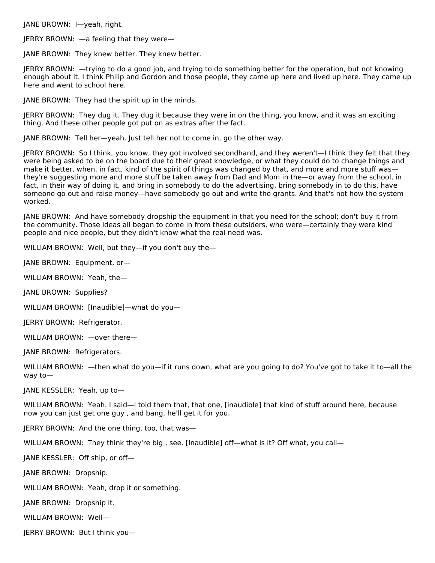JANE BROWN: I—yeah, right.

JERRY BROWN: —a feeling that they were—

JANE BROWN: They knew better. They knew better.

JERRY BROWN: —trying to do a good job, and trying to do something better for the operation, but not knowing enough about it. I think Philip and Gordon and those people, they came up here and lived up here. They came up here and went to school here.

JANE BROWN: They had the spirit up in the minds.

JERRY BROWN: They dug it. They dug it because they were in on the thing, you know, and it was an exciting thing. And these other people got put on as extras after the fact.

JANE BROWN: Tell her—yeah. Just tell her not to come in, go the other way.

JERRY BROWN: So I think, you know, they got involved secondhand, and they weren't—I think they felt that they were being asked to be on the board due to their great knowledge, or what they could do to change things and make it better, when, in fact, kind of the spirit of things was changed by that, and more and more stuff was they're suggesting more and more stuff be taken away from Dad and Mom in the—or away from the school, in fact, in their way of doing it, and bring in somebody to do the advertising, bring somebody in to do this, have someone go out and raise money—have somebody go out and write the grants. And that's not how the system worked.

JANE BROWN: And have somebody dropship the equipment in that you need for the school; don't buy it from the community. Those ideas all began to come in from these outsiders, who were—certainly they were kind people and nice people, but they didn't know what the real need was.

WILLIAM BROWN: Well, but they—if you don't buy the—

JANE BROWN: Equipment, or—

WILLIAM BROWN: Yeah, the—

JANE BROWN: Supplies?

WILLIAM BROWN: [Inaudible]—what do you—

JERRY BROWN: Refrigerator.

WILLIAM BROWN: —over there—

JANE BROWN: Refrigerators.

WILLIAM BROWN: —then what do you—if it runs down, what are you going to do? You've got to take it to—all the way to—

JANE KESSLER: Yeah, up to—

WILLIAM BROWN: Yeah. I said—I told them that, that one, [inaudible] that kind of stuff around here, because now you can just get one guy , and bang, he'll get it for you.

JERRY BROWN: And the one thing, too, that was—

WILLIAM BROWN: They think they're big, see. [Inaudible] off—what is it? Off what, you call—

JANE KESSLER: Off ship, or off—

JANE BROWN: Dropship.

WILLIAM BROWN: Yeah, drop it or something.

JANE BROWN: Dropship it.

WILLIAM BROWN: Well—

JERRY BROWN: But I think you—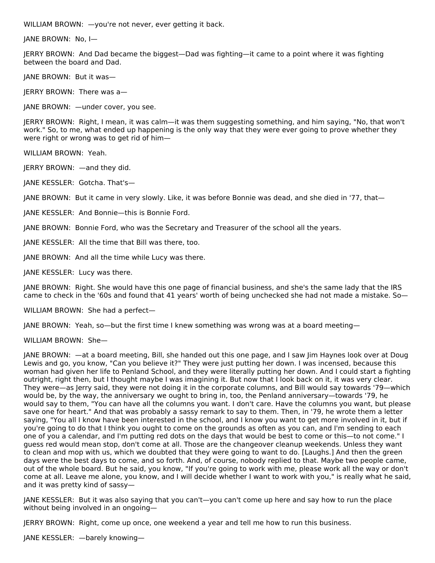WILLIAM BROWN: —you're not never, ever getting it back.

JANE BROWN: No, I—

JERRY BROWN: And Dad became the biggest—Dad was fighting—it came to a point where it was fighting between the board and Dad.

JANE BROWN: But it was—

JERRY BROWN: There was a—

JANE BROWN: —under cover, you see.

JERRY BROWN: Right, I mean, it was calm—it was them suggesting something, and him saying, "No, that won't work." So, to me, what ended up happening is the only way that they were ever going to prove whether they were right or wrong was to get rid of him—

WILLIAM BROWN: Yeah.

JERRY BROWN: —and they did.

JANE KESSLER: Gotcha. That's—

JANE BROWN: But it came in very slowly. Like, it was before Bonnie was dead, and she died in '77, that—

JANE KESSLER: And Bonnie—this is Bonnie Ford.

JANE BROWN: Bonnie Ford, who was the Secretary and Treasurer of the school all the years.

JANE KESSLER: All the time that Bill was there, too.

JANE BROWN: And all the time while Lucy was there.

JANE KESSLER: Lucy was there.

JANE BROWN: Right. She would have this one page of financial business, and she's the same lady that the IRS came to check in the '60s and found that 41 years' worth of being unchecked she had not made a mistake. So—

WILLIAM BROWN: She had a perfect—

JANE BROWN: Yeah, so—but the first time I knew something was wrong was at a board meeting—

WILLIAM BROWN: She—

JANE BROWN: —at a board meeting, Bill, she handed out this one page, and I saw Jim Haynes look over at Doug Lewis and go, you know, "Can you believe it?" They were just putting her down. I was incensed, because this woman had given her life to Penland School, and they were literally putting her down. And I could start a fighting outright, right then, but I thought maybe I was imagining it. But now that I look back on it, it was very clear. They were—as Jerry said, they were not doing it in the corporate columns, and Bill would say towards '79—which would be, by the way, the anniversary we ought to bring in, too, the Penland anniversary—towards '79, he would say to them, "You can have all the columns you want. I don't care. Have the columns you want, but please save one for heart." And that was probably a sassy remark to say to them. Then, in '79, he wrote them a letter saying, "You all I know have been interested in the school, and I know you want to get more involved in it, but if you're going to do that I think you ought to come on the grounds as often as you can, and I'm sending to each one of you a calendar, and I'm putting red dots on the days that would be best to come or this—to not come." I guess red would mean stop, don't come at all. Those are the changeover cleanup weekends. Unless they want to clean and mop with us, which we doubted that they were going to want to do. [Laughs.] And then the green days were the best days to come, and so forth. And, of course, nobody replied to that. Maybe two people came, out of the whole board. But he said, you know, "If you're going to work with me, please work all the way or don't come at all. Leave me alone, you know, and I will decide whether I want to work with you," is really what he said, and it was pretty kind of sassy—

JANE KESSLER: But it was also saying that you can't—you can't come up here and say how to run the place without being involved in an ongoing—

JERRY BROWN: Right, come up once, one weekend a year and tell me how to run this business.

JANE KESSLER: —barely knowing—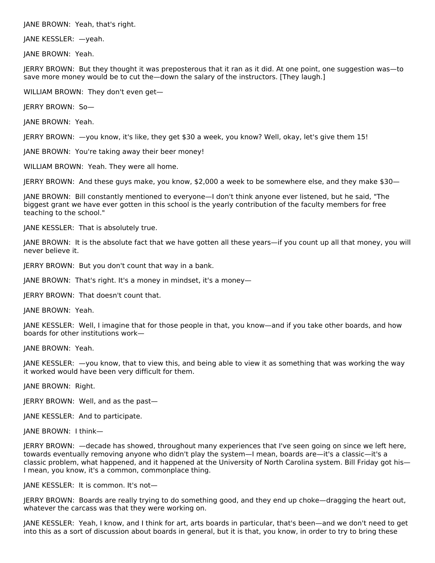JANE BROWN: Yeah, that's right.

JANE KESSLER: —yeah.

JANE BROWN: Yeah.

JERRY BROWN: But they thought it was preposterous that it ran as it did. At one point, one suggestion was—to save more money would be to cut the—down the salary of the instructors. [They laugh.]

WILLIAM BROWN: They don't even get—

JERRY BROWN: So—

JANE BROWN: Yeah.

JERRY BROWN: —you know, it's like, they get \$30 a week, you know? Well, okay, let's give them 15!

JANE BROWN: You're taking away their beer money!

WILLIAM BROWN: Yeah. They were all home.

JERRY BROWN: And these guys make, you know, \$2,000 a week to be somewhere else, and they make \$30—

JANE BROWN: Bill constantly mentioned to everyone—I don't think anyone ever listened, but he said, "The biggest grant we have ever gotten in this school is the yearly contribution of the faculty members for free teaching to the school."

JANE KESSLER: That is absolutely true.

JANE BROWN: It is the absolute fact that we have gotten all these years—if you count up all that money, you will never believe it.

JERRY BROWN: But you don't count that way in a bank.

JANE BROWN: That's right. It's a money in mindset, it's a money—

JERRY BROWN: That doesn't count that.

JANE BROWN: Yeah.

JANE KESSLER: Well, I imagine that for those people in that, you know—and if you take other boards, and how boards for other institutions work—

JANE BROWN: Yeah.

JANE KESSLER: —you know, that to view this, and being able to view it as something that was working the way it worked would have been very difficult for them.

JANE BROWN: Right.

JERRY BROWN: Well, and as the past—

JANE KESSLER: And to participate.

JANE BROWN: I think—

JERRY BROWN: —decade has showed, throughout many experiences that I've seen going on since we left here, towards eventually removing anyone who didn't play the system—I mean, boards are—it's a classic—it's a classic problem, what happened, and it happened at the University of North Carolina system. Bill Friday got his— I mean, you know, it's a common, commonplace thing.

JANE KESSLER: It is common. It's not—

JERRY BROWN: Boards are really trying to do something good, and they end up choke—dragging the heart out, whatever the carcass was that they were working on.

JANE KESSLER: Yeah, I know, and I think for art, arts boards in particular, that's been—and we don't need to get into this as a sort of discussion about boards in general, but it is that, you know, in order to try to bring these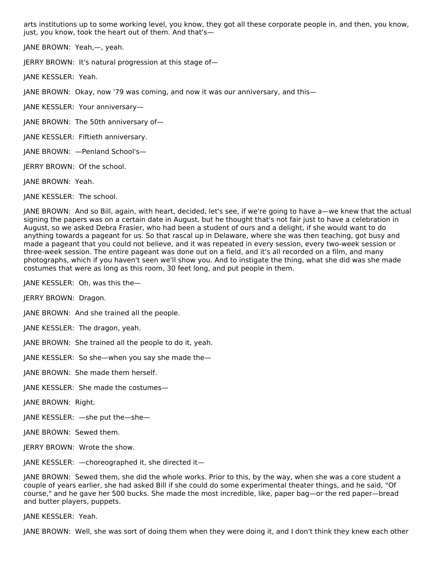arts institutions up to some working level, you know, they got all these corporate people in, and then, you know, just, you know, took the heart out of them. And that's—

JANE BROWN: Yeah,—, yeah.

JERRY BROWN: It's natural progression at this stage of—

JANE KESSLER: Yeah.

JANE BROWN: Okay, now '79 was coming, and now it was our anniversary, and this—

JANE KESSLER: Your anniversary—

JANE BROWN: The 50th anniversary of—

JANE KESSLER: Fiftieth anniversary.

JANE BROWN: —Penland School's—

JERRY BROWN: Of the school.

JANE BROWN: Yeah.

JANE KESSLER: The school.

JANE BROWN: And so Bill, again, with heart, decided, let's see, if we're going to have a—we knew that the actual signing the papers was on a certain date in August, but he thought that's not fair just to have a celebration in August, so we asked Debra Frasier, who had been a student of ours and a delight, if she would want to do anything towards a pageant for us. So that rascal up in Delaware, where she was then teaching, got busy and made a pageant that you could not believe, and it was repeated in every session, every two-week session or three-week session. The entire pageant was done out on a field, and it's all recorded on a film, and many photographs, which if you haven't seen we'll show you. And to instigate the thing, what she did was she made costumes that were as long as this room, 30 feet long, and put people in them.

JANE KESSLER: Oh, was this the—

JERRY BROWN: Dragon.

JANE BROWN: And she trained all the people.

JANE KESSLER: The dragon, yeah.

JANE BROWN: She trained all the people to do it, yeah.

JANE KESSLER: So she—when you say she made the—

JANE BROWN: She made them herself.

JANE KESSLER: She made the costumes—

JANE BROWN: Right.

JANE KESSLER: —she put the—she—

JANE BROWN: Sewed them.

JERRY BROWN: Wrote the show.

JANE KESSLER: —choreographed it, she directed it—

JANE BROWN: Sewed them, she did the whole works. Prior to this, by the way, when she was a core student a couple of years earlier, she had asked Bill if she could do some experimental theater things, and he said, "Of course," and he gave her 500 bucks. She made the most incredible, like, paper bag—or the red paper—bread and butter players, puppets.

JANE KESSLER: Yeah.

JANE BROWN: Well, she was sort of doing them when they were doing it, and I don't think they knew each other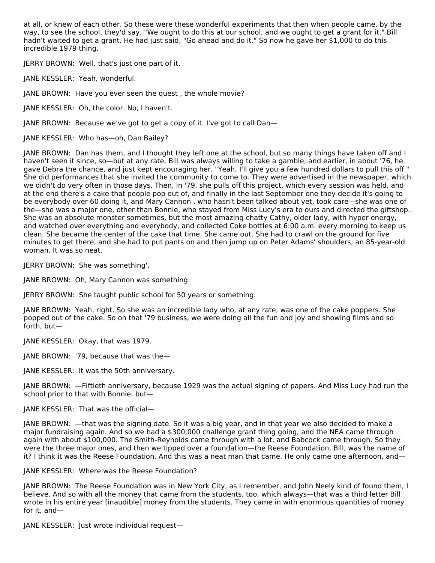at all, or knew of each other. So these were these wonderful experiments that then when people came, by the way, to see the school, they'd say, "We ought to do this at our school, and we ought to get a grant for it." Bill hadn't waited to get a grant. He had just said, "Go ahead and do it." So now he gave her \$1,000 to do this incredible 1979 thing.

JERRY BROWN: Well, that's just one part of it.

JANE KESSLER: Yeah, wonderful.

JANE BROWN: Have you ever seen the quest , the whole movie?

JANE KESSLER: Oh, the color. No, I haven't.

JANE BROWN: Because we've got to get a copy of it. I've got to call Dan—

JANE KESSLER: Who has—oh, Dan Bailey?

JANE BROWN: Dan has them, and I thought they left one at the school, but so many things have taken off and I haven't seen it since, so—but at any rate, Bill was always willing to take a gamble, and earlier, in about '76, he gave Debra the chance, and just kept encouraging her. "Yeah, I'll give you a few hundred dollars to pull this off." She did performances that she invited the community to come to. They were advertised in the newspaper, which we didn't do very often in those days. Then, in '79, she pulls off this project, which every session was held, and at the end there's a cake that people pop out of, and finally in the last September one they decide it's going to be everybody over 60 doing it, and Mary Cannon , who hasn't been talked about yet, took care—she was one of the—she was a major one, other than Bonnie, who stayed from Miss Lucy's era to ours and directed the giftshop. She was an absolute monster sometimes, but the most amazing chatty Cathy, older lady, with hyper energy, and watched over everything and everybody, and collected Coke bottles at 6:00 a.m. every morning to keep us clean. She became the center of the cake that time. She came out. She had to crawl on the ground for five minutes to get there, and she had to put pants on and then jump up on Peter Adams' shoulders, an 85-year-old woman. It was so neat.

JERRY BROWN: She was something'.

JANE BROWN: Oh, Mary Cannon was something.

JERRY BROWN: She taught public school for 50 years or something.

JANE BROWN: Yeah, right. So she was an incredible lady who, at any rate, was one of the cake poppers. She popped out of the cake. So on that '79 business, we were doing all the fun and joy and showing films and so forth, but—

JANE KESSLER: Okay, that was 1979.

JANE BROWN: '79, because that was the—

JANE KESSLER: It was the 50th anniversary.

JANE BROWN: —Fiftieth anniversary, because 1929 was the actual signing of papers. And Miss Lucy had run the school prior to that with Bonnie, but—

## JANE KESSLER: That was the official—

JANE BROWN: —that was the signing date. So it was a big year, and in that year we also decided to make a major fundraising again. And so we had a \$300,000 challenge grant thing going, and the NEA came through again with about \$100,000. The Smith-Reynolds came through with a lot, and Babcock came through. So they were the three major ones, and then we tipped over a foundation—the Reese Foundation, Bill, was the name of it? I think it was the Reese Foundation. And this was a neat man that came. He only came one afternoon, and—

JANE KESSLER: Where was the Reese Foundation?

JANE BROWN: The Reese Foundation was in New York City, as I remember, and John Neely kind of found them, I believe. And so with all the money that came from the students, too, which always—that was a third letter Bill wrote in his entire year [inaudible] money from the students. They came in with enormous quantities of money for it, and—

JANE KESSLER: Just wrote individual request—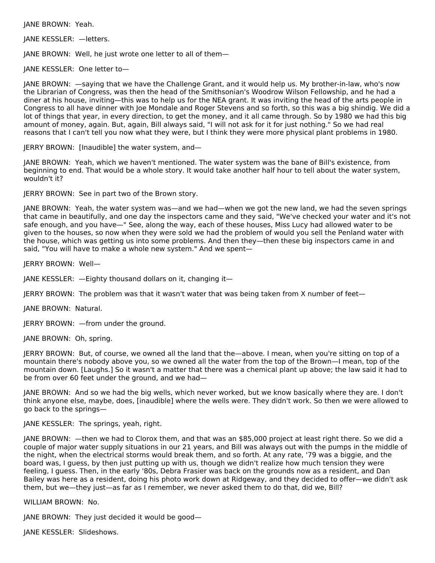JANE BROWN: Yeah.

JANE KESSLER: —letters.

JANE BROWN: Well, he just wrote one letter to all of them—

JANE KESSLER: One letter to—

JANE BROWN: —saying that we have the Challenge Grant, and it would help us. My brother-in-law, who's now the Librarian of Congress, was then the head of the Smithsonian's Woodrow Wilson Fellowship, and he had a diner at his house, inviting—this was to help us for the NEA grant. It was inviting the head of the arts people in Congress to all have dinner with Joe Mondale and Roger Stevens and so forth, so this was a big shindig. We did a lot of things that year, in every direction, to get the money, and it all came through. So by 1980 we had this big amount of money, again. But, again, Bill always said, "I will not ask for it for just nothing." So we had real reasons that I can't tell you now what they were, but I think they were more physical plant problems in 1980.

JERRY BROWN: [Inaudible] the water system, and—

JANE BROWN: Yeah, which we haven't mentioned. The water system was the bane of Bill's existence, from beginning to end. That would be a whole story. It would take another half hour to tell about the water system, wouldn't it?

JERRY BROWN: See in part two of the Brown story.

JANE BROWN: Yeah, the water system was—and we had—when we got the new land, we had the seven springs that came in beautifully, and one day the inspectors came and they said, "We've checked your water and it's not safe enough, and you have—" See, along the way, each of these houses, Miss Lucy had allowed water to be given to the houses, so now when they were sold we had the problem of would you sell the Penland water with the house, which was getting us into some problems. And then they—then these big inspectors came in and said, "You will have to make a whole new system." And we spent—

JERRY BROWN: Well—

JANE KESSLER: —Eighty thousand dollars on it, changing it—

JERRY BROWN: The problem was that it wasn't water that was being taken from X number of feet—

JANE BROWN: Natural.

JERRY BROWN: —from under the ground.

JANE BROWN: Oh, spring.

JERRY BROWN: But, of course, we owned all the land that the—above. I mean, when you're sitting on top of a mountain there's nobody above you, so we owned all the water from the top of the Brown—I mean, top of the mountain down. [Laughs.] So it wasn't a matter that there was a chemical plant up above; the law said it had to be from over 60 feet under the ground, and we had—

JANE BROWN: And so we had the big wells, which never worked, but we know basically where they are. I don't think anyone else, maybe, does, [inaudible] where the wells were. They didn't work. So then we were allowed to go back to the springs—

JANE KESSLER: The springs, yeah, right.

JANE BROWN: —then we had to Clorox them, and that was an \$85,000 project at least right there. So we did a couple of major water supply situations in our 21 years, and Bill was always out with the pumps in the middle of the night, when the electrical storms would break them, and so forth. At any rate, '79 was a biggie, and the board was, I guess, by then just putting up with us, though we didn't realize how much tension they were feeling, I guess. Then, in the early '80s, Debra Frasier was back on the grounds now as a resident, and Dan Bailey was here as a resident, doing his photo work down at Ridgeway, and they decided to offer—we didn't ask them, but we—they just—as far as I remember, we never asked them to do that, did we, Bill?

WILLIAM BROWN: No.

JANE BROWN: They just decided it would be good—

JANE KESSLER: Slideshows.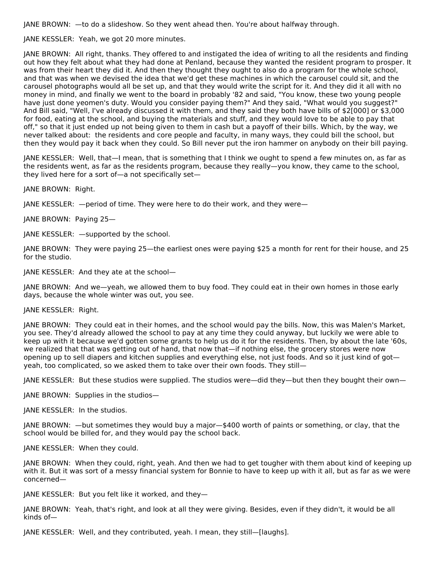JANE BROWN: —to do a slideshow. So they went ahead then. You're about halfway through.

JANE KESSLER: Yeah, we got 20 more minutes.

JANE BROWN: All right, thanks. They offered to and instigated the idea of writing to all the residents and finding out how they felt about what they had done at Penland, because they wanted the resident program to prosper. It was from their heart they did it. And then they thought they ought to also do a program for the whole school, and that was when we devised the idea that we'd get these machines in which the carousel could sit, and the carousel photographs would all be set up, and that they would write the script for it. And they did it all with no money in mind, and finally we went to the board in probably '82 and said, "You know, these two young people have just done yeomen's duty. Would you consider paying them?" And they said, "What would you suggest?" And Bill said, "Well, I've already discussed it with them, and they said they both have bills of \$2[000] or \$3,000 for food, eating at the school, and buying the materials and stuff, and they would love to be able to pay that off," so that it just ended up not being given to them in cash but a payoff of their bills. Which, by the way, we never talked about: the residents and core people and faculty, in many ways, they could bill the school, but then they would pay it back when they could. So Bill never put the iron hammer on anybody on their bill paying.

JANE KESSLER: Well, that—I mean, that is something that I think we ought to spend a few minutes on, as far as the residents went, as far as the residents program, because they really—you know, they came to the school, they lived here for a sort of—a not specifically set—

JANE BROWN: Right.

JANE KESSLER: —period of time. They were here to do their work, and they were—

JANE BROWN: Paying 25—

JANE KESSLER: —supported by the school.

JANE BROWN: They were paying 25—the earliest ones were paying \$25 a month for rent for their house, and 25 for the studio.

JANE KESSLER: And they ate at the school—

JANE BROWN: And we—yeah, we allowed them to buy food. They could eat in their own homes in those early days, because the whole winter was out, you see.

## JANE KESSLER: Right.

JANE BROWN: They could eat in their homes, and the school would pay the bills. Now, this was Malen's Market, you see. They'd already allowed the school to pay at any time they could anyway, but luckily we were able to keep up with it because we'd gotten some grants to help us do it for the residents. Then, by about the late '60s, we realized that that was getting out of hand, that now that—if nothing else, the grocery stores were now opening up to sell diapers and kitchen supplies and everything else, not just foods. And so it just kind of got yeah, too complicated, so we asked them to take over their own foods. They still—

JANE KESSLER: But these studios were supplied. The studios were—did they—but then they bought their own—

JANE BROWN: Supplies in the studios—

JANE KESSLER: In the studios.

JANE BROWN: —but sometimes they would buy a major—\$400 worth of paints or something, or clay, that the school would be billed for, and they would pay the school back.

JANE KESSLER: When they could.

JANE BROWN: When they could, right, yeah. And then we had to get tougher with them about kind of keeping up with it. But it was sort of a messy financial system for Bonnie to have to keep up with it all, but as far as we were concerned—

JANE KESSLER: But you felt like it worked, and they—

JANE BROWN: Yeah, that's right, and look at all they were giving. Besides, even if they didn't, it would be all kinds of—

JANE KESSLER: Well, and they contributed, yeah. I mean, they still—[laughs].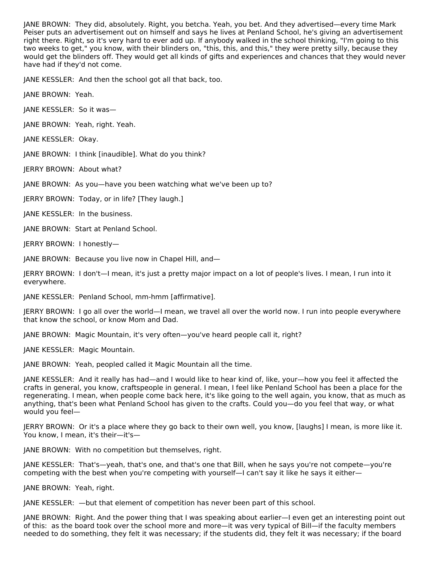JANE BROWN: They did, absolutely. Right, you betcha. Yeah, you bet. And they advertised—every time Mark Peiser puts an advertisement out on himself and says he lives at Penland School, he's giving an advertisement right there. Right, so it's very hard to ever add up. If anybody walked in the school thinking, "I'm going to this two weeks to get," you know, with their blinders on, "this, this, and this," they were pretty silly, because they would get the blinders off. They would get all kinds of gifts and experiences and chances that they would never have had if they'd not come.

JANE KESSLER: And then the school got all that back, too.

JANE BROWN: Yeah.

JANE KESSLER: So it was—

JANE BROWN: Yeah, right. Yeah.

JANE KESSLER: Okay.

JANE BROWN: I think [inaudible]. What do you think?

JERRY BROWN: About what?

JANE BROWN: As you—have you been watching what we've been up to?

JERRY BROWN: Today, or in life? [They laugh.]

JANE KESSLER: In the business.

JANE BROWN: Start at Penland School.

JERRY BROWN: I honestly—

JANE BROWN: Because you live now in Chapel Hill, and—

JERRY BROWN: I don't—I mean, it's just a pretty major impact on a lot of people's lives. I mean, I run into it everywhere.

JANE KESSLER: Penland School, mm-hmm [affirmative].

JERRY BROWN: I go all over the world—I mean, we travel all over the world now. I run into people everywhere that know the school, or know Mom and Dad.

JANE BROWN: Magic Mountain, it's very often—you've heard people call it, right?

JANE KESSLER: Magic Mountain.

JANE BROWN: Yeah, peopled called it Magic Mountain all the time.

JANE KESSLER: And it really has had—and I would like to hear kind of, like, your—how you feel it affected the crafts in general, you know, craftspeople in general. I mean, I feel like Penland School has been a place for the regenerating. I mean, when people come back here, it's like going to the well again, you know, that as much as anything, that's been what Penland School has given to the crafts. Could you—do you feel that way, or what would you feel—

JERRY BROWN: Or it's a place where they go back to their own well, you know, [laughs] I mean, is more like it. You know, I mean, it's their—it's—

JANE BROWN: With no competition but themselves, right.

JANE KESSLER: That's—yeah, that's one, and that's one that Bill, when he says you're not compete—you're competing with the best when you're competing with yourself—I can't say it like he says it either—

JANE BROWN: Yeah, right.

JANE KESSLER: —but that element of competition has never been part of this school.

JANE BROWN: Right. And the power thing that I was speaking about earlier—I even get an interesting point out of this: as the board took over the school more and more—it was very typical of Bill—if the faculty members needed to do something, they felt it was necessary; if the students did, they felt it was necessary; if the board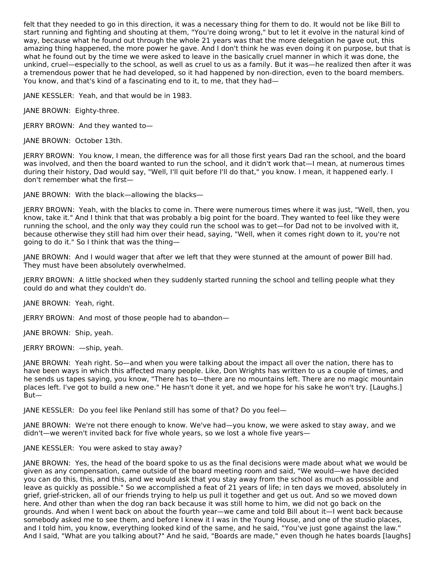felt that they needed to go in this direction, it was a necessary thing for them to do. It would not be like Bill to start running and fighting and shouting at them, "You're doing wrong," but to let it evolve in the natural kind of way, because what he found out through the whole 21 years was that the more delegation he gave out, this amazing thing happened, the more power he gave. And I don't think he was even doing it on purpose, but that is what he found out by the time we were asked to leave in the basically cruel manner in which it was done, the unkind, cruel—especially to the school, as well as cruel to us as a family. But it was—he realized then after it was a tremendous power that he had developed, so it had happened by non-direction, even to the board members. You know, and that's kind of a fascinating end to it, to me, that they had—

JANE KESSLER: Yeah, and that would be in 1983.

JANE BROWN: Eighty-three.

JERRY BROWN: And they wanted to—

JANE BROWN: October 13th.

JERRY BROWN: You know, I mean, the difference was for all those first years Dad ran the school, and the board was involved, and then the board wanted to run the school, and it didn't work that—I mean, at numerous times during their history, Dad would say, "Well, I'll quit before I'll do that," you know. I mean, it happened early. I don't remember what the first—

JANE BROWN: With the black—allowing the blacks—

JERRY BROWN: Yeah, with the blacks to come in. There were numerous times where it was just, "Well, then, you know, take it." And I think that that was probably a big point for the board. They wanted to feel like they were running the school, and the only way they could run the school was to get—for Dad not to be involved with it, because otherwise they still had him over their head, saying, "Well, when it comes right down to it, you're not going to do it." So I think that was the thing—

JANE BROWN: And I would wager that after we left that they were stunned at the amount of power Bill had. They must have been absolutely overwhelmed.

JERRY BROWN: A little shocked when they suddenly started running the school and telling people what they could do and what they couldn't do.

JANE BROWN: Yeah, right.

JERRY BROWN: And most of those people had to abandon—

JANE BROWN: Ship, yeah.

JERRY BROWN: —ship, yeah.

JANE BROWN: Yeah right. So—and when you were talking about the impact all over the nation, there has to have been ways in which this affected many people. Like, Don Wrights has written to us a couple of times, and he sends us tapes saying, you know, "There has to—there are no mountains left. There are no magic mountain places left. I've got to build a new one." He hasn't done it yet, and we hope for his sake he won't try. [Laughs.] But—

JANE KESSLER: Do you feel like Penland still has some of that? Do you feel—

JANE BROWN: We're not there enough to know. We've had—you know, we were asked to stay away, and we didn't—we weren't invited back for five whole years, so we lost a whole five years—

JANE KESSLER: You were asked to stay away?

JANE BROWN: Yes, the head of the board spoke to us as the final decisions were made about what we would be given as any compensation, came outside of the board meeting room and said, "We would—we have decided you can do this, this, and this, and we would ask that you stay away from the school as much as possible and leave as quickly as possible." So we accomplished a feat of 21 years of life; in ten days we moved, absolutely in grief, grief-stricken, all of our friends trying to help us pull it together and get us out. And so we moved down here. And other than when the dog ran back because it was still home to him, we did not go back on the grounds. And when I went back on about the fourth year—we came and told Bill about it—I went back because somebody asked me to see them, and before I knew it I was in the Young House, and one of the studio places, and I told him, you know, everything looked kind of the same, and he said, "You've just gone against the law." And I said, "What are you talking about?" And he said, "Boards are made," even though he hates boards [laughs]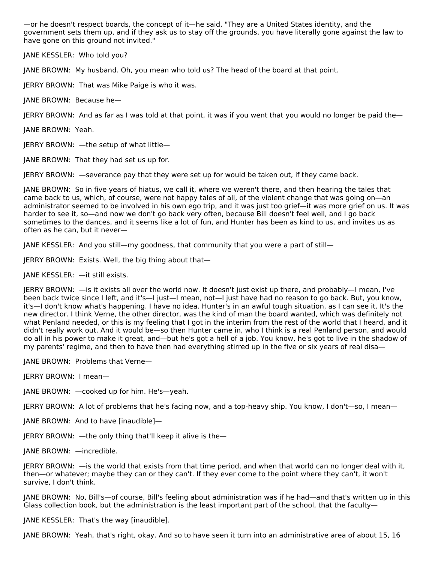—or he doesn't respect boards, the concept of it—he said, "They are a United States identity, and the government sets them up, and if they ask us to stay off the grounds, you have literally gone against the law to have gone on this ground not invited."

JANE KESSLER: Who told you?

JANE BROWN: My husband. Oh, you mean who told us? The head of the board at that point.

JERRY BROWN: That was Mike Paige is who it was.

JANE BROWN: Because he—

JERRY BROWN: And as far as I was told at that point, it was if you went that you would no longer be paid the—

JANE BROWN: Yeah.

JERRY BROWN: —the setup of what little—

JANE BROWN: That they had set us up for.

JERRY BROWN: —severance pay that they were set up for would be taken out, if they came back.

JANE BROWN: So in five years of hiatus, we call it, where we weren't there, and then hearing the tales that came back to us, which, of course, were not happy tales of all, of the violent change that was going on—an administrator seemed to be involved in his own ego trip, and it was just too grief—it was more grief on us. It was harder to see it, so—and now we don't go back very often, because Bill doesn't feel well, and I go back sometimes to the dances, and it seems like a lot of fun, and Hunter has been as kind to us, and invites us as often as he can, but it never—

JANE KESSLER: And you still—my goodness, that community that you were a part of still—

JERRY BROWN: Exists. Well, the big thing about that—

JANE KESSLER: —it still exists.

JERRY BROWN: —is it exists all over the world now. It doesn't just exist up there, and probably—I mean, I've been back twice since I left, and it's—I just—I mean, not—I just have had no reason to go back. But, you know, it's—I don't know what's happening. I have no idea. Hunter's in an awful tough situation, as I can see it. It's the new director. I think Verne, the other director, was the kind of man the board wanted, which was definitely not what Penland needed, or this is my feeling that I got in the interim from the rest of the world that I heard, and it didn't really work out. And it would be—so then Hunter came in, who I think is a real Penland person, and would do all in his power to make it great, and—but he's got a hell of a job. You know, he's got to live in the shadow of my parents' regime, and then to have then had everything stirred up in the five or six years of real disa—

JANE BROWN: Problems that Verne—

JERRY BROWN: I mean—

JANE BROWN: —cooked up for him. He's—yeah.

JERRY BROWN: A lot of problems that he's facing now, and a top-heavy ship. You know, I don't—so, I mean—

JANE BROWN: And to have [inaudible]—

JERRY BROWN: —the only thing that'll keep it alive is the—

JANE BROWN: —incredible.

JERRY BROWN: —is the world that exists from that time period, and when that world can no longer deal with it, then—or whatever; maybe they can or they can't. If they ever come to the point where they can't, it won't survive, I don't think.

JANE BROWN: No, Bill's—of course, Bill's feeling about administration was if he had—and that's written up in this Glass collection book, but the administration is the least important part of the school, that the faculty—

JANE KESSLER: That's the way [inaudible].

JANE BROWN: Yeah, that's right, okay. And so to have seen it turn into an administrative area of about 15, 16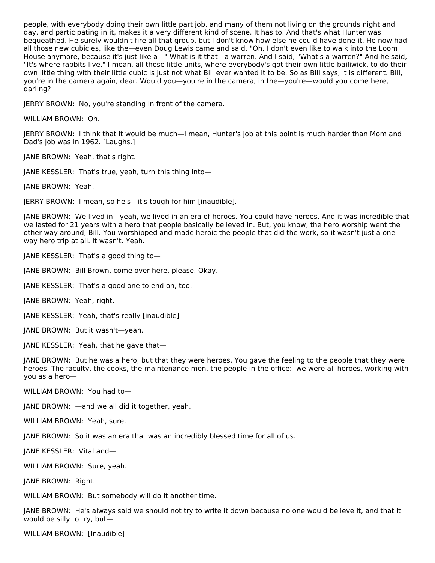people, with everybody doing their own little part job, and many of them not living on the grounds night and day, and participating in it, makes it a very different kind of scene. It has to. And that's what Hunter was bequeathed. He surely wouldn't fire all that group, but I don't know how else he could have done it. He now had all those new cubicles, like the—even Doug Lewis came and said, "Oh, I don't even like to walk into the Loom House anymore, because it's just like a—" What is it that—a warren. And I said, "What's a warren?" And he said, "It's where rabbits live." I mean, all those little units, where everybody's got their own little bailiwick, to do their own little thing with their little cubic is just not what Bill ever wanted it to be. So as Bill says, it is different. Bill, you're in the camera again, dear. Would you—you're in the camera, in the—you're—would you come here, darling?

JERRY BROWN: No, you're standing in front of the camera.

WILLIAM BROWN: Oh.

JERRY BROWN: I think that it would be much—I mean, Hunter's job at this point is much harder than Mom and Dad's job was in 1962. [Laughs.]

JANE BROWN: Yeah, that's right.

JANE KESSLER: That's true, yeah, turn this thing into—

JANE BROWN: Yeah.

JERRY BROWN: I mean, so he's—it's tough for him [inaudible].

JANE BROWN: We lived in—yeah, we lived in an era of heroes. You could have heroes. And it was incredible that we lasted for 21 years with a hero that people basically believed in. But, you know, the hero worship went the other way around, Bill. You worshipped and made heroic the people that did the work, so it wasn't just a oneway hero trip at all. It wasn't. Yeah.

JANE KESSLER: That's a good thing to—

JANE BROWN: Bill Brown, come over here, please. Okay.

JANE KESSLER: That's a good one to end on, too.

JANE BROWN: Yeah, right.

JANE KESSLER: Yeah, that's really [inaudible]—

JANE BROWN: But it wasn't—yeah.

JANE KESSLER: Yeah, that he gave that—

JANE BROWN: But he was a hero, but that they were heroes. You gave the feeling to the people that they were heroes. The faculty, the cooks, the maintenance men, the people in the office: we were all heroes, working with you as a hero—

WILLIAM BROWN: You had to—

JANE BROWN: —and we all did it together, yeah.

WILLIAM BROWN: Yeah, sure.

JANE BROWN: So it was an era that was an incredibly blessed time for all of us.

JANE KESSLER: Vital and—

WILLIAM BROWN: Sure, yeah.

JANE BROWN: Right.

WILLIAM BROWN: But somebody will do it another time.

JANE BROWN: He's always said we should not try to write it down because no one would believe it, and that it would be silly to try, but—

WILLIAM BROWN: [Inaudible]—